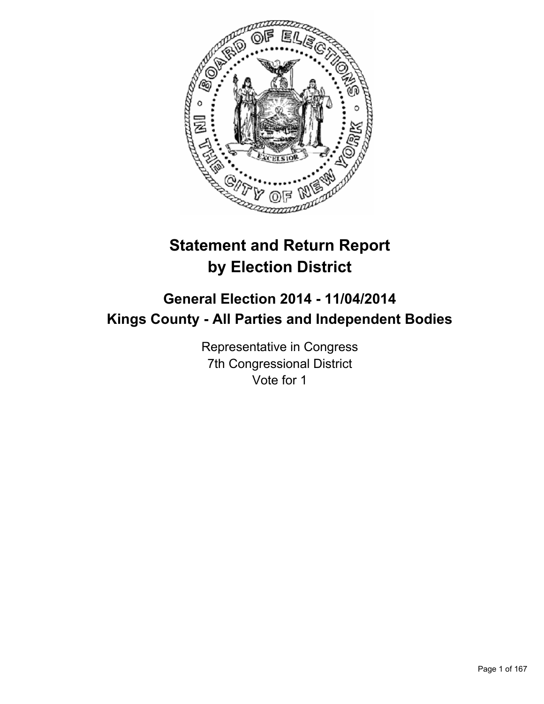

# **Statement and Return Report by Election District**

# **General Election 2014 - 11/04/2014 Kings County - All Parties and Independent Bodies**

Representative in Congress 7th Congressional District Vote for 1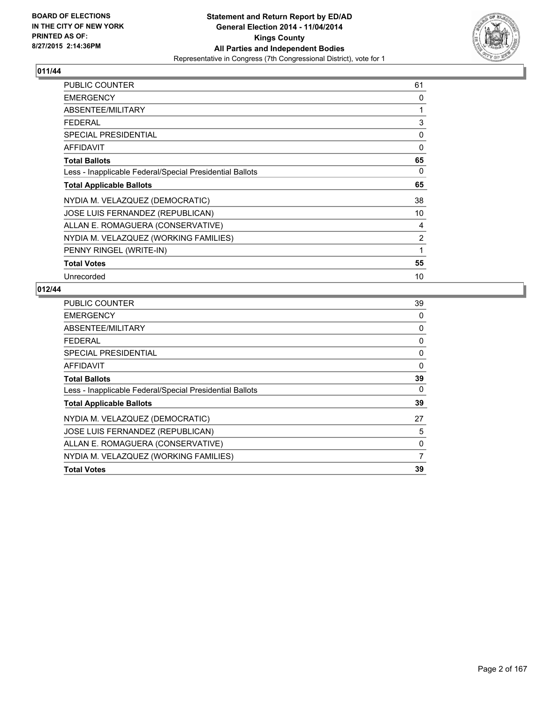

| <b>PUBLIC COUNTER</b>                                    | 61 |
|----------------------------------------------------------|----|
| <b>EMERGENCY</b>                                         | 0  |
| ABSENTEE/MILITARY                                        | 1  |
| <b>FEDERAL</b>                                           | 3  |
| <b>SPECIAL PRESIDENTIAL</b>                              | 0  |
| <b>AFFIDAVIT</b>                                         | 0  |
| <b>Total Ballots</b>                                     | 65 |
| Less - Inapplicable Federal/Special Presidential Ballots | 0  |
| <b>Total Applicable Ballots</b>                          | 65 |
| NYDIA M. VELAZQUEZ (DEMOCRATIC)                          | 38 |
| JOSE LUIS FERNANDEZ (REPUBLICAN)                         | 10 |
| ALLAN E. ROMAGUERA (CONSERVATIVE)                        | 4  |
| NYDIA M. VELAZQUEZ (WORKING FAMILIES)                    | 2  |
| PENNY RINGEL (WRITE-IN)                                  | 1  |
| <b>Total Votes</b>                                       | 55 |
| Unrecorded                                               | 10 |

| <b>PUBLIC COUNTER</b>                                    | 39       |
|----------------------------------------------------------|----------|
| <b>EMERGENCY</b>                                         | 0        |
| ABSENTEE/MILITARY                                        | 0        |
| <b>FEDERAL</b>                                           | 0        |
| <b>SPECIAL PRESIDENTIAL</b>                              | 0        |
| <b>AFFIDAVIT</b>                                         | $\Omega$ |
| <b>Total Ballots</b>                                     | 39       |
| Less - Inapplicable Federal/Special Presidential Ballots | $\Omega$ |
| <b>Total Applicable Ballots</b>                          | 39       |
| NYDIA M. VELAZQUEZ (DEMOCRATIC)                          | 27       |
| JOSE LUIS FERNANDEZ (REPUBLICAN)                         | 5        |
| ALLAN E. ROMAGUERA (CONSERVATIVE)                        | 0        |
| NYDIA M. VELAZQUEZ (WORKING FAMILIES)                    | 7        |
| <b>Total Votes</b>                                       | 39       |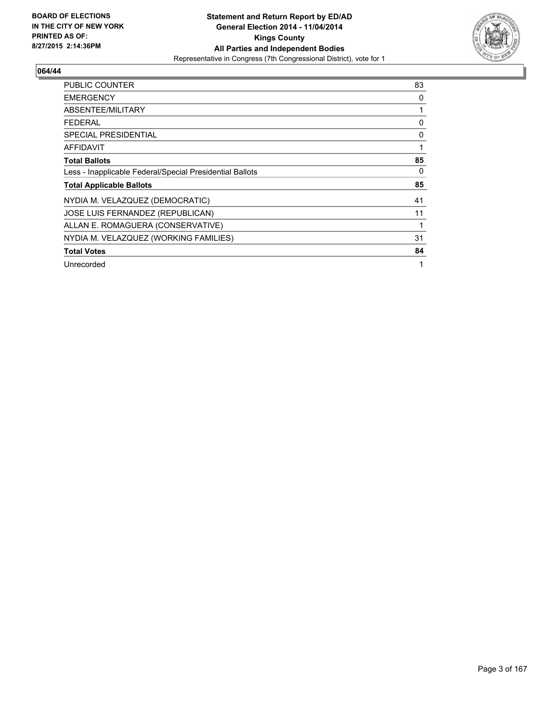

| <b>PUBLIC COUNTER</b>                                    | 83 |
|----------------------------------------------------------|----|
| <b>EMERGENCY</b>                                         | 0  |
| ABSENTEE/MILITARY                                        | 1  |
| <b>FEDERAL</b>                                           | 0  |
| <b>SPECIAL PRESIDENTIAL</b>                              | 0  |
| AFFIDAVIT                                                | 1  |
| <b>Total Ballots</b>                                     | 85 |
| Less - Inapplicable Federal/Special Presidential Ballots | 0  |
| <b>Total Applicable Ballots</b>                          | 85 |
| NYDIA M. VELAZQUEZ (DEMOCRATIC)                          | 41 |
| JOSE LUIS FERNANDEZ (REPUBLICAN)                         | 11 |
| ALLAN E. ROMAGUERA (CONSERVATIVE)                        | 1  |
| NYDIA M. VELAZQUEZ (WORKING FAMILIES)                    | 31 |
| <b>Total Votes</b>                                       | 84 |
| Unrecorded                                               | 1  |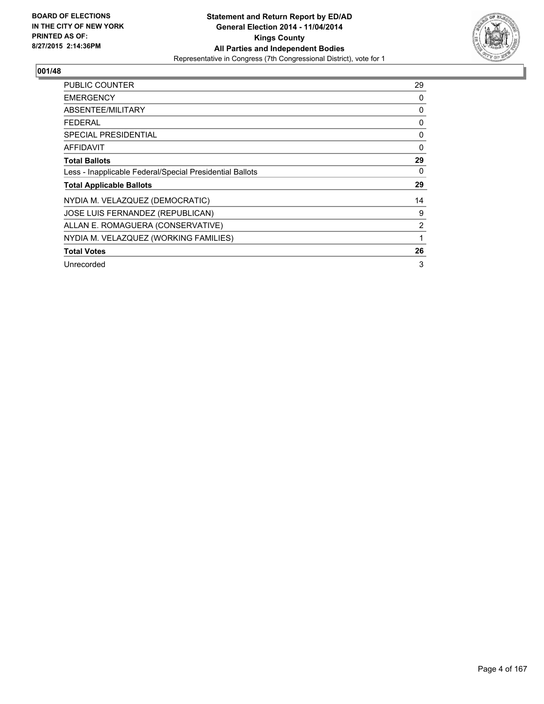

| <b>PUBLIC COUNTER</b>                                    | 29             |
|----------------------------------------------------------|----------------|
| <b>EMERGENCY</b>                                         | 0              |
| ABSENTEE/MILITARY                                        | 0              |
| <b>FEDERAL</b>                                           | 0              |
| <b>SPECIAL PRESIDENTIAL</b>                              | 0              |
| AFFIDAVIT                                                | 0              |
| <b>Total Ballots</b>                                     | 29             |
| Less - Inapplicable Federal/Special Presidential Ballots | 0              |
| <b>Total Applicable Ballots</b>                          | 29             |
| NYDIA M. VELAZQUEZ (DEMOCRATIC)                          | 14             |
| JOSE LUIS FERNANDEZ (REPUBLICAN)                         | 9              |
| ALLAN E. ROMAGUERA (CONSERVATIVE)                        | $\overline{2}$ |
| NYDIA M. VELAZQUEZ (WORKING FAMILIES)                    |                |
| <b>Total Votes</b>                                       | 26             |
| Unrecorded                                               | 3              |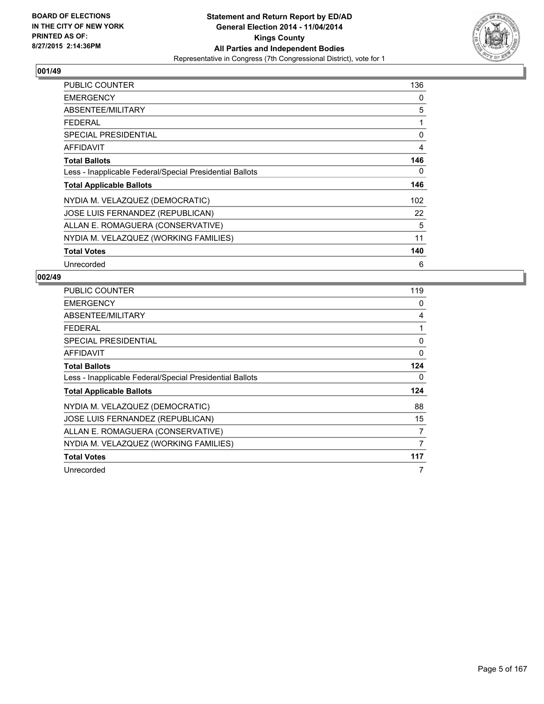

| <b>PUBLIC COUNTER</b>                                    | 136 |
|----------------------------------------------------------|-----|
| <b>EMERGENCY</b>                                         | 0   |
| ABSENTEE/MILITARY                                        | 5   |
| <b>FEDERAL</b>                                           | 1   |
| <b>SPECIAL PRESIDENTIAL</b>                              | 0   |
| <b>AFFIDAVIT</b>                                         | 4   |
| <b>Total Ballots</b>                                     | 146 |
| Less - Inapplicable Federal/Special Presidential Ballots | 0   |
| <b>Total Applicable Ballots</b>                          | 146 |
| NYDIA M. VELAZQUEZ (DEMOCRATIC)                          | 102 |
| JOSE LUIS FERNANDEZ (REPUBLICAN)                         | 22  |
| ALLAN E. ROMAGUERA (CONSERVATIVE)                        | 5   |
| NYDIA M. VELAZQUEZ (WORKING FAMILIES)                    | 11  |
| <b>Total Votes</b>                                       | 140 |
| Unrecorded                                               | 6   |

| <b>PUBLIC COUNTER</b>                                    | 119 |
|----------------------------------------------------------|-----|
| <b>EMERGENCY</b>                                         | 0   |
| ABSENTEE/MILITARY                                        | 4   |
| <b>FEDERAL</b>                                           | 1   |
| SPECIAL PRESIDENTIAL                                     | 0   |
| <b>AFFIDAVIT</b>                                         | 0   |
| <b>Total Ballots</b>                                     | 124 |
| Less - Inapplicable Federal/Special Presidential Ballots | 0   |
| <b>Total Applicable Ballots</b>                          | 124 |
| NYDIA M. VELAZQUEZ (DEMOCRATIC)                          | 88  |
| <b>JOSE LUIS FERNANDEZ (REPUBLICAN)</b>                  | 15  |
| ALLAN E. ROMAGUERA (CONSERVATIVE)                        | 7   |
| NYDIA M. VELAZQUEZ (WORKING FAMILIES)                    | 7   |
| <b>Total Votes</b>                                       | 117 |
| Unrecorded                                               | 7   |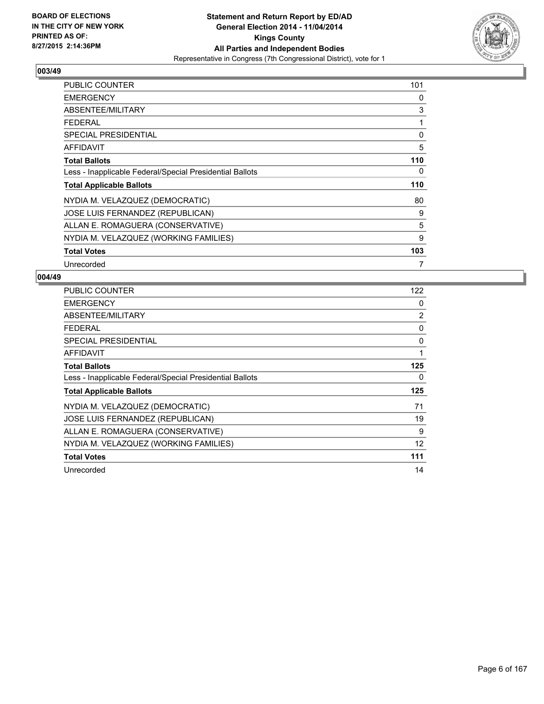

| <b>PUBLIC COUNTER</b>                                    | 101 |
|----------------------------------------------------------|-----|
| <b>EMERGENCY</b>                                         | 0   |
| ABSENTEE/MILITARY                                        | 3   |
| <b>FEDERAL</b>                                           | 1   |
| <b>SPECIAL PRESIDENTIAL</b>                              | 0   |
| <b>AFFIDAVIT</b>                                         | 5   |
| <b>Total Ballots</b>                                     | 110 |
| Less - Inapplicable Federal/Special Presidential Ballots | 0   |
| <b>Total Applicable Ballots</b>                          | 110 |
| NYDIA M. VELAZQUEZ (DEMOCRATIC)                          | 80  |
| JOSE LUIS FERNANDEZ (REPUBLICAN)                         | 9   |
| ALLAN E. ROMAGUERA (CONSERVATIVE)                        | 5   |
| NYDIA M. VELAZQUEZ (WORKING FAMILIES)                    | 9   |
| <b>Total Votes</b>                                       | 103 |
| Unrecorded                                               | 7   |

| <b>PUBLIC COUNTER</b>                                    | 122 |
|----------------------------------------------------------|-----|
| <b>EMERGENCY</b>                                         | 0   |
| ABSENTEE/MILITARY                                        | 2   |
| <b>FEDERAL</b>                                           | 0   |
| SPECIAL PRESIDENTIAL                                     | 0   |
| AFFIDAVIT                                                | 1   |
| <b>Total Ballots</b>                                     | 125 |
| Less - Inapplicable Federal/Special Presidential Ballots | 0   |
| <b>Total Applicable Ballots</b>                          | 125 |
| NYDIA M. VELAZQUEZ (DEMOCRATIC)                          | 71  |
| JOSE LUIS FERNANDEZ (REPUBLICAN)                         | 19  |
| ALLAN E. ROMAGUERA (CONSERVATIVE)                        | 9   |
| NYDIA M. VELAZQUEZ (WORKING FAMILIES)                    | 12  |
| <b>Total Votes</b>                                       | 111 |
| Unrecorded                                               | 14  |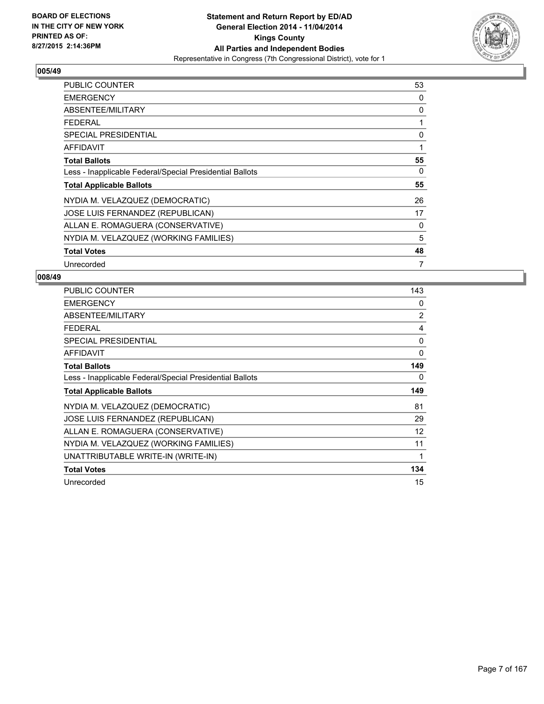

| <b>PUBLIC COUNTER</b>                                    | 53 |
|----------------------------------------------------------|----|
| <b>EMERGENCY</b>                                         | 0  |
| ABSENTEE/MILITARY                                        | 0  |
| <b>FEDERAL</b>                                           | 1  |
| <b>SPECIAL PRESIDENTIAL</b>                              | 0  |
| <b>AFFIDAVIT</b>                                         | 1  |
| <b>Total Ballots</b>                                     | 55 |
| Less - Inapplicable Federal/Special Presidential Ballots | 0  |
| <b>Total Applicable Ballots</b>                          | 55 |
| NYDIA M. VELAZQUEZ (DEMOCRATIC)                          | 26 |
| JOSE LUIS FERNANDEZ (REPUBLICAN)                         | 17 |
| ALLAN E. ROMAGUERA (CONSERVATIVE)                        | 0  |
| NYDIA M. VELAZQUEZ (WORKING FAMILIES)                    | 5  |
| <b>Total Votes</b>                                       | 48 |
| Unrecorded                                               | 7  |

| <b>PUBLIC COUNTER</b>                                    | 143            |
|----------------------------------------------------------|----------------|
| <b>EMERGENCY</b>                                         | 0              |
| ABSENTEE/MILITARY                                        | $\overline{2}$ |
| <b>FEDERAL</b>                                           | 4              |
| SPECIAL PRESIDENTIAL                                     | 0              |
| <b>AFFIDAVIT</b>                                         | $\mathbf{0}$   |
| <b>Total Ballots</b>                                     | 149            |
| Less - Inapplicable Federal/Special Presidential Ballots | 0              |
| <b>Total Applicable Ballots</b>                          |                |
|                                                          | 149            |
| NYDIA M. VELAZQUEZ (DEMOCRATIC)                          | 81             |
| JOSE LUIS FERNANDEZ (REPUBLICAN)                         | 29             |
| ALLAN E. ROMAGUERA (CONSERVATIVE)                        | 12             |
| NYDIA M. VELAZQUEZ (WORKING FAMILIES)                    | 11             |
| UNATTRIBUTABLE WRITE-IN (WRITE-IN)                       | 1              |
| <b>Total Votes</b>                                       | 134            |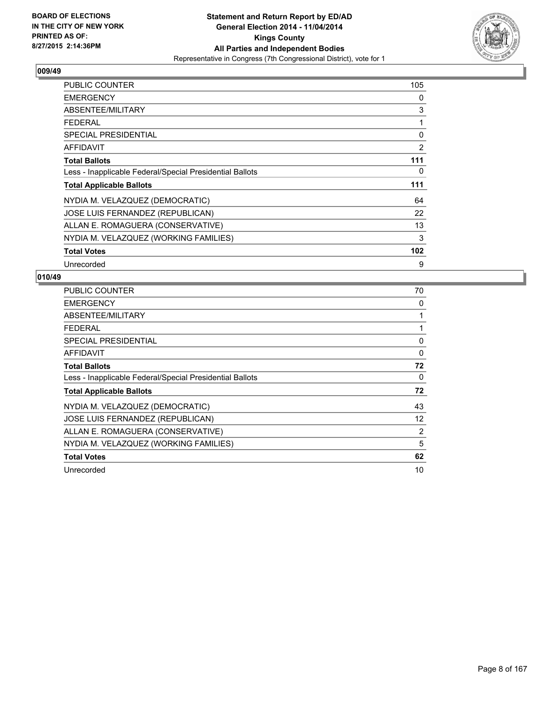

| <b>PUBLIC COUNTER</b>                                    | 105 |
|----------------------------------------------------------|-----|
| <b>EMERGENCY</b>                                         | 0   |
| ABSENTEE/MILITARY                                        | 3   |
| <b>FEDERAL</b>                                           | 1   |
| <b>SPECIAL PRESIDENTIAL</b>                              | 0   |
| <b>AFFIDAVIT</b>                                         | 2   |
| <b>Total Ballots</b>                                     | 111 |
| Less - Inapplicable Federal/Special Presidential Ballots | 0   |
| <b>Total Applicable Ballots</b>                          | 111 |
| NYDIA M. VELAZQUEZ (DEMOCRATIC)                          | 64  |
| JOSE LUIS FERNANDEZ (REPUBLICAN)                         | 22  |
| ALLAN E. ROMAGUERA (CONSERVATIVE)                        | 13  |
| NYDIA M. VELAZQUEZ (WORKING FAMILIES)                    | 3   |
| <b>Total Votes</b>                                       | 102 |
| Unrecorded                                               | 9   |

| <b>PUBLIC COUNTER</b>                                    | 70 |
|----------------------------------------------------------|----|
| <b>EMERGENCY</b>                                         | 0  |
| ABSENTEE/MILITARY                                        |    |
| <b>FEDERAL</b>                                           |    |
| <b>SPECIAL PRESIDENTIAL</b>                              | 0  |
| <b>AFFIDAVIT</b>                                         | 0  |
| <b>Total Ballots</b>                                     | 72 |
| Less - Inapplicable Federal/Special Presidential Ballots | 0  |
| <b>Total Applicable Ballots</b>                          | 72 |
| NYDIA M. VELAZQUEZ (DEMOCRATIC)                          | 43 |
| JOSE LUIS FERNANDEZ (REPUBLICAN)                         | 12 |
| ALLAN E. ROMAGUERA (CONSERVATIVE)                        | 2  |
| NYDIA M. VELAZQUEZ (WORKING FAMILIES)                    | 5  |
| <b>Total Votes</b>                                       | 62 |
| Unrecorded                                               | 10 |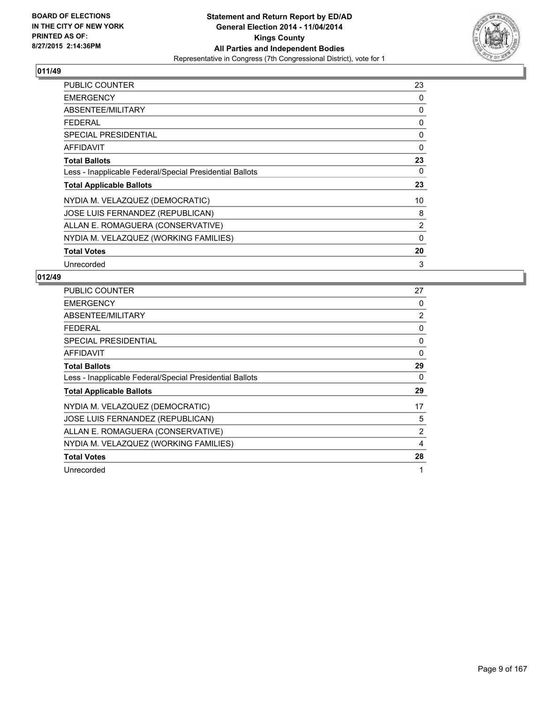

| <b>PUBLIC COUNTER</b>                                    | 23 |
|----------------------------------------------------------|----|
| <b>EMERGENCY</b>                                         | 0  |
| ABSENTEE/MILITARY                                        | 0  |
| <b>FEDERAL</b>                                           | 0  |
| <b>SPECIAL PRESIDENTIAL</b>                              | 0  |
| <b>AFFIDAVIT</b>                                         | 0  |
| <b>Total Ballots</b>                                     | 23 |
| Less - Inapplicable Federal/Special Presidential Ballots | 0  |
| <b>Total Applicable Ballots</b>                          | 23 |
| NYDIA M. VELAZQUEZ (DEMOCRATIC)                          | 10 |
| JOSE LUIS FERNANDEZ (REPUBLICAN)                         | 8  |
| ALLAN E. ROMAGUERA (CONSERVATIVE)                        | 2  |
| NYDIA M. VELAZQUEZ (WORKING FAMILIES)                    | 0  |
| <b>Total Votes</b>                                       | 20 |
| Unrecorded                                               | 3  |

| <b>PUBLIC COUNTER</b>                                    | 27             |
|----------------------------------------------------------|----------------|
| <b>EMERGENCY</b>                                         | 0              |
| ABSENTEE/MILITARY                                        | $\overline{2}$ |
| <b>FEDERAL</b>                                           | 0              |
| <b>SPECIAL PRESIDENTIAL</b>                              | 0              |
| AFFIDAVIT                                                | 0              |
| <b>Total Ballots</b>                                     | 29             |
| Less - Inapplicable Federal/Special Presidential Ballots | 0              |
| <b>Total Applicable Ballots</b>                          | 29             |
| NYDIA M. VELAZQUEZ (DEMOCRATIC)                          | 17             |
| JOSE LUIS FERNANDEZ (REPUBLICAN)                         | 5              |
| ALLAN E. ROMAGUERA (CONSERVATIVE)                        | 2              |
| NYDIA M. VELAZQUEZ (WORKING FAMILIES)                    | 4              |
| <b>Total Votes</b>                                       | 28             |
| Unrecorded                                               | 1              |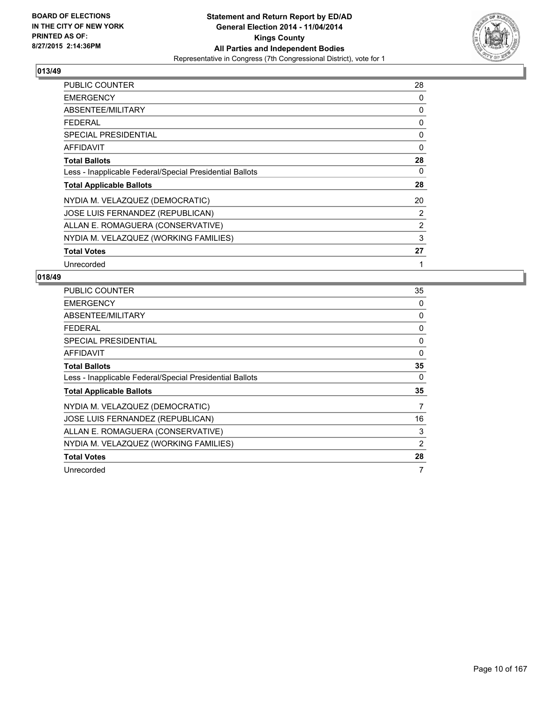

| <b>PUBLIC COUNTER</b>                                    | 28       |
|----------------------------------------------------------|----------|
| <b>EMERGENCY</b>                                         | 0        |
| ABSENTEE/MILITARY                                        | 0        |
| FEDERAL                                                  | 0        |
| <b>SPECIAL PRESIDENTIAL</b>                              | 0        |
| <b>AFFIDAVIT</b>                                         | $\Omega$ |
| <b>Total Ballots</b>                                     | 28       |
| Less - Inapplicable Federal/Special Presidential Ballots | 0        |
| <b>Total Applicable Ballots</b>                          | 28       |
| NYDIA M. VELAZQUEZ (DEMOCRATIC)                          | 20       |
| JOSE LUIS FERNANDEZ (REPUBLICAN)                         | 2        |
| ALLAN E. ROMAGUERA (CONSERVATIVE)                        | 2        |
| NYDIA M. VELAZQUEZ (WORKING FAMILIES)                    | 3        |
| <b>Total Votes</b>                                       | 27       |
| Unrecorded                                               | 1        |

| <b>PUBLIC COUNTER</b>                                    | 35 |
|----------------------------------------------------------|----|
| <b>EMERGENCY</b>                                         | 0  |
| ABSENTEE/MILITARY                                        | 0  |
| <b>FEDERAL</b>                                           | 0  |
| <b>SPECIAL PRESIDENTIAL</b>                              | 0  |
| <b>AFFIDAVIT</b>                                         | 0  |
| <b>Total Ballots</b>                                     | 35 |
| Less - Inapplicable Federal/Special Presidential Ballots | 0  |
| <b>Total Applicable Ballots</b>                          | 35 |
| NYDIA M. VELAZQUEZ (DEMOCRATIC)                          | 7  |
| JOSE LUIS FERNANDEZ (REPUBLICAN)                         | 16 |
| ALLAN E. ROMAGUERA (CONSERVATIVE)                        | 3  |
| NYDIA M. VELAZQUEZ (WORKING FAMILIES)                    | 2  |
|                                                          |    |
| <b>Total Votes</b>                                       | 28 |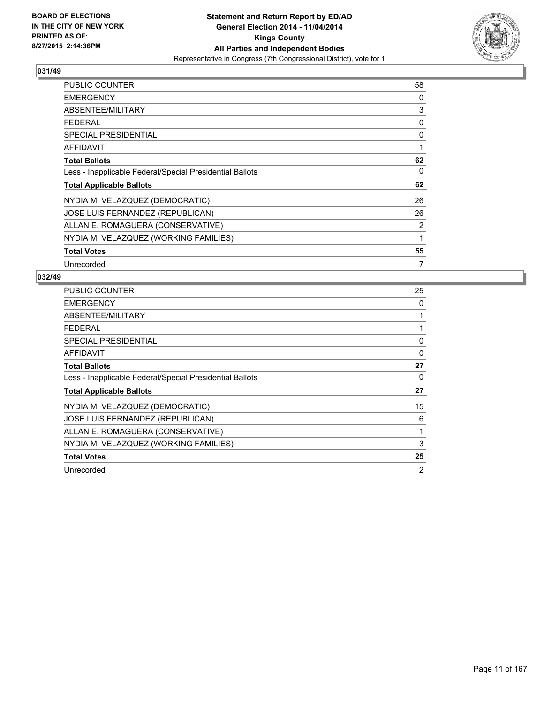

| <b>PUBLIC COUNTER</b>                                    | 58 |
|----------------------------------------------------------|----|
| <b>EMERGENCY</b>                                         | 0  |
| ABSENTEE/MILITARY                                        | 3  |
| <b>FEDERAL</b>                                           | 0  |
| <b>SPECIAL PRESIDENTIAL</b>                              | 0  |
| <b>AFFIDAVIT</b>                                         | 1  |
| <b>Total Ballots</b>                                     | 62 |
| Less - Inapplicable Federal/Special Presidential Ballots | 0  |
| <b>Total Applicable Ballots</b>                          | 62 |
| NYDIA M. VELAZQUEZ (DEMOCRATIC)                          | 26 |
| JOSE LUIS FERNANDEZ (REPUBLICAN)                         | 26 |
| ALLAN E. ROMAGUERA (CONSERVATIVE)                        | 2  |
| NYDIA M. VELAZQUEZ (WORKING FAMILIES)                    | 1  |
| <b>Total Votes</b>                                       | 55 |
| Unrecorded                                               | 7  |

| <b>PUBLIC COUNTER</b>                                    | 25 |
|----------------------------------------------------------|----|
| <b>EMERGENCY</b>                                         | 0  |
| ABSENTEE/MILITARY                                        | 1  |
| <b>FEDERAL</b>                                           | 1  |
| SPECIAL PRESIDENTIAL                                     | 0  |
| <b>AFFIDAVIT</b>                                         | 0  |
| <b>Total Ballots</b>                                     | 27 |
| Less - Inapplicable Federal/Special Presidential Ballots | 0  |
| <b>Total Applicable Ballots</b>                          | 27 |
| NYDIA M. VELAZQUEZ (DEMOCRATIC)                          | 15 |
| JOSE LUIS FERNANDEZ (REPUBLICAN)                         | 6  |
| ALLAN E. ROMAGUERA (CONSERVATIVE)                        | 1  |
| NYDIA M. VELAZQUEZ (WORKING FAMILIES)                    | 3  |
| <b>Total Votes</b>                                       | 25 |
| Unrecorded                                               | 2  |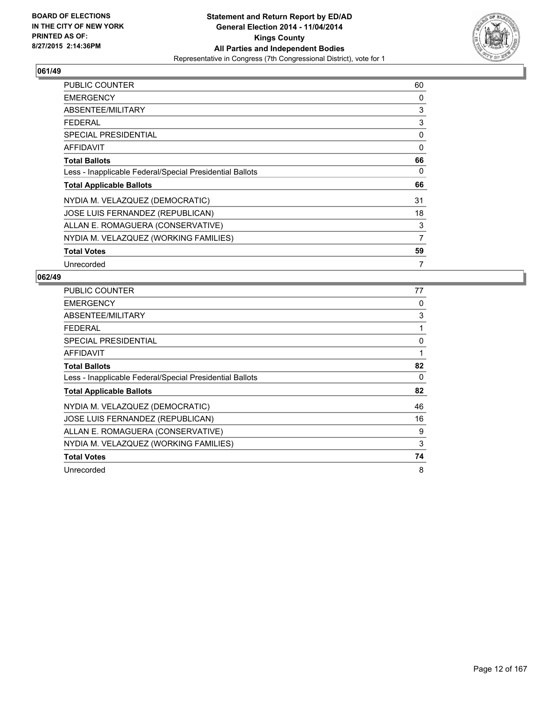

| <b>PUBLIC COUNTER</b>                                    | 60             |
|----------------------------------------------------------|----------------|
| <b>EMERGENCY</b>                                         | 0              |
| ABSENTEE/MILITARY                                        | 3              |
| <b>FEDERAL</b>                                           | 3              |
| <b>SPECIAL PRESIDENTIAL</b>                              | 0              |
| <b>AFFIDAVIT</b>                                         | 0              |
| <b>Total Ballots</b>                                     | 66             |
| Less - Inapplicable Federal/Special Presidential Ballots | 0              |
| <b>Total Applicable Ballots</b>                          | 66             |
| NYDIA M. VELAZQUEZ (DEMOCRATIC)                          | 31             |
| JOSE LUIS FERNANDEZ (REPUBLICAN)                         | 18             |
| ALLAN E. ROMAGUERA (CONSERVATIVE)                        | 3              |
| NYDIA M. VELAZQUEZ (WORKING FAMILIES)                    | $\overline{7}$ |
| <b>Total Votes</b>                                       | 59             |
| Unrecorded                                               | 7              |

| <b>PUBLIC COUNTER</b>                                    | 77 |
|----------------------------------------------------------|----|
| <b>EMERGENCY</b>                                         | 0  |
| ABSENTEE/MILITARY                                        | 3  |
| <b>FEDERAL</b>                                           | 1  |
| SPECIAL PRESIDENTIAL                                     | 0  |
| AFFIDAVIT                                                | 1  |
| <b>Total Ballots</b>                                     | 82 |
| Less - Inapplicable Federal/Special Presidential Ballots | 0  |
| <b>Total Applicable Ballots</b>                          | 82 |
| NYDIA M. VELAZQUEZ (DEMOCRATIC)                          | 46 |
| JOSE LUIS FERNANDEZ (REPUBLICAN)                         | 16 |
| ALLAN E. ROMAGUERA (CONSERVATIVE)                        | 9  |
| NYDIA M. VELAZQUEZ (WORKING FAMILIES)                    | 3  |
| <b>Total Votes</b>                                       | 74 |
| Unrecorded                                               | 8  |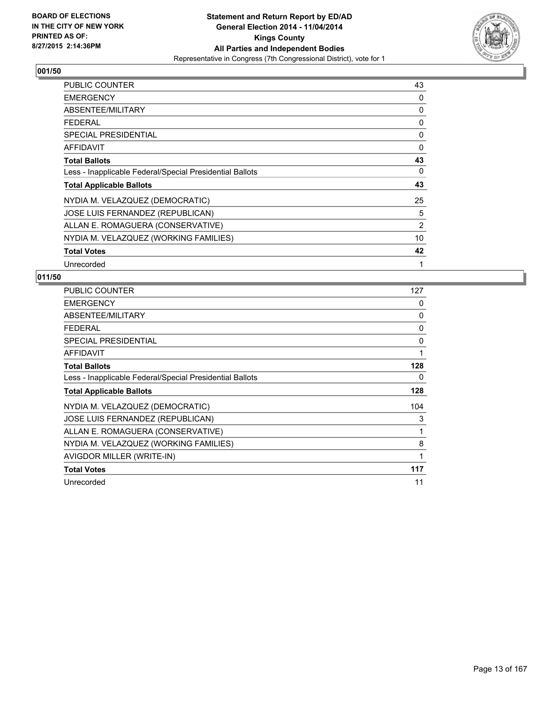

| <b>PUBLIC COUNTER</b>                                    | 43             |
|----------------------------------------------------------|----------------|
| <b>EMERGENCY</b>                                         | 0              |
| ABSENTEE/MILITARY                                        | 0              |
| <b>FEDERAL</b>                                           | 0              |
| <b>SPECIAL PRESIDENTIAL</b>                              | 0              |
| <b>AFFIDAVIT</b>                                         | 0              |
| <b>Total Ballots</b>                                     | 43             |
| Less - Inapplicable Federal/Special Presidential Ballots | 0              |
| <b>Total Applicable Ballots</b>                          | 43             |
| NYDIA M. VELAZQUEZ (DEMOCRATIC)                          | 25             |
| JOSE LUIS FERNANDEZ (REPUBLICAN)                         | 5              |
| ALLAN E. ROMAGUERA (CONSERVATIVE)                        | $\overline{2}$ |
| NYDIA M. VELAZQUEZ (WORKING FAMILIES)                    | 10             |
| <b>Total Votes</b>                                       | 42             |
| Unrecorded                                               | 1              |

| <b>PUBLIC COUNTER</b>                                    | 127 |
|----------------------------------------------------------|-----|
| <b>EMERGENCY</b>                                         | 0   |
| ABSENTEE/MILITARY                                        | 0   |
| <b>FEDERAL</b>                                           | 0   |
| <b>SPECIAL PRESIDENTIAL</b>                              | 0   |
| <b>AFFIDAVIT</b>                                         | 1   |
| <b>Total Ballots</b>                                     | 128 |
| Less - Inapplicable Federal/Special Presidential Ballots | 0   |
| <b>Total Applicable Ballots</b>                          | 128 |
| NYDIA M. VELAZQUEZ (DEMOCRATIC)                          | 104 |
| JOSE LUIS FERNANDEZ (REPUBLICAN)                         | 3   |
| ALLAN E. ROMAGUERA (CONSERVATIVE)                        | 1   |
| NYDIA M. VELAZQUEZ (WORKING FAMILIES)                    | 8   |
| AVIGDOR MILLER (WRITE-IN)                                | 1   |
| <b>Total Votes</b>                                       | 117 |
| Unrecorded                                               | 11  |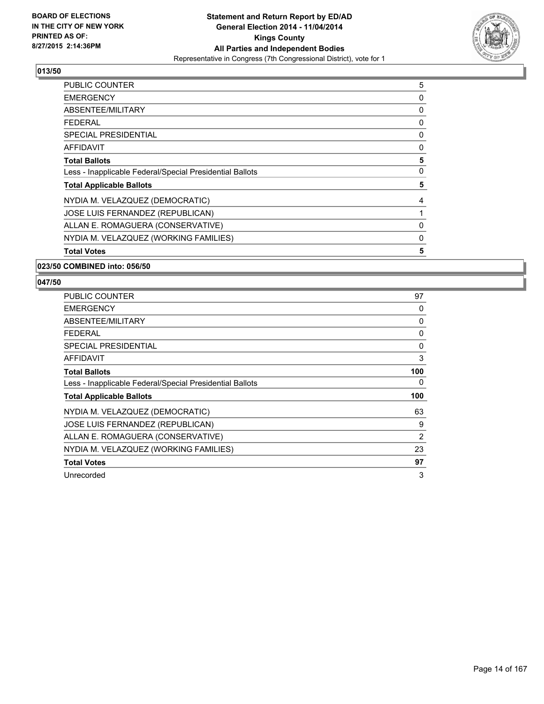

| 5 |
|---|
| 0 |
| 0 |
| 0 |
| 0 |
| 0 |
| 5 |
| 0 |
| 5 |
| 4 |
|   |
| 0 |
| 0 |
| 5 |
|   |

#### **023/50 COMBINED into: 056/50**

| <b>PUBLIC COUNTER</b>                                    | 97  |
|----------------------------------------------------------|-----|
| <b>EMERGENCY</b>                                         | 0   |
| ABSENTEE/MILITARY                                        | 0   |
| <b>FEDERAL</b>                                           | 0   |
| SPECIAL PRESIDENTIAL                                     | 0   |
| AFFIDAVIT                                                | 3   |
| <b>Total Ballots</b>                                     | 100 |
| Less - Inapplicable Federal/Special Presidential Ballots | 0   |
| <b>Total Applicable Ballots</b>                          | 100 |
| NYDIA M. VELAZQUEZ (DEMOCRATIC)                          | 63  |
| JOSE LUIS FERNANDEZ (REPUBLICAN)                         | 9   |
| ALLAN E. ROMAGUERA (CONSERVATIVE)                        | 2   |
| NYDIA M. VELAZQUEZ (WORKING FAMILIES)                    | 23  |
| <b>Total Votes</b>                                       | 97  |
| Unrecorded                                               | 3   |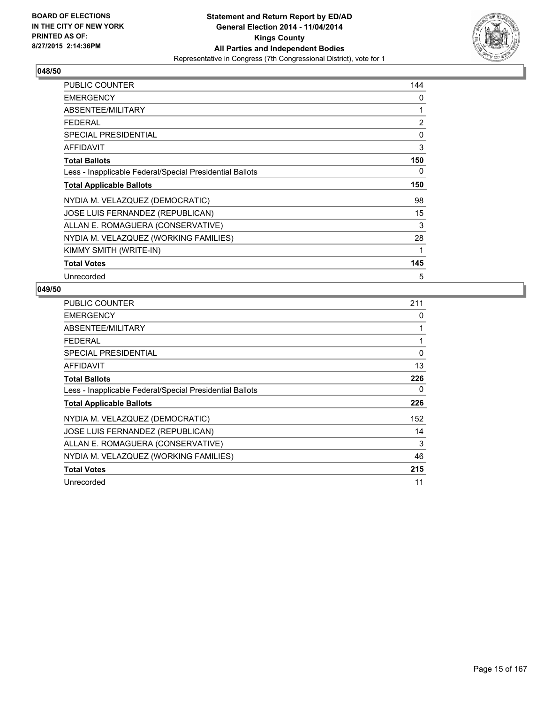

| <b>PUBLIC COUNTER</b>                                    | 144 |
|----------------------------------------------------------|-----|
| <b>EMERGENCY</b>                                         | 0   |
| ABSENTEE/MILITARY                                        | 1   |
| <b>FEDERAL</b>                                           | 2   |
| <b>SPECIAL PRESIDENTIAL</b>                              | 0   |
| <b>AFFIDAVIT</b>                                         | 3   |
| <b>Total Ballots</b>                                     | 150 |
| Less - Inapplicable Federal/Special Presidential Ballots | 0   |
| <b>Total Applicable Ballots</b>                          | 150 |
| NYDIA M. VELAZQUEZ (DEMOCRATIC)                          | 98  |
| JOSE LUIS FERNANDEZ (REPUBLICAN)                         | 15  |
| ALLAN E. ROMAGUERA (CONSERVATIVE)                        | 3   |
| NYDIA M. VELAZQUEZ (WORKING FAMILIES)                    | 28  |
| KIMMY SMITH (WRITE-IN)                                   | 1   |
| <b>Total Votes</b>                                       | 145 |
| Unrecorded                                               | 5   |

| <b>PUBLIC COUNTER</b>                                    | 211 |
|----------------------------------------------------------|-----|
| <b>EMERGENCY</b>                                         | 0   |
| ABSENTEE/MILITARY                                        | 1   |
| <b>FEDERAL</b>                                           | 1   |
| <b>SPECIAL PRESIDENTIAL</b>                              | 0   |
| <b>AFFIDAVIT</b>                                         | 13  |
| <b>Total Ballots</b>                                     | 226 |
| Less - Inapplicable Federal/Special Presidential Ballots | 0   |
| <b>Total Applicable Ballots</b>                          | 226 |
| NYDIA M. VELAZQUEZ (DEMOCRATIC)                          | 152 |
| JOSE LUIS FERNANDEZ (REPUBLICAN)                         | 14  |
| ALLAN E. ROMAGUERA (CONSERVATIVE)                        | 3   |
| NYDIA M. VELAZQUEZ (WORKING FAMILIES)                    | 46  |
| <b>Total Votes</b>                                       | 215 |
| Unrecorded                                               | 11  |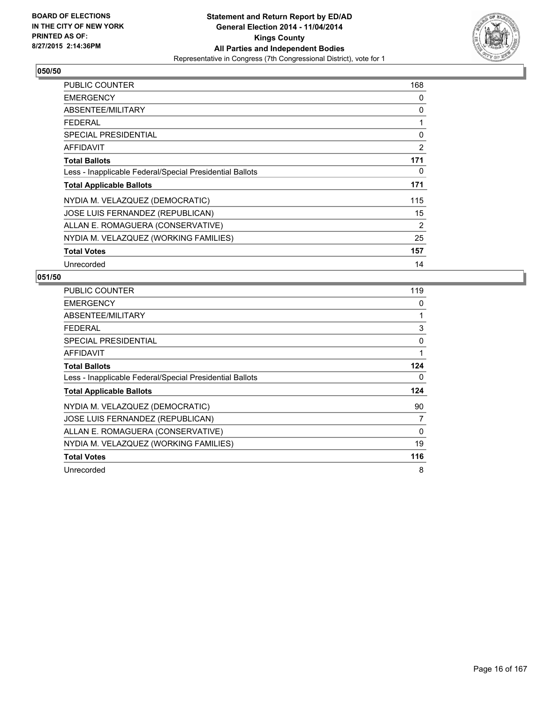

| PUBLIC COUNTER                                           | 168            |
|----------------------------------------------------------|----------------|
| <b>EMERGENCY</b>                                         | 0              |
| ABSENTEE/MILITARY                                        | 0              |
| <b>FEDERAL</b>                                           | 1              |
| <b>SPECIAL PRESIDENTIAL</b>                              | 0              |
| <b>AFFIDAVIT</b>                                         | $\overline{2}$ |
| <b>Total Ballots</b>                                     | 171            |
| Less - Inapplicable Federal/Special Presidential Ballots | 0              |
| <b>Total Applicable Ballots</b>                          | 171            |
| NYDIA M. VELAZQUEZ (DEMOCRATIC)                          | 115            |
| JOSE LUIS FERNANDEZ (REPUBLICAN)                         | 15             |
| ALLAN E. ROMAGUERA (CONSERVATIVE)                        | $\overline{2}$ |
| NYDIA M. VELAZQUEZ (WORKING FAMILIES)                    | 25             |
| <b>Total Votes</b>                                       | 157            |
| Unrecorded                                               | 14             |

| <b>PUBLIC COUNTER</b>                                    | 119 |
|----------------------------------------------------------|-----|
| <b>EMERGENCY</b>                                         | 0   |
| ABSENTEE/MILITARY                                        | 1   |
| <b>FEDERAL</b>                                           | 3   |
| SPECIAL PRESIDENTIAL                                     | 0   |
| AFFIDAVIT                                                | 1   |
| <b>Total Ballots</b>                                     | 124 |
| Less - Inapplicable Federal/Special Presidential Ballots | 0   |
| <b>Total Applicable Ballots</b>                          | 124 |
| NYDIA M. VELAZQUEZ (DEMOCRATIC)                          | 90  |
| JOSE LUIS FERNANDEZ (REPUBLICAN)                         | 7   |
| ALLAN E. ROMAGUERA (CONSERVATIVE)                        | 0   |
| NYDIA M. VELAZQUEZ (WORKING FAMILIES)                    | 19  |
| <b>Total Votes</b>                                       | 116 |
| Unrecorded                                               | 8   |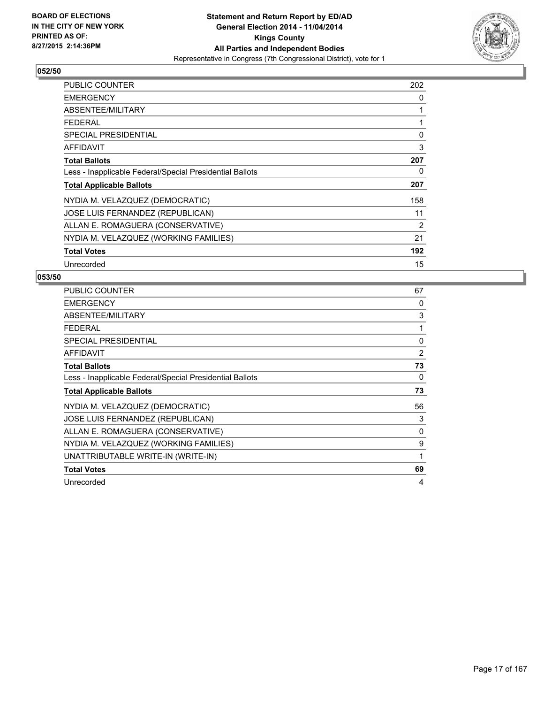

| <b>PUBLIC COUNTER</b>                                    | 202 |
|----------------------------------------------------------|-----|
| <b>EMERGENCY</b>                                         | 0   |
| ABSENTEE/MILITARY                                        | 1   |
| <b>FEDERAL</b>                                           | 1   |
| <b>SPECIAL PRESIDENTIAL</b>                              | 0   |
| <b>AFFIDAVIT</b>                                         | 3   |
| <b>Total Ballots</b>                                     | 207 |
| Less - Inapplicable Federal/Special Presidential Ballots | 0   |
| <b>Total Applicable Ballots</b>                          | 207 |
| NYDIA M. VELAZQUEZ (DEMOCRATIC)                          | 158 |
| JOSE LUIS FERNANDEZ (REPUBLICAN)                         | 11  |
| ALLAN E. ROMAGUERA (CONSERVATIVE)                        | 2   |
| NYDIA M. VELAZQUEZ (WORKING FAMILIES)                    | 21  |
| <b>Total Votes</b>                                       | 192 |
| Unrecorded                                               | 15  |

| <b>PUBLIC COUNTER</b>                                    | 67 |
|----------------------------------------------------------|----|
| <b>EMERGENCY</b>                                         | 0  |
| ABSENTEE/MILITARY                                        | 3  |
| <b>FEDERAL</b>                                           | 1  |
| SPECIAL PRESIDENTIAL                                     | 0  |
| <b>AFFIDAVIT</b>                                         | 2  |
| <b>Total Ballots</b>                                     | 73 |
| Less - Inapplicable Federal/Special Presidential Ballots | 0  |
| <b>Total Applicable Ballots</b>                          | 73 |
| NYDIA M. VELAZQUEZ (DEMOCRATIC)                          | 56 |
| JOSE LUIS FERNANDEZ (REPUBLICAN)                         | 3  |
| ALLAN E. ROMAGUERA (CONSERVATIVE)                        | 0  |
| NYDIA M. VELAZQUEZ (WORKING FAMILIES)                    | 9  |
| UNATTRIBUTABLE WRITE-IN (WRITE-IN)                       | 1  |
| <b>Total Votes</b>                                       | 69 |
| Unrecorded                                               | 4  |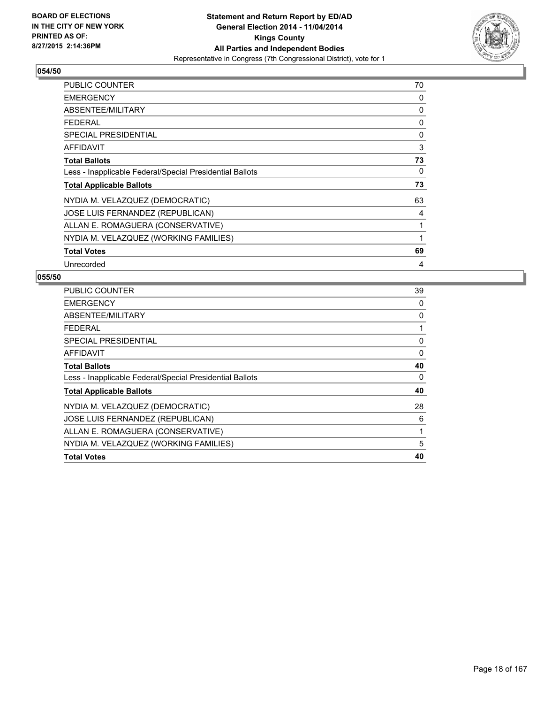

| <b>PUBLIC COUNTER</b>                                    | 70 |
|----------------------------------------------------------|----|
| <b>EMERGENCY</b>                                         | 0  |
| ABSENTEE/MILITARY                                        | 0  |
| <b>FEDERAL</b>                                           | 0  |
| <b>SPECIAL PRESIDENTIAL</b>                              | 0  |
| <b>AFFIDAVIT</b>                                         | 3  |
| <b>Total Ballots</b>                                     | 73 |
| Less - Inapplicable Federal/Special Presidential Ballots | 0  |
| <b>Total Applicable Ballots</b>                          | 73 |
| NYDIA M. VELAZQUEZ (DEMOCRATIC)                          | 63 |
| JOSE LUIS FERNANDEZ (REPUBLICAN)                         | 4  |
| ALLAN E. ROMAGUERA (CONSERVATIVE)                        | 1  |
| NYDIA M. VELAZQUEZ (WORKING FAMILIES)                    | 1  |
| <b>Total Votes</b>                                       | 69 |
| Unrecorded                                               | 4  |

| <b>PUBLIC COUNTER</b>                                    | 39 |
|----------------------------------------------------------|----|
| <b>EMERGENCY</b>                                         | 0  |
| ABSENTEE/MILITARY                                        | 0  |
| <b>FEDERAL</b>                                           | 1  |
| SPECIAL PRESIDENTIAL                                     | 0  |
| AFFIDAVIT                                                | 0  |
| <b>Total Ballots</b>                                     | 40 |
| Less - Inapplicable Federal/Special Presidential Ballots | 0  |
| <b>Total Applicable Ballots</b>                          | 40 |
| NYDIA M. VELAZQUEZ (DEMOCRATIC)                          | 28 |
| JOSE LUIS FERNANDEZ (REPUBLICAN)                         | 6  |
| ALLAN E. ROMAGUERA (CONSERVATIVE)                        | 1  |
| NYDIA M. VELAZQUEZ (WORKING FAMILIES)                    | 5  |
| <b>Total Votes</b>                                       | 40 |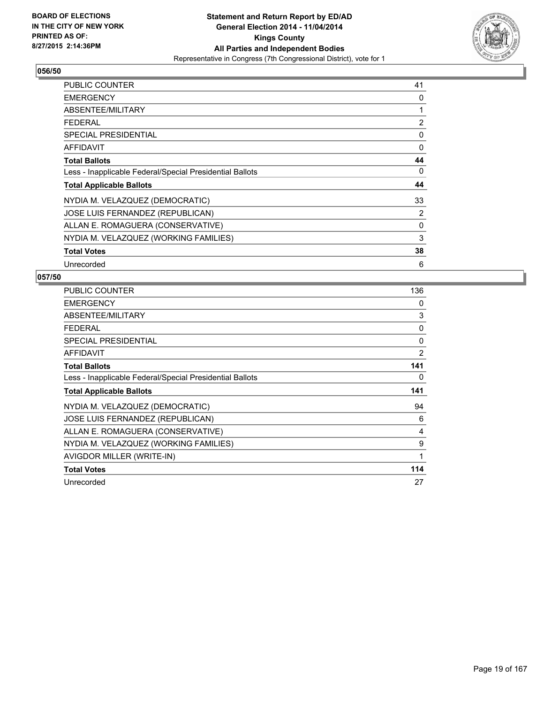

| <b>PUBLIC COUNTER</b>                                    | 41 |
|----------------------------------------------------------|----|
| <b>EMERGENCY</b>                                         | 0  |
| ABSENTEE/MILITARY                                        | 1  |
| <b>FEDERAL</b>                                           | 2  |
| <b>SPECIAL PRESIDENTIAL</b>                              | 0  |
| <b>AFFIDAVIT</b>                                         | 0  |
| <b>Total Ballots</b>                                     | 44 |
| Less - Inapplicable Federal/Special Presidential Ballots | 0  |
| <b>Total Applicable Ballots</b>                          | 44 |
| NYDIA M. VELAZQUEZ (DEMOCRATIC)                          | 33 |
| JOSE LUIS FERNANDEZ (REPUBLICAN)                         | 2  |
| ALLAN E. ROMAGUERA (CONSERVATIVE)                        | 0  |
| NYDIA M. VELAZQUEZ (WORKING FAMILIES)                    | 3  |
| <b>Total Votes</b>                                       | 38 |
| Unrecorded                                               | 6  |

| <b>PUBLIC COUNTER</b>                                    | 136 |
|----------------------------------------------------------|-----|
| <b>EMERGENCY</b>                                         | 0   |
| ABSENTEE/MILITARY                                        | 3   |
| <b>FEDERAL</b>                                           | 0   |
| <b>SPECIAL PRESIDENTIAL</b>                              | 0   |
| <b>AFFIDAVIT</b>                                         | 2   |
| <b>Total Ballots</b>                                     | 141 |
| Less - Inapplicable Federal/Special Presidential Ballots | 0   |
| <b>Total Applicable Ballots</b>                          | 141 |
|                                                          | 94  |
| NYDIA M. VELAZQUEZ (DEMOCRATIC)                          |     |
| JOSE LUIS FERNANDEZ (REPUBLICAN)                         | 6   |
| ALLAN E. ROMAGUERA (CONSERVATIVE)                        | 4   |
| NYDIA M. VELAZQUEZ (WORKING FAMILIES)                    | 9   |
| AVIGDOR MILLER (WRITE-IN)                                | 1   |
| <b>Total Votes</b>                                       | 114 |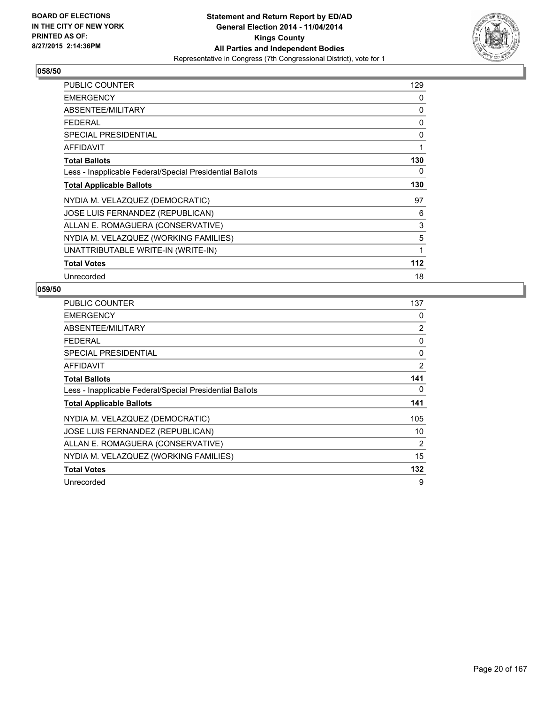

| PUBLIC COUNTER                                           | 129 |
|----------------------------------------------------------|-----|
| <b>EMERGENCY</b>                                         | 0   |
| ABSENTEE/MILITARY                                        | 0   |
| <b>FEDERAL</b>                                           | 0   |
| SPECIAL PRESIDENTIAL                                     | 0   |
| <b>AFFIDAVIT</b>                                         | 1   |
| <b>Total Ballots</b>                                     | 130 |
| Less - Inapplicable Federal/Special Presidential Ballots | 0   |
| <b>Total Applicable Ballots</b>                          | 130 |
| NYDIA M. VELAZQUEZ (DEMOCRATIC)                          | 97  |
| JOSE LUIS FERNANDEZ (REPUBLICAN)                         | 6   |
| ALLAN E. ROMAGUERA (CONSERVATIVE)                        | 3   |
| NYDIA M. VELAZQUEZ (WORKING FAMILIES)                    | 5   |
| UNATTRIBUTABLE WRITE-IN (WRITE-IN)                       | 1   |
| <b>Total Votes</b>                                       | 112 |
| Unrecorded                                               | 18  |

| <b>PUBLIC COUNTER</b>                                    | 137            |
|----------------------------------------------------------|----------------|
| <b>EMERGENCY</b>                                         | 0              |
| ABSENTEE/MILITARY                                        | 2              |
| <b>FEDERAL</b>                                           | 0              |
| <b>SPECIAL PRESIDENTIAL</b>                              | 0              |
| <b>AFFIDAVIT</b>                                         | 2              |
| <b>Total Ballots</b>                                     | 141            |
| Less - Inapplicable Federal/Special Presidential Ballots | 0              |
| <b>Total Applicable Ballots</b>                          | 141            |
| NYDIA M. VELAZQUEZ (DEMOCRATIC)                          | 105            |
| JOSE LUIS FERNANDEZ (REPUBLICAN)                         | 10             |
| ALLAN E. ROMAGUERA (CONSERVATIVE)                        | $\overline{2}$ |
| NYDIA M. VELAZQUEZ (WORKING FAMILIES)                    | 15             |
| <b>Total Votes</b>                                       | 132            |
| Unrecorded                                               | 9              |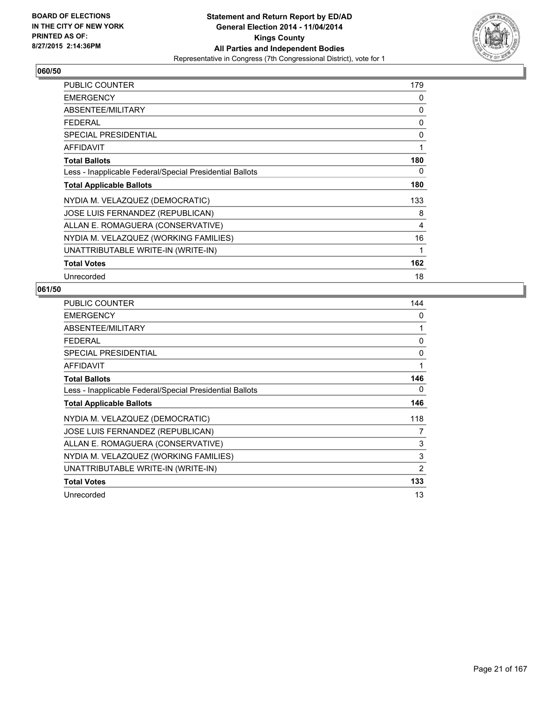

| PUBLIC COUNTER                                           | 179 |
|----------------------------------------------------------|-----|
| <b>EMERGENCY</b>                                         | 0   |
| ABSENTEE/MILITARY                                        | 0   |
| <b>FEDERAL</b>                                           | 0   |
| <b>SPECIAL PRESIDENTIAL</b>                              | 0   |
| <b>AFFIDAVIT</b>                                         | 1   |
| <b>Total Ballots</b>                                     | 180 |
| Less - Inapplicable Federal/Special Presidential Ballots | 0   |
| <b>Total Applicable Ballots</b>                          | 180 |
| NYDIA M. VELAZQUEZ (DEMOCRATIC)                          | 133 |
| JOSE LUIS FERNANDEZ (REPUBLICAN)                         | 8   |
| ALLAN E. ROMAGUERA (CONSERVATIVE)                        | 4   |
| NYDIA M. VELAZQUEZ (WORKING FAMILIES)                    | 16  |
| UNATTRIBUTABLE WRITE-IN (WRITE-IN)                       | 1   |
| <b>Total Votes</b>                                       | 162 |
| Unrecorded                                               | 18  |

| PUBLIC COUNTER                                           | 144 |
|----------------------------------------------------------|-----|
| <b>EMERGENCY</b>                                         | 0   |
| ABSENTEE/MILITARY                                        | 1   |
| <b>FEDERAL</b>                                           | 0   |
| <b>SPECIAL PRESIDENTIAL</b>                              | 0   |
| AFFIDAVIT                                                | 1   |
| <b>Total Ballots</b>                                     | 146 |
| Less - Inapplicable Federal/Special Presidential Ballots | 0   |
| <b>Total Applicable Ballots</b>                          | 146 |
| NYDIA M. VELAZQUEZ (DEMOCRATIC)                          | 118 |
| <b>JOSE LUIS FERNANDEZ (REPUBLICAN)</b>                  | 7   |
| ALLAN E. ROMAGUERA (CONSERVATIVE)                        | 3   |
| NYDIA M. VELAZQUEZ (WORKING FAMILIES)                    | 3   |
| UNATTRIBUTABLE WRITE-IN (WRITE-IN)                       | 2   |
| <b>Total Votes</b>                                       | 133 |
| Unrecorded                                               | 13  |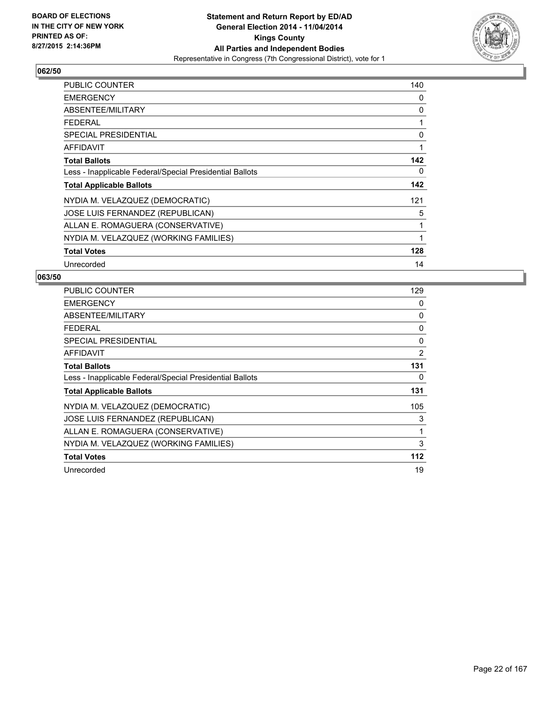

| <b>PUBLIC COUNTER</b>                                    | 140 |
|----------------------------------------------------------|-----|
| <b>EMERGENCY</b>                                         | 0   |
| ABSENTEE/MILITARY                                        | 0   |
| <b>FEDERAL</b>                                           | 1   |
| <b>SPECIAL PRESIDENTIAL</b>                              | 0   |
| <b>AFFIDAVIT</b>                                         | 1   |
| <b>Total Ballots</b>                                     | 142 |
| Less - Inapplicable Federal/Special Presidential Ballots | 0   |
| <b>Total Applicable Ballots</b>                          | 142 |
| NYDIA M. VELAZQUEZ (DEMOCRATIC)                          | 121 |
| JOSE LUIS FERNANDEZ (REPUBLICAN)                         | 5   |
| ALLAN E. ROMAGUERA (CONSERVATIVE)                        | 1   |
| NYDIA M. VELAZQUEZ (WORKING FAMILIES)                    | 1   |
| <b>Total Votes</b>                                       | 128 |
| Unrecorded                                               | 14  |

| <b>PUBLIC COUNTER</b>                                    | 129 |
|----------------------------------------------------------|-----|
| <b>EMERGENCY</b>                                         | 0   |
| ABSENTEE/MILITARY                                        | 0   |
| <b>FEDERAL</b>                                           | 0   |
| SPECIAL PRESIDENTIAL                                     | 0   |
| <b>AFFIDAVIT</b>                                         | 2   |
| <b>Total Ballots</b>                                     | 131 |
| Less - Inapplicable Federal/Special Presidential Ballots | 0   |
| <b>Total Applicable Ballots</b>                          | 131 |
| NYDIA M. VELAZQUEZ (DEMOCRATIC)                          | 105 |
| JOSE LUIS FERNANDEZ (REPUBLICAN)                         | 3   |
| ALLAN E. ROMAGUERA (CONSERVATIVE)                        | 1   |
| NYDIA M. VELAZQUEZ (WORKING FAMILIES)                    | 3   |
| <b>Total Votes</b>                                       | 112 |
| Unrecorded                                               | 19  |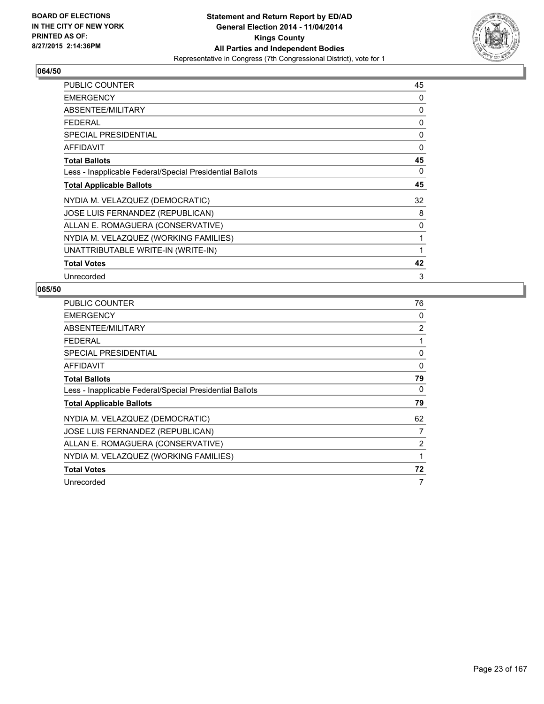

| PUBLIC COUNTER                                           | 45 |
|----------------------------------------------------------|----|
| <b>EMERGENCY</b>                                         | 0  |
| ABSENTEE/MILITARY                                        | 0  |
| <b>FEDERAL</b>                                           | 0  |
| <b>SPECIAL PRESIDENTIAL</b>                              | 0  |
| <b>AFFIDAVIT</b>                                         | 0  |
| <b>Total Ballots</b>                                     | 45 |
| Less - Inapplicable Federal/Special Presidential Ballots | 0  |
| <b>Total Applicable Ballots</b>                          | 45 |
| NYDIA M. VELAZQUEZ (DEMOCRATIC)                          | 32 |
| JOSE LUIS FERNANDEZ (REPUBLICAN)                         | 8  |
| ALLAN E. ROMAGUERA (CONSERVATIVE)                        | 0  |
| NYDIA M. VELAZQUEZ (WORKING FAMILIES)                    | 1  |
| UNATTRIBUTABLE WRITE-IN (WRITE-IN)                       | 1  |
| <b>Total Votes</b>                                       | 42 |
| Unrecorded                                               | 3  |

| <b>PUBLIC COUNTER</b>                                    | 76       |
|----------------------------------------------------------|----------|
| <b>EMERGENCY</b>                                         | 0        |
| ABSENTEE/MILITARY                                        | 2        |
| <b>FEDERAL</b>                                           | 1        |
| <b>SPECIAL PRESIDENTIAL</b>                              | 0        |
| <b>AFFIDAVIT</b>                                         | $\Omega$ |
| <b>Total Ballots</b>                                     | 79       |
| Less - Inapplicable Federal/Special Presidential Ballots | 0        |
| <b>Total Applicable Ballots</b>                          | 79       |
| NYDIA M. VELAZQUEZ (DEMOCRATIC)                          | 62       |
| JOSE LUIS FERNANDEZ (REPUBLICAN)                         | 7        |
| ALLAN E. ROMAGUERA (CONSERVATIVE)                        | 2        |
| NYDIA M. VELAZQUEZ (WORKING FAMILIES)                    | 1        |
| <b>Total Votes</b>                                       | 72       |
| Unrecorded                                               | 7        |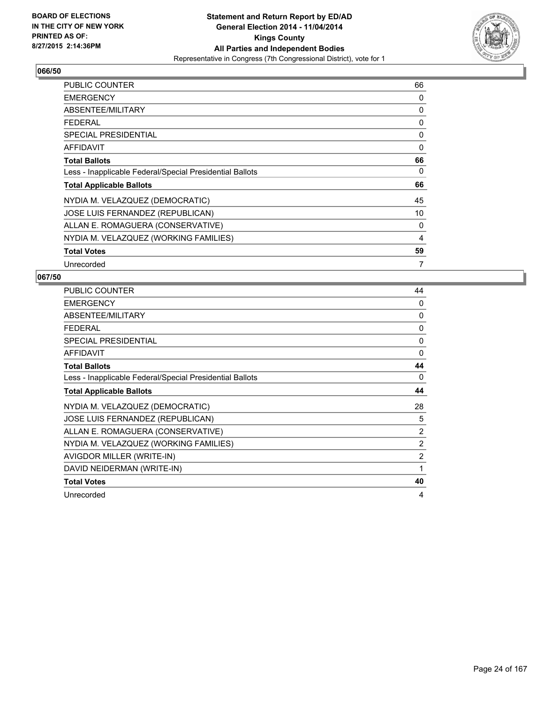

| <b>PUBLIC COUNTER</b>                                    | 66 |
|----------------------------------------------------------|----|
| <b>EMERGENCY</b>                                         | 0  |
| ABSENTEE/MILITARY                                        | 0  |
| <b>FEDERAL</b>                                           | 0  |
| <b>SPECIAL PRESIDENTIAL</b>                              | 0  |
| <b>AFFIDAVIT</b>                                         | 0  |
| <b>Total Ballots</b>                                     | 66 |
| Less - Inapplicable Federal/Special Presidential Ballots | 0  |
| <b>Total Applicable Ballots</b>                          | 66 |
| NYDIA M. VELAZQUEZ (DEMOCRATIC)                          | 45 |
| JOSE LUIS FERNANDEZ (REPUBLICAN)                         | 10 |
| ALLAN E. ROMAGUERA (CONSERVATIVE)                        | 0  |
| NYDIA M. VELAZQUEZ (WORKING FAMILIES)                    | 4  |
| <b>Total Votes</b>                                       | 59 |
| Unrecorded                                               | 7  |

| <b>PUBLIC COUNTER</b>                                    | 44             |
|----------------------------------------------------------|----------------|
| <b>EMERGENCY</b>                                         | 0              |
| ABSENTEE/MILITARY                                        | 0              |
| <b>FEDERAL</b>                                           | 0              |
| <b>SPECIAL PRESIDENTIAL</b>                              | 0              |
| <b>AFFIDAVIT</b>                                         | 0              |
| <b>Total Ballots</b>                                     | 44             |
| Less - Inapplicable Federal/Special Presidential Ballots | 0              |
| <b>Total Applicable Ballots</b>                          | 44             |
| NYDIA M. VELAZQUEZ (DEMOCRATIC)                          | 28             |
| JOSE LUIS FERNANDEZ (REPUBLICAN)                         | 5              |
| ALLAN E. ROMAGUERA (CONSERVATIVE)                        | $\overline{2}$ |
| NYDIA M. VELAZQUEZ (WORKING FAMILIES)                    | $\overline{2}$ |
| AVIGDOR MILLER (WRITE-IN)                                | 2              |
| DAVID NEIDERMAN (WRITE-IN)                               | 1              |
| <b>Total Votes</b>                                       | 40             |
| Unrecorded                                               | 4              |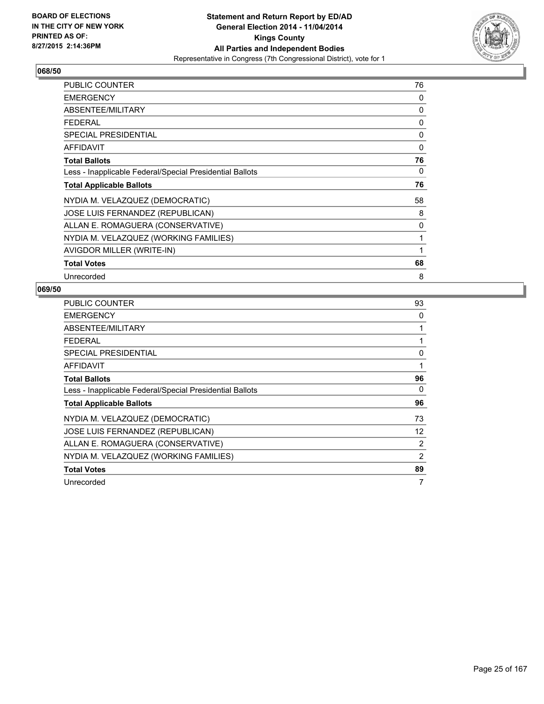

| <b>PUBLIC COUNTER</b>                                    | 76 |
|----------------------------------------------------------|----|
| <b>EMERGENCY</b>                                         | 0  |
| ABSENTEE/MILITARY                                        | 0  |
| <b>FEDERAL</b>                                           | 0  |
| <b>SPECIAL PRESIDENTIAL</b>                              | 0  |
| AFFIDAVIT                                                | 0  |
| <b>Total Ballots</b>                                     | 76 |
| Less - Inapplicable Federal/Special Presidential Ballots | 0  |
| <b>Total Applicable Ballots</b>                          | 76 |
| NYDIA M. VELAZQUEZ (DEMOCRATIC)                          | 58 |
| JOSE LUIS FERNANDEZ (REPUBLICAN)                         | 8  |
| ALLAN E. ROMAGUERA (CONSERVATIVE)                        | 0  |
| NYDIA M. VELAZQUEZ (WORKING FAMILIES)                    | 1  |
| AVIGDOR MILLER (WRITE-IN)                                | 1  |
| <b>Total Votes</b>                                       | 68 |
| Unrecorded                                               | 8  |

| <b>PUBLIC COUNTER</b>                                    | 93          |
|----------------------------------------------------------|-------------|
| <b>EMERGENCY</b>                                         | 0           |
| ABSENTEE/MILITARY                                        | 1           |
| <b>FEDERAL</b>                                           | 1           |
| SPECIAL PRESIDENTIAL                                     | $\mathbf 0$ |
| <b>AFFIDAVIT</b>                                         | 1           |
| <b>Total Ballots</b>                                     | 96          |
| Less - Inapplicable Federal/Special Presidential Ballots | 0           |
| <b>Total Applicable Ballots</b>                          | 96          |
| NYDIA M. VELAZQUEZ (DEMOCRATIC)                          | 73          |
| JOSE LUIS FERNANDEZ (REPUBLICAN)                         | 12          |
| ALLAN E. ROMAGUERA (CONSERVATIVE)                        | 2           |
| NYDIA M. VELAZQUEZ (WORKING FAMILIES)                    | 2           |
| <b>Total Votes</b>                                       | 89          |
| Unrecorded                                               | 7           |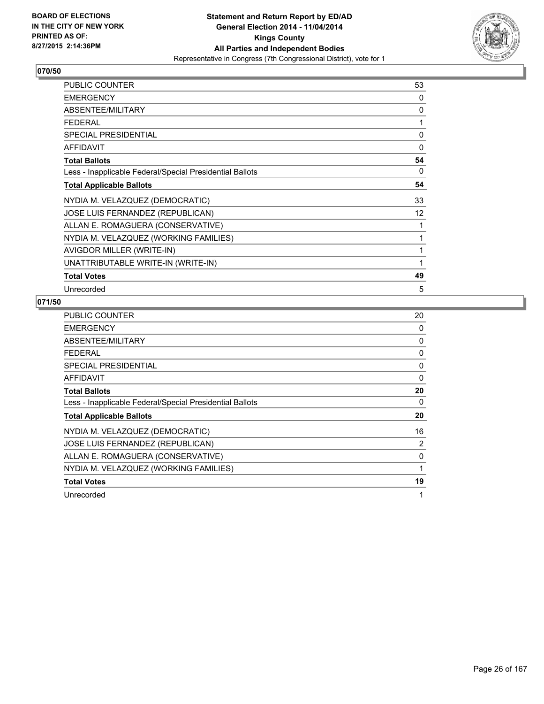

| <b>PUBLIC COUNTER</b>                                    | 53 |
|----------------------------------------------------------|----|
| <b>EMERGENCY</b>                                         | 0  |
| ABSENTEE/MILITARY                                        | 0  |
| <b>FEDERAL</b>                                           | 1  |
| SPECIAL PRESIDENTIAL                                     | 0  |
| AFFIDAVIT                                                | 0  |
| <b>Total Ballots</b>                                     | 54 |
| Less - Inapplicable Federal/Special Presidential Ballots | 0  |
| <b>Total Applicable Ballots</b>                          | 54 |
| NYDIA M. VELAZQUEZ (DEMOCRATIC)                          | 33 |
| JOSE LUIS FERNANDEZ (REPUBLICAN)                         | 12 |
| ALLAN E. ROMAGUERA (CONSERVATIVE)                        | 1  |
| NYDIA M. VELAZQUEZ (WORKING FAMILIES)                    | 1  |
| AVIGDOR MILLER (WRITE-IN)                                | 1  |
| UNATTRIBUTABLE WRITE-IN (WRITE-IN)                       | 1  |
| <b>Total Votes</b>                                       | 49 |
| Unrecorded                                               | 5  |

| <b>PUBLIC COUNTER</b>                                    | 20       |
|----------------------------------------------------------|----------|
| <b>EMERGENCY</b>                                         | 0        |
| ABSENTEE/MILITARY                                        | 0        |
| <b>FEDERAL</b>                                           | 0        |
| <b>SPECIAL PRESIDENTIAL</b>                              | 0        |
| <b>AFFIDAVIT</b>                                         | $\Omega$ |
| <b>Total Ballots</b>                                     | 20       |
| Less - Inapplicable Federal/Special Presidential Ballots | 0        |
| <b>Total Applicable Ballots</b>                          | 20       |
| NYDIA M. VELAZQUEZ (DEMOCRATIC)                          | 16       |
| JOSE LUIS FERNANDEZ (REPUBLICAN)                         | 2        |
| ALLAN E. ROMAGUERA (CONSERVATIVE)                        | 0        |
| NYDIA M. VELAZQUEZ (WORKING FAMILIES)                    | 1        |
| <b>Total Votes</b>                                       | 19       |
| Unrecorded                                               | 1        |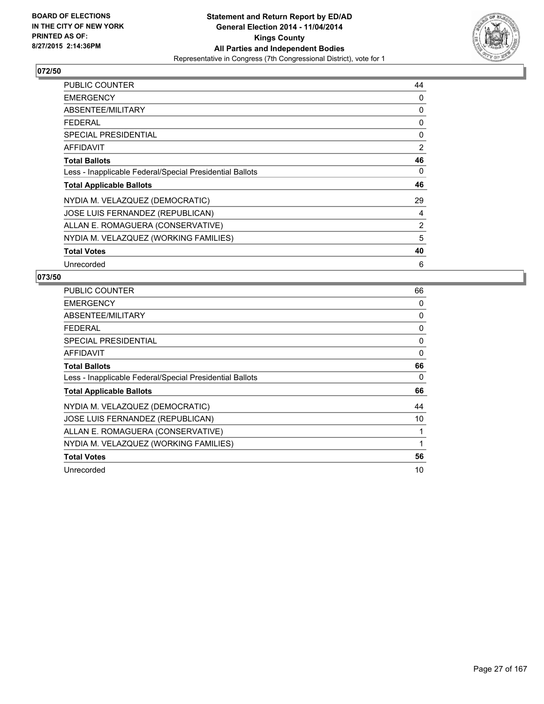

| <b>PUBLIC COUNTER</b>                                    | 44 |
|----------------------------------------------------------|----|
| <b>EMERGENCY</b>                                         | 0  |
| ABSENTEE/MILITARY                                        | 0  |
| <b>FEDERAL</b>                                           | 0  |
| <b>SPECIAL PRESIDENTIAL</b>                              | 0  |
| <b>AFFIDAVIT</b>                                         | 2  |
| <b>Total Ballots</b>                                     | 46 |
| Less - Inapplicable Federal/Special Presidential Ballots | 0  |
| <b>Total Applicable Ballots</b>                          | 46 |
| NYDIA M. VELAZQUEZ (DEMOCRATIC)                          | 29 |
| JOSE LUIS FERNANDEZ (REPUBLICAN)                         | 4  |
| ALLAN E. ROMAGUERA (CONSERVATIVE)                        | 2  |
| NYDIA M. VELAZQUEZ (WORKING FAMILIES)                    | 5  |
| <b>Total Votes</b>                                       | 40 |
| Unrecorded                                               | 6  |

| <b>PUBLIC COUNTER</b>                                    | 66 |
|----------------------------------------------------------|----|
| <b>EMERGENCY</b>                                         | 0  |
| ABSENTEE/MILITARY                                        | 0  |
| <b>FEDERAL</b>                                           | 0  |
| <b>SPECIAL PRESIDENTIAL</b>                              | 0  |
| AFFIDAVIT                                                | 0  |
| <b>Total Ballots</b>                                     | 66 |
| Less - Inapplicable Federal/Special Presidential Ballots | 0  |
| <b>Total Applicable Ballots</b>                          | 66 |
| NYDIA M. VELAZQUEZ (DEMOCRATIC)                          | 44 |
| <b>JOSE LUIS FERNANDEZ (REPUBLICAN)</b>                  | 10 |
| ALLAN E. ROMAGUERA (CONSERVATIVE)                        |    |
| NYDIA M. VELAZQUEZ (WORKING FAMILIES)                    | 1  |
| <b>Total Votes</b>                                       | 56 |
| Unrecorded                                               | 10 |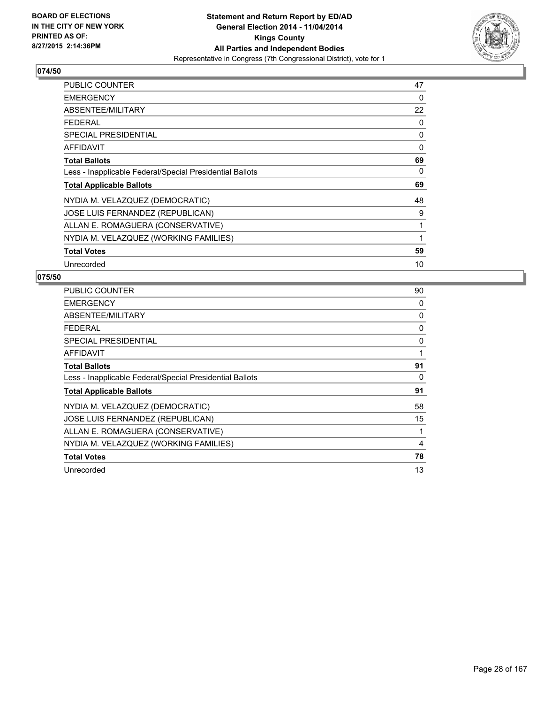

| <b>PUBLIC COUNTER</b>                                    | 47 |
|----------------------------------------------------------|----|
| <b>EMERGENCY</b>                                         | 0  |
| ABSENTEE/MILITARY                                        | 22 |
| <b>FEDERAL</b>                                           | 0  |
| <b>SPECIAL PRESIDENTIAL</b>                              | 0  |
| AFFIDAVIT                                                | 0  |
| <b>Total Ballots</b>                                     | 69 |
| Less - Inapplicable Federal/Special Presidential Ballots | 0  |
| <b>Total Applicable Ballots</b>                          | 69 |
| NYDIA M. VELAZQUEZ (DEMOCRATIC)                          | 48 |
| JOSE LUIS FERNANDEZ (REPUBLICAN)                         | 9  |
| ALLAN E. ROMAGUERA (CONSERVATIVE)                        | 1  |
| NYDIA M. VELAZQUEZ (WORKING FAMILIES)                    | 1  |
| <b>Total Votes</b>                                       | 59 |
| Unrecorded                                               | 10 |

| <b>PUBLIC COUNTER</b>                                    | 90 |
|----------------------------------------------------------|----|
| <b>EMERGENCY</b>                                         | 0  |
| ABSENTEE/MILITARY                                        | 0  |
| <b>FEDERAL</b>                                           | 0  |
| SPECIAL PRESIDENTIAL                                     | 0  |
| AFFIDAVIT                                                | 1  |
| <b>Total Ballots</b>                                     | 91 |
| Less - Inapplicable Federal/Special Presidential Ballots | 0  |
| <b>Total Applicable Ballots</b>                          | 91 |
| NYDIA M. VELAZQUEZ (DEMOCRATIC)                          | 58 |
| JOSE LUIS FERNANDEZ (REPUBLICAN)                         | 15 |
| ALLAN E. ROMAGUERA (CONSERVATIVE)                        | 1  |
| NYDIA M. VELAZQUEZ (WORKING FAMILIES)                    | 4  |
| <b>Total Votes</b>                                       | 78 |
| Unrecorded                                               | 13 |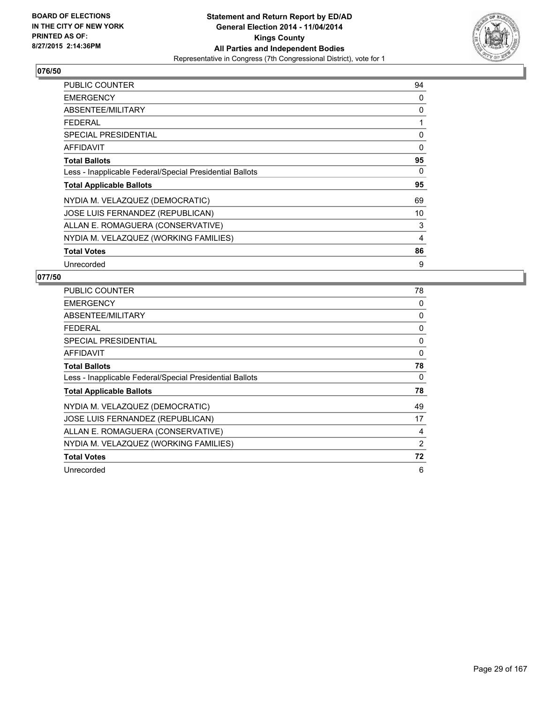

| <b>PUBLIC COUNTER</b>                                    | 94 |
|----------------------------------------------------------|----|
| <b>EMERGENCY</b>                                         | 0  |
| ABSENTEE/MILITARY                                        | 0  |
| <b>FEDERAL</b>                                           | 1  |
| <b>SPECIAL PRESIDENTIAL</b>                              | 0  |
| <b>AFFIDAVIT</b>                                         | 0  |
| <b>Total Ballots</b>                                     | 95 |
| Less - Inapplicable Federal/Special Presidential Ballots | 0  |
| <b>Total Applicable Ballots</b>                          | 95 |
| NYDIA M. VELAZQUEZ (DEMOCRATIC)                          | 69 |
| JOSE LUIS FERNANDEZ (REPUBLICAN)                         | 10 |
| ALLAN E. ROMAGUERA (CONSERVATIVE)                        | 3  |
| NYDIA M. VELAZQUEZ (WORKING FAMILIES)                    | 4  |
| <b>Total Votes</b>                                       | 86 |
| Unrecorded                                               | 9  |

| <b>PUBLIC COUNTER</b>                                    | 78 |
|----------------------------------------------------------|----|
| <b>EMERGENCY</b>                                         | 0  |
| ABSENTEE/MILITARY                                        | 0  |
| <b>FEDERAL</b>                                           | 0  |
| SPECIAL PRESIDENTIAL                                     | 0  |
| <b>AFFIDAVIT</b>                                         | 0  |
| <b>Total Ballots</b>                                     | 78 |
| Less - Inapplicable Federal/Special Presidential Ballots | 0  |
| <b>Total Applicable Ballots</b>                          | 78 |
| NYDIA M. VELAZQUEZ (DEMOCRATIC)                          | 49 |
| JOSE LUIS FERNANDEZ (REPUBLICAN)                         | 17 |
| ALLAN E. ROMAGUERA (CONSERVATIVE)                        | 4  |
| NYDIA M. VELAZQUEZ (WORKING FAMILIES)                    | 2  |
| <b>Total Votes</b>                                       | 72 |
| Unrecorded                                               | 6  |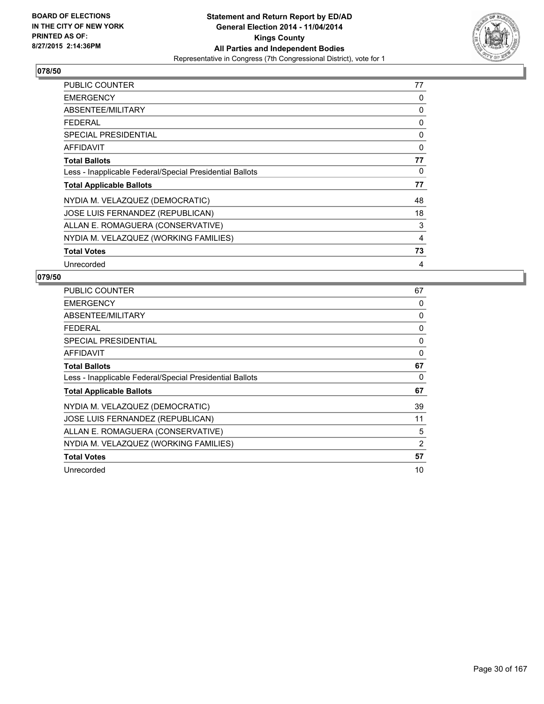

| <b>PUBLIC COUNTER</b>                                    | 77 |
|----------------------------------------------------------|----|
| <b>EMERGENCY</b>                                         | 0  |
| ABSENTEE/MILITARY                                        | 0  |
| <b>FEDERAL</b>                                           | 0  |
| <b>SPECIAL PRESIDENTIAL</b>                              | 0  |
| <b>AFFIDAVIT</b>                                         | 0  |
| <b>Total Ballots</b>                                     | 77 |
| Less - Inapplicable Federal/Special Presidential Ballots | 0  |
| <b>Total Applicable Ballots</b>                          | 77 |
| NYDIA M. VELAZQUEZ (DEMOCRATIC)                          | 48 |
| JOSE LUIS FERNANDEZ (REPUBLICAN)                         | 18 |
| ALLAN E. ROMAGUERA (CONSERVATIVE)                        | 3  |
| NYDIA M. VELAZQUEZ (WORKING FAMILIES)                    | 4  |
| <b>Total Votes</b>                                       | 73 |
| Unrecorded                                               | 4  |

| <b>PUBLIC COUNTER</b>                                    | 67 |
|----------------------------------------------------------|----|
| <b>EMERGENCY</b>                                         | 0  |
| ABSENTEE/MILITARY                                        | 0  |
| <b>FEDERAL</b>                                           | 0  |
| SPECIAL PRESIDENTIAL                                     | 0  |
| AFFIDAVIT                                                | 0  |
| <b>Total Ballots</b>                                     | 67 |
| Less - Inapplicable Federal/Special Presidential Ballots | 0  |
| <b>Total Applicable Ballots</b>                          | 67 |
| NYDIA M. VELAZQUEZ (DEMOCRATIC)                          | 39 |
| JOSE LUIS FERNANDEZ (REPUBLICAN)                         | 11 |
| ALLAN E. ROMAGUERA (CONSERVATIVE)                        | 5  |
| NYDIA M. VELAZQUEZ (WORKING FAMILIES)                    | 2  |
| <b>Total Votes</b>                                       | 57 |
| Unrecorded                                               | 10 |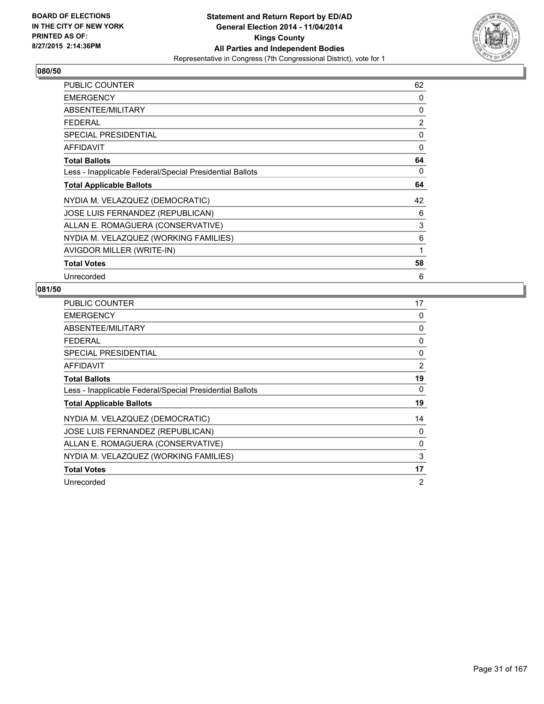

| PUBLIC COUNTER                                           | 62 |
|----------------------------------------------------------|----|
| <b>EMERGENCY</b>                                         | 0  |
| ABSENTEE/MILITARY                                        | 0  |
| <b>FEDERAL</b>                                           | 2  |
| <b>SPECIAL PRESIDENTIAL</b>                              | 0  |
| AFFIDAVIT                                                | 0  |
| <b>Total Ballots</b>                                     | 64 |
| Less - Inapplicable Federal/Special Presidential Ballots | 0  |
| <b>Total Applicable Ballots</b>                          | 64 |
| NYDIA M. VELAZQUEZ (DEMOCRATIC)                          | 42 |
| JOSE LUIS FERNANDEZ (REPUBLICAN)                         | 6  |
| ALLAN E. ROMAGUERA (CONSERVATIVE)                        | 3  |
| NYDIA M. VELAZQUEZ (WORKING FAMILIES)                    | 6  |
| AVIGDOR MILLER (WRITE-IN)                                | 1  |
| <b>Total Votes</b>                                       | 58 |
| Unrecorded                                               | 6  |

| <b>PUBLIC COUNTER</b>                                    | 17 |
|----------------------------------------------------------|----|
| <b>EMERGENCY</b>                                         | 0  |
| ABSENTEE/MILITARY                                        | 0  |
| <b>FEDERAL</b>                                           | 0  |
| SPECIAL PRESIDENTIAL                                     | 0  |
| <b>AFFIDAVIT</b>                                         | 2  |
| <b>Total Ballots</b>                                     | 19 |
| Less - Inapplicable Federal/Special Presidential Ballots | 0  |
| <b>Total Applicable Ballots</b>                          | 19 |
| NYDIA M. VELAZQUEZ (DEMOCRATIC)                          | 14 |
| JOSE LUIS FERNANDEZ (REPUBLICAN)                         | 0  |
| ALLAN E. ROMAGUERA (CONSERVATIVE)                        | 0  |
| NYDIA M. VELAZQUEZ (WORKING FAMILIES)                    | 3  |
| <b>Total Votes</b>                                       | 17 |
| Unrecorded                                               | 2  |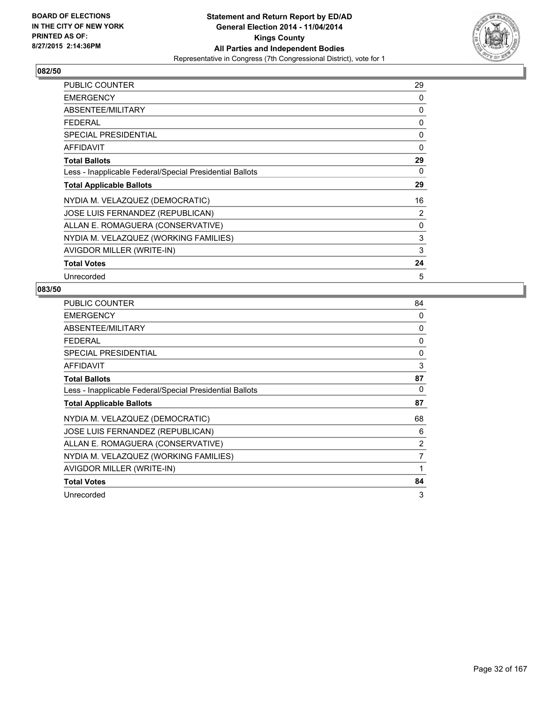

| <b>PUBLIC COUNTER</b>                                    | 29 |
|----------------------------------------------------------|----|
| <b>EMERGENCY</b>                                         | 0  |
| ABSENTEE/MILITARY                                        | 0  |
| <b>FEDERAL</b>                                           | 0  |
| SPECIAL PRESIDENTIAL                                     | 0  |
| <b>AFFIDAVIT</b>                                         | 0  |
| <b>Total Ballots</b>                                     | 29 |
| Less - Inapplicable Federal/Special Presidential Ballots | 0  |
| <b>Total Applicable Ballots</b>                          | 29 |
| NYDIA M. VELAZQUEZ (DEMOCRATIC)                          | 16 |
| JOSE LUIS FERNANDEZ (REPUBLICAN)                         | 2  |
| ALLAN E. ROMAGUERA (CONSERVATIVE)                        | 0  |
| NYDIA M. VELAZQUEZ (WORKING FAMILIES)                    | 3  |
| AVIGDOR MILLER (WRITE-IN)                                | 3  |
| <b>Total Votes</b>                                       | 24 |
| Unrecorded                                               | 5  |

| <b>PUBLIC COUNTER</b>                                    | 84             |
|----------------------------------------------------------|----------------|
| <b>EMERGENCY</b>                                         | 0              |
| ABSENTEE/MILITARY                                        | 0              |
| <b>FEDERAL</b>                                           | 0              |
| <b>SPECIAL PRESIDENTIAL</b>                              | 0              |
| <b>AFFIDAVIT</b>                                         | 3              |
| <b>Total Ballots</b>                                     | 87             |
| Less - Inapplicable Federal/Special Presidential Ballots | 0              |
| <b>Total Applicable Ballots</b>                          | 87             |
| NYDIA M. VELAZQUEZ (DEMOCRATIC)                          | 68             |
| JOSE LUIS FERNANDEZ (REPUBLICAN)                         | 6              |
| ALLAN E. ROMAGUERA (CONSERVATIVE)                        | $\overline{2}$ |
| NYDIA M. VELAZQUEZ (WORKING FAMILIES)                    | 7              |
| AVIGDOR MILLER (WRITE-IN)                                | 1              |
| <b>Total Votes</b>                                       | 84             |
| Unrecorded                                               | 3              |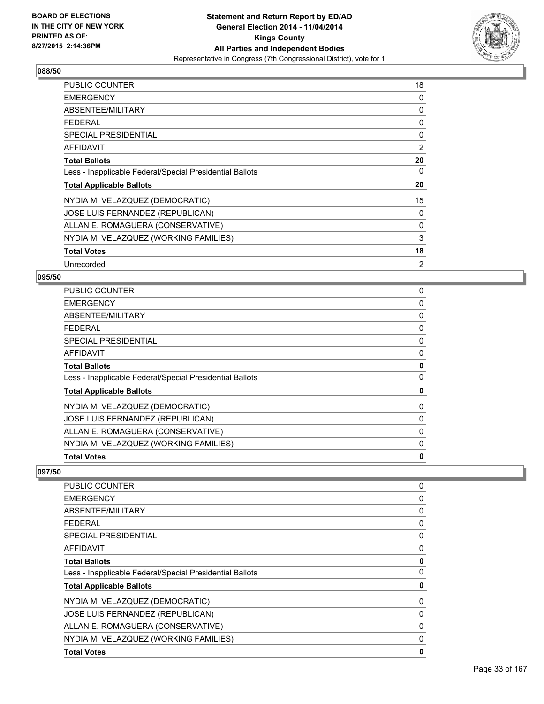

| PUBLIC COUNTER                                           | 18 |
|----------------------------------------------------------|----|
| <b>EMERGENCY</b>                                         | 0  |
| ABSENTEE/MILITARY                                        | 0  |
| <b>FEDERAL</b>                                           | 0  |
| <b>SPECIAL PRESIDENTIAL</b>                              | 0  |
| <b>AFFIDAVIT</b>                                         | 2  |
| <b>Total Ballots</b>                                     | 20 |
| Less - Inapplicable Federal/Special Presidential Ballots | 0  |
| <b>Total Applicable Ballots</b>                          | 20 |
| NYDIA M. VELAZQUEZ (DEMOCRATIC)                          | 15 |
| JOSE LUIS FERNANDEZ (REPUBLICAN)                         | 0  |
| ALLAN E. ROMAGUERA (CONSERVATIVE)                        | 0  |
| NYDIA M. VELAZQUEZ (WORKING FAMILIES)                    | 3  |
| <b>Total Votes</b>                                       | 18 |
| Unrecorded                                               | 2  |

#### **095/50**

| <b>PUBLIC COUNTER</b>                                    | 0 |
|----------------------------------------------------------|---|
| <b>EMERGENCY</b>                                         | 0 |
| ABSENTEE/MILITARY                                        | 0 |
| <b>FEDERAL</b>                                           | 0 |
| <b>SPECIAL PRESIDENTIAL</b>                              | 0 |
| AFFIDAVIT                                                | 0 |
| <b>Total Ballots</b>                                     | 0 |
| Less - Inapplicable Federal/Special Presidential Ballots | 0 |
| <b>Total Applicable Ballots</b>                          | 0 |
| NYDIA M. VELAZQUEZ (DEMOCRATIC)                          | 0 |
| JOSE LUIS FERNANDEZ (REPUBLICAN)                         | 0 |
| ALLAN E. ROMAGUERA (CONSERVATIVE)                        | 0 |
| NYDIA M. VELAZQUEZ (WORKING FAMILIES)                    | 0 |
| <b>Total Votes</b>                                       | 0 |

| <b>PUBLIC COUNTER</b>                                    | 0 |
|----------------------------------------------------------|---|
| <b>EMERGENCY</b>                                         | 0 |
| ABSENTEE/MILITARY                                        | 0 |
| <b>FEDERAL</b>                                           | 0 |
| <b>SPECIAL PRESIDENTIAL</b>                              | 0 |
| AFFIDAVIT                                                | 0 |
| <b>Total Ballots</b>                                     | 0 |
| Less - Inapplicable Federal/Special Presidential Ballots | 0 |
| <b>Total Applicable Ballots</b>                          | 0 |
| NYDIA M. VELAZQUEZ (DEMOCRATIC)                          | 0 |
| <b>JOSE LUIS FERNANDEZ (REPUBLICAN)</b>                  | 0 |
| ALLAN E. ROMAGUERA (CONSERVATIVE)                        | 0 |
| NYDIA M. VELAZQUEZ (WORKING FAMILIES)                    | 0 |
| <b>Total Votes</b>                                       | 0 |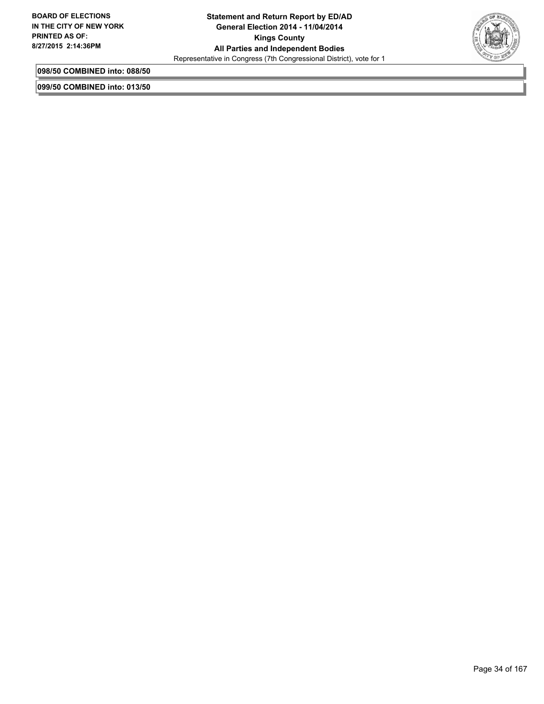

**098/50 COMBINED into: 088/50**

**099/50 COMBINED into: 013/50**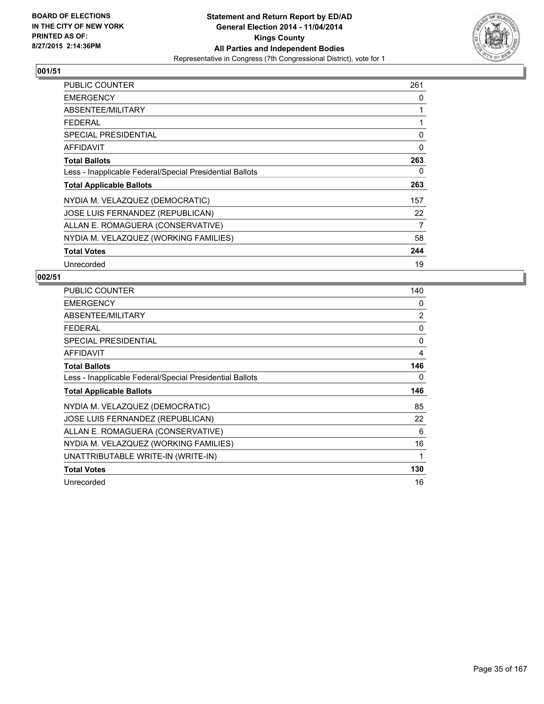

| <b>PUBLIC COUNTER</b>                                    | 261 |
|----------------------------------------------------------|-----|
| <b>EMERGENCY</b>                                         | 0   |
| ABSENTEE/MILITARY                                        | 1   |
| <b>FEDERAL</b>                                           | 1   |
| <b>SPECIAL PRESIDENTIAL</b>                              | 0   |
| AFFIDAVIT                                                | 0   |
| <b>Total Ballots</b>                                     | 263 |
| Less - Inapplicable Federal/Special Presidential Ballots | 0   |
| <b>Total Applicable Ballots</b>                          | 263 |
| NYDIA M. VELAZQUEZ (DEMOCRATIC)                          | 157 |
| JOSE LUIS FERNANDEZ (REPUBLICAN)                         | 22  |
| ALLAN E. ROMAGUERA (CONSERVATIVE)                        | 7   |
| NYDIA M. VELAZQUEZ (WORKING FAMILIES)                    | 58  |
| <b>Total Votes</b>                                       | 244 |
| Unrecorded                                               | 19  |

| <b>PUBLIC COUNTER</b>                                    | 140            |
|----------------------------------------------------------|----------------|
| <b>EMERGENCY</b>                                         | 0              |
| ABSENTEE/MILITARY                                        | $\overline{2}$ |
| <b>FEDERAL</b>                                           | 0              |
| SPECIAL PRESIDENTIAL                                     | 0              |
| <b>AFFIDAVIT</b>                                         | 4              |
| <b>Total Ballots</b>                                     | 146            |
| Less - Inapplicable Federal/Special Presidential Ballots | 0              |
| <b>Total Applicable Ballots</b>                          | 146            |
| NYDIA M. VELAZQUEZ (DEMOCRATIC)                          | 85             |
| JOSE LUIS FERNANDEZ (REPUBLICAN)                         | 22             |
| ALLAN E. ROMAGUERA (CONSERVATIVE)                        | 6              |
| NYDIA M. VELAZQUEZ (WORKING FAMILIES)                    | 16             |
| UNATTRIBUTABLE WRITE-IN (WRITE-IN)                       | $\mathbf{1}$   |
| <b>Total Votes</b>                                       | 130            |
| Unrecorded                                               | 16             |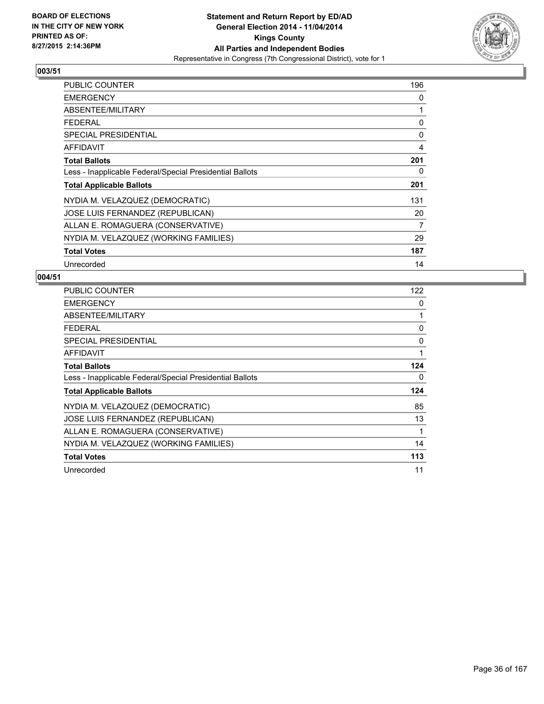

| <b>PUBLIC COUNTER</b>                                    | 196 |
|----------------------------------------------------------|-----|
| <b>EMERGENCY</b>                                         | 0   |
| ABSENTEE/MILITARY                                        | 1   |
| <b>FEDERAL</b>                                           | 0   |
| <b>SPECIAL PRESIDENTIAL</b>                              | 0   |
| <b>AFFIDAVIT</b>                                         | 4   |
| <b>Total Ballots</b>                                     | 201 |
| Less - Inapplicable Federal/Special Presidential Ballots | 0   |
| <b>Total Applicable Ballots</b>                          | 201 |
| NYDIA M. VELAZQUEZ (DEMOCRATIC)                          | 131 |
| JOSE LUIS FERNANDEZ (REPUBLICAN)                         | 20  |
| ALLAN E. ROMAGUERA (CONSERVATIVE)                        | 7   |
| NYDIA M. VELAZQUEZ (WORKING FAMILIES)                    | 29  |
| <b>Total Votes</b>                                       | 187 |
| Unrecorded                                               | 14  |

| <b>PUBLIC COUNTER</b>                                    | 122 |
|----------------------------------------------------------|-----|
| <b>EMERGENCY</b>                                         | 0   |
| ABSENTEE/MILITARY                                        | 1   |
| <b>FEDERAL</b>                                           | 0   |
| SPECIAL PRESIDENTIAL                                     | 0   |
| AFFIDAVIT                                                | 1   |
| <b>Total Ballots</b>                                     | 124 |
| Less - Inapplicable Federal/Special Presidential Ballots | 0   |
| <b>Total Applicable Ballots</b>                          | 124 |
| NYDIA M. VELAZQUEZ (DEMOCRATIC)                          | 85  |
| JOSE LUIS FERNANDEZ (REPUBLICAN)                         | 13  |
| ALLAN E. ROMAGUERA (CONSERVATIVE)                        | 1   |
| NYDIA M. VELAZQUEZ (WORKING FAMILIES)                    | 14  |
| <b>Total Votes</b>                                       | 113 |
| Unrecorded                                               | 11  |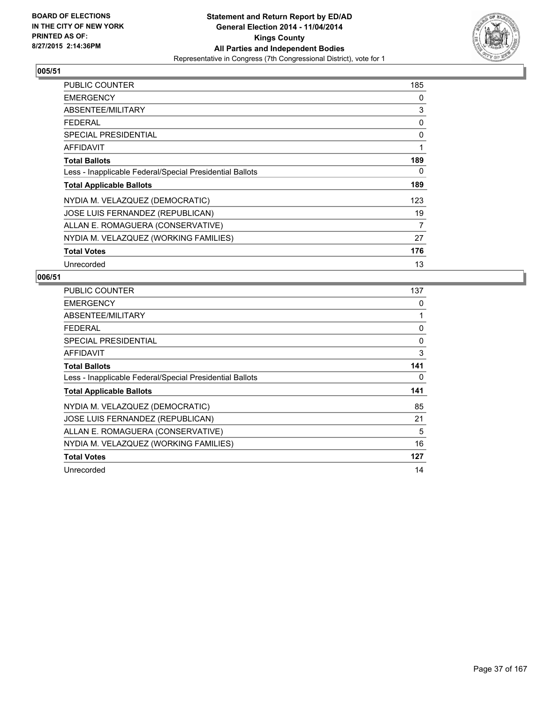

| <b>PUBLIC COUNTER</b>                                    | 185 |
|----------------------------------------------------------|-----|
| <b>EMERGENCY</b>                                         | 0   |
| ABSENTEE/MILITARY                                        | 3   |
| <b>FEDERAL</b>                                           | 0   |
| <b>SPECIAL PRESIDENTIAL</b>                              | 0   |
| <b>AFFIDAVIT</b>                                         | 1   |
| <b>Total Ballots</b>                                     | 189 |
| Less - Inapplicable Federal/Special Presidential Ballots | 0   |
| <b>Total Applicable Ballots</b>                          | 189 |
| NYDIA M. VELAZQUEZ (DEMOCRATIC)                          | 123 |
| JOSE LUIS FERNANDEZ (REPUBLICAN)                         | 19  |
| ALLAN E. ROMAGUERA (CONSERVATIVE)                        | 7   |
| NYDIA M. VELAZQUEZ (WORKING FAMILIES)                    | 27  |
| <b>Total Votes</b>                                       | 176 |
| Unrecorded                                               | 13  |

| <b>PUBLIC COUNTER</b>                                    | 137 |
|----------------------------------------------------------|-----|
| <b>EMERGENCY</b>                                         | 0   |
| ABSENTEE/MILITARY                                        | 1   |
| <b>FEDERAL</b>                                           | 0   |
| <b>SPECIAL PRESIDENTIAL</b>                              | 0   |
| <b>AFFIDAVIT</b>                                         | 3   |
| <b>Total Ballots</b>                                     | 141 |
| Less - Inapplicable Federal/Special Presidential Ballots | 0   |
| <b>Total Applicable Ballots</b>                          | 141 |
| NYDIA M. VELAZQUEZ (DEMOCRATIC)                          | 85  |
| JOSE LUIS FERNANDEZ (REPUBLICAN)                         | 21  |
| ALLAN E. ROMAGUERA (CONSERVATIVE)                        | 5   |
| NYDIA M. VELAZQUEZ (WORKING FAMILIES)                    | 16  |
| <b>Total Votes</b>                                       | 127 |
| Unrecorded                                               | 14  |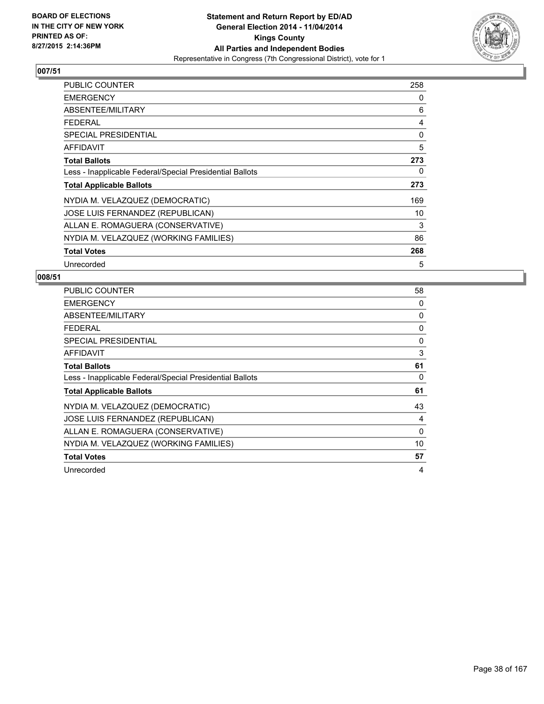

| PUBLIC COUNTER                                           | 258 |
|----------------------------------------------------------|-----|
| <b>EMERGENCY</b>                                         | 0   |
| ABSENTEE/MILITARY                                        | 6   |
| <b>FEDERAL</b>                                           | 4   |
| <b>SPECIAL PRESIDENTIAL</b>                              | 0   |
| <b>AFFIDAVIT</b>                                         | 5   |
| <b>Total Ballots</b>                                     | 273 |
| Less - Inapplicable Federal/Special Presidential Ballots | 0   |
| <b>Total Applicable Ballots</b>                          | 273 |
| NYDIA M. VELAZQUEZ (DEMOCRATIC)                          | 169 |
| JOSE LUIS FERNANDEZ (REPUBLICAN)                         | 10  |
| ALLAN E. ROMAGUERA (CONSERVATIVE)                        | 3   |
| NYDIA M. VELAZQUEZ (WORKING FAMILIES)                    | 86  |
| <b>Total Votes</b>                                       | 268 |
| Unrecorded                                               | 5   |

| PUBLIC COUNTER                                           | 58       |
|----------------------------------------------------------|----------|
| <b>EMERGENCY</b>                                         | 0        |
| ABSENTEE/MILITARY                                        | 0        |
| <b>FEDERAL</b>                                           | 0        |
| SPECIAL PRESIDENTIAL                                     | 0        |
| AFFIDAVIT                                                | 3        |
| <b>Total Ballots</b>                                     | 61       |
| Less - Inapplicable Federal/Special Presidential Ballots | 0        |
| <b>Total Applicable Ballots</b>                          | 61       |
| NYDIA M. VELAZQUEZ (DEMOCRATIC)                          | 43       |
| JOSE LUIS FERNANDEZ (REPUBLICAN)                         | 4        |
| ALLAN E. ROMAGUERA (CONSERVATIVE)                        | $\Omega$ |
| NYDIA M. VELAZQUEZ (WORKING FAMILIES)                    | 10       |
| <b>Total Votes</b>                                       | 57       |
|                                                          |          |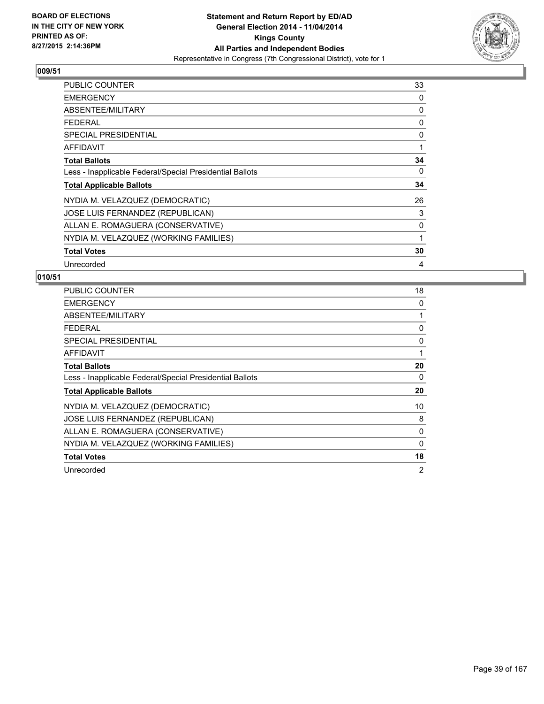

| <b>PUBLIC COUNTER</b>                                    | 33 |
|----------------------------------------------------------|----|
| <b>EMERGENCY</b>                                         | 0  |
| ABSENTEE/MILITARY                                        | 0  |
| <b>FEDERAL</b>                                           | 0  |
| <b>SPECIAL PRESIDENTIAL</b>                              | 0  |
| <b>AFFIDAVIT</b>                                         | 1  |
| <b>Total Ballots</b>                                     | 34 |
| Less - Inapplicable Federal/Special Presidential Ballots | 0  |
| <b>Total Applicable Ballots</b>                          | 34 |
| NYDIA M. VELAZQUEZ (DEMOCRATIC)                          | 26 |
| JOSE LUIS FERNANDEZ (REPUBLICAN)                         | 3  |
| ALLAN E. ROMAGUERA (CONSERVATIVE)                        | 0  |
| NYDIA M. VELAZQUEZ (WORKING FAMILIES)                    | 1  |
| <b>Total Votes</b>                                       | 30 |
| Unrecorded                                               | 4  |

| <b>PUBLIC COUNTER</b>                                    | 18 |
|----------------------------------------------------------|----|
| <b>EMERGENCY</b>                                         | 0  |
| ABSENTEE/MILITARY                                        |    |
| <b>FEDERAL</b>                                           | 0  |
| <b>SPECIAL PRESIDENTIAL</b>                              | 0  |
| <b>AFFIDAVIT</b>                                         | 1  |
| <b>Total Ballots</b>                                     | 20 |
| Less - Inapplicable Federal/Special Presidential Ballots | 0  |
| <b>Total Applicable Ballots</b>                          | 20 |
| NYDIA M. VELAZQUEZ (DEMOCRATIC)                          | 10 |
| JOSE LUIS FERNANDEZ (REPUBLICAN)                         | 8  |
| ALLAN E. ROMAGUERA (CONSERVATIVE)                        | 0  |
| NYDIA M. VELAZQUEZ (WORKING FAMILIES)                    | 0  |
| <b>Total Votes</b>                                       | 18 |
| Unrecorded                                               | 2  |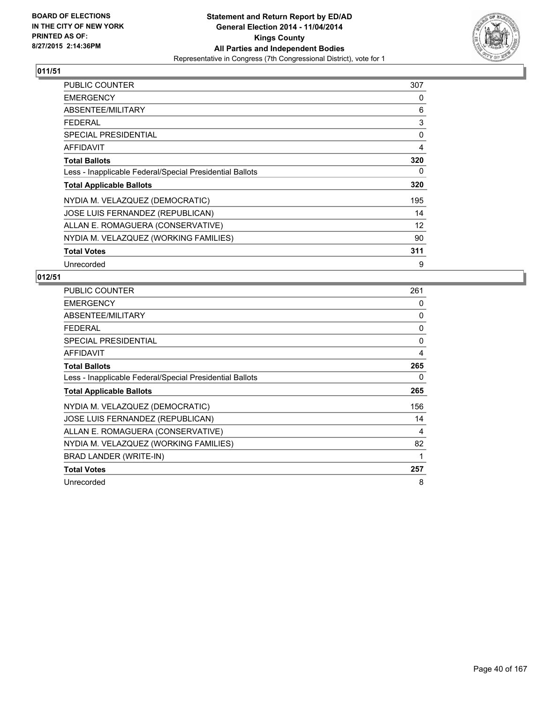

| <b>PUBLIC COUNTER</b>                                    | 307 |
|----------------------------------------------------------|-----|
| <b>EMERGENCY</b>                                         | 0   |
| ABSENTEE/MILITARY                                        | 6   |
| <b>FEDERAL</b>                                           | 3   |
| <b>SPECIAL PRESIDENTIAL</b>                              | 0   |
| <b>AFFIDAVIT</b>                                         | 4   |
| <b>Total Ballots</b>                                     | 320 |
| Less - Inapplicable Federal/Special Presidential Ballots | 0   |
| <b>Total Applicable Ballots</b>                          | 320 |
| NYDIA M. VELAZQUEZ (DEMOCRATIC)                          | 195 |
| JOSE LUIS FERNANDEZ (REPUBLICAN)                         | 14  |
| ALLAN E. ROMAGUERA (CONSERVATIVE)                        | 12  |
| NYDIA M. VELAZQUEZ (WORKING FAMILIES)                    | 90  |
| <b>Total Votes</b>                                       | 311 |
| Unrecorded                                               | 9   |

| <b>PUBLIC COUNTER</b>                                    | 261 |
|----------------------------------------------------------|-----|
| <b>EMERGENCY</b>                                         | 0   |
| ABSENTEE/MILITARY                                        | 0   |
| FEDERAL                                                  | 0   |
| <b>SPECIAL PRESIDENTIAL</b>                              | 0   |
| AFFIDAVIT                                                | 4   |
| <b>Total Ballots</b>                                     | 265 |
| Less - Inapplicable Federal/Special Presidential Ballots | 0   |
| <b>Total Applicable Ballots</b>                          | 265 |
| NYDIA M. VELAZQUEZ (DEMOCRATIC)                          | 156 |
| JOSE LUIS FERNANDEZ (REPUBLICAN)                         | 14  |
| ALLAN E. ROMAGUERA (CONSERVATIVE)                        | 4   |
| NYDIA M. VELAZQUEZ (WORKING FAMILIES)                    | 82  |
| BRAD LANDER (WRITE-IN)                                   | 1   |
| <b>Total Votes</b>                                       | 257 |
| Unrecorded                                               | 8   |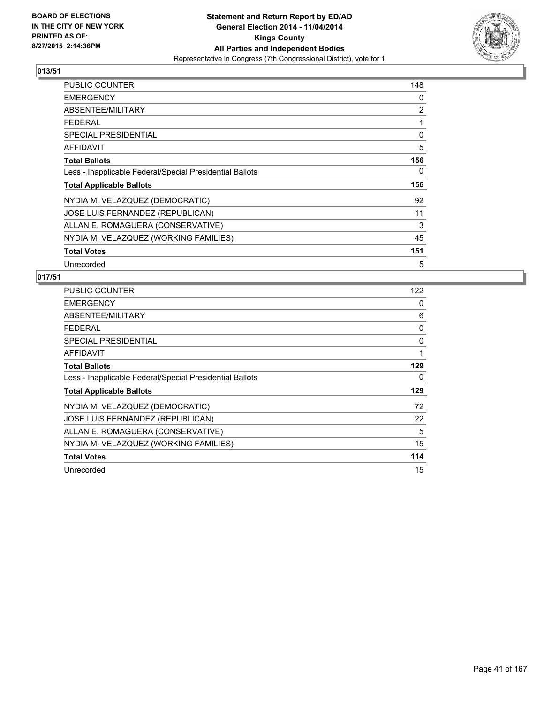

| <b>PUBLIC COUNTER</b>                                    | 148 |
|----------------------------------------------------------|-----|
| <b>EMERGENCY</b>                                         | 0   |
| ABSENTEE/MILITARY                                        | 2   |
| <b>FEDERAL</b>                                           | 1   |
| <b>SPECIAL PRESIDENTIAL</b>                              | 0   |
| <b>AFFIDAVIT</b>                                         | 5   |
| <b>Total Ballots</b>                                     | 156 |
| Less - Inapplicable Federal/Special Presidential Ballots | 0   |
| <b>Total Applicable Ballots</b>                          | 156 |
| NYDIA M. VELAZQUEZ (DEMOCRATIC)                          | 92  |
| JOSE LUIS FERNANDEZ (REPUBLICAN)                         | 11  |
| ALLAN E. ROMAGUERA (CONSERVATIVE)                        | 3   |
| NYDIA M. VELAZQUEZ (WORKING FAMILIES)                    | 45  |
| <b>Total Votes</b>                                       | 151 |
| Unrecorded                                               | 5   |

| <b>PUBLIC COUNTER</b>                                    | 122 |
|----------------------------------------------------------|-----|
| <b>EMERGENCY</b>                                         | 0   |
| ABSENTEE/MILITARY                                        | 6   |
| <b>FEDERAL</b>                                           | 0   |
| SPECIAL PRESIDENTIAL                                     | 0   |
| <b>AFFIDAVIT</b>                                         | 1   |
| <b>Total Ballots</b>                                     | 129 |
| Less - Inapplicable Federal/Special Presidential Ballots | 0   |
| <b>Total Applicable Ballots</b>                          | 129 |
| NYDIA M. VELAZQUEZ (DEMOCRATIC)                          | 72  |
| JOSE LUIS FERNANDEZ (REPUBLICAN)                         | 22  |
| ALLAN E. ROMAGUERA (CONSERVATIVE)                        | 5   |
| NYDIA M. VELAZQUEZ (WORKING FAMILIES)                    | 15  |
| <b>Total Votes</b>                                       | 114 |
| Unrecorded                                               | 15  |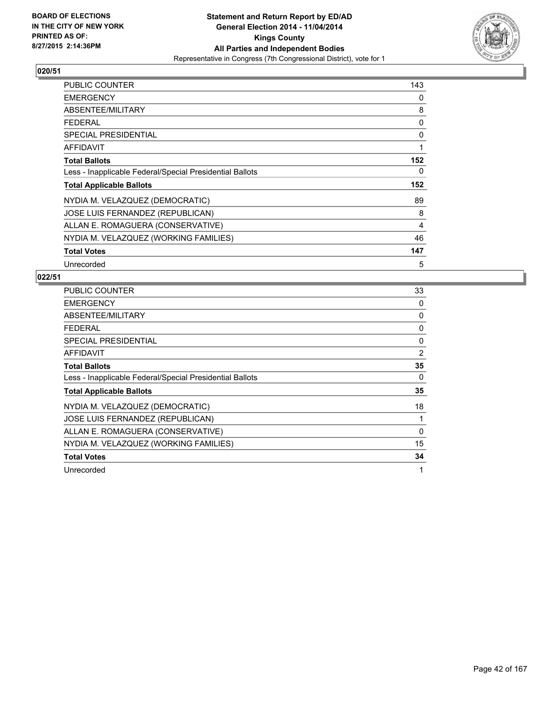

| <b>PUBLIC COUNTER</b>                                    | 143            |
|----------------------------------------------------------|----------------|
| <b>EMERGENCY</b>                                         | 0              |
| ABSENTEE/MILITARY                                        | 8              |
| <b>FEDERAL</b>                                           | 0              |
| <b>SPECIAL PRESIDENTIAL</b>                              | 0              |
| AFFIDAVIT                                                | 1              |
| <b>Total Ballots</b>                                     | 152            |
| Less - Inapplicable Federal/Special Presidential Ballots | 0              |
| <b>Total Applicable Ballots</b>                          | 152            |
| NYDIA M. VELAZQUEZ (DEMOCRATIC)                          | 89             |
| JOSE LUIS FERNANDEZ (REPUBLICAN)                         | 8              |
| ALLAN E. ROMAGUERA (CONSERVATIVE)                        | $\overline{4}$ |
| NYDIA M. VELAZQUEZ (WORKING FAMILIES)                    | 46             |
| <b>Total Votes</b>                                       | 147            |
| Unrecorded                                               | 5              |

| <b>PUBLIC COUNTER</b>                                    | 33       |
|----------------------------------------------------------|----------|
| <b>EMERGENCY</b>                                         | 0        |
| ABSENTEE/MILITARY                                        | 0        |
| <b>FEDERAL</b>                                           | 0        |
| SPECIAL PRESIDENTIAL                                     | 0        |
| AFFIDAVIT                                                | 2        |
| <b>Total Ballots</b>                                     | 35       |
| Less - Inapplicable Federal/Special Presidential Ballots | 0        |
| <b>Total Applicable Ballots</b>                          | 35       |
| NYDIA M. VELAZQUEZ (DEMOCRATIC)                          | 18       |
| JOSE LUIS FERNANDEZ (REPUBLICAN)                         |          |
| ALLAN E. ROMAGUERA (CONSERVATIVE)                        | $\Omega$ |
| NYDIA M. VELAZQUEZ (WORKING FAMILIES)                    | 15       |
| <b>Total Votes</b>                                       | 34       |
| Unrecorded                                               | 1        |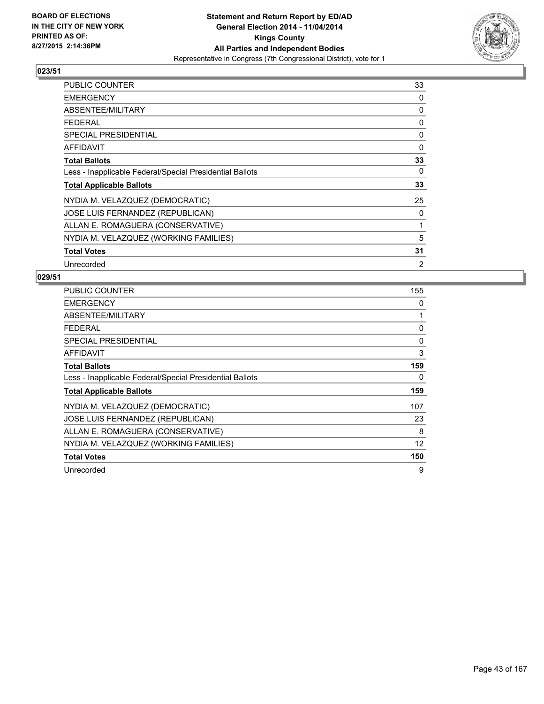

| <b>PUBLIC COUNTER</b>                                    | 33 |
|----------------------------------------------------------|----|
| <b>EMERGENCY</b>                                         | 0  |
| ABSENTEE/MILITARY                                        | 0  |
| <b>FEDERAL</b>                                           | 0  |
| <b>SPECIAL PRESIDENTIAL</b>                              | 0  |
| <b>AFFIDAVIT</b>                                         | 0  |
| <b>Total Ballots</b>                                     | 33 |
| Less - Inapplicable Federal/Special Presidential Ballots | 0  |
| <b>Total Applicable Ballots</b>                          | 33 |
| NYDIA M. VELAZQUEZ (DEMOCRATIC)                          | 25 |
| JOSE LUIS FERNANDEZ (REPUBLICAN)                         | 0  |
| ALLAN E. ROMAGUERA (CONSERVATIVE)                        | 1  |
| NYDIA M. VELAZQUEZ (WORKING FAMILIES)                    | 5  |
| <b>Total Votes</b>                                       | 31 |
| Unrecorded                                               | 2  |

| <b>PUBLIC COUNTER</b>                                    | 155 |
|----------------------------------------------------------|-----|
| <b>EMERGENCY</b>                                         | 0   |
| ABSENTEE/MILITARY                                        | 1   |
| <b>FEDERAL</b>                                           | 0   |
| <b>SPECIAL PRESIDENTIAL</b>                              | 0   |
| <b>AFFIDAVIT</b>                                         | 3   |
| <b>Total Ballots</b>                                     | 159 |
| Less - Inapplicable Federal/Special Presidential Ballots | 0   |
| <b>Total Applicable Ballots</b>                          | 159 |
| NYDIA M. VELAZQUEZ (DEMOCRATIC)                          | 107 |
| JOSE LUIS FERNANDEZ (REPUBLICAN)                         | 23  |
| ALLAN E. ROMAGUERA (CONSERVATIVE)                        | 8   |
| NYDIA M. VELAZQUEZ (WORKING FAMILIES)                    | 12  |
| <b>Total Votes</b>                                       | 150 |
| Unrecorded                                               | 9   |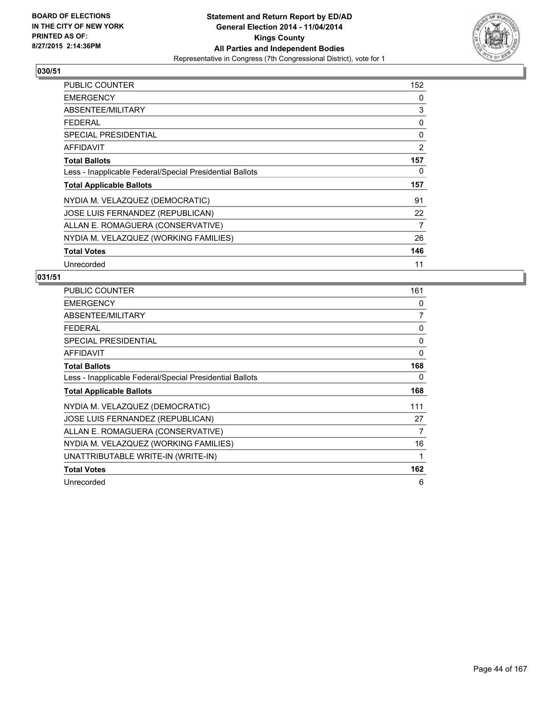

| <b>PUBLIC COUNTER</b>                                    | 152 |
|----------------------------------------------------------|-----|
| <b>EMERGENCY</b>                                         | 0   |
| ABSENTEE/MILITARY                                        | 3   |
| <b>FEDERAL</b>                                           | 0   |
| <b>SPECIAL PRESIDENTIAL</b>                              | 0   |
| <b>AFFIDAVIT</b>                                         | 2   |
| <b>Total Ballots</b>                                     | 157 |
| Less - Inapplicable Federal/Special Presidential Ballots | 0   |
| <b>Total Applicable Ballots</b>                          | 157 |
| NYDIA M. VELAZQUEZ (DEMOCRATIC)                          | 91  |
| JOSE LUIS FERNANDEZ (REPUBLICAN)                         | 22  |
| ALLAN E. ROMAGUERA (CONSERVATIVE)                        | 7   |
| NYDIA M. VELAZQUEZ (WORKING FAMILIES)                    | 26  |
| <b>Total Votes</b>                                       | 146 |
| Unrecorded                                               | 11  |

| <b>PUBLIC COUNTER</b>                                    | 161 |
|----------------------------------------------------------|-----|
| <b>EMERGENCY</b>                                         | 0   |
| ABSENTEE/MILITARY                                        | 7   |
| <b>FEDERAL</b>                                           | 0   |
| <b>SPECIAL PRESIDENTIAL</b>                              | 0   |
| <b>AFFIDAVIT</b>                                         | 0   |
| <b>Total Ballots</b>                                     | 168 |
| Less - Inapplicable Federal/Special Presidential Ballots | 0   |
| <b>Total Applicable Ballots</b>                          | 168 |
| NYDIA M. VELAZQUEZ (DEMOCRATIC)                          | 111 |
| JOSE LUIS FERNANDEZ (REPUBLICAN)                         | 27  |
| ALLAN E. ROMAGUERA (CONSERVATIVE)                        | 7   |
| NYDIA M. VELAZQUEZ (WORKING FAMILIES)                    | 16  |
| UNATTRIBUTABLE WRITE-IN (WRITE-IN)                       | 1   |
| <b>Total Votes</b>                                       | 162 |
| Unrecorded                                               | 6   |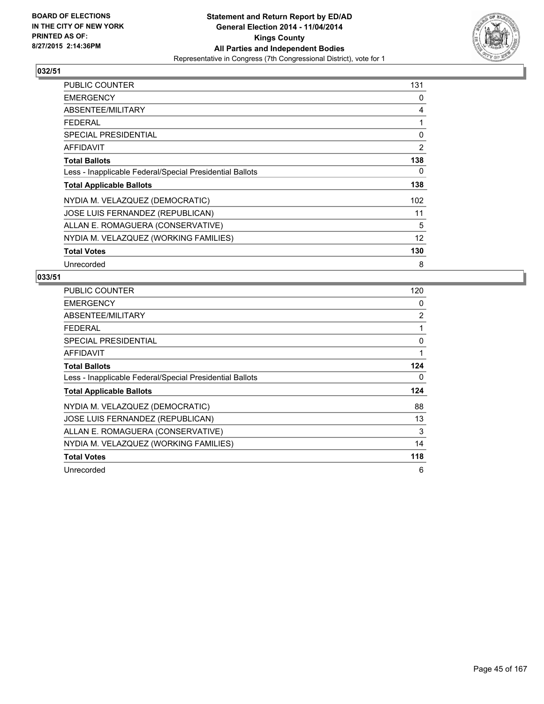

| <b>PUBLIC COUNTER</b>                                    | 131 |
|----------------------------------------------------------|-----|
| <b>EMERGENCY</b>                                         | 0   |
| ABSENTEE/MILITARY                                        | 4   |
| <b>FEDERAL</b>                                           | 1   |
| <b>SPECIAL PRESIDENTIAL</b>                              | 0   |
| <b>AFFIDAVIT</b>                                         | 2   |
| <b>Total Ballots</b>                                     | 138 |
| Less - Inapplicable Federal/Special Presidential Ballots | 0   |
| <b>Total Applicable Ballots</b>                          | 138 |
| NYDIA M. VELAZQUEZ (DEMOCRATIC)                          | 102 |
| JOSE LUIS FERNANDEZ (REPUBLICAN)                         | 11  |
| ALLAN E. ROMAGUERA (CONSERVATIVE)                        | 5   |
| NYDIA M. VELAZQUEZ (WORKING FAMILIES)                    | 12  |
| <b>Total Votes</b>                                       | 130 |
| Unrecorded                                               | 8   |

| <b>PUBLIC COUNTER</b>                                    | 120 |
|----------------------------------------------------------|-----|
| <b>EMERGENCY</b>                                         | 0   |
| ABSENTEE/MILITARY                                        | 2   |
| <b>FEDERAL</b>                                           | 1   |
| SPECIAL PRESIDENTIAL                                     | 0   |
| AFFIDAVIT                                                | 1   |
| <b>Total Ballots</b>                                     | 124 |
| Less - Inapplicable Federal/Special Presidential Ballots | 0   |
| <b>Total Applicable Ballots</b>                          | 124 |
| NYDIA M. VELAZQUEZ (DEMOCRATIC)                          | 88  |
| JOSE LUIS FERNANDEZ (REPUBLICAN)                         | 13  |
| ALLAN E. ROMAGUERA (CONSERVATIVE)                        | 3   |
| NYDIA M. VELAZQUEZ (WORKING FAMILIES)                    | 14  |
| <b>Total Votes</b>                                       | 118 |
| Unrecorded                                               | 6   |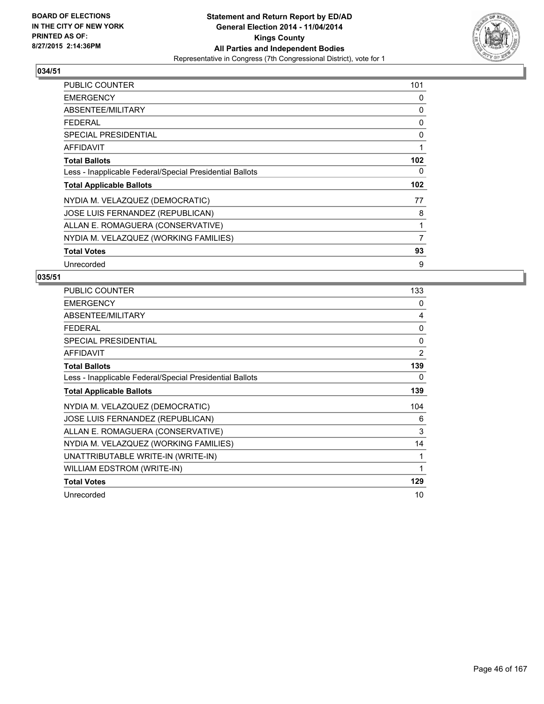

| <b>PUBLIC COUNTER</b>                                    | 101 |
|----------------------------------------------------------|-----|
| <b>EMERGENCY</b>                                         | 0   |
| ABSENTEE/MILITARY                                        | 0   |
| <b>FEDERAL</b>                                           | 0   |
| <b>SPECIAL PRESIDENTIAL</b>                              | 0   |
| <b>AFFIDAVIT</b>                                         | 1   |
| <b>Total Ballots</b>                                     | 102 |
| Less - Inapplicable Federal/Special Presidential Ballots | 0   |
| <b>Total Applicable Ballots</b>                          | 102 |
| NYDIA M. VELAZQUEZ (DEMOCRATIC)                          | 77  |
| JOSE LUIS FERNANDEZ (REPUBLICAN)                         | 8   |
| ALLAN E. ROMAGUERA (CONSERVATIVE)                        | 1   |
| NYDIA M. VELAZQUEZ (WORKING FAMILIES)                    | 7   |
| <b>Total Votes</b>                                       | 93  |
| Unrecorded                                               | 9   |

| <b>PUBLIC COUNTER</b>                                    | 133 |
|----------------------------------------------------------|-----|
| <b>EMERGENCY</b>                                         | 0   |
| ABSENTEE/MILITARY                                        | 4   |
| <b>FEDERAL</b>                                           | 0   |
| <b>SPECIAL PRESIDENTIAL</b>                              | 0   |
| <b>AFFIDAVIT</b>                                         | 2   |
| <b>Total Ballots</b>                                     | 139 |
| Less - Inapplicable Federal/Special Presidential Ballots | 0   |
| <b>Total Applicable Ballots</b>                          | 139 |
| NYDIA M. VELAZQUEZ (DEMOCRATIC)                          | 104 |
| JOSE LUIS FERNANDEZ (REPUBLICAN)                         | 6   |
| ALLAN E. ROMAGUERA (CONSERVATIVE)                        | 3   |
| NYDIA M. VELAZQUEZ (WORKING FAMILIES)                    | 14  |
| UNATTRIBUTABLE WRITE-IN (WRITE-IN)                       | 1   |
| WILLIAM EDSTROM (WRITE-IN)                               | 1   |
| <b>Total Votes</b>                                       | 129 |
| Unrecorded                                               | 10  |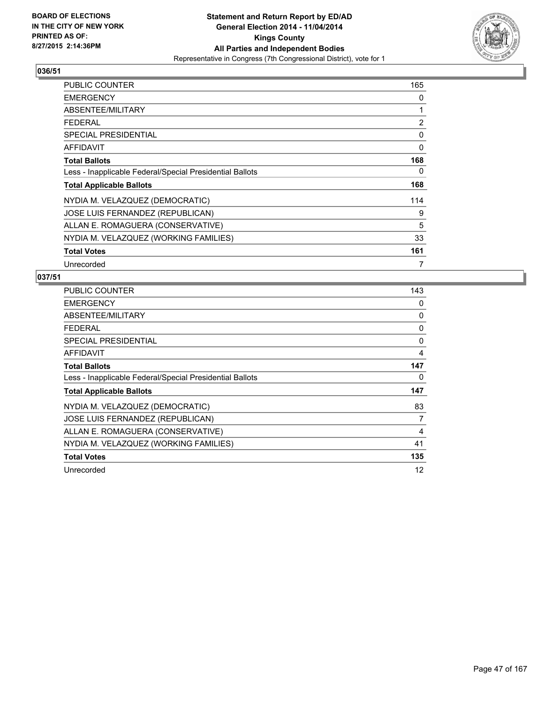

| <b>PUBLIC COUNTER</b>                                    | 165 |
|----------------------------------------------------------|-----|
| <b>EMERGENCY</b>                                         | 0   |
| ABSENTEE/MILITARY                                        | 1   |
| FEDERAL                                                  | 2   |
| <b>SPECIAL PRESIDENTIAL</b>                              | 0   |
| <b>AFFIDAVIT</b>                                         | 0   |
| <b>Total Ballots</b>                                     | 168 |
| Less - Inapplicable Federal/Special Presidential Ballots | 0   |
| <b>Total Applicable Ballots</b>                          | 168 |
| NYDIA M. VELAZQUEZ (DEMOCRATIC)                          | 114 |
| JOSE LUIS FERNANDEZ (REPUBLICAN)                         | 9   |
| ALLAN E. ROMAGUERA (CONSERVATIVE)                        | 5   |
| NYDIA M. VELAZQUEZ (WORKING FAMILIES)                    | 33  |
| <b>Total Votes</b>                                       | 161 |
| Unrecorded                                               | 7   |

| PUBLIC COUNTER                                           | 143 |
|----------------------------------------------------------|-----|
| <b>EMERGENCY</b>                                         | 0   |
| ABSENTEE/MILITARY                                        | 0   |
| <b>FEDERAL</b>                                           | 0   |
| <b>SPECIAL PRESIDENTIAL</b>                              | 0   |
| AFFIDAVIT                                                | 4   |
| <b>Total Ballots</b>                                     | 147 |
| Less - Inapplicable Federal/Special Presidential Ballots | 0   |
| <b>Total Applicable Ballots</b>                          | 147 |
| NYDIA M. VELAZQUEZ (DEMOCRATIC)                          | 83  |
| JOSE LUIS FERNANDEZ (REPUBLICAN)                         | 7   |
| ALLAN E. ROMAGUERA (CONSERVATIVE)                        | 4   |
| NYDIA M. VELAZQUEZ (WORKING FAMILIES)                    | 41  |
| <b>Total Votes</b>                                       | 135 |
| Unrecorded                                               | 12  |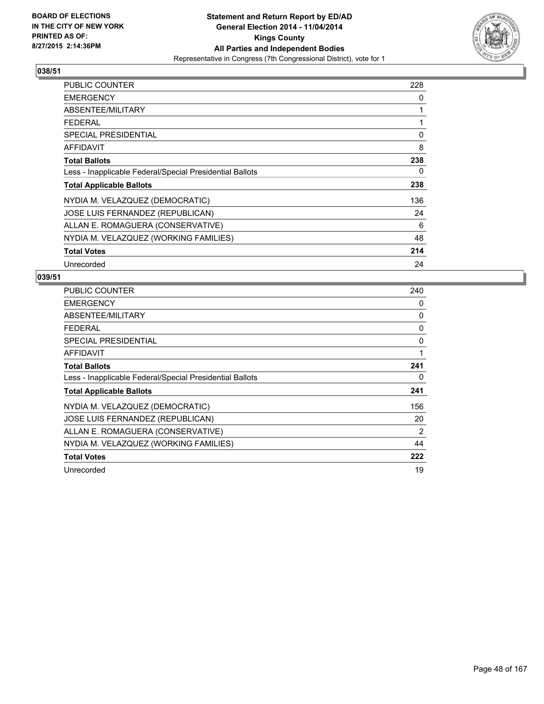

| PUBLIC COUNTER                                           | 228 |
|----------------------------------------------------------|-----|
| <b>EMERGENCY</b>                                         | 0   |
| ABSENTEE/MILITARY                                        | 1   |
| <b>FEDERAL</b>                                           | 1   |
| <b>SPECIAL PRESIDENTIAL</b>                              | 0   |
| AFFIDAVIT                                                | 8   |
| <b>Total Ballots</b>                                     | 238 |
| Less - Inapplicable Federal/Special Presidential Ballots | 0   |
| <b>Total Applicable Ballots</b>                          | 238 |
| NYDIA M. VELAZQUEZ (DEMOCRATIC)                          | 136 |
| JOSE LUIS FERNANDEZ (REPUBLICAN)                         | 24  |
| ALLAN E. ROMAGUERA (CONSERVATIVE)                        | 6   |
| NYDIA M. VELAZQUEZ (WORKING FAMILIES)                    | 48  |
| <b>Total Votes</b>                                       | 214 |
| Unrecorded                                               | 24  |

| <b>PUBLIC COUNTER</b>                                    | 240 |
|----------------------------------------------------------|-----|
| <b>EMERGENCY</b>                                         | 0   |
| ABSENTEE/MILITARY                                        | 0   |
| <b>FEDERAL</b>                                           | 0   |
| SPECIAL PRESIDENTIAL                                     | 0   |
| AFFIDAVIT                                                | 1   |
| <b>Total Ballots</b>                                     | 241 |
| Less - Inapplicable Federal/Special Presidential Ballots | 0   |
| <b>Total Applicable Ballots</b>                          | 241 |
| NYDIA M. VELAZQUEZ (DEMOCRATIC)                          | 156 |
| JOSE LUIS FERNANDEZ (REPUBLICAN)                         | 20  |
| ALLAN E. ROMAGUERA (CONSERVATIVE)                        | 2   |
| NYDIA M. VELAZQUEZ (WORKING FAMILIES)                    | 44  |
| <b>Total Votes</b>                                       | 222 |
| Unrecorded                                               | 19  |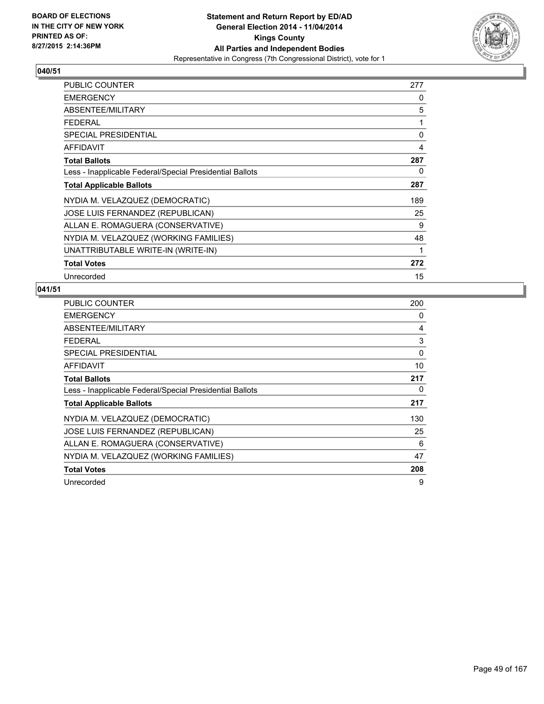

| <b>PUBLIC COUNTER</b>                                    | 277 |
|----------------------------------------------------------|-----|
| <b>EMERGENCY</b>                                         | 0   |
| ABSENTEE/MILITARY                                        | 5   |
| <b>FEDERAL</b>                                           | 1   |
| <b>SPECIAL PRESIDENTIAL</b>                              | 0   |
| <b>AFFIDAVIT</b>                                         | 4   |
| <b>Total Ballots</b>                                     | 287 |
| Less - Inapplicable Federal/Special Presidential Ballots | 0   |
| <b>Total Applicable Ballots</b>                          | 287 |
| NYDIA M. VELAZQUEZ (DEMOCRATIC)                          | 189 |
| JOSE LUIS FERNANDEZ (REPUBLICAN)                         | 25  |
| ALLAN E. ROMAGUERA (CONSERVATIVE)                        | 9   |
| NYDIA M. VELAZQUEZ (WORKING FAMILIES)                    | 48  |
| UNATTRIBUTABLE WRITE-IN (WRITE-IN)                       | 1   |
| <b>Total Votes</b>                                       | 272 |
| Unrecorded                                               | 15  |

| <b>PUBLIC COUNTER</b>                                    | 200 |
|----------------------------------------------------------|-----|
| <b>EMERGENCY</b>                                         | 0   |
| ABSENTEE/MILITARY                                        | 4   |
| <b>FEDERAL</b>                                           | 3   |
| <b>SPECIAL PRESIDENTIAL</b>                              | 0   |
| <b>AFFIDAVIT</b>                                         | 10  |
| <b>Total Ballots</b>                                     | 217 |
| Less - Inapplicable Federal/Special Presidential Ballots | 0   |
| <b>Total Applicable Ballots</b>                          | 217 |
| NYDIA M. VELAZQUEZ (DEMOCRATIC)                          | 130 |
| <b>JOSE LUIS FERNANDEZ (REPUBLICAN)</b>                  | 25  |
| ALLAN E. ROMAGUERA (CONSERVATIVE)                        | 6   |
| NYDIA M. VELAZQUEZ (WORKING FAMILIES)                    | 47  |
| <b>Total Votes</b>                                       | 208 |
| Unrecorded                                               | 9   |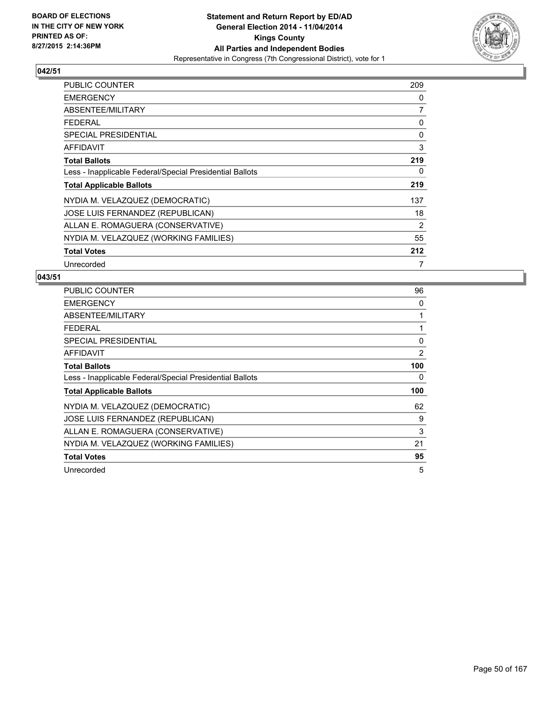

| PUBLIC COUNTER                                           | 209            |
|----------------------------------------------------------|----------------|
| <b>EMERGENCY</b>                                         | 0              |
| ABSENTEE/MILITARY                                        | $\overline{7}$ |
| <b>FEDERAL</b>                                           | 0              |
| <b>SPECIAL PRESIDENTIAL</b>                              | 0              |
| AFFIDAVIT                                                | 3              |
| <b>Total Ballots</b>                                     | 219            |
| Less - Inapplicable Federal/Special Presidential Ballots | 0              |
| <b>Total Applicable Ballots</b>                          | 219            |
| NYDIA M. VELAZQUEZ (DEMOCRATIC)                          | 137            |
| <b>JOSE LUIS FERNANDEZ (REPUBLICAN)</b>                  | 18             |
| ALLAN E. ROMAGUERA (CONSERVATIVE)                        | 2              |
| NYDIA M. VELAZQUEZ (WORKING FAMILIES)                    | 55             |
| <b>Total Votes</b>                                       | 212            |
| Unrecorded                                               | 7              |

| <b>PUBLIC COUNTER</b>                                    | 96  |
|----------------------------------------------------------|-----|
| <b>EMERGENCY</b>                                         | 0   |
| ABSENTEE/MILITARY                                        | 1   |
| <b>FEDERAL</b>                                           | 1   |
| SPECIAL PRESIDENTIAL                                     | 0   |
| <b>AFFIDAVIT</b>                                         | 2   |
| <b>Total Ballots</b>                                     | 100 |
| Less - Inapplicable Federal/Special Presidential Ballots | 0   |
| <b>Total Applicable Ballots</b>                          | 100 |
| NYDIA M. VELAZQUEZ (DEMOCRATIC)                          | 62  |
| JOSE LUIS FERNANDEZ (REPUBLICAN)                         | 9   |
| ALLAN E. ROMAGUERA (CONSERVATIVE)                        | 3   |
| NYDIA M. VELAZQUEZ (WORKING FAMILIES)                    | 21  |
| <b>Total Votes</b>                                       | 95  |
| Unrecorded                                               | 5   |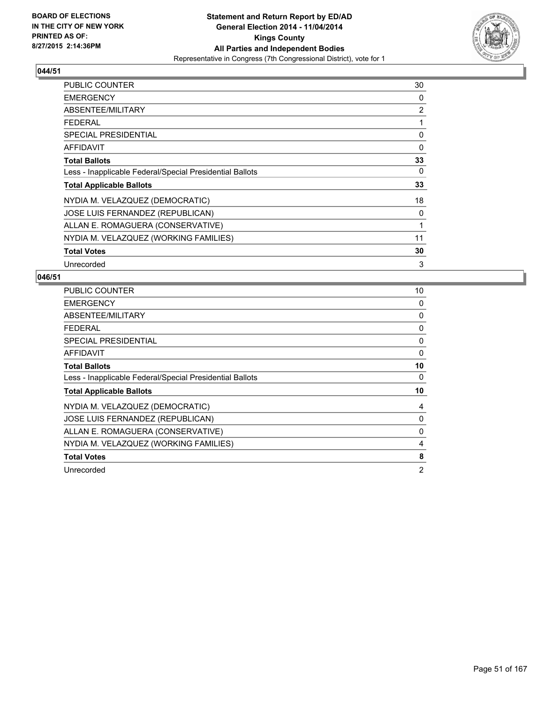

| <b>PUBLIC COUNTER</b>                                    | 30 |
|----------------------------------------------------------|----|
| <b>EMERGENCY</b>                                         | 0  |
| ABSENTEE/MILITARY                                        | 2  |
| <b>FEDERAL</b>                                           | 1  |
| <b>SPECIAL PRESIDENTIAL</b>                              | 0  |
| <b>AFFIDAVIT</b>                                         | 0  |
| <b>Total Ballots</b>                                     | 33 |
| Less - Inapplicable Federal/Special Presidential Ballots | 0  |
| <b>Total Applicable Ballots</b>                          | 33 |
| NYDIA M. VELAZQUEZ (DEMOCRATIC)                          | 18 |
| JOSE LUIS FERNANDEZ (REPUBLICAN)                         | 0  |
| ALLAN E. ROMAGUERA (CONSERVATIVE)                        | 1  |
| NYDIA M. VELAZQUEZ (WORKING FAMILIES)                    | 11 |
| <b>Total Votes</b>                                       | 30 |
| Unrecorded                                               | 3  |

| <b>PUBLIC COUNTER</b>                                    | 10             |
|----------------------------------------------------------|----------------|
| <b>EMERGENCY</b>                                         | 0              |
| ABSENTEE/MILITARY                                        | 0              |
| <b>FEDERAL</b>                                           | 0              |
| SPECIAL PRESIDENTIAL                                     | 0              |
| <b>AFFIDAVIT</b>                                         | 0              |
| <b>Total Ballots</b>                                     | 10             |
| Less - Inapplicable Federal/Special Presidential Ballots | 0              |
| <b>Total Applicable Ballots</b>                          | 10             |
| NYDIA M. VELAZQUEZ (DEMOCRATIC)                          | 4              |
| JOSE LUIS FERNANDEZ (REPUBLICAN)                         | 0              |
| ALLAN E. ROMAGUERA (CONSERVATIVE)                        | 0              |
| NYDIA M. VELAZQUEZ (WORKING FAMILIES)                    | 4              |
| <b>Total Votes</b>                                       | 8              |
| Unrecorded                                               | $\overline{2}$ |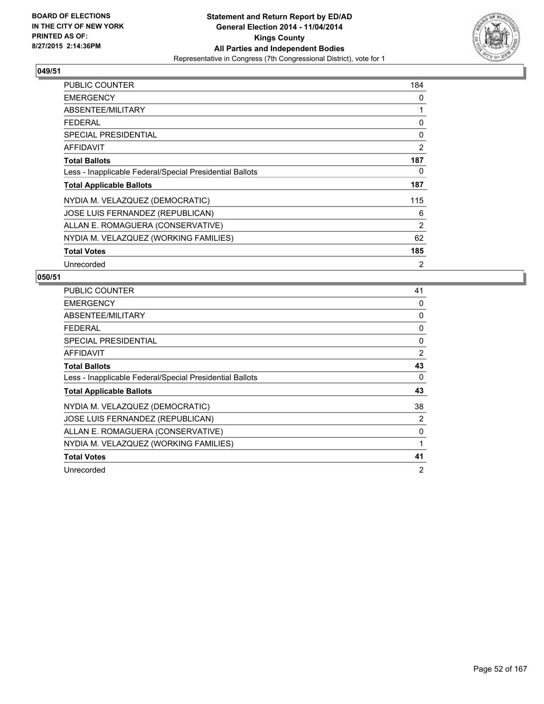

| <b>PUBLIC COUNTER</b>                                    | 184            |
|----------------------------------------------------------|----------------|
| <b>EMERGENCY</b>                                         | 0              |
| ABSENTEE/MILITARY                                        | 1              |
| <b>FEDERAL</b>                                           | 0              |
| <b>SPECIAL PRESIDENTIAL</b>                              | 0              |
| <b>AFFIDAVIT</b>                                         | $\overline{2}$ |
| <b>Total Ballots</b>                                     | 187            |
| Less - Inapplicable Federal/Special Presidential Ballots | 0              |
| <b>Total Applicable Ballots</b>                          | 187            |
| NYDIA M. VELAZQUEZ (DEMOCRATIC)                          | 115            |
| JOSE LUIS FERNANDEZ (REPUBLICAN)                         | 6              |
| ALLAN E. ROMAGUERA (CONSERVATIVE)                        | $\overline{2}$ |
| NYDIA M. VELAZQUEZ (WORKING FAMILIES)                    | 62             |
| <b>Total Votes</b>                                       | 185            |
| Unrecorded                                               | 2              |

| PUBLIC COUNTER                                           | 41       |
|----------------------------------------------------------|----------|
| <b>EMERGENCY</b>                                         | 0        |
| ABSENTEE/MILITARY                                        | 0        |
| <b>FEDERAL</b>                                           | 0        |
| SPECIAL PRESIDENTIAL                                     | $\Omega$ |
| AFFIDAVIT                                                | 2        |
| <b>Total Ballots</b>                                     | 43       |
| Less - Inapplicable Federal/Special Presidential Ballots | 0        |
| <b>Total Applicable Ballots</b>                          | 43       |
| NYDIA M. VELAZQUEZ (DEMOCRATIC)                          | 38       |
| <b>JOSE LUIS FERNANDEZ (REPUBLICAN)</b>                  | 2        |
| ALLAN E. ROMAGUERA (CONSERVATIVE)                        | 0        |
| NYDIA M. VELAZQUEZ (WORKING FAMILIES)                    |          |
| <b>Total Votes</b>                                       | 41       |
| Unrecorded                                               | 2        |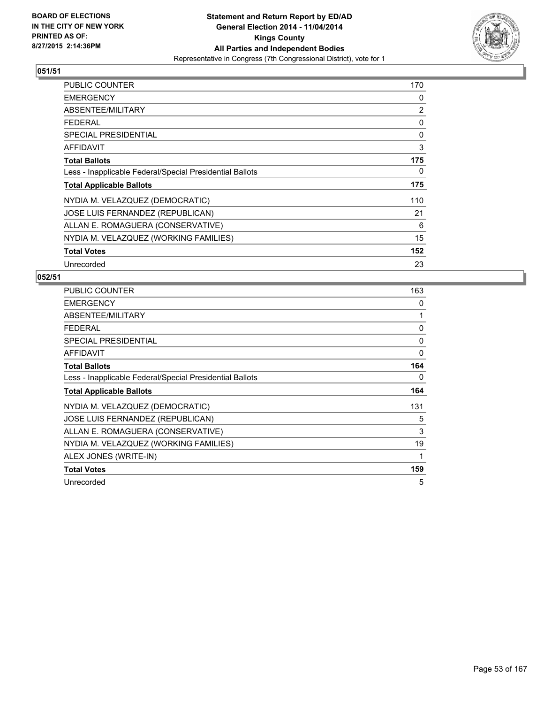

| <b>PUBLIC COUNTER</b>                                    | 170 |
|----------------------------------------------------------|-----|
| <b>EMERGENCY</b>                                         | 0   |
| ABSENTEE/MILITARY                                        | 2   |
| <b>FEDERAL</b>                                           | 0   |
| <b>SPECIAL PRESIDENTIAL</b>                              | 0   |
| <b>AFFIDAVIT</b>                                         | 3   |
| <b>Total Ballots</b>                                     | 175 |
| Less - Inapplicable Federal/Special Presidential Ballots | 0   |
| <b>Total Applicable Ballots</b>                          | 175 |
| NYDIA M. VELAZQUEZ (DEMOCRATIC)                          | 110 |
| JOSE LUIS FERNANDEZ (REPUBLICAN)                         | 21  |
| ALLAN E. ROMAGUERA (CONSERVATIVE)                        | 6   |
| NYDIA M. VELAZQUEZ (WORKING FAMILIES)                    | 15  |
| <b>Total Votes</b>                                       | 152 |
| Unrecorded                                               | 23  |

| <b>PUBLIC COUNTER</b>                                    | 163 |
|----------------------------------------------------------|-----|
| <b>EMERGENCY</b>                                         | 0   |
| ABSENTEE/MILITARY                                        | 1   |
| <b>FEDERAL</b>                                           | 0   |
| <b>SPECIAL PRESIDENTIAL</b>                              | 0   |
| AFFIDAVIT                                                | 0   |
| <b>Total Ballots</b>                                     | 164 |
| Less - Inapplicable Federal/Special Presidential Ballots | 0   |
| <b>Total Applicable Ballots</b>                          | 164 |
|                                                          |     |
| NYDIA M. VELAZQUEZ (DEMOCRATIC)                          | 131 |
| <b>JOSE LUIS FERNANDEZ (REPUBLICAN)</b>                  | 5   |
| ALLAN E. ROMAGUERA (CONSERVATIVE)                        | 3   |
| NYDIA M. VELAZQUEZ (WORKING FAMILIES)                    | 19  |
| ALEX JONES (WRITE-IN)                                    | 1   |
| <b>Total Votes</b>                                       | 159 |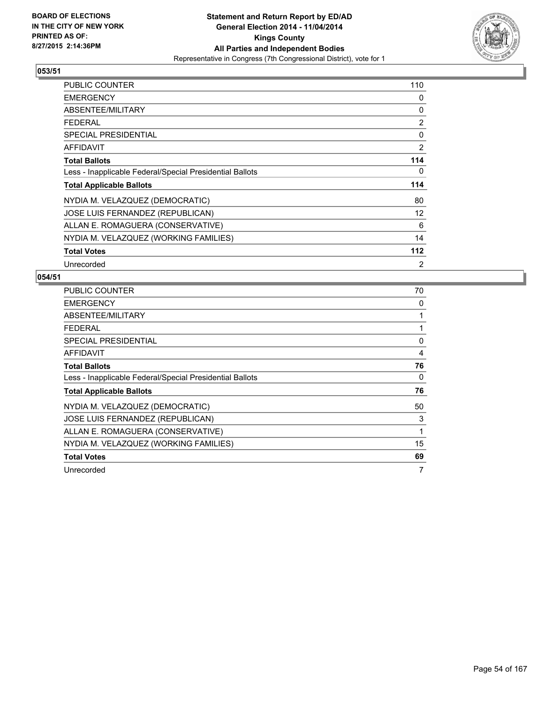

| <b>PUBLIC COUNTER</b>                                    | 110 |
|----------------------------------------------------------|-----|
| <b>EMERGENCY</b>                                         | 0   |
| ABSENTEE/MILITARY                                        | 0   |
| <b>FEDERAL</b>                                           | 2   |
| <b>SPECIAL PRESIDENTIAL</b>                              | 0   |
| <b>AFFIDAVIT</b>                                         | 2   |
| <b>Total Ballots</b>                                     | 114 |
| Less - Inapplicable Federal/Special Presidential Ballots | 0   |
| <b>Total Applicable Ballots</b>                          | 114 |
| NYDIA M. VELAZQUEZ (DEMOCRATIC)                          | 80  |
| JOSE LUIS FERNANDEZ (REPUBLICAN)                         | 12  |
| ALLAN E. ROMAGUERA (CONSERVATIVE)                        | 6   |
| NYDIA M. VELAZQUEZ (WORKING FAMILIES)                    | 14  |
| <b>Total Votes</b>                                       | 112 |
| Unrecorded                                               | 2   |

| <b>PUBLIC COUNTER</b>                                    | 70 |
|----------------------------------------------------------|----|
| <b>EMERGENCY</b>                                         | 0  |
| ABSENTEE/MILITARY                                        | 1  |
| <b>FEDERAL</b>                                           | 1  |
| <b>SPECIAL PRESIDENTIAL</b>                              | 0  |
| <b>AFFIDAVIT</b>                                         | 4  |
| <b>Total Ballots</b>                                     | 76 |
| Less - Inapplicable Federal/Special Presidential Ballots | 0  |
| <b>Total Applicable Ballots</b>                          | 76 |
| NYDIA M. VELAZQUEZ (DEMOCRATIC)                          | 50 |
| JOSE LUIS FERNANDEZ (REPUBLICAN)                         | 3  |
| ALLAN E. ROMAGUERA (CONSERVATIVE)                        | 1  |
| NYDIA M. VELAZQUEZ (WORKING FAMILIES)                    | 15 |
| <b>Total Votes</b>                                       | 69 |
| Unrecorded                                               | 7  |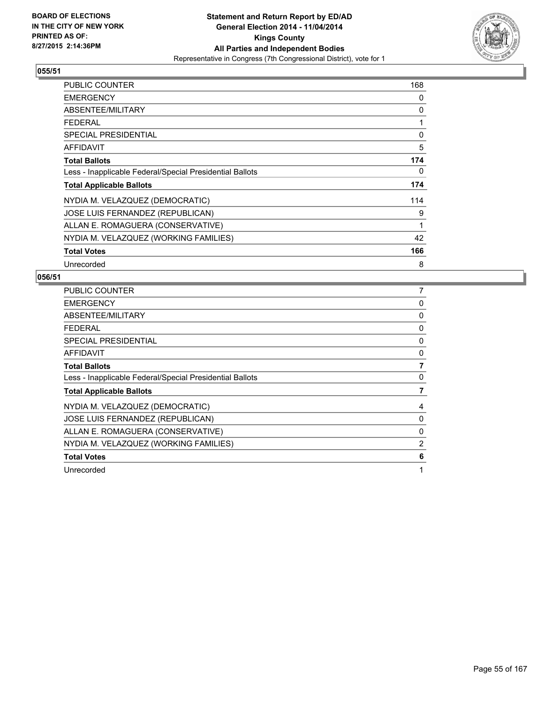

| <b>PUBLIC COUNTER</b>                                    | 168 |
|----------------------------------------------------------|-----|
| <b>EMERGENCY</b>                                         | 0   |
| ABSENTEE/MILITARY                                        | 0   |
| <b>FEDERAL</b>                                           | 1   |
| <b>SPECIAL PRESIDENTIAL</b>                              | 0   |
| <b>AFFIDAVIT</b>                                         | 5   |
| <b>Total Ballots</b>                                     | 174 |
| Less - Inapplicable Federal/Special Presidential Ballots | 0   |
| <b>Total Applicable Ballots</b>                          | 174 |
| NYDIA M. VELAZQUEZ (DEMOCRATIC)                          | 114 |
| JOSE LUIS FERNANDEZ (REPUBLICAN)                         | 9   |
| ALLAN E. ROMAGUERA (CONSERVATIVE)                        | 1   |
| NYDIA M. VELAZQUEZ (WORKING FAMILIES)                    | 42  |
| <b>Total Votes</b>                                       | 166 |
| Unrecorded                                               | 8   |

| <b>PUBLIC COUNTER</b>                                    | 7              |
|----------------------------------------------------------|----------------|
| <b>EMERGENCY</b>                                         | 0              |
| ABSENTEE/MILITARY                                        | 0              |
| <b>FEDERAL</b>                                           | 0              |
| SPECIAL PRESIDENTIAL                                     | 0              |
| <b>AFFIDAVIT</b>                                         | 0              |
| <b>Total Ballots</b>                                     | 7              |
| Less - Inapplicable Federal/Special Presidential Ballots | 0              |
| <b>Total Applicable Ballots</b>                          | 7              |
| NYDIA M. VELAZQUEZ (DEMOCRATIC)                          | 4              |
| JOSE LUIS FERNANDEZ (REPUBLICAN)                         | 0              |
| ALLAN E. ROMAGUERA (CONSERVATIVE)                        | 0              |
| NYDIA M. VELAZQUEZ (WORKING FAMILIES)                    | $\overline{2}$ |
| <b>Total Votes</b>                                       | 6              |
| Unrecorded                                               | 1              |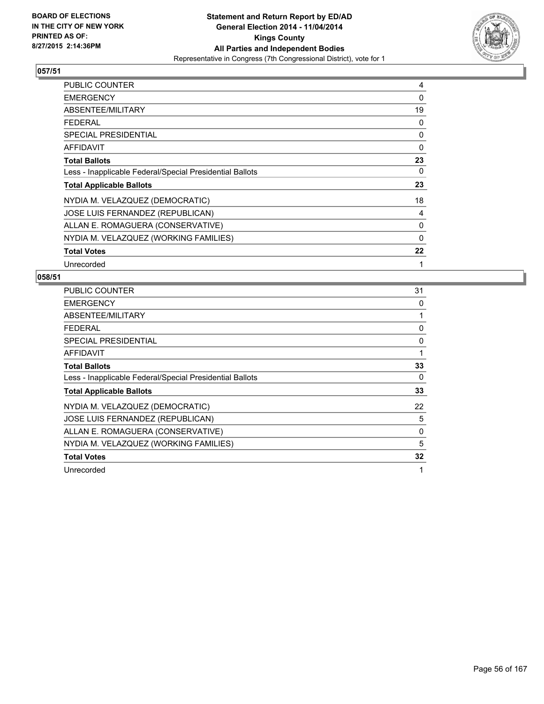

| <b>PUBLIC COUNTER</b>                                    | 4        |
|----------------------------------------------------------|----------|
| <b>EMERGENCY</b>                                         | 0        |
| ABSENTEE/MILITARY                                        | 19       |
| FEDERAL                                                  | 0        |
| <b>SPECIAL PRESIDENTIAL</b>                              | 0        |
| <b>AFFIDAVIT</b>                                         | $\Omega$ |
| <b>Total Ballots</b>                                     | 23       |
| Less - Inapplicable Federal/Special Presidential Ballots | 0        |
| <b>Total Applicable Ballots</b>                          | 23       |
| NYDIA M. VELAZQUEZ (DEMOCRATIC)                          | 18       |
| JOSE LUIS FERNANDEZ (REPUBLICAN)                         | 4        |
| ALLAN E. ROMAGUERA (CONSERVATIVE)                        | 0        |
| NYDIA M. VELAZQUEZ (WORKING FAMILIES)                    | $\Omega$ |
| <b>Total Votes</b>                                       | 22       |
| Unrecorded                                               | 1        |

| <b>PUBLIC COUNTER</b>                                    | 31 |
|----------------------------------------------------------|----|
| <b>EMERGENCY</b>                                         | 0  |
| ABSENTEE/MILITARY                                        | 1  |
| <b>FEDERAL</b>                                           | 0  |
| SPECIAL PRESIDENTIAL                                     | 0  |
| AFFIDAVIT                                                | 1  |
| <b>Total Ballots</b>                                     | 33 |
| Less - Inapplicable Federal/Special Presidential Ballots | 0  |
| <b>Total Applicable Ballots</b>                          | 33 |
| NYDIA M. VELAZQUEZ (DEMOCRATIC)                          | 22 |
| JOSE LUIS FERNANDEZ (REPUBLICAN)                         | 5  |
| ALLAN E. ROMAGUERA (CONSERVATIVE)                        | 0  |
| NYDIA M. VELAZQUEZ (WORKING FAMILIES)                    | 5  |
| <b>Total Votes</b>                                       | 32 |
| Unrecorded                                               | 1  |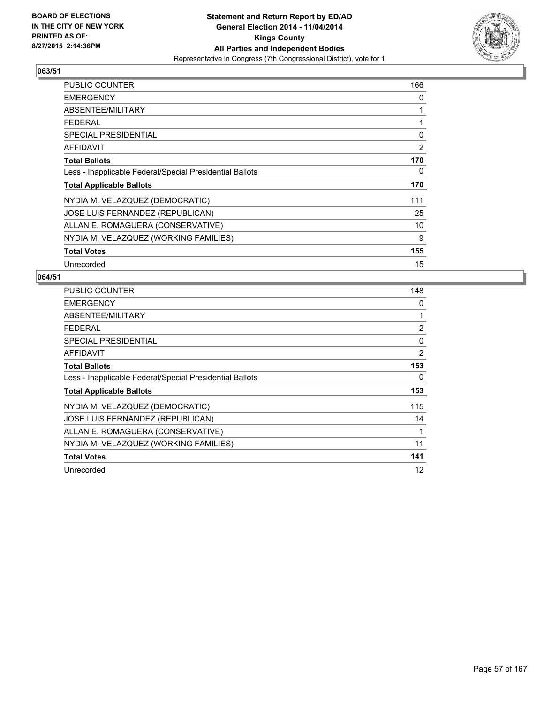

| <b>PUBLIC COUNTER</b>                                    | 166 |
|----------------------------------------------------------|-----|
| <b>EMERGENCY</b>                                         | 0   |
| ABSENTEE/MILITARY                                        | 1   |
| <b>FEDERAL</b>                                           | 1   |
| <b>SPECIAL PRESIDENTIAL</b>                              | 0   |
| <b>AFFIDAVIT</b>                                         | 2   |
| <b>Total Ballots</b>                                     | 170 |
| Less - Inapplicable Federal/Special Presidential Ballots | 0   |
| <b>Total Applicable Ballots</b>                          | 170 |
| NYDIA M. VELAZQUEZ (DEMOCRATIC)                          | 111 |
| JOSE LUIS FERNANDEZ (REPUBLICAN)                         | 25  |
| ALLAN E. ROMAGUERA (CONSERVATIVE)                        | 10  |
| NYDIA M. VELAZQUEZ (WORKING FAMILIES)                    | 9   |
| <b>Total Votes</b>                                       | 155 |
| Unrecorded                                               | 15  |

| <b>PUBLIC COUNTER</b>                                    | 148            |
|----------------------------------------------------------|----------------|
| <b>EMERGENCY</b>                                         | 0              |
| ABSENTEE/MILITARY                                        | 1              |
| <b>FEDERAL</b>                                           | $\overline{2}$ |
| SPECIAL PRESIDENTIAL                                     | 0              |
| AFFIDAVIT                                                | 2              |
| <b>Total Ballots</b>                                     | 153            |
| Less - Inapplicable Federal/Special Presidential Ballots | 0              |
| <b>Total Applicable Ballots</b>                          | 153            |
| NYDIA M. VELAZQUEZ (DEMOCRATIC)                          | 115            |
| <b>JOSE LUIS FERNANDEZ (REPUBLICAN)</b>                  | 14             |
| ALLAN E. ROMAGUERA (CONSERVATIVE)                        | 1              |
| NYDIA M. VELAZQUEZ (WORKING FAMILIES)                    | 11             |
| <b>Total Votes</b>                                       | 141            |
| Unrecorded                                               | 12             |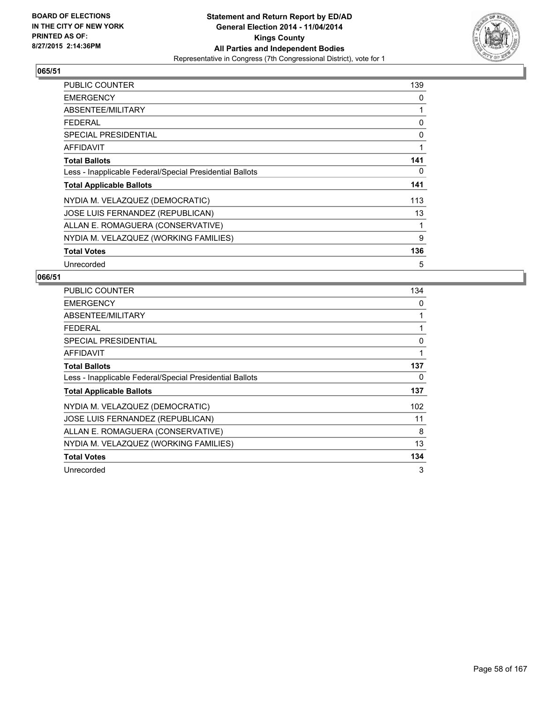

| <b>PUBLIC COUNTER</b>                                    | 139 |
|----------------------------------------------------------|-----|
| <b>EMERGENCY</b>                                         | 0   |
| ABSENTEE/MILITARY                                        | 1   |
| <b>FEDERAL</b>                                           | 0   |
| <b>SPECIAL PRESIDENTIAL</b>                              | 0   |
| <b>AFFIDAVIT</b>                                         | 1   |
| <b>Total Ballots</b>                                     | 141 |
| Less - Inapplicable Federal/Special Presidential Ballots | 0   |
| <b>Total Applicable Ballots</b>                          | 141 |
| NYDIA M. VELAZQUEZ (DEMOCRATIC)                          | 113 |
| JOSE LUIS FERNANDEZ (REPUBLICAN)                         | 13  |
| ALLAN E. ROMAGUERA (CONSERVATIVE)                        | 1   |
| NYDIA M. VELAZQUEZ (WORKING FAMILIES)                    | 9   |
| <b>Total Votes</b>                                       | 136 |
| Unrecorded                                               | 5   |

| <b>PUBLIC COUNTER</b>                                    | 134 |
|----------------------------------------------------------|-----|
| <b>EMERGENCY</b>                                         | 0   |
| ABSENTEE/MILITARY                                        | 1   |
| <b>FEDERAL</b>                                           | 1   |
| SPECIAL PRESIDENTIAL                                     | 0   |
| AFFIDAVIT                                                | 1   |
| <b>Total Ballots</b>                                     | 137 |
| Less - Inapplicable Federal/Special Presidential Ballots | 0   |
| <b>Total Applicable Ballots</b>                          | 137 |
| NYDIA M. VELAZQUEZ (DEMOCRATIC)                          | 102 |
| JOSE LUIS FERNANDEZ (REPUBLICAN)                         | 11  |
| ALLAN E. ROMAGUERA (CONSERVATIVE)                        | 8   |
| NYDIA M. VELAZQUEZ (WORKING FAMILIES)                    | 13  |
| <b>Total Votes</b>                                       | 134 |
| Unrecorded                                               | 3   |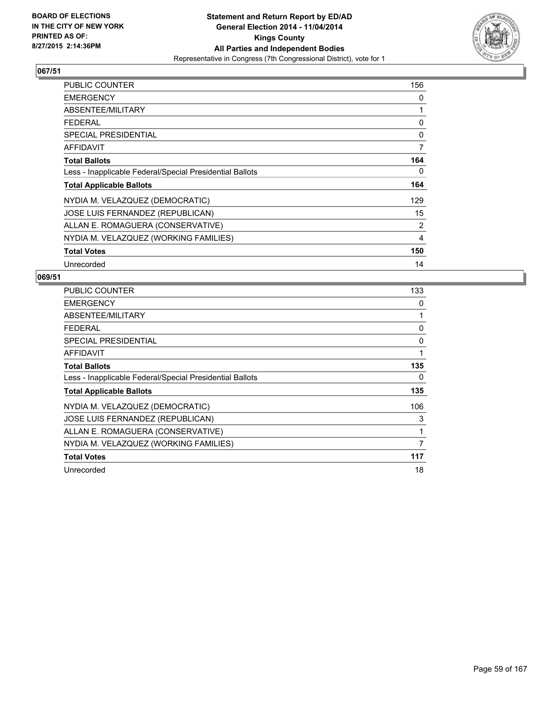

| <b>PUBLIC COUNTER</b>                                    | 156 |
|----------------------------------------------------------|-----|
| <b>EMERGENCY</b>                                         | 0   |
| ABSENTEE/MILITARY                                        | 1   |
| <b>FEDERAL</b>                                           | 0   |
| <b>SPECIAL PRESIDENTIAL</b>                              | 0   |
| <b>AFFIDAVIT</b>                                         | 7   |
| <b>Total Ballots</b>                                     | 164 |
| Less - Inapplicable Federal/Special Presidential Ballots | 0   |
| <b>Total Applicable Ballots</b>                          | 164 |
| NYDIA M. VELAZQUEZ (DEMOCRATIC)                          | 129 |
| JOSE LUIS FERNANDEZ (REPUBLICAN)                         | 15  |
| ALLAN E. ROMAGUERA (CONSERVATIVE)                        | 2   |
| NYDIA M. VELAZQUEZ (WORKING FAMILIES)                    | 4   |
| <b>Total Votes</b>                                       | 150 |
| Unrecorded                                               | 14  |

| <b>PUBLIC COUNTER</b>                                    | 133 |
|----------------------------------------------------------|-----|
| <b>EMERGENCY</b>                                         | 0   |
| ABSENTEE/MILITARY                                        | 1   |
| <b>FEDERAL</b>                                           | 0   |
| SPECIAL PRESIDENTIAL                                     | 0   |
| AFFIDAVIT                                                | 1   |
| <b>Total Ballots</b>                                     | 135 |
| Less - Inapplicable Federal/Special Presidential Ballots | 0   |
| <b>Total Applicable Ballots</b>                          | 135 |
| NYDIA M. VELAZQUEZ (DEMOCRATIC)                          | 106 |
| <b>JOSE LUIS FERNANDEZ (REPUBLICAN)</b>                  | 3   |
| ALLAN E. ROMAGUERA (CONSERVATIVE)                        | 1   |
| NYDIA M. VELAZQUEZ (WORKING FAMILIES)                    | 7   |
| <b>Total Votes</b>                                       | 117 |
| Unrecorded                                               | 18  |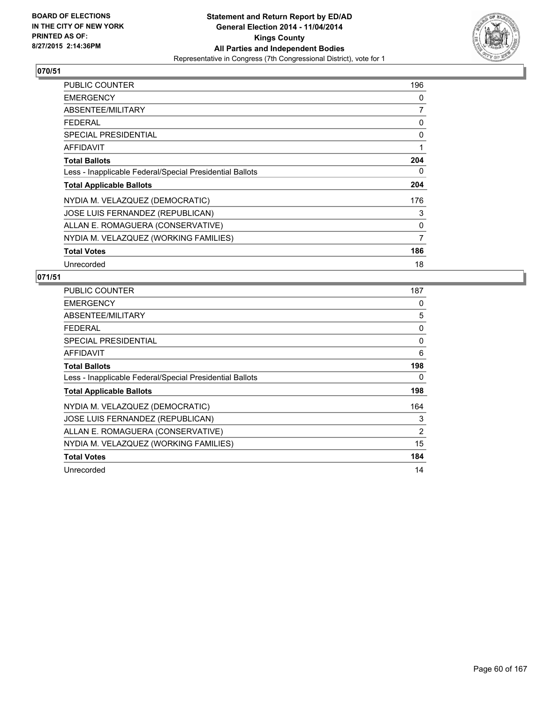

| <b>PUBLIC COUNTER</b>                                    | 196            |
|----------------------------------------------------------|----------------|
| <b>EMERGENCY</b>                                         | 0              |
| ABSENTEE/MILITARY                                        | 7              |
| <b>FEDERAL</b>                                           | 0              |
| <b>SPECIAL PRESIDENTIAL</b>                              | 0              |
| <b>AFFIDAVIT</b>                                         | 1              |
| <b>Total Ballots</b>                                     | 204            |
| Less - Inapplicable Federal/Special Presidential Ballots | 0              |
| <b>Total Applicable Ballots</b>                          | 204            |
| NYDIA M. VELAZQUEZ (DEMOCRATIC)                          | 176            |
| JOSE LUIS FERNANDEZ (REPUBLICAN)                         | 3              |
| ALLAN E. ROMAGUERA (CONSERVATIVE)                        | 0              |
| NYDIA M. VELAZQUEZ (WORKING FAMILIES)                    | $\overline{7}$ |
| <b>Total Votes</b>                                       | 186            |
| Unrecorded                                               | 18             |

| <b>PUBLIC COUNTER</b>                                    | 187 |
|----------------------------------------------------------|-----|
| <b>EMERGENCY</b>                                         | 0   |
| ABSENTEE/MILITARY                                        | 5   |
| <b>FEDERAL</b>                                           | 0   |
| <b>SPECIAL PRESIDENTIAL</b>                              | 0   |
| <b>AFFIDAVIT</b>                                         | 6   |
| <b>Total Ballots</b>                                     | 198 |
| Less - Inapplicable Federal/Special Presidential Ballots | 0   |
| <b>Total Applicable Ballots</b>                          | 198 |
| NYDIA M. VELAZQUEZ (DEMOCRATIC)                          | 164 |
| JOSE LUIS FERNANDEZ (REPUBLICAN)                         | 3   |
| ALLAN E. ROMAGUERA (CONSERVATIVE)                        | 2   |
| NYDIA M. VELAZQUEZ (WORKING FAMILIES)                    | 15  |
| <b>Total Votes</b>                                       | 184 |
| Unrecorded                                               | 14  |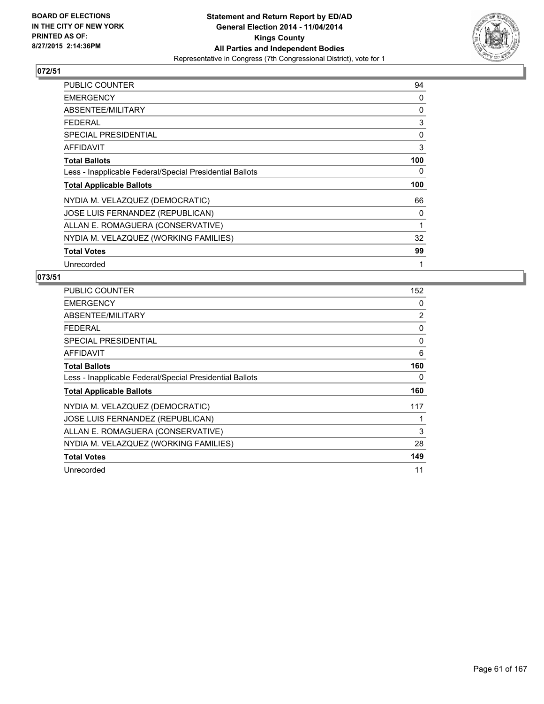

| <b>PUBLIC COUNTER</b>                                    | 94  |
|----------------------------------------------------------|-----|
| <b>EMERGENCY</b>                                         | 0   |
| ABSENTEE/MILITARY                                        | 0   |
| <b>FEDERAL</b>                                           | 3   |
| <b>SPECIAL PRESIDENTIAL</b>                              | 0   |
| <b>AFFIDAVIT</b>                                         | 3   |
| <b>Total Ballots</b>                                     | 100 |
| Less - Inapplicable Federal/Special Presidential Ballots | 0   |
| <b>Total Applicable Ballots</b>                          | 100 |
| NYDIA M. VELAZQUEZ (DEMOCRATIC)                          | 66  |
| JOSE LUIS FERNANDEZ (REPUBLICAN)                         | 0   |
| ALLAN E. ROMAGUERA (CONSERVATIVE)                        | 1   |
| NYDIA M. VELAZQUEZ (WORKING FAMILIES)                    | 32  |
| <b>Total Votes</b>                                       | 99  |
| Unrecorded                                               | 1   |

| <b>PUBLIC COUNTER</b>                                    | 152 |
|----------------------------------------------------------|-----|
| <b>EMERGENCY</b>                                         | 0   |
| ABSENTEE/MILITARY                                        | 2   |
| <b>FEDERAL</b>                                           | 0   |
| <b>SPECIAL PRESIDENTIAL</b>                              | 0   |
| <b>AFFIDAVIT</b>                                         | 6   |
| <b>Total Ballots</b>                                     | 160 |
| Less - Inapplicable Federal/Special Presidential Ballots | 0   |
| <b>Total Applicable Ballots</b>                          | 160 |
| NYDIA M. VELAZQUEZ (DEMOCRATIC)                          | 117 |
| <b>JOSE LUIS FERNANDEZ (REPUBLICAN)</b>                  | 1   |
| ALLAN E. ROMAGUERA (CONSERVATIVE)                        | 3   |
| NYDIA M. VELAZQUEZ (WORKING FAMILIES)                    | 28  |
| <b>Total Votes</b>                                       | 149 |
| Unrecorded                                               | 11  |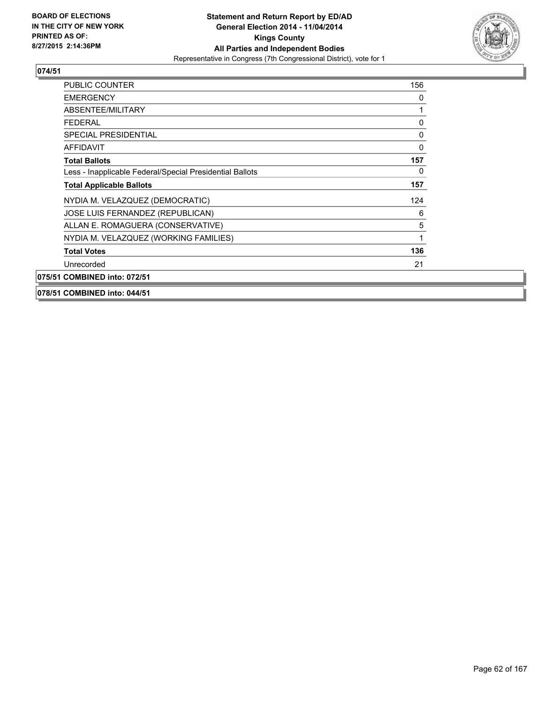

| <b>PUBLIC COUNTER</b>                                    | 156 |
|----------------------------------------------------------|-----|
| <b>EMERGENCY</b>                                         | 0   |
| ABSENTEE/MILITARY                                        | 1   |
| <b>FEDERAL</b>                                           | 0   |
| SPECIAL PRESIDENTIAL                                     | 0   |
| <b>AFFIDAVIT</b>                                         | 0   |
| <b>Total Ballots</b>                                     | 157 |
| Less - Inapplicable Federal/Special Presidential Ballots | 0   |
| <b>Total Applicable Ballots</b>                          | 157 |
| NYDIA M. VELAZQUEZ (DEMOCRATIC)                          | 124 |
| JOSE LUIS FERNANDEZ (REPUBLICAN)                         | 6   |
| ALLAN E. ROMAGUERA (CONSERVATIVE)                        | 5   |
| NYDIA M. VELAZQUEZ (WORKING FAMILIES)                    | 1   |
| <b>Total Votes</b>                                       | 136 |
| Unrecorded                                               | 21  |
| 075/51 COMBINED into: 072/51                             |     |
|                                                          |     |

**078/51 COMBINED into: 044/51**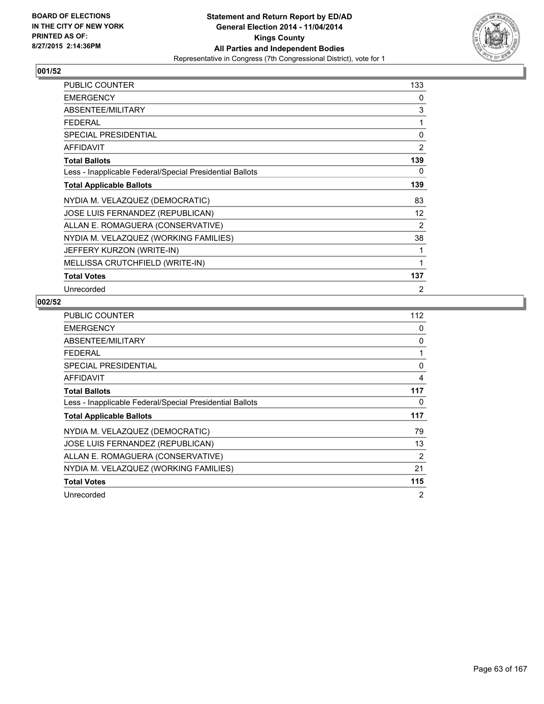

| PUBLIC COUNTER                                           | 133            |
|----------------------------------------------------------|----------------|
| <b>EMERGENCY</b>                                         | 0              |
| ABSENTEE/MILITARY                                        | 3              |
| <b>FEDERAL</b>                                           | 1              |
| SPECIAL PRESIDENTIAL                                     | 0              |
| <b>AFFIDAVIT</b>                                         | $\overline{2}$ |
| <b>Total Ballots</b>                                     | 139            |
| Less - Inapplicable Federal/Special Presidential Ballots | 0              |
| <b>Total Applicable Ballots</b>                          | 139            |
| NYDIA M. VELAZQUEZ (DEMOCRATIC)                          | 83             |
| JOSE LUIS FERNANDEZ (REPUBLICAN)                         | 12             |
| ALLAN E. ROMAGUERA (CONSERVATIVE)                        | $\overline{2}$ |
| NYDIA M. VELAZQUEZ (WORKING FAMILIES)                    | 38             |
| JEFFERY KURZON (WRITE-IN)                                | 1              |
| MELLISSA CRUTCHFIELD (WRITE-IN)                          | 1              |
| <b>Total Votes</b>                                       | 137            |
| Unrecorded                                               | $\overline{2}$ |

| <b>PUBLIC COUNTER</b>                                    | 112 |
|----------------------------------------------------------|-----|
| <b>EMERGENCY</b>                                         | 0   |
| ABSENTEE/MILITARY                                        | 0   |
| <b>FEDERAL</b>                                           | 1   |
| <b>SPECIAL PRESIDENTIAL</b>                              | 0   |
| <b>AFFIDAVIT</b>                                         | 4   |
| <b>Total Ballots</b>                                     | 117 |
| Less - Inapplicable Federal/Special Presidential Ballots | 0   |
| <b>Total Applicable Ballots</b>                          | 117 |
| NYDIA M. VELAZQUEZ (DEMOCRATIC)                          | 79  |
| JOSE LUIS FERNANDEZ (REPUBLICAN)                         | 13  |
| ALLAN E. ROMAGUERA (CONSERVATIVE)                        | 2   |
| NYDIA M. VELAZQUEZ (WORKING FAMILIES)                    | 21  |
| <b>Total Votes</b>                                       | 115 |
| Unrecorded                                               | 2   |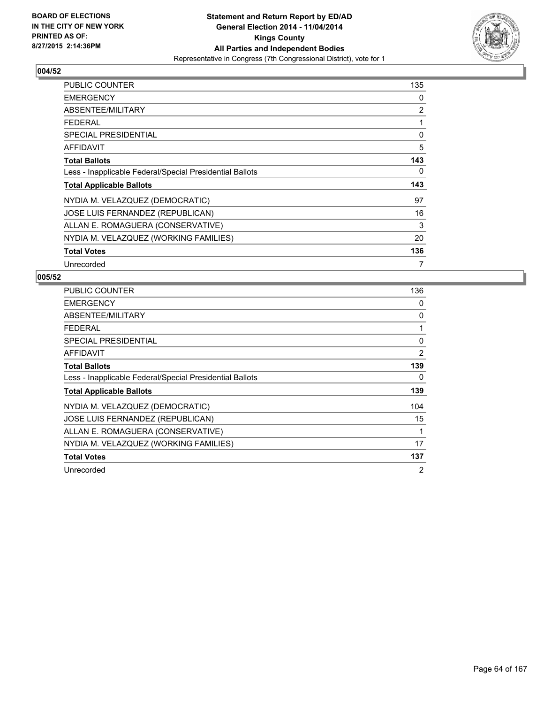

| <b>PUBLIC COUNTER</b>                                    | 135 |
|----------------------------------------------------------|-----|
| <b>EMERGENCY</b>                                         | 0   |
| ABSENTEE/MILITARY                                        | 2   |
| <b>FEDERAL</b>                                           | 1   |
| <b>SPECIAL PRESIDENTIAL</b>                              | 0   |
| <b>AFFIDAVIT</b>                                         | 5   |
| <b>Total Ballots</b>                                     | 143 |
| Less - Inapplicable Federal/Special Presidential Ballots | 0   |
| <b>Total Applicable Ballots</b>                          | 143 |
| NYDIA M. VELAZQUEZ (DEMOCRATIC)                          | 97  |
| JOSE LUIS FERNANDEZ (REPUBLICAN)                         | 16  |
| ALLAN E. ROMAGUERA (CONSERVATIVE)                        | 3   |
| NYDIA M. VELAZQUEZ (WORKING FAMILIES)                    | 20  |
| <b>Total Votes</b>                                       | 136 |
| Unrecorded                                               | 7   |

| <b>PUBLIC COUNTER</b>                                    | 136 |
|----------------------------------------------------------|-----|
| <b>EMERGENCY</b>                                         | 0   |
| ABSENTEE/MILITARY                                        | 0   |
| <b>FEDERAL</b>                                           | 1   |
| SPECIAL PRESIDENTIAL                                     | 0   |
| <b>AFFIDAVIT</b>                                         | 2   |
| <b>Total Ballots</b>                                     | 139 |
| Less - Inapplicable Federal/Special Presidential Ballots | 0   |
| <b>Total Applicable Ballots</b>                          | 139 |
| NYDIA M. VELAZQUEZ (DEMOCRATIC)                          | 104 |
| JOSE LUIS FERNANDEZ (REPUBLICAN)                         | 15  |
| ALLAN E. ROMAGUERA (CONSERVATIVE)                        | 1   |
| NYDIA M. VELAZQUEZ (WORKING FAMILIES)                    | 17  |
| <b>Total Votes</b>                                       | 137 |
| Unrecorded                                               | 2   |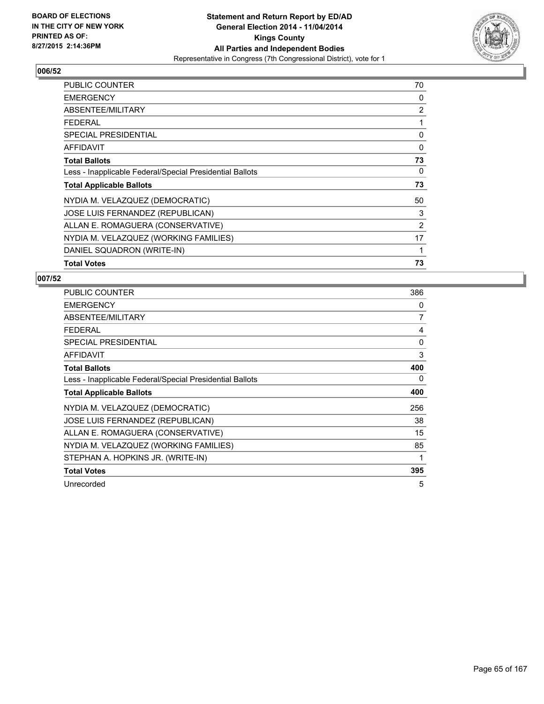

| PUBLIC COUNTER                                           | 70 |
|----------------------------------------------------------|----|
| <b>EMERGENCY</b>                                         | 0  |
| ABSENTEE/MILITARY                                        | 2  |
| <b>FEDERAL</b>                                           | 1  |
| <b>SPECIAL PRESIDENTIAL</b>                              | 0  |
| AFFIDAVIT                                                | 0  |
| <b>Total Ballots</b>                                     | 73 |
| Less - Inapplicable Federal/Special Presidential Ballots | 0  |
| <b>Total Applicable Ballots</b>                          | 73 |
| NYDIA M. VELAZQUEZ (DEMOCRATIC)                          | 50 |
| <b>JOSE LUIS FERNANDEZ (REPUBLICAN)</b>                  | 3  |
| ALLAN E. ROMAGUERA (CONSERVATIVE)                        | 2  |
| NYDIA M. VELAZQUEZ (WORKING FAMILIES)                    | 17 |
| DANIEL SQUADRON (WRITE-IN)                               | 1  |
| <b>Total Votes</b>                                       | 73 |

| <b>PUBLIC COUNTER</b>                                    | 386 |
|----------------------------------------------------------|-----|
| <b>EMERGENCY</b>                                         | 0   |
| ABSENTEE/MILITARY                                        | 7   |
| <b>FEDERAL</b>                                           | 4   |
| SPECIAL PRESIDENTIAL                                     | 0   |
| <b>AFFIDAVIT</b>                                         | 3   |
| <b>Total Ballots</b>                                     | 400 |
| Less - Inapplicable Federal/Special Presidential Ballots | 0   |
| <b>Total Applicable Ballots</b>                          | 400 |
| NYDIA M. VELAZQUEZ (DEMOCRATIC)                          | 256 |
| JOSE LUIS FERNANDEZ (REPUBLICAN)                         | 38  |
| ALLAN E. ROMAGUERA (CONSERVATIVE)                        | 15  |
| NYDIA M. VELAZQUEZ (WORKING FAMILIES)                    | 85  |
| STEPHAN A. HOPKINS JR. (WRITE-IN)                        | 1   |
| <b>Total Votes</b>                                       | 395 |
| Unrecorded                                               | 5   |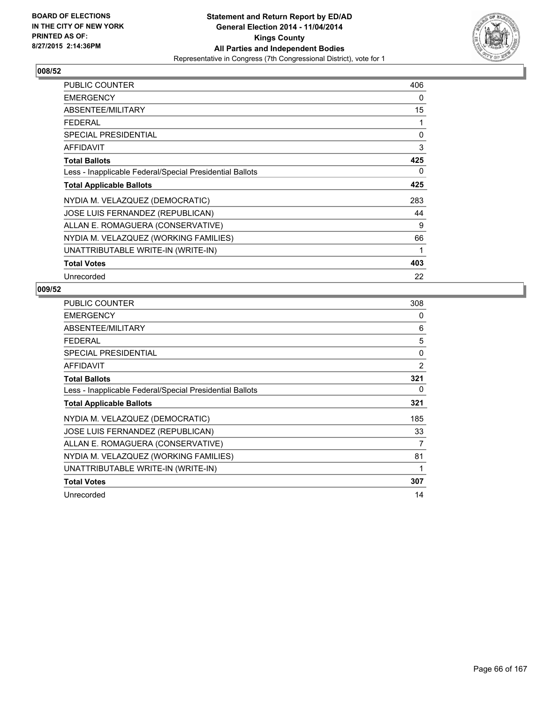

| <b>PUBLIC COUNTER</b>                                    | 406 |
|----------------------------------------------------------|-----|
| <b>EMERGENCY</b>                                         | 0   |
| ABSENTEE/MILITARY                                        | 15  |
| <b>FEDERAL</b>                                           | 1   |
| <b>SPECIAL PRESIDENTIAL</b>                              | 0   |
| AFFIDAVIT                                                | 3   |
| <b>Total Ballots</b>                                     | 425 |
| Less - Inapplicable Federal/Special Presidential Ballots | 0   |
| <b>Total Applicable Ballots</b>                          | 425 |
| NYDIA M. VELAZQUEZ (DEMOCRATIC)                          | 283 |
| JOSE LUIS FERNANDEZ (REPUBLICAN)                         | 44  |
| ALLAN E. ROMAGUERA (CONSERVATIVE)                        | 9   |
| NYDIA M. VELAZQUEZ (WORKING FAMILIES)                    | 66  |
| UNATTRIBUTABLE WRITE-IN (WRITE-IN)                       | 1   |
| <b>Total Votes</b>                                       | 403 |
| Unrecorded                                               | 22  |

| PUBLIC COUNTER                                           | 308 |
|----------------------------------------------------------|-----|
| <b>EMERGENCY</b>                                         | 0   |
| ABSENTEE/MILITARY                                        | 6   |
| <b>FEDERAL</b>                                           | 5   |
| <b>SPECIAL PRESIDENTIAL</b>                              | 0   |
| <b>AFFIDAVIT</b>                                         | 2   |
| <b>Total Ballots</b>                                     | 321 |
| Less - Inapplicable Federal/Special Presidential Ballots | 0   |
| <b>Total Applicable Ballots</b>                          | 321 |
| NYDIA M. VELAZQUEZ (DEMOCRATIC)                          | 185 |
| JOSE LUIS FERNANDEZ (REPUBLICAN)                         | 33  |
| ALLAN E. ROMAGUERA (CONSERVATIVE)                        | 7   |
| NYDIA M. VELAZQUEZ (WORKING FAMILIES)                    | 81  |
| UNATTRIBUTABLE WRITE-IN (WRITE-IN)                       | 1   |
| <b>Total Votes</b>                                       | 307 |
| Unrecorded                                               | 14  |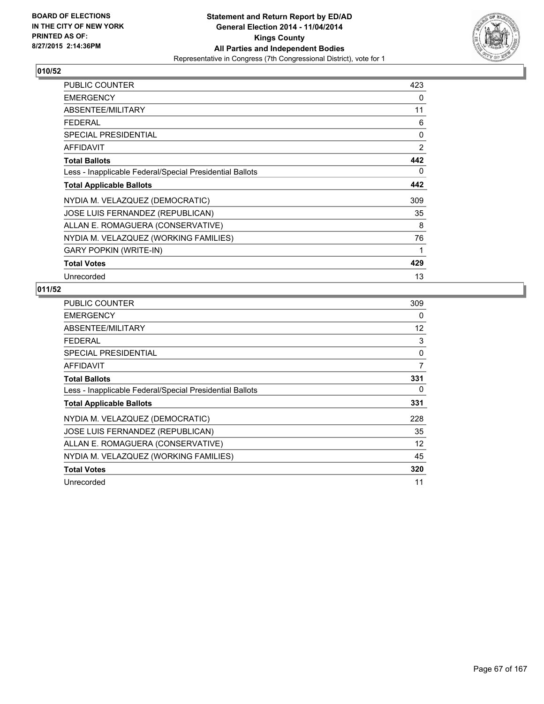

| PUBLIC COUNTER                                           | 423 |
|----------------------------------------------------------|-----|
| <b>EMERGENCY</b>                                         | 0   |
| ABSENTEE/MILITARY                                        | 11  |
| <b>FEDERAL</b>                                           | 6   |
| <b>SPECIAL PRESIDENTIAL</b>                              | 0   |
| <b>AFFIDAVIT</b>                                         | 2   |
| <b>Total Ballots</b>                                     | 442 |
| Less - Inapplicable Federal/Special Presidential Ballots | 0   |
| <b>Total Applicable Ballots</b>                          | 442 |
| NYDIA M. VELAZQUEZ (DEMOCRATIC)                          | 309 |
| <b>JOSE LUIS FERNANDEZ (REPUBLICAN)</b>                  | 35  |
| ALLAN E. ROMAGUERA (CONSERVATIVE)                        | 8   |
| NYDIA M. VELAZQUEZ (WORKING FAMILIES)                    | 76  |
| <b>GARY POPKIN (WRITE-IN)</b>                            | 1   |
| <b>Total Votes</b>                                       | 429 |
| Unrecorded                                               | 13  |

| <b>PUBLIC COUNTER</b>                                    | 309 |
|----------------------------------------------------------|-----|
| <b>EMERGENCY</b>                                         | 0   |
| ABSENTEE/MILITARY                                        | 12  |
| <b>FEDERAL</b>                                           | 3   |
| <b>SPECIAL PRESIDENTIAL</b>                              | 0   |
| <b>AFFIDAVIT</b>                                         | 7   |
| <b>Total Ballots</b>                                     | 331 |
| Less - Inapplicable Federal/Special Presidential Ballots | 0   |
| <b>Total Applicable Ballots</b>                          | 331 |
| NYDIA M. VELAZQUEZ (DEMOCRATIC)                          | 228 |
| JOSE LUIS FERNANDEZ (REPUBLICAN)                         | 35  |
| ALLAN E. ROMAGUERA (CONSERVATIVE)                        | 12  |
| NYDIA M. VELAZQUEZ (WORKING FAMILIES)                    | 45  |
| <b>Total Votes</b>                                       | 320 |
| Unrecorded                                               | 11  |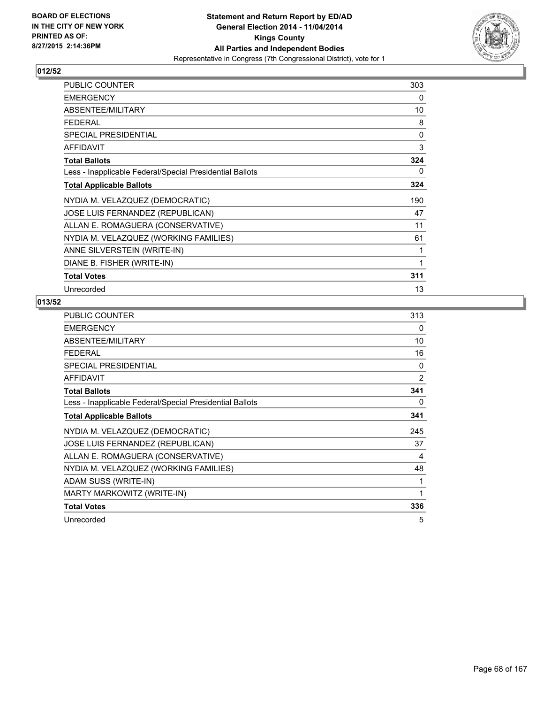

| PUBLIC COUNTER                                           | 303 |
|----------------------------------------------------------|-----|
| <b>EMERGENCY</b>                                         | 0   |
| ABSENTEE/MILITARY                                        | 10  |
| <b>FEDERAL</b>                                           | 8   |
| <b>SPECIAL PRESIDENTIAL</b>                              | 0   |
| <b>AFFIDAVIT</b>                                         | 3   |
| <b>Total Ballots</b>                                     | 324 |
| Less - Inapplicable Federal/Special Presidential Ballots | 0   |
| <b>Total Applicable Ballots</b>                          | 324 |
| NYDIA M. VELAZQUEZ (DEMOCRATIC)                          | 190 |
| JOSE LUIS FERNANDEZ (REPUBLICAN)                         | 47  |
| ALLAN E. ROMAGUERA (CONSERVATIVE)                        | 11  |
| NYDIA M. VELAZQUEZ (WORKING FAMILIES)                    | 61  |
| ANNE SILVERSTEIN (WRITE-IN)                              | 1   |
| DIANE B. FISHER (WRITE-IN)                               | 1   |
| <b>Total Votes</b>                                       | 311 |
| Unrecorded                                               | 13  |

| PUBLIC COUNTER                                           | 313            |
|----------------------------------------------------------|----------------|
| <b>EMERGENCY</b>                                         | 0              |
| ABSENTEE/MILITARY                                        | 10             |
| <b>FEDERAL</b>                                           | 16             |
| SPECIAL PRESIDENTIAL                                     | 0              |
| <b>AFFIDAVIT</b>                                         | $\overline{2}$ |
| <b>Total Ballots</b>                                     | 341            |
| Less - Inapplicable Federal/Special Presidential Ballots | 0              |
| <b>Total Applicable Ballots</b>                          | 341            |
| NYDIA M. VELAZQUEZ (DEMOCRATIC)                          | 245            |
| <b>JOSE LUIS FERNANDEZ (REPUBLICAN)</b>                  | 37             |
| ALLAN E. ROMAGUERA (CONSERVATIVE)                        | 4              |
| NYDIA M. VELAZQUEZ (WORKING FAMILIES)                    | 48             |
| ADAM SUSS (WRITE-IN)                                     | 1              |
| MARTY MARKOWITZ (WRITE-IN)                               | 1              |
| <b>Total Votes</b>                                       | 336            |
| Unrecorded                                               | 5              |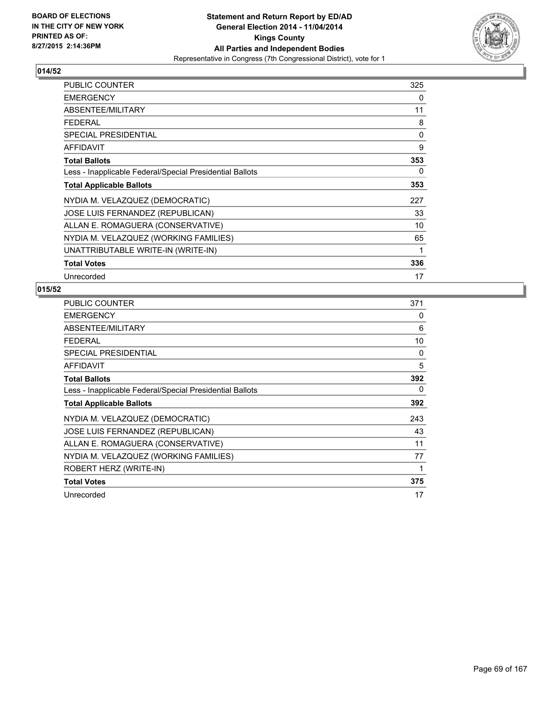

| <b>PUBLIC COUNTER</b>                                    | 325 |
|----------------------------------------------------------|-----|
| <b>EMERGENCY</b>                                         | 0   |
| ABSENTEE/MILITARY                                        | 11  |
| <b>FEDERAL</b>                                           | 8   |
| <b>SPECIAL PRESIDENTIAL</b>                              | 0   |
| <b>AFFIDAVIT</b>                                         | 9   |
| <b>Total Ballots</b>                                     | 353 |
| Less - Inapplicable Federal/Special Presidential Ballots | 0   |
| <b>Total Applicable Ballots</b>                          | 353 |
| NYDIA M. VELAZQUEZ (DEMOCRATIC)                          | 227 |
| JOSE LUIS FERNANDEZ (REPUBLICAN)                         | 33  |
| ALLAN E. ROMAGUERA (CONSERVATIVE)                        | 10  |
| NYDIA M. VELAZQUEZ (WORKING FAMILIES)                    | 65  |
| UNATTRIBUTABLE WRITE-IN (WRITE-IN)                       | 1   |
| <b>Total Votes</b>                                       | 336 |
| Unrecorded                                               | 17  |

| <b>PUBLIC COUNTER</b>                                    | 371 |
|----------------------------------------------------------|-----|
| <b>EMERGENCY</b>                                         | 0   |
| ABSENTEE/MILITARY                                        | 6   |
| <b>FEDERAL</b>                                           | 10  |
| <b>SPECIAL PRESIDENTIAL</b>                              | 0   |
| AFFIDAVIT                                                | 5   |
| <b>Total Ballots</b>                                     | 392 |
| Less - Inapplicable Federal/Special Presidential Ballots | 0   |
| <b>Total Applicable Ballots</b>                          | 392 |
| NYDIA M. VELAZQUEZ (DEMOCRATIC)                          | 243 |
| JOSE LUIS FERNANDEZ (REPUBLICAN)                         | 43  |
| ALLAN E. ROMAGUERA (CONSERVATIVE)                        | 11  |
| NYDIA M. VELAZQUEZ (WORKING FAMILIES)                    | 77  |
| ROBERT HERZ (WRITE-IN)                                   | 1   |
| <b>Total Votes</b>                                       | 375 |
| Unrecorded                                               | 17  |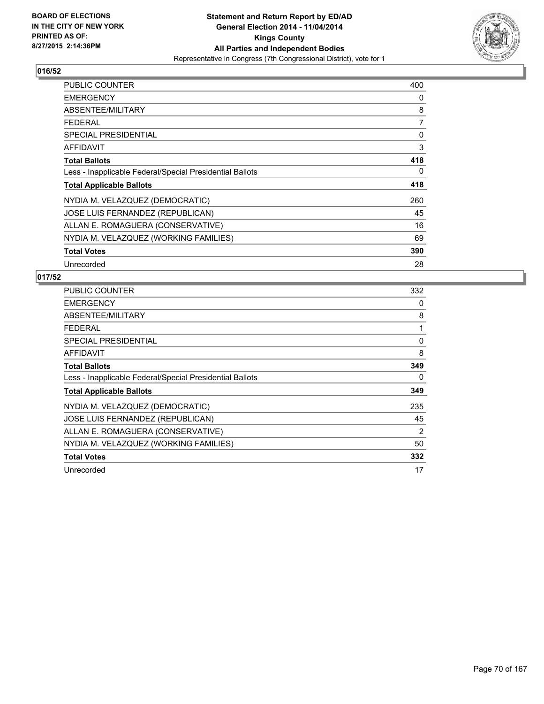

| <b>PUBLIC COUNTER</b>                                    | 400 |
|----------------------------------------------------------|-----|
| <b>EMERGENCY</b>                                         | 0   |
| ABSENTEE/MILITARY                                        | 8   |
| <b>FEDERAL</b>                                           | 7   |
| <b>SPECIAL PRESIDENTIAL</b>                              | 0   |
| <b>AFFIDAVIT</b>                                         | 3   |
| <b>Total Ballots</b>                                     | 418 |
| Less - Inapplicable Federal/Special Presidential Ballots | 0   |
| <b>Total Applicable Ballots</b>                          | 418 |
| NYDIA M. VELAZQUEZ (DEMOCRATIC)                          | 260 |
| JOSE LUIS FERNANDEZ (REPUBLICAN)                         | 45  |
| ALLAN E. ROMAGUERA (CONSERVATIVE)                        | 16  |
| NYDIA M. VELAZQUEZ (WORKING FAMILIES)                    | 69  |
| <b>Total Votes</b>                                       | 390 |
| Unrecorded                                               | 28  |

| <b>PUBLIC COUNTER</b>                                    | 332 |
|----------------------------------------------------------|-----|
| <b>EMERGENCY</b>                                         | 0   |
| ABSENTEE/MILITARY                                        | 8   |
| <b>FEDERAL</b>                                           | 1   |
| SPECIAL PRESIDENTIAL                                     | 0   |
| <b>AFFIDAVIT</b>                                         | 8   |
| <b>Total Ballots</b>                                     | 349 |
| Less - Inapplicable Federal/Special Presidential Ballots | 0   |
| <b>Total Applicable Ballots</b>                          | 349 |
| NYDIA M. VELAZQUEZ (DEMOCRATIC)                          | 235 |
| JOSE LUIS FERNANDEZ (REPUBLICAN)                         | 45  |
| ALLAN E. ROMAGUERA (CONSERVATIVE)                        | 2   |
| NYDIA M. VELAZQUEZ (WORKING FAMILIES)                    | 50  |
| <b>Total Votes</b>                                       | 332 |
| Unrecorded                                               | 17  |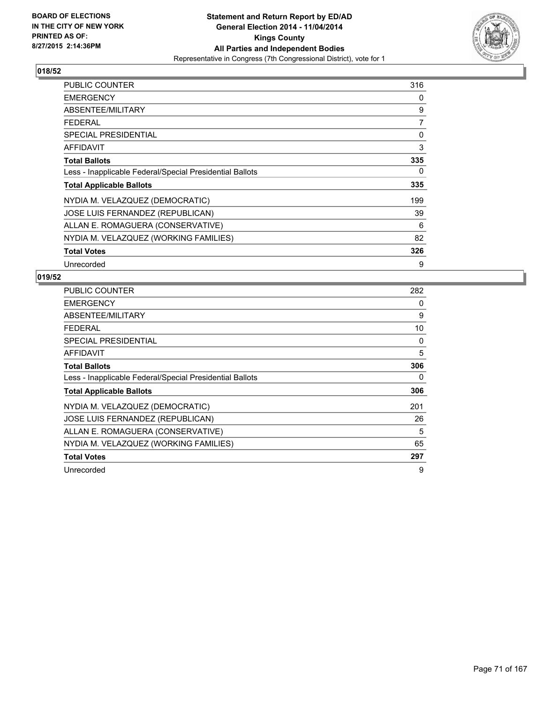

| <b>PUBLIC COUNTER</b>                                    | 316 |
|----------------------------------------------------------|-----|
| <b>EMERGENCY</b>                                         | 0   |
| ABSENTEE/MILITARY                                        | 9   |
| <b>FEDERAL</b>                                           | 7   |
| <b>SPECIAL PRESIDENTIAL</b>                              | 0   |
| AFFIDAVIT                                                | 3   |
| <b>Total Ballots</b>                                     | 335 |
| Less - Inapplicable Federal/Special Presidential Ballots | 0   |
| <b>Total Applicable Ballots</b>                          | 335 |
| NYDIA M. VELAZQUEZ (DEMOCRATIC)                          | 199 |
| JOSE LUIS FERNANDEZ (REPUBLICAN)                         | 39  |
| ALLAN E. ROMAGUERA (CONSERVATIVE)                        | 6   |
| NYDIA M. VELAZQUEZ (WORKING FAMILIES)                    | 82  |
| <b>Total Votes</b>                                       | 326 |
| Unrecorded                                               | 9   |

| <b>PUBLIC COUNTER</b>                                    | 282 |
|----------------------------------------------------------|-----|
| <b>EMERGENCY</b>                                         | 0   |
| ABSENTEE/MILITARY                                        | 9   |
| <b>FEDERAL</b>                                           | 10  |
| <b>SPECIAL PRESIDENTIAL</b>                              | 0   |
| AFFIDAVIT                                                | 5   |
| <b>Total Ballots</b>                                     | 306 |
| Less - Inapplicable Federal/Special Presidential Ballots | 0   |
| <b>Total Applicable Ballots</b>                          | 306 |
| NYDIA M. VELAZQUEZ (DEMOCRATIC)                          | 201 |
| JOSE LUIS FERNANDEZ (REPUBLICAN)                         | 26  |
| ALLAN E. ROMAGUERA (CONSERVATIVE)                        | 5   |
| NYDIA M. VELAZQUEZ (WORKING FAMILIES)                    | 65  |
| <b>Total Votes</b>                                       | 297 |
| Unrecorded                                               | 9   |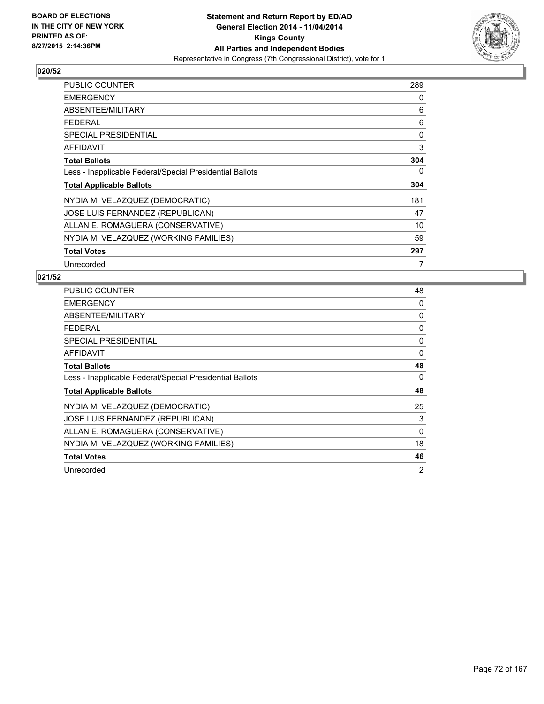

| <b>PUBLIC COUNTER</b>                                    | 289 |
|----------------------------------------------------------|-----|
| <b>EMERGENCY</b>                                         | 0   |
| ABSENTEE/MILITARY                                        | 6   |
| <b>FEDERAL</b>                                           | 6   |
| <b>SPECIAL PRESIDENTIAL</b>                              | 0   |
| <b>AFFIDAVIT</b>                                         | 3   |
| <b>Total Ballots</b>                                     | 304 |
| Less - Inapplicable Federal/Special Presidential Ballots | 0   |
| <b>Total Applicable Ballots</b>                          | 304 |
| NYDIA M. VELAZQUEZ (DEMOCRATIC)                          | 181 |
| JOSE LUIS FERNANDEZ (REPUBLICAN)                         | 47  |
| ALLAN E. ROMAGUERA (CONSERVATIVE)                        | 10  |
| NYDIA M. VELAZQUEZ (WORKING FAMILIES)                    | 59  |
| <b>Total Votes</b>                                       | 297 |
| Unrecorded                                               | 7   |

| PUBLIC COUNTER                                           | 48 |
|----------------------------------------------------------|----|
| <b>EMERGENCY</b>                                         | 0  |
| ABSENTEE/MILITARY                                        | 0  |
| <b>FEDERAL</b>                                           | 0  |
| SPECIAL PRESIDENTIAL                                     | 0  |
| <b>AFFIDAVIT</b>                                         | 0  |
| <b>Total Ballots</b>                                     | 48 |
| Less - Inapplicable Federal/Special Presidential Ballots | 0  |
| <b>Total Applicable Ballots</b>                          | 48 |
| NYDIA M. VELAZQUEZ (DEMOCRATIC)                          | 25 |
| JOSE LUIS FERNANDEZ (REPUBLICAN)                         | 3  |
| ALLAN E. ROMAGUERA (CONSERVATIVE)                        | 0  |
| NYDIA M. VELAZQUEZ (WORKING FAMILIES)                    | 18 |
| <b>Total Votes</b>                                       | 46 |
| Unrecorded                                               | 2  |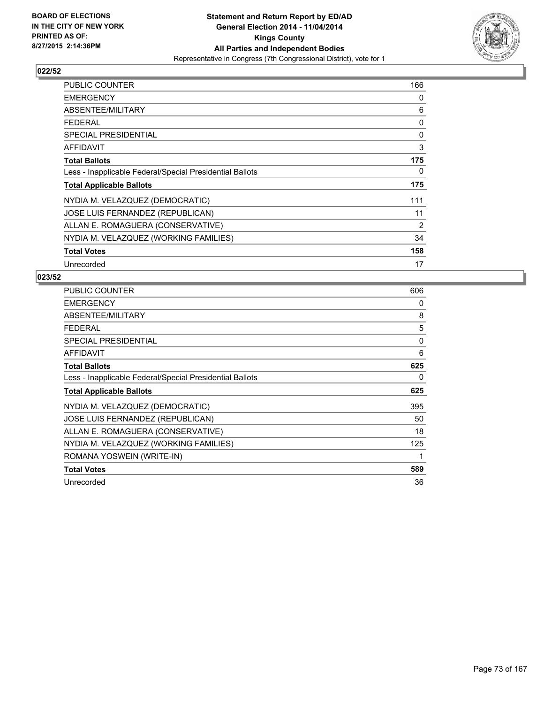

| PUBLIC COUNTER                                           | 166 |
|----------------------------------------------------------|-----|
| <b>EMERGENCY</b>                                         | 0   |
| ABSENTEE/MILITARY                                        | 6   |
| <b>FEDERAL</b>                                           | 0   |
| <b>SPECIAL PRESIDENTIAL</b>                              | 0   |
| AFFIDAVIT                                                | 3   |
| <b>Total Ballots</b>                                     | 175 |
| Less - Inapplicable Federal/Special Presidential Ballots | 0   |
| <b>Total Applicable Ballots</b>                          | 175 |
| NYDIA M. VELAZQUEZ (DEMOCRATIC)                          | 111 |
| JOSE LUIS FERNANDEZ (REPUBLICAN)                         | 11  |
| ALLAN E. ROMAGUERA (CONSERVATIVE)                        | 2   |
| NYDIA M. VELAZQUEZ (WORKING FAMILIES)                    | 34  |
| <b>Total Votes</b>                                       | 158 |
| Unrecorded                                               | 17  |

| <b>PUBLIC COUNTER</b>                                    | 606 |
|----------------------------------------------------------|-----|
| <b>EMERGENCY</b>                                         | 0   |
| ABSENTEE/MILITARY                                        | 8   |
| <b>FEDERAL</b>                                           | 5   |
| <b>SPECIAL PRESIDENTIAL</b>                              | 0   |
| <b>AFFIDAVIT</b>                                         | 6   |
| <b>Total Ballots</b>                                     | 625 |
| Less - Inapplicable Federal/Special Presidential Ballots | 0   |
| <b>Total Applicable Ballots</b>                          | 625 |
| NYDIA M. VELAZQUEZ (DEMOCRATIC)                          | 395 |
| JOSE LUIS FERNANDEZ (REPUBLICAN)                         | 50  |
| ALLAN E. ROMAGUERA (CONSERVATIVE)                        | 18  |
| NYDIA M. VELAZQUEZ (WORKING FAMILIES)                    | 125 |
| ROMANA YOSWEIN (WRITE-IN)                                | 1   |
| <b>Total Votes</b>                                       | 589 |
| Unrecorded                                               | 36  |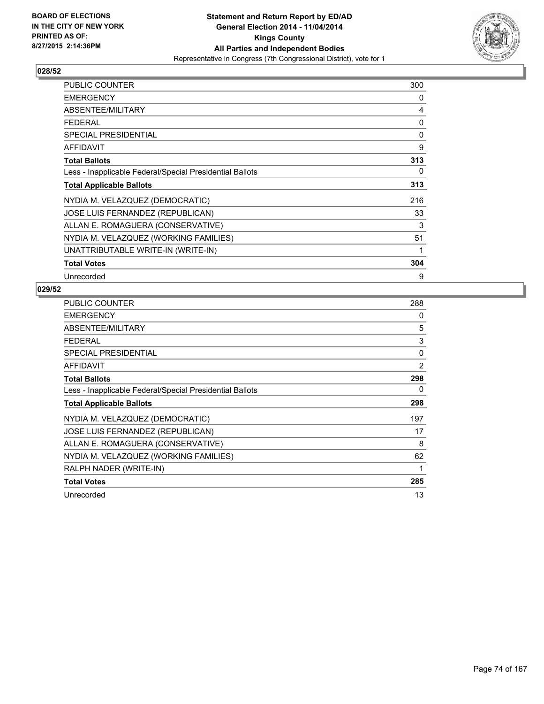

| PUBLIC COUNTER                                           | 300 |
|----------------------------------------------------------|-----|
| <b>EMERGENCY</b>                                         | 0   |
| ABSENTEE/MILITARY                                        | 4   |
| <b>FEDERAL</b>                                           | 0   |
| <b>SPECIAL PRESIDENTIAL</b>                              | 0   |
| AFFIDAVIT                                                | 9   |
| <b>Total Ballots</b>                                     | 313 |
| Less - Inapplicable Federal/Special Presidential Ballots | 0   |
| <b>Total Applicable Ballots</b>                          | 313 |
| NYDIA M. VELAZQUEZ (DEMOCRATIC)                          | 216 |
| JOSE LUIS FERNANDEZ (REPUBLICAN)                         | 33  |
| ALLAN E. ROMAGUERA (CONSERVATIVE)                        | 3   |
| NYDIA M. VELAZQUEZ (WORKING FAMILIES)                    | 51  |
| UNATTRIBUTABLE WRITE-IN (WRITE-IN)                       | 1   |
| <b>Total Votes</b>                                       | 304 |
| Unrecorded                                               | 9   |

| <b>PUBLIC COUNTER</b>                                    | 288 |
|----------------------------------------------------------|-----|
| <b>EMERGENCY</b>                                         | 0   |
| ABSENTEE/MILITARY                                        | 5   |
| <b>FEDERAL</b>                                           | 3   |
| <b>SPECIAL PRESIDENTIAL</b>                              | 0   |
| AFFIDAVIT                                                | 2   |
| <b>Total Ballots</b>                                     | 298 |
| Less - Inapplicable Federal/Special Presidential Ballots | 0   |
| <b>Total Applicable Ballots</b>                          | 298 |
| NYDIA M. VELAZQUEZ (DEMOCRATIC)                          | 197 |
| JOSE LUIS FERNANDEZ (REPUBLICAN)                         | 17  |
| ALLAN E. ROMAGUERA (CONSERVATIVE)                        | 8   |
| NYDIA M. VELAZQUEZ (WORKING FAMILIES)                    | 62  |
| RALPH NADER (WRITE-IN)                                   | 1   |
| <b>Total Votes</b>                                       | 285 |
| Unrecorded                                               | 13  |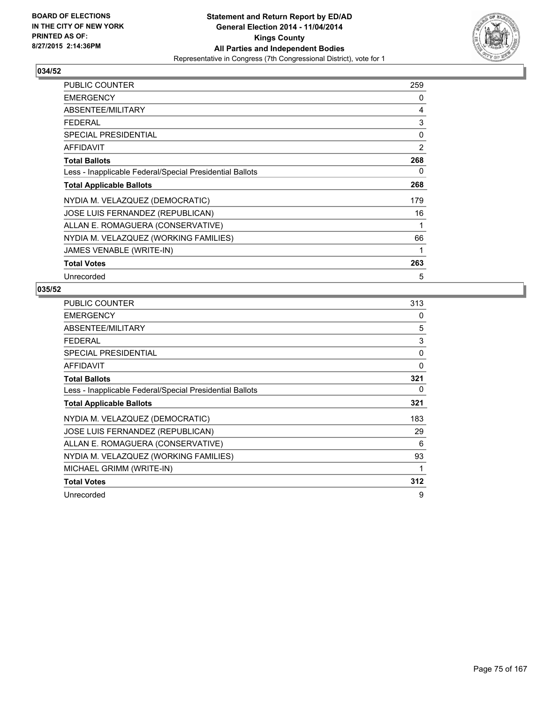

| <b>PUBLIC COUNTER</b>                                    | 259 |
|----------------------------------------------------------|-----|
| <b>EMERGENCY</b>                                         | 0   |
| ABSENTEE/MILITARY                                        | 4   |
| <b>FEDERAL</b>                                           | 3   |
| <b>SPECIAL PRESIDENTIAL</b>                              | 0   |
| AFFIDAVIT                                                | 2   |
| <b>Total Ballots</b>                                     | 268 |
| Less - Inapplicable Federal/Special Presidential Ballots | 0   |
| <b>Total Applicable Ballots</b>                          | 268 |
| NYDIA M. VELAZQUEZ (DEMOCRATIC)                          | 179 |
| <b>JOSE LUIS FERNANDEZ (REPUBLICAN)</b>                  | 16  |
| ALLAN E. ROMAGUERA (CONSERVATIVE)                        | 1   |
| NYDIA M. VELAZQUEZ (WORKING FAMILIES)                    | 66  |
| JAMES VENABLE (WRITE-IN)                                 | 1   |
| <b>Total Votes</b>                                       | 263 |
| Unrecorded                                               | 5   |

| <b>PUBLIC COUNTER</b>                                    | 313 |
|----------------------------------------------------------|-----|
| <b>EMERGENCY</b>                                         | 0   |
| ABSENTEE/MILITARY                                        | 5   |
| <b>FEDERAL</b>                                           | 3   |
| <b>SPECIAL PRESIDENTIAL</b>                              | 0   |
| AFFIDAVIT                                                | 0   |
| <b>Total Ballots</b>                                     | 321 |
| Less - Inapplicable Federal/Special Presidential Ballots | 0   |
| <b>Total Applicable Ballots</b>                          | 321 |
| NYDIA M. VELAZQUEZ (DEMOCRATIC)                          | 183 |
| JOSE LUIS FERNANDEZ (REPUBLICAN)                         | 29  |
| ALLAN E. ROMAGUERA (CONSERVATIVE)                        | 6   |
| NYDIA M. VELAZQUEZ (WORKING FAMILIES)                    | 93  |
| MICHAEL GRIMM (WRITE-IN)                                 | 1   |
| <b>Total Votes</b>                                       | 312 |
| Unrecorded                                               | 9   |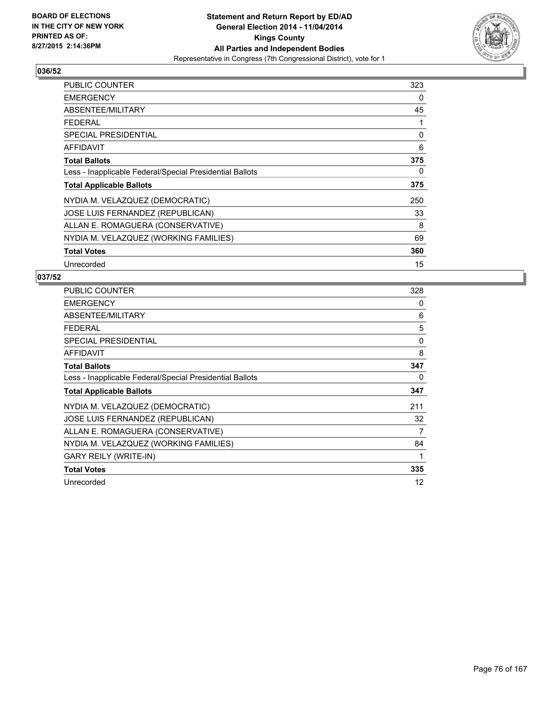

| <b>PUBLIC COUNTER</b>                                    | 323 |
|----------------------------------------------------------|-----|
| <b>EMERGENCY</b>                                         | 0   |
| ABSENTEE/MILITARY                                        | 45  |
| <b>FEDERAL</b>                                           | 1   |
| <b>SPECIAL PRESIDENTIAL</b>                              | 0   |
| AFFIDAVIT                                                | 6   |
| <b>Total Ballots</b>                                     | 375 |
| Less - Inapplicable Federal/Special Presidential Ballots | 0   |
| <b>Total Applicable Ballots</b>                          | 375 |
| NYDIA M. VELAZQUEZ (DEMOCRATIC)                          | 250 |
| JOSE LUIS FERNANDEZ (REPUBLICAN)                         | 33  |
| ALLAN E. ROMAGUERA (CONSERVATIVE)                        | 8   |
| NYDIA M. VELAZQUEZ (WORKING FAMILIES)                    | 69  |
| <b>Total Votes</b>                                       | 360 |
| Unrecorded                                               | 15  |

| <b>PUBLIC COUNTER</b>                                    | 328 |
|----------------------------------------------------------|-----|
| <b>EMERGENCY</b>                                         | 0   |
| ABSENTEE/MILITARY                                        | 6   |
| <b>FEDERAL</b>                                           | 5   |
| <b>SPECIAL PRESIDENTIAL</b>                              | 0   |
| <b>AFFIDAVIT</b>                                         | 8   |
| <b>Total Ballots</b>                                     | 347 |
| Less - Inapplicable Federal/Special Presidential Ballots | 0   |
| <b>Total Applicable Ballots</b>                          | 347 |
| NYDIA M. VELAZQUEZ (DEMOCRATIC)                          | 211 |
| JOSE LUIS FERNANDEZ (REPUBLICAN)                         | 32  |
| ALLAN E. ROMAGUERA (CONSERVATIVE)                        | 7   |
| NYDIA M. VELAZQUEZ (WORKING FAMILIES)                    | 84  |
| <b>GARY REILY (WRITE-IN)</b>                             | 1   |
| <b>Total Votes</b>                                       | 335 |
| Unrecorded                                               | 12  |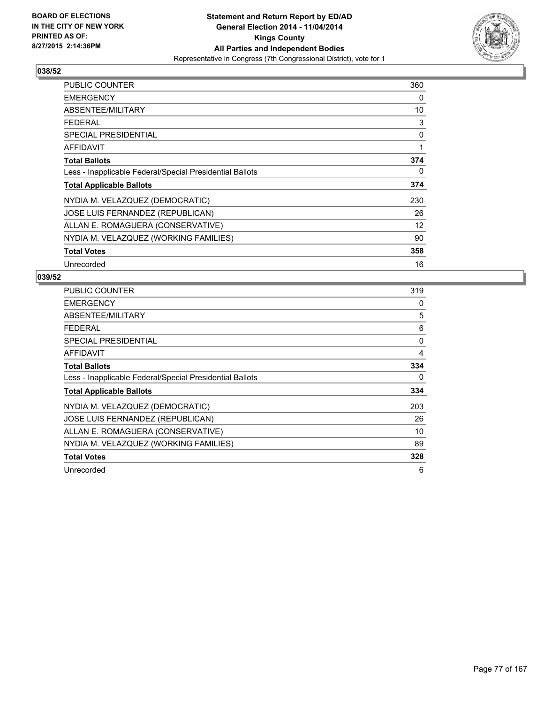

| <b>PUBLIC COUNTER</b>                                    | 360 |
|----------------------------------------------------------|-----|
| <b>EMERGENCY</b>                                         | 0   |
| ABSENTEE/MILITARY                                        | 10  |
| <b>FEDERAL</b>                                           | 3   |
| <b>SPECIAL PRESIDENTIAL</b>                              | 0   |
| AFFIDAVIT                                                | 1   |
| <b>Total Ballots</b>                                     | 374 |
| Less - Inapplicable Federal/Special Presidential Ballots | 0   |
| <b>Total Applicable Ballots</b>                          | 374 |
| NYDIA M. VELAZQUEZ (DEMOCRATIC)                          | 230 |
| JOSE LUIS FERNANDEZ (REPUBLICAN)                         | 26  |
| ALLAN E. ROMAGUERA (CONSERVATIVE)                        | 12  |
| NYDIA M. VELAZQUEZ (WORKING FAMILIES)                    | 90  |
| <b>Total Votes</b>                                       | 358 |
| Unrecorded                                               | 16  |

| <b>PUBLIC COUNTER</b>                                    | 319 |
|----------------------------------------------------------|-----|
| <b>EMERGENCY</b>                                         | 0   |
| ABSENTEE/MILITARY                                        | 5   |
| <b>FEDERAL</b>                                           | 6   |
| SPECIAL PRESIDENTIAL                                     | 0   |
| <b>AFFIDAVIT</b>                                         | 4   |
| <b>Total Ballots</b>                                     | 334 |
| Less - Inapplicable Federal/Special Presidential Ballots | 0   |
| <b>Total Applicable Ballots</b>                          | 334 |
| NYDIA M. VELAZQUEZ (DEMOCRATIC)                          | 203 |
| JOSE LUIS FERNANDEZ (REPUBLICAN)                         | 26  |
| ALLAN E. ROMAGUERA (CONSERVATIVE)                        | 10  |
| NYDIA M. VELAZQUEZ (WORKING FAMILIES)                    | 89  |
| <b>Total Votes</b>                                       | 328 |
| Unrecorded                                               | 6   |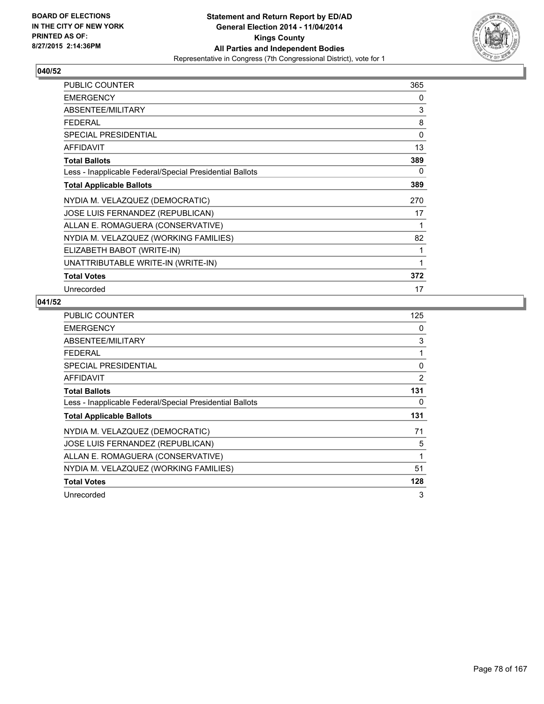

| PUBLIC COUNTER                                           | 365 |
|----------------------------------------------------------|-----|
| <b>EMERGENCY</b>                                         | 0   |
| ABSENTEE/MILITARY                                        | 3   |
| <b>FEDERAL</b>                                           | 8   |
| <b>SPECIAL PRESIDENTIAL</b>                              | 0   |
| <b>AFFIDAVIT</b>                                         | 13  |
| <b>Total Ballots</b>                                     | 389 |
| Less - Inapplicable Federal/Special Presidential Ballots | 0   |
| <b>Total Applicable Ballots</b>                          | 389 |
| NYDIA M. VELAZQUEZ (DEMOCRATIC)                          | 270 |
| JOSE LUIS FERNANDEZ (REPUBLICAN)                         | 17  |
| ALLAN E. ROMAGUERA (CONSERVATIVE)                        | 1   |
| NYDIA M. VELAZQUEZ (WORKING FAMILIES)                    | 82  |
| ELIZABETH BABOT (WRITE-IN)                               | 1   |
| UNATTRIBUTABLE WRITE-IN (WRITE-IN)                       | 1   |
| <b>Total Votes</b>                                       | 372 |
| Unrecorded                                               | 17  |

| <b>PUBLIC COUNTER</b>                                    | 125 |
|----------------------------------------------------------|-----|
| <b>EMERGENCY</b>                                         | 0   |
| ABSENTEE/MILITARY                                        | 3   |
| <b>FEDERAL</b>                                           | 1   |
| <b>SPECIAL PRESIDENTIAL</b>                              | 0   |
| <b>AFFIDAVIT</b>                                         | 2   |
| <b>Total Ballots</b>                                     | 131 |
| Less - Inapplicable Federal/Special Presidential Ballots | 0   |
| <b>Total Applicable Ballots</b>                          | 131 |
| NYDIA M. VELAZQUEZ (DEMOCRATIC)                          | 71  |
| JOSE LUIS FERNANDEZ (REPUBLICAN)                         | 5   |
| ALLAN E. ROMAGUERA (CONSERVATIVE)                        | 1   |
| NYDIA M. VELAZQUEZ (WORKING FAMILIES)                    | 51  |
| <b>Total Votes</b>                                       | 128 |
| Unrecorded                                               | 3   |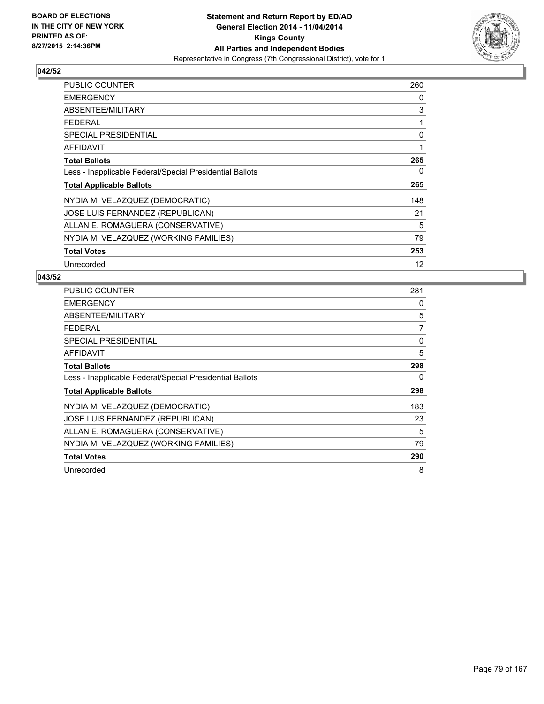

| <b>PUBLIC COUNTER</b>                                    | 260 |
|----------------------------------------------------------|-----|
| <b>EMERGENCY</b>                                         | 0   |
| ABSENTEE/MILITARY                                        | 3   |
| <b>FEDERAL</b>                                           | 1   |
| <b>SPECIAL PRESIDENTIAL</b>                              | 0   |
| <b>AFFIDAVIT</b>                                         | 1   |
| <b>Total Ballots</b>                                     | 265 |
| Less - Inapplicable Federal/Special Presidential Ballots | 0   |
| <b>Total Applicable Ballots</b>                          | 265 |
| NYDIA M. VELAZQUEZ (DEMOCRATIC)                          | 148 |
| JOSE LUIS FERNANDEZ (REPUBLICAN)                         | 21  |
| ALLAN E. ROMAGUERA (CONSERVATIVE)                        | 5   |
| NYDIA M. VELAZQUEZ (WORKING FAMILIES)                    | 79  |
| <b>Total Votes</b>                                       | 253 |
| Unrecorded                                               | 12  |

| <b>PUBLIC COUNTER</b>                                    | 281 |
|----------------------------------------------------------|-----|
| <b>EMERGENCY</b>                                         | 0   |
| ABSENTEE/MILITARY                                        | 5   |
| <b>FEDERAL</b>                                           | 7   |
| <b>SPECIAL PRESIDENTIAL</b>                              | 0   |
| <b>AFFIDAVIT</b>                                         | 5   |
| <b>Total Ballots</b>                                     | 298 |
| Less - Inapplicable Federal/Special Presidential Ballots | 0   |
| <b>Total Applicable Ballots</b>                          | 298 |
| NYDIA M. VELAZQUEZ (DEMOCRATIC)                          | 183 |
| JOSE LUIS FERNANDEZ (REPUBLICAN)                         | 23  |
| ALLAN E. ROMAGUERA (CONSERVATIVE)                        | 5   |
| NYDIA M. VELAZQUEZ (WORKING FAMILIES)                    | 79  |
| <b>Total Votes</b>                                       | 290 |
| Unrecorded                                               | 8   |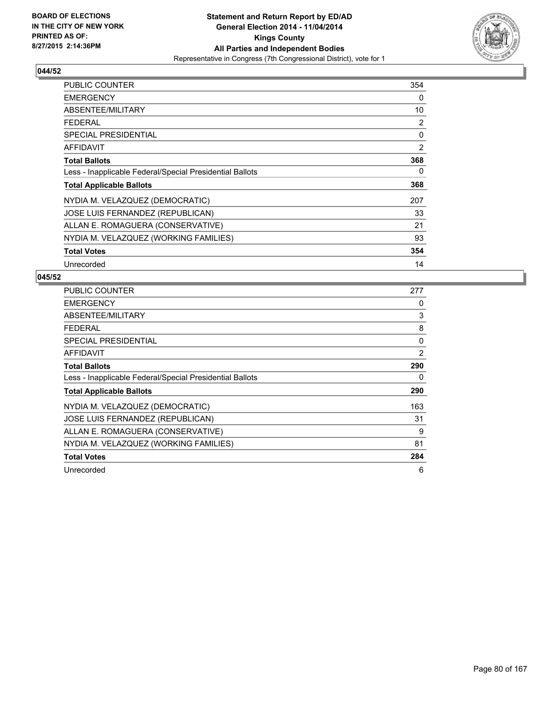

| <b>PUBLIC COUNTER</b>                                    | 354 |
|----------------------------------------------------------|-----|
| <b>EMERGENCY</b>                                         | 0   |
| ABSENTEE/MILITARY                                        | 10  |
| <b>FEDERAL</b>                                           | 2   |
| <b>SPECIAL PRESIDENTIAL</b>                              | 0   |
| AFFIDAVIT                                                | 2   |
| <b>Total Ballots</b>                                     | 368 |
| Less - Inapplicable Federal/Special Presidential Ballots | 0   |
| <b>Total Applicable Ballots</b>                          | 368 |
| NYDIA M. VELAZQUEZ (DEMOCRATIC)                          | 207 |
| JOSE LUIS FERNANDEZ (REPUBLICAN)                         | 33  |
| ALLAN E. ROMAGUERA (CONSERVATIVE)                        | 21  |
| NYDIA M. VELAZQUEZ (WORKING FAMILIES)                    | 93  |
| <b>Total Votes</b>                                       | 354 |
| Unrecorded                                               | 14  |

| <b>PUBLIC COUNTER</b>                                    | 277 |
|----------------------------------------------------------|-----|
| <b>EMERGENCY</b>                                         | 0   |
| ABSENTEE/MILITARY                                        | 3   |
| <b>FEDERAL</b>                                           | 8   |
| SPECIAL PRESIDENTIAL                                     | 0   |
| AFFIDAVIT                                                | 2   |
| <b>Total Ballots</b>                                     | 290 |
| Less - Inapplicable Federal/Special Presidential Ballots | 0   |
| <b>Total Applicable Ballots</b>                          | 290 |
| NYDIA M. VELAZQUEZ (DEMOCRATIC)                          | 163 |
| JOSE LUIS FERNANDEZ (REPUBLICAN)                         | 31  |
| ALLAN E. ROMAGUERA (CONSERVATIVE)                        | 9   |
| NYDIA M. VELAZQUEZ (WORKING FAMILIES)                    | 81  |
| <b>Total Votes</b>                                       | 284 |
| Unrecorded                                               | 6   |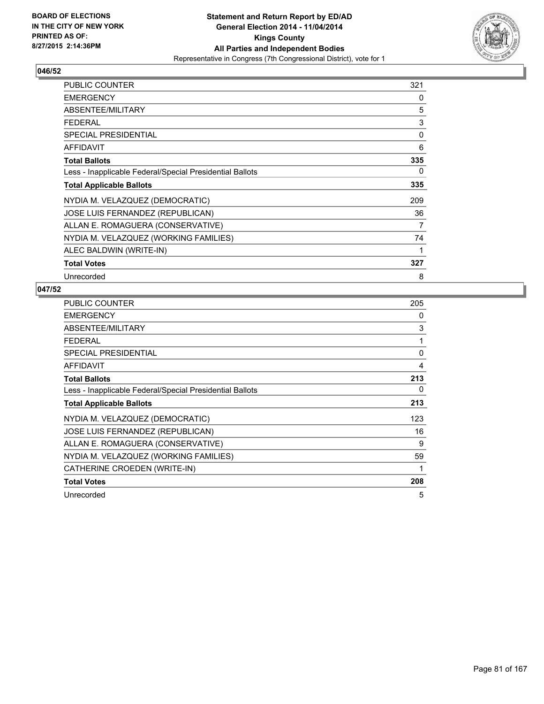

| PUBLIC COUNTER                                           | 321 |
|----------------------------------------------------------|-----|
| <b>EMERGENCY</b>                                         | 0   |
| ABSENTEE/MILITARY                                        | 5   |
| <b>FEDERAL</b>                                           | 3   |
| <b>SPECIAL PRESIDENTIAL</b>                              | 0   |
| AFFIDAVIT                                                | 6   |
| <b>Total Ballots</b>                                     | 335 |
| Less - Inapplicable Federal/Special Presidential Ballots | 0   |
| <b>Total Applicable Ballots</b>                          | 335 |
| NYDIA M. VELAZQUEZ (DEMOCRATIC)                          | 209 |
| <b>JOSE LUIS FERNANDEZ (REPUBLICAN)</b>                  | 36  |
| ALLAN E. ROMAGUERA (CONSERVATIVE)                        | 7   |
| NYDIA M. VELAZQUEZ (WORKING FAMILIES)                    | 74  |
| ALEC BALDWIN (WRITE-IN)                                  | 1   |
| <b>Total Votes</b>                                       | 327 |
| Unrecorded                                               | 8   |

| PUBLIC COUNTER                                           | 205 |
|----------------------------------------------------------|-----|
| <b>EMERGENCY</b>                                         | 0   |
| ABSENTEE/MILITARY                                        | 3   |
| <b>FEDERAL</b>                                           | 1   |
| <b>SPECIAL PRESIDENTIAL</b>                              | 0   |
| AFFIDAVIT                                                | 4   |
| <b>Total Ballots</b>                                     | 213 |
| Less - Inapplicable Federal/Special Presidential Ballots | 0   |
| <b>Total Applicable Ballots</b>                          | 213 |
| NYDIA M. VELAZQUEZ (DEMOCRATIC)                          | 123 |
| <b>JOSE LUIS FERNANDEZ (REPUBLICAN)</b>                  | 16  |
| ALLAN E. ROMAGUERA (CONSERVATIVE)                        | 9   |
| NYDIA M. VELAZQUEZ (WORKING FAMILIES)                    | 59  |
| CATHERINE CROEDEN (WRITE-IN)                             | 1   |
| <b>Total Votes</b>                                       | 208 |
| Unrecorded                                               | 5   |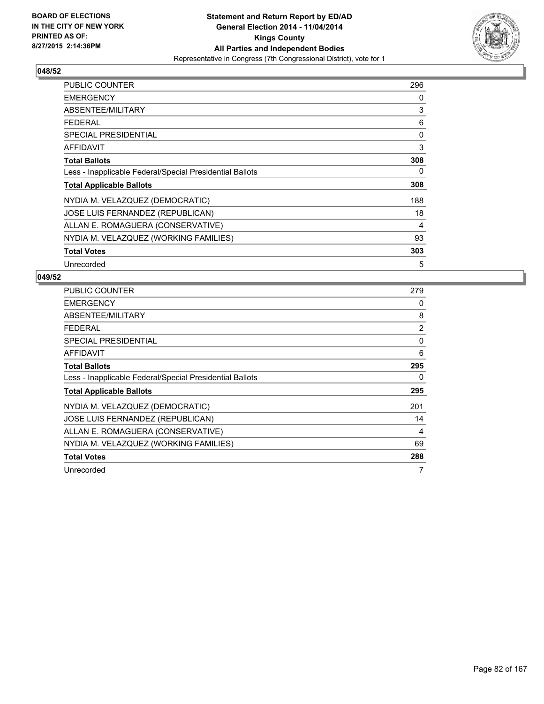

| <b>PUBLIC COUNTER</b>                                    | 296 |
|----------------------------------------------------------|-----|
| <b>EMERGENCY</b>                                         | 0   |
| ABSENTEE/MILITARY                                        | 3   |
| <b>FEDERAL</b>                                           | 6   |
| <b>SPECIAL PRESIDENTIAL</b>                              | 0   |
| AFFIDAVIT                                                | 3   |
| <b>Total Ballots</b>                                     | 308 |
| Less - Inapplicable Federal/Special Presidential Ballots | 0   |
| <b>Total Applicable Ballots</b>                          | 308 |
| NYDIA M. VELAZQUEZ (DEMOCRATIC)                          | 188 |
| JOSE LUIS FERNANDEZ (REPUBLICAN)                         | 18  |
| ALLAN E. ROMAGUERA (CONSERVATIVE)                        | 4   |
| NYDIA M. VELAZQUEZ (WORKING FAMILIES)                    | 93  |
| <b>Total Votes</b>                                       | 303 |
| Unrecorded                                               | 5   |

| <b>PUBLIC COUNTER</b>                                    | 279 |
|----------------------------------------------------------|-----|
| <b>EMERGENCY</b>                                         | 0   |
| ABSENTEE/MILITARY                                        | 8   |
| <b>FEDERAL</b>                                           | 2   |
| SPECIAL PRESIDENTIAL                                     | 0   |
| <b>AFFIDAVIT</b>                                         | 6   |
| <b>Total Ballots</b>                                     | 295 |
| Less - Inapplicable Federal/Special Presidential Ballots | 0   |
| <b>Total Applicable Ballots</b>                          | 295 |
| NYDIA M. VELAZQUEZ (DEMOCRATIC)                          | 201 |
| JOSE LUIS FERNANDEZ (REPUBLICAN)                         | 14  |
| ALLAN E. ROMAGUERA (CONSERVATIVE)                        | 4   |
| NYDIA M. VELAZQUEZ (WORKING FAMILIES)                    | 69  |
| <b>Total Votes</b>                                       | 288 |
| Unrecorded                                               | 7   |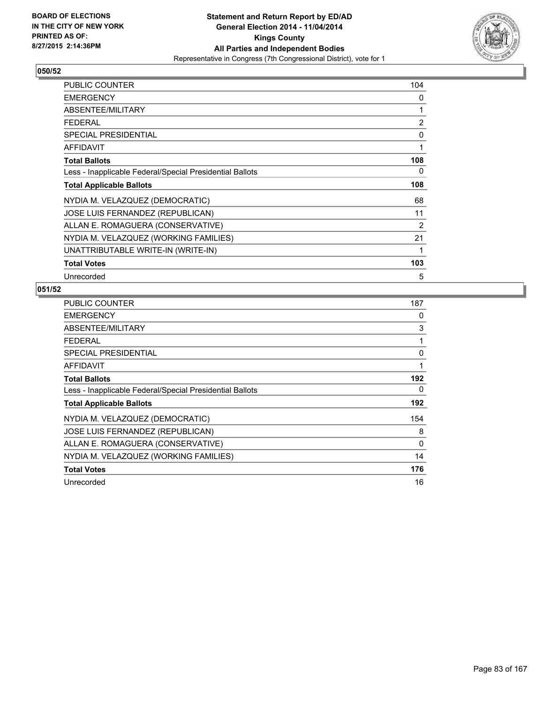

| <b>PUBLIC COUNTER</b>                                    | 104 |
|----------------------------------------------------------|-----|
| <b>EMERGENCY</b>                                         | 0   |
| ABSENTEE/MILITARY                                        | 1   |
| <b>FEDERAL</b>                                           | 2   |
| <b>SPECIAL PRESIDENTIAL</b>                              | 0   |
| <b>AFFIDAVIT</b>                                         | 1   |
| <b>Total Ballots</b>                                     | 108 |
| Less - Inapplicable Federal/Special Presidential Ballots | 0   |
| <b>Total Applicable Ballots</b>                          | 108 |
| NYDIA M. VELAZQUEZ (DEMOCRATIC)                          | 68  |
| JOSE LUIS FERNANDEZ (REPUBLICAN)                         | 11  |
| ALLAN E. ROMAGUERA (CONSERVATIVE)                        | 2   |
| NYDIA M. VELAZQUEZ (WORKING FAMILIES)                    | 21  |
| UNATTRIBUTABLE WRITE-IN (WRITE-IN)                       | 1   |
| <b>Total Votes</b>                                       | 103 |
| Unrecorded                                               | 5   |

| PUBLIC COUNTER                                           | 187 |
|----------------------------------------------------------|-----|
| <b>EMERGENCY</b>                                         | 0   |
| ABSENTEE/MILITARY                                        | 3   |
| <b>FEDERAL</b>                                           | 1   |
| <b>SPECIAL PRESIDENTIAL</b>                              | 0   |
| <b>AFFIDAVIT</b>                                         | 1   |
| <b>Total Ballots</b>                                     | 192 |
| Less - Inapplicable Federal/Special Presidential Ballots | 0   |
| <b>Total Applicable Ballots</b>                          | 192 |
| NYDIA M. VELAZQUEZ (DEMOCRATIC)                          | 154 |
| JOSE LUIS FERNANDEZ (REPUBLICAN)                         | 8   |
| ALLAN E. ROMAGUERA (CONSERVATIVE)                        | 0   |
| NYDIA M. VELAZQUEZ (WORKING FAMILIES)                    | 14  |
| <b>Total Votes</b>                                       | 176 |
| Unrecorded                                               | 16  |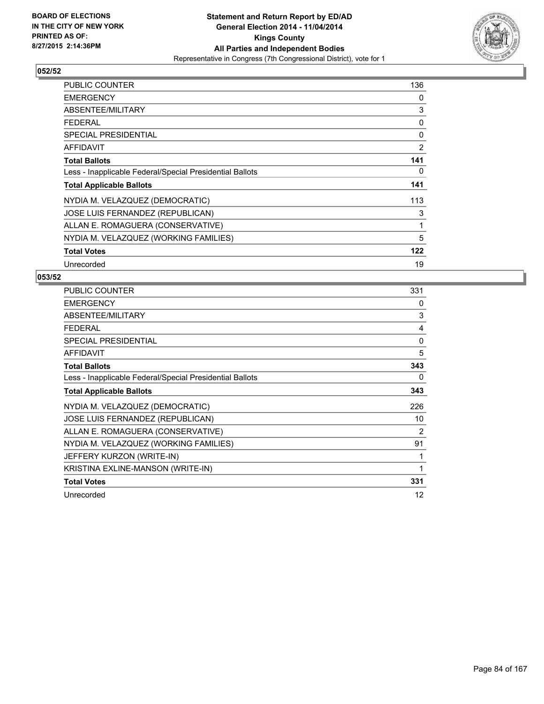

| <b>PUBLIC COUNTER</b>                                    | 136 |
|----------------------------------------------------------|-----|
| <b>EMERGENCY</b>                                         | 0   |
| ABSENTEE/MILITARY                                        | 3   |
| <b>FEDERAL</b>                                           | 0   |
| <b>SPECIAL PRESIDENTIAL</b>                              | 0   |
| <b>AFFIDAVIT</b>                                         | 2   |
| <b>Total Ballots</b>                                     | 141 |
| Less - Inapplicable Federal/Special Presidential Ballots | 0   |
| <b>Total Applicable Ballots</b>                          | 141 |
| NYDIA M. VELAZQUEZ (DEMOCRATIC)                          | 113 |
| JOSE LUIS FERNANDEZ (REPUBLICAN)                         | 3   |
| ALLAN E. ROMAGUERA (CONSERVATIVE)                        | 1   |
| NYDIA M. VELAZQUEZ (WORKING FAMILIES)                    | 5   |
| <b>Total Votes</b>                                       | 122 |
| Unrecorded                                               | 19  |

| <b>PUBLIC COUNTER</b>                                    | 331 |
|----------------------------------------------------------|-----|
| <b>EMERGENCY</b>                                         | 0   |
| ABSENTEE/MILITARY                                        | 3   |
| <b>FEDERAL</b>                                           | 4   |
| <b>SPECIAL PRESIDENTIAL</b>                              | 0   |
| <b>AFFIDAVIT</b>                                         | 5   |
| <b>Total Ballots</b>                                     | 343 |
| Less - Inapplicable Federal/Special Presidential Ballots | 0   |
| <b>Total Applicable Ballots</b>                          | 343 |
| NYDIA M. VELAZQUEZ (DEMOCRATIC)                          | 226 |
| JOSE LUIS FERNANDEZ (REPUBLICAN)                         | 10  |
| ALLAN E. ROMAGUERA (CONSERVATIVE)                        | 2   |
| NYDIA M. VELAZQUEZ (WORKING FAMILIES)                    | 91  |
| JEFFERY KURZON (WRITE-IN)                                | 1   |
| KRISTINA EXLINE-MANSON (WRITE-IN)                        | 1   |
| <b>Total Votes</b>                                       | 331 |
| Unrecorded                                               | 12  |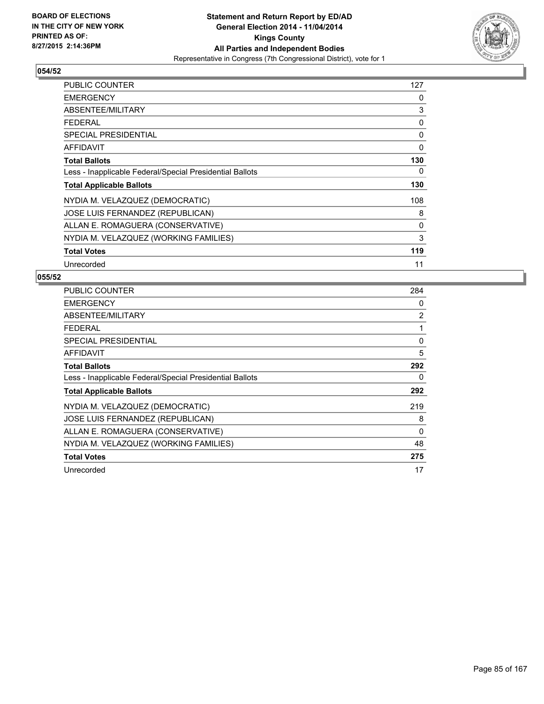

| <b>PUBLIC COUNTER</b>                                    | 127 |
|----------------------------------------------------------|-----|
| <b>EMERGENCY</b>                                         | 0   |
| ABSENTEE/MILITARY                                        | 3   |
| <b>FEDERAL</b>                                           | 0   |
| <b>SPECIAL PRESIDENTIAL</b>                              | 0   |
| AFFIDAVIT                                                | 0   |
| <b>Total Ballots</b>                                     | 130 |
| Less - Inapplicable Federal/Special Presidential Ballots | 0   |
| <b>Total Applicable Ballots</b>                          | 130 |
| NYDIA M. VELAZQUEZ (DEMOCRATIC)                          | 108 |
| JOSE LUIS FERNANDEZ (REPUBLICAN)                         | 8   |
| ALLAN E. ROMAGUERA (CONSERVATIVE)                        | 0   |
| NYDIA M. VELAZQUEZ (WORKING FAMILIES)                    | 3   |
| <b>Total Votes</b>                                       | 119 |
| Unrecorded                                               | 11  |

| <b>PUBLIC COUNTER</b>                                    | 284      |
|----------------------------------------------------------|----------|
| <b>EMERGENCY</b>                                         | 0        |
| ABSENTEE/MILITARY                                        | 2        |
| <b>FEDERAL</b>                                           | 1        |
| SPECIAL PRESIDENTIAL                                     | 0        |
| <b>AFFIDAVIT</b>                                         | 5        |
| <b>Total Ballots</b>                                     | 292      |
| Less - Inapplicable Federal/Special Presidential Ballots | 0        |
| <b>Total Applicable Ballots</b>                          | 292      |
| NYDIA M. VELAZQUEZ (DEMOCRATIC)                          | 219      |
| JOSE LUIS FERNANDEZ (REPUBLICAN)                         | 8        |
| ALLAN E. ROMAGUERA (CONSERVATIVE)                        | $\Omega$ |
| NYDIA M. VELAZQUEZ (WORKING FAMILIES)                    | 48       |
| <b>Total Votes</b>                                       | 275      |
| Unrecorded                                               | 17       |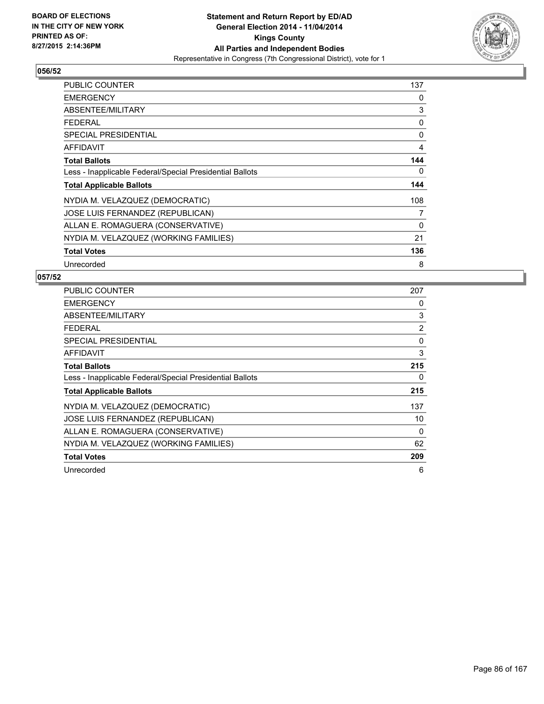

| <b>PUBLIC COUNTER</b>                                    | 137 |
|----------------------------------------------------------|-----|
| <b>EMERGENCY</b>                                         | 0   |
| ABSENTEE/MILITARY                                        | 3   |
| FEDERAL                                                  | 0   |
| <b>SPECIAL PRESIDENTIAL</b>                              | 0   |
| <b>AFFIDAVIT</b>                                         | 4   |
| <b>Total Ballots</b>                                     | 144 |
| Less - Inapplicable Federal/Special Presidential Ballots | 0   |
| <b>Total Applicable Ballots</b>                          | 144 |
| NYDIA M. VELAZQUEZ (DEMOCRATIC)                          | 108 |
| JOSE LUIS FERNANDEZ (REPUBLICAN)                         | 7   |
| ALLAN E. ROMAGUERA (CONSERVATIVE)                        | 0   |
| NYDIA M. VELAZQUEZ (WORKING FAMILIES)                    | 21  |
| <b>Total Votes</b>                                       | 136 |
| Unrecorded                                               | 8   |

| <b>PUBLIC COUNTER</b>                                    | 207 |
|----------------------------------------------------------|-----|
| <b>EMERGENCY</b>                                         | 0   |
| ABSENTEE/MILITARY                                        | 3   |
| <b>FEDERAL</b>                                           | 2   |
| SPECIAL PRESIDENTIAL                                     | 0   |
| <b>AFFIDAVIT</b>                                         | 3   |
| <b>Total Ballots</b>                                     | 215 |
| Less - Inapplicable Federal/Special Presidential Ballots | 0   |
| <b>Total Applicable Ballots</b>                          | 215 |
| NYDIA M. VELAZQUEZ (DEMOCRATIC)                          | 137 |
| <b>JOSE LUIS FERNANDEZ (REPUBLICAN)</b>                  | 10  |
| ALLAN E. ROMAGUERA (CONSERVATIVE)                        | 0   |
| NYDIA M. VELAZQUEZ (WORKING FAMILIES)                    | 62  |
| <b>Total Votes</b>                                       | 209 |
| Unrecorded                                               | 6   |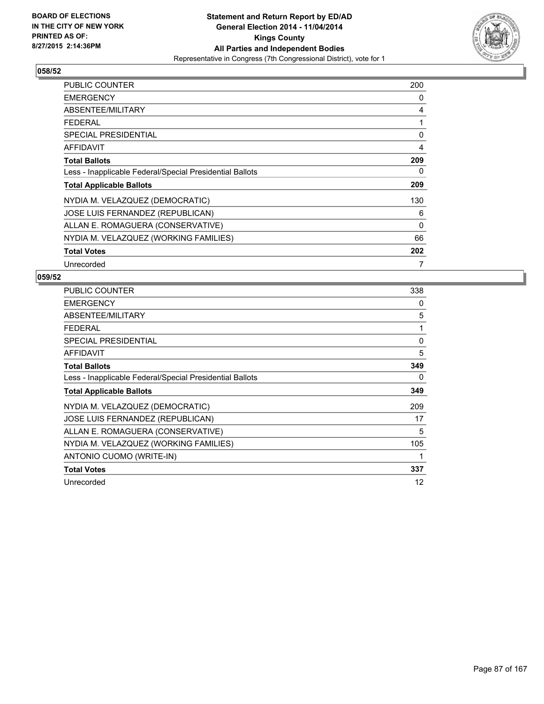

| <b>PUBLIC COUNTER</b>                                    | 200 |
|----------------------------------------------------------|-----|
| <b>EMERGENCY</b>                                         | 0   |
| ABSENTEE/MILITARY                                        | 4   |
| FEDERAL                                                  | 1   |
| <b>SPECIAL PRESIDENTIAL</b>                              | 0   |
| <b>AFFIDAVIT</b>                                         | 4   |
| <b>Total Ballots</b>                                     | 209 |
| Less - Inapplicable Federal/Special Presidential Ballots | 0   |
| <b>Total Applicable Ballots</b>                          | 209 |
| NYDIA M. VELAZQUEZ (DEMOCRATIC)                          | 130 |
| JOSE LUIS FERNANDEZ (REPUBLICAN)                         | 6   |
| ALLAN E. ROMAGUERA (CONSERVATIVE)                        | 0   |
| NYDIA M. VELAZQUEZ (WORKING FAMILIES)                    | 66  |
| <b>Total Votes</b>                                       | 202 |
| Unrecorded                                               | 7   |

| <b>PUBLIC COUNTER</b>                                    | 338 |
|----------------------------------------------------------|-----|
| <b>EMERGENCY</b>                                         | 0   |
| ABSENTEE/MILITARY                                        | 5   |
| <b>FEDERAL</b>                                           | 1   |
| <b>SPECIAL PRESIDENTIAL</b>                              | 0   |
| <b>AFFIDAVIT</b>                                         | 5   |
| <b>Total Ballots</b>                                     | 349 |
| Less - Inapplicable Federal/Special Presidential Ballots | 0   |
| <b>Total Applicable Ballots</b>                          | 349 |
| NYDIA M. VELAZQUEZ (DEMOCRATIC)                          | 209 |
| JOSE LUIS FERNANDEZ (REPUBLICAN)                         | 17  |
| ALLAN E. ROMAGUERA (CONSERVATIVE)                        | 5   |
| NYDIA M. VELAZQUEZ (WORKING FAMILIES)                    | 105 |
| ANTONIO CUOMO (WRITE-IN)                                 | 1   |
| <b>Total Votes</b>                                       | 337 |
| Unrecorded                                               | 12  |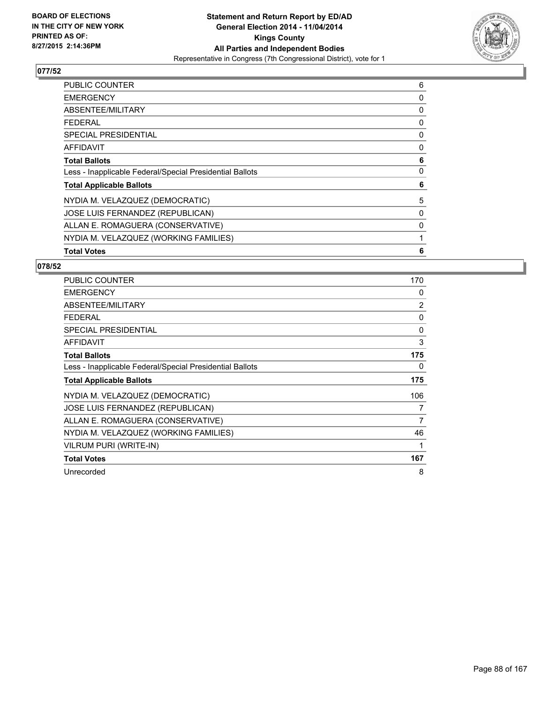

| <b>PUBLIC COUNTER</b>                                    | 6 |
|----------------------------------------------------------|---|
| <b>EMERGENCY</b>                                         | 0 |
| ABSENTEE/MILITARY                                        | 0 |
| <b>FEDERAL</b>                                           | 0 |
| <b>SPECIAL PRESIDENTIAL</b>                              | 0 |
| <b>AFFIDAVIT</b>                                         | 0 |
| <b>Total Ballots</b>                                     | 6 |
| Less - Inapplicable Federal/Special Presidential Ballots | 0 |
| <b>Total Applicable Ballots</b>                          | 6 |
| NYDIA M. VELAZQUEZ (DEMOCRATIC)                          | 5 |
| JOSE LUIS FERNANDEZ (REPUBLICAN)                         | 0 |
| ALLAN E. ROMAGUERA (CONSERVATIVE)                        | 0 |
| NYDIA M. VELAZQUEZ (WORKING FAMILIES)                    | 1 |
| <b>Total Votes</b>                                       | 6 |

| <b>PUBLIC COUNTER</b>                                    | 170 |
|----------------------------------------------------------|-----|
| <b>EMERGENCY</b>                                         | 0   |
| ABSENTEE/MILITARY                                        | 2   |
| <b>FEDERAL</b>                                           | 0   |
| <b>SPECIAL PRESIDENTIAL</b>                              | 0   |
| <b>AFFIDAVIT</b>                                         | 3   |
| <b>Total Ballots</b>                                     | 175 |
| Less - Inapplicable Federal/Special Presidential Ballots | 0   |
| <b>Total Applicable Ballots</b>                          | 175 |
| NYDIA M. VELAZQUEZ (DEMOCRATIC)                          | 106 |
| JOSE LUIS FERNANDEZ (REPUBLICAN)                         | 7   |
| ALLAN E. ROMAGUERA (CONSERVATIVE)                        | 7   |
| NYDIA M. VELAZQUEZ (WORKING FAMILIES)                    | 46  |
| <b>VILRUM PURI (WRITE-IN)</b>                            | 1   |
| <b>Total Votes</b>                                       | 167 |
| Unrecorded                                               | 8   |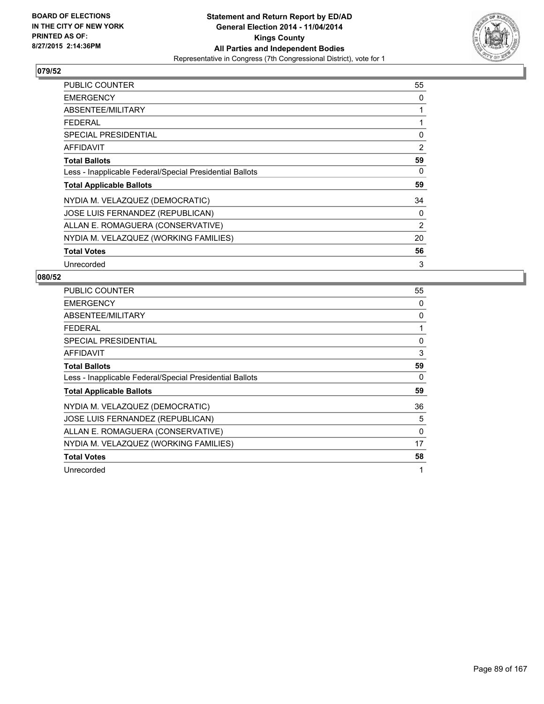

| <b>PUBLIC COUNTER</b>                                    | 55 |
|----------------------------------------------------------|----|
| <b>EMERGENCY</b>                                         | 0  |
| ABSENTEE/MILITARY                                        | 1  |
| <b>FEDERAL</b>                                           | 1  |
| <b>SPECIAL PRESIDENTIAL</b>                              | 0  |
| <b>AFFIDAVIT</b>                                         | 2  |
| <b>Total Ballots</b>                                     | 59 |
| Less - Inapplicable Federal/Special Presidential Ballots | 0  |
| <b>Total Applicable Ballots</b>                          | 59 |
| NYDIA M. VELAZQUEZ (DEMOCRATIC)                          | 34 |
| JOSE LUIS FERNANDEZ (REPUBLICAN)                         | 0  |
| ALLAN E. ROMAGUERA (CONSERVATIVE)                        | 2  |
| NYDIA M. VELAZQUEZ (WORKING FAMILIES)                    | 20 |
| <b>Total Votes</b>                                       | 56 |
| Unrecorded                                               | 3  |

| <b>PUBLIC COUNTER</b>                                    | 55 |
|----------------------------------------------------------|----|
| <b>EMERGENCY</b>                                         | 0  |
| ABSENTEE/MILITARY                                        | 0  |
| <b>FEDERAL</b>                                           | 1  |
| SPECIAL PRESIDENTIAL                                     | 0  |
| AFFIDAVIT                                                | 3  |
| <b>Total Ballots</b>                                     | 59 |
| Less - Inapplicable Federal/Special Presidential Ballots | 0  |
| <b>Total Applicable Ballots</b>                          | 59 |
| NYDIA M. VELAZQUEZ (DEMOCRATIC)                          | 36 |
| JOSE LUIS FERNANDEZ (REPUBLICAN)                         | 5  |
| ALLAN E. ROMAGUERA (CONSERVATIVE)                        | 0  |
| NYDIA M. VELAZQUEZ (WORKING FAMILIES)                    | 17 |
| <b>Total Votes</b>                                       | 58 |
| Unrecorded                                               | 1  |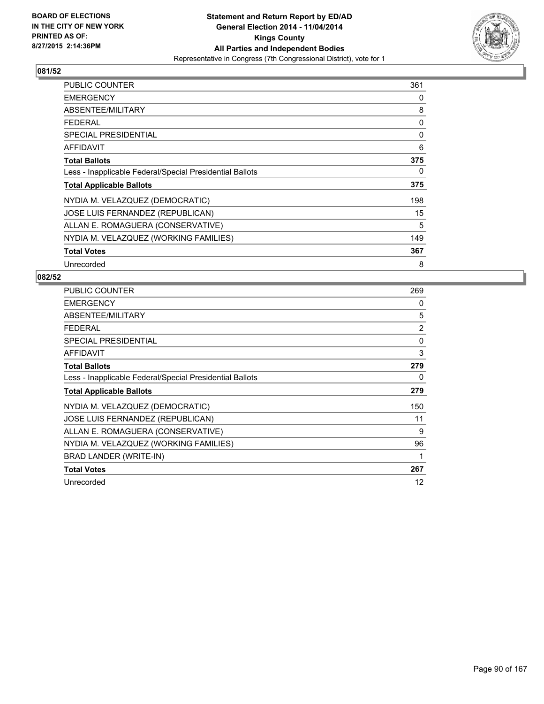

| <b>PUBLIC COUNTER</b>                                    | 361 |
|----------------------------------------------------------|-----|
| <b>EMERGENCY</b>                                         | 0   |
| ABSENTEE/MILITARY                                        | 8   |
| FEDERAL                                                  | 0   |
| <b>SPECIAL PRESIDENTIAL</b>                              | 0   |
| <b>AFFIDAVIT</b>                                         | 6   |
| <b>Total Ballots</b>                                     | 375 |
| Less - Inapplicable Federal/Special Presidential Ballots | 0   |
| <b>Total Applicable Ballots</b>                          | 375 |
| NYDIA M. VELAZQUEZ (DEMOCRATIC)                          | 198 |
| JOSE LUIS FERNANDEZ (REPUBLICAN)                         | 15  |
| ALLAN E. ROMAGUERA (CONSERVATIVE)                        | 5   |
| NYDIA M. VELAZQUEZ (WORKING FAMILIES)                    | 149 |
| <b>Total Votes</b>                                       | 367 |
| Unrecorded                                               | 8   |

| <b>PUBLIC COUNTER</b>                                    | 269            |
|----------------------------------------------------------|----------------|
| <b>EMERGENCY</b>                                         | 0              |
| ABSENTEE/MILITARY                                        | 5              |
| <b>FEDERAL</b>                                           | $\overline{2}$ |
| <b>SPECIAL PRESIDENTIAL</b>                              | 0              |
| <b>AFFIDAVIT</b>                                         | 3              |
| <b>Total Ballots</b>                                     | 279            |
| Less - Inapplicable Federal/Special Presidential Ballots | 0              |
| <b>Total Applicable Ballots</b>                          | 279            |
| NYDIA M. VELAZQUEZ (DEMOCRATIC)                          | 150            |
| JOSE LUIS FERNANDEZ (REPUBLICAN)                         | 11             |
| ALLAN E. ROMAGUERA (CONSERVATIVE)                        | 9              |
| NYDIA M. VELAZQUEZ (WORKING FAMILIES)                    | 96             |
| BRAD LANDER (WRITE-IN)                                   | 1              |
| <b>Total Votes</b>                                       | 267            |
| Unrecorded                                               | 12             |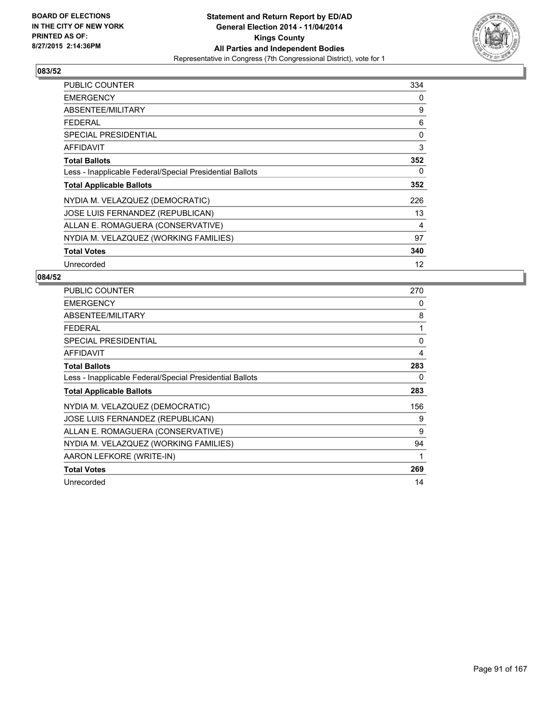

| <b>PUBLIC COUNTER</b>                                    | 334 |
|----------------------------------------------------------|-----|
| <b>EMERGENCY</b>                                         | 0   |
| ABSENTEE/MILITARY                                        | 9   |
| <b>FEDERAL</b>                                           | 6   |
| <b>SPECIAL PRESIDENTIAL</b>                              | 0   |
| AFFIDAVIT                                                | 3   |
| <b>Total Ballots</b>                                     | 352 |
| Less - Inapplicable Federal/Special Presidential Ballots | 0   |
| <b>Total Applicable Ballots</b>                          | 352 |
| NYDIA M. VELAZQUEZ (DEMOCRATIC)                          | 226 |
| JOSE LUIS FERNANDEZ (REPUBLICAN)                         | 13  |
| ALLAN E. ROMAGUERA (CONSERVATIVE)                        | 4   |
| NYDIA M. VELAZQUEZ (WORKING FAMILIES)                    | 97  |
| <b>Total Votes</b>                                       | 340 |
| Unrecorded                                               | 12  |

| <b>PUBLIC COUNTER</b>                                    | 270 |
|----------------------------------------------------------|-----|
| <b>EMERGENCY</b>                                         | 0   |
| ABSENTEE/MILITARY                                        | 8   |
| FEDERAL                                                  | 1   |
| <b>SPECIAL PRESIDENTIAL</b>                              | 0   |
| <b>AFFIDAVIT</b>                                         | 4   |
| <b>Total Ballots</b>                                     | 283 |
| Less - Inapplicable Federal/Special Presidential Ballots | 0   |
| <b>Total Applicable Ballots</b>                          | 283 |
| NYDIA M. VELAZQUEZ (DEMOCRATIC)                          | 156 |
| JOSE LUIS FERNANDEZ (REPUBLICAN)                         | 9   |
| ALLAN E. ROMAGUERA (CONSERVATIVE)                        | 9   |
| NYDIA M. VELAZQUEZ (WORKING FAMILIES)                    | 94  |
| AARON LEFKORE (WRITE-IN)                                 | 1   |
| <b>Total Votes</b>                                       | 269 |
| Unrecorded                                               | 14  |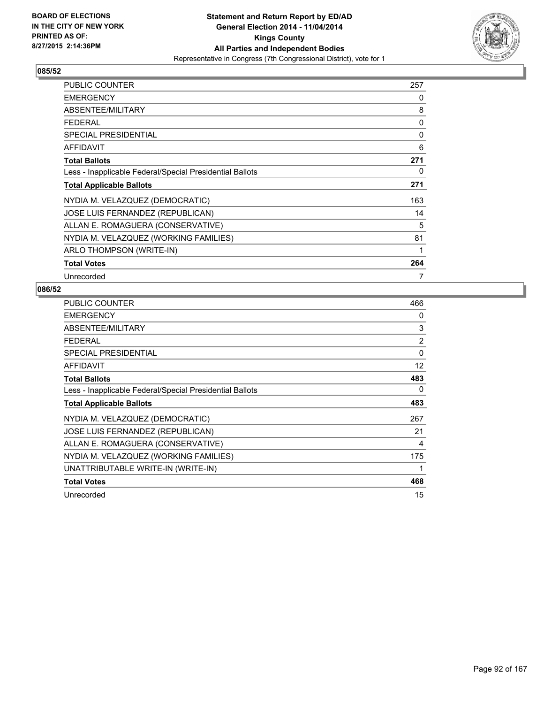

| PUBLIC COUNTER                                           | 257 |
|----------------------------------------------------------|-----|
| <b>EMERGENCY</b>                                         | 0   |
| ABSENTEE/MILITARY                                        | 8   |
| <b>FEDERAL</b>                                           | 0   |
| <b>SPECIAL PRESIDENTIAL</b>                              | 0   |
| <b>AFFIDAVIT</b>                                         | 6   |
| <b>Total Ballots</b>                                     | 271 |
| Less - Inapplicable Federal/Special Presidential Ballots | 0   |
| <b>Total Applicable Ballots</b>                          | 271 |
| NYDIA M. VELAZQUEZ (DEMOCRATIC)                          | 163 |
| JOSE LUIS FERNANDEZ (REPUBLICAN)                         | 14  |
| ALLAN E. ROMAGUERA (CONSERVATIVE)                        | 5   |
| NYDIA M. VELAZQUEZ (WORKING FAMILIES)                    | 81  |
| ARLO THOMPSON (WRITE-IN)                                 | 1   |
| <b>Total Votes</b>                                       | 264 |
| Unrecorded                                               | 7   |

| PUBLIC COUNTER                                           | 466      |
|----------------------------------------------------------|----------|
| <b>EMERGENCY</b>                                         | 0        |
| ABSENTEE/MILITARY                                        | 3        |
| <b>FEDERAL</b>                                           | 2        |
| <b>SPECIAL PRESIDENTIAL</b>                              | $\Omega$ |
| <b>AFFIDAVIT</b>                                         | 12       |
| <b>Total Ballots</b>                                     | 483      |
| Less - Inapplicable Federal/Special Presidential Ballots | 0        |
| <b>Total Applicable Ballots</b>                          | 483      |
| NYDIA M. VELAZQUEZ (DEMOCRATIC)                          | 267      |
| <b>JOSE LUIS FERNANDEZ (REPUBLICAN)</b>                  | 21       |
| ALLAN E. ROMAGUERA (CONSERVATIVE)                        | 4        |
| NYDIA M. VELAZQUEZ (WORKING FAMILIES)                    | 175      |
| UNATTRIBUTABLE WRITE-IN (WRITE-IN)                       | 1        |
| <b>Total Votes</b>                                       | 468      |
| Unrecorded                                               | 15       |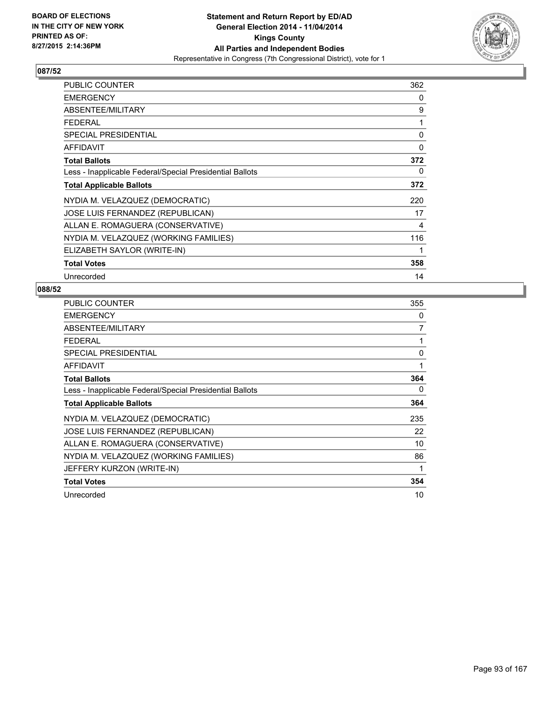

| <b>PUBLIC COUNTER</b>                                    | 362 |
|----------------------------------------------------------|-----|
| <b>EMERGENCY</b>                                         | 0   |
| ABSENTEE/MILITARY                                        | 9   |
| <b>FEDERAL</b>                                           | 1   |
| <b>SPECIAL PRESIDENTIAL</b>                              | 0   |
| AFFIDAVIT                                                | 0   |
| <b>Total Ballots</b>                                     | 372 |
| Less - Inapplicable Federal/Special Presidential Ballots | 0   |
| <b>Total Applicable Ballots</b>                          | 372 |
| NYDIA M. VELAZQUEZ (DEMOCRATIC)                          | 220 |
| <b>JOSE LUIS FERNANDEZ (REPUBLICAN)</b>                  | 17  |
| ALLAN E. ROMAGUERA (CONSERVATIVE)                        | 4   |
| NYDIA M. VELAZQUEZ (WORKING FAMILIES)                    | 116 |
| ELIZABETH SAYLOR (WRITE-IN)                              | 1   |
| <b>Total Votes</b>                                       | 358 |
| Unrecorded                                               | 14  |

| <b>PUBLIC COUNTER</b>                                    | 355 |
|----------------------------------------------------------|-----|
| <b>EMERGENCY</b>                                         | 0   |
| ABSENTEE/MILITARY                                        | 7   |
| <b>FEDERAL</b>                                           | 1   |
| <b>SPECIAL PRESIDENTIAL</b>                              | 0   |
| <b>AFFIDAVIT</b>                                         | 1   |
| <b>Total Ballots</b>                                     | 364 |
| Less - Inapplicable Federal/Special Presidential Ballots | 0   |
| <b>Total Applicable Ballots</b>                          | 364 |
| NYDIA M. VELAZQUEZ (DEMOCRATIC)                          | 235 |
| JOSE LUIS FERNANDEZ (REPUBLICAN)                         | 22  |
| ALLAN E. ROMAGUERA (CONSERVATIVE)                        | 10  |
| NYDIA M. VELAZQUEZ (WORKING FAMILIES)                    | 86  |
| JEFFERY KURZON (WRITE-IN)                                | 1   |
| <b>Total Votes</b>                                       | 354 |
| Unrecorded                                               | 10  |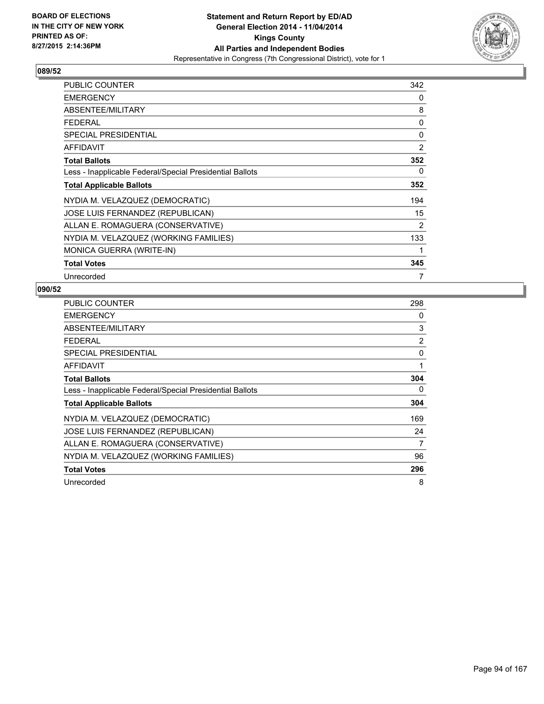

| <b>PUBLIC COUNTER</b>                                    | 342 |
|----------------------------------------------------------|-----|
| <b>EMERGENCY</b>                                         | 0   |
| ABSENTEE/MILITARY                                        | 8   |
| <b>FEDERAL</b>                                           | 0   |
| <b>SPECIAL PRESIDENTIAL</b>                              | 0   |
| AFFIDAVIT                                                | 2   |
| <b>Total Ballots</b>                                     | 352 |
| Less - Inapplicable Federal/Special Presidential Ballots | 0   |
| <b>Total Applicable Ballots</b>                          | 352 |
| NYDIA M. VELAZQUEZ (DEMOCRATIC)                          | 194 |
| JOSE LUIS FERNANDEZ (REPUBLICAN)                         | 15  |
| ALLAN E. ROMAGUERA (CONSERVATIVE)                        | 2   |
| NYDIA M. VELAZQUEZ (WORKING FAMILIES)                    | 133 |
| <b>MONICA GUERRA (WRITE-IN)</b>                          | 1   |
| <b>Total Votes</b>                                       | 345 |
| Unrecorded                                               | 7   |

| PUBLIC COUNTER                                           | 298            |
|----------------------------------------------------------|----------------|
| <b>EMERGENCY</b>                                         | 0              |
| ABSENTEE/MILITARY                                        | 3              |
| <b>FEDERAL</b>                                           | $\overline{2}$ |
| <b>SPECIAL PRESIDENTIAL</b>                              | 0              |
| <b>AFFIDAVIT</b>                                         | 1              |
| <b>Total Ballots</b>                                     | 304            |
| Less - Inapplicable Federal/Special Presidential Ballots | 0              |
| <b>Total Applicable Ballots</b>                          | 304            |
| NYDIA M. VELAZQUEZ (DEMOCRATIC)                          | 169            |
| JOSE LUIS FERNANDEZ (REPUBLICAN)                         | 24             |
| ALLAN E. ROMAGUERA (CONSERVATIVE)                        | 7              |
| NYDIA M. VELAZQUEZ (WORKING FAMILIES)                    | 96             |
| <b>Total Votes</b>                                       | 296            |
| Unrecorded                                               | 8              |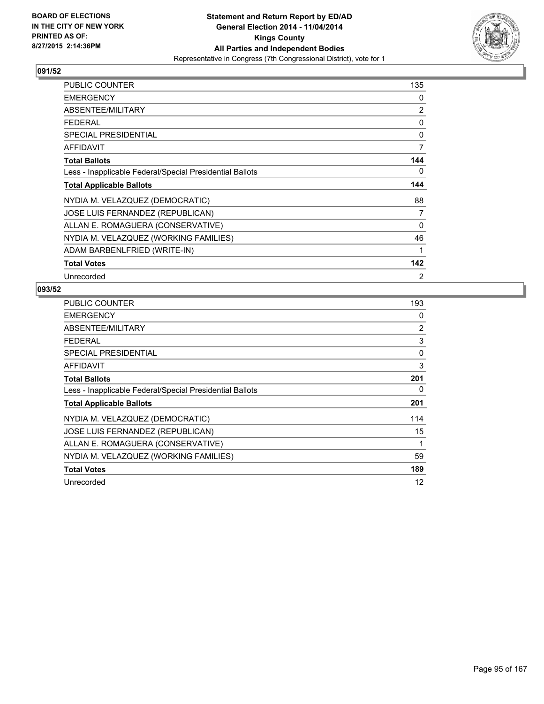

| <b>PUBLIC COUNTER</b>                                    | 135            |
|----------------------------------------------------------|----------------|
| <b>EMERGENCY</b>                                         | 0              |
| ABSENTEE/MILITARY                                        | $\overline{2}$ |
| <b>FEDERAL</b>                                           | 0              |
| <b>SPECIAL PRESIDENTIAL</b>                              | 0              |
| AFFIDAVIT                                                | 7              |
| <b>Total Ballots</b>                                     | 144            |
| Less - Inapplicable Federal/Special Presidential Ballots | 0              |
| <b>Total Applicable Ballots</b>                          | 144            |
| NYDIA M. VELAZQUEZ (DEMOCRATIC)                          | 88             |
| JOSE LUIS FERNANDEZ (REPUBLICAN)                         | 7              |
| ALLAN E. ROMAGUERA (CONSERVATIVE)                        | 0              |
| NYDIA M. VELAZQUEZ (WORKING FAMILIES)                    | 46             |
| ADAM BARBENLFRIED (WRITE-IN)                             | 1              |
| <b>Total Votes</b>                                       | 142            |
| Unrecorded                                               | 2              |

| PUBLIC COUNTER                                           | 193            |
|----------------------------------------------------------|----------------|
| <b>EMERGENCY</b>                                         | 0              |
| ABSENTEE/MILITARY                                        | $\overline{2}$ |
| <b>FEDERAL</b>                                           | 3              |
| <b>SPECIAL PRESIDENTIAL</b>                              | 0              |
| <b>AFFIDAVIT</b>                                         | 3              |
| <b>Total Ballots</b>                                     | 201            |
| Less - Inapplicable Federal/Special Presidential Ballots | 0              |
| <b>Total Applicable Ballots</b>                          | 201            |
| NYDIA M. VELAZQUEZ (DEMOCRATIC)                          | 114            |
| JOSE LUIS FERNANDEZ (REPUBLICAN)                         | 15             |
| ALLAN E. ROMAGUERA (CONSERVATIVE)                        | 1              |
| NYDIA M. VELAZQUEZ (WORKING FAMILIES)                    | 59             |
| <b>Total Votes</b>                                       | 189            |
| Unrecorded                                               | 12             |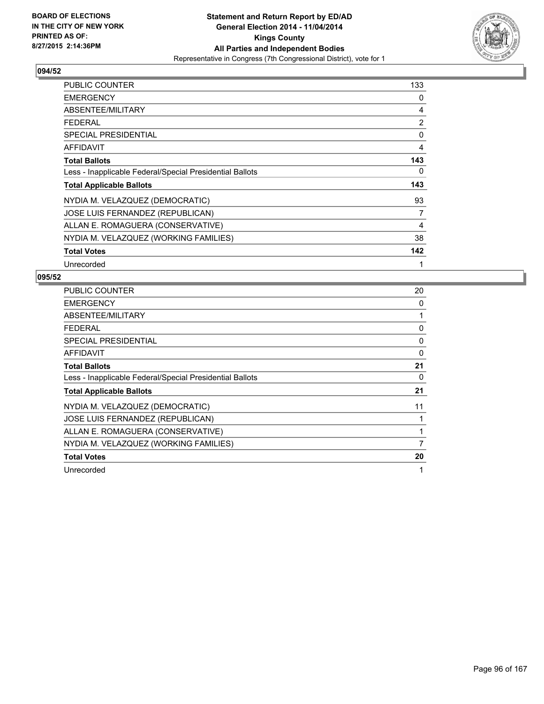

| <b>PUBLIC COUNTER</b>                                    | 133 |
|----------------------------------------------------------|-----|
| <b>EMERGENCY</b>                                         | 0   |
| ABSENTEE/MILITARY                                        | 4   |
| <b>FEDERAL</b>                                           | 2   |
| <b>SPECIAL PRESIDENTIAL</b>                              | 0   |
| <b>AFFIDAVIT</b>                                         | 4   |
| <b>Total Ballots</b>                                     | 143 |
| Less - Inapplicable Federal/Special Presidential Ballots | 0   |
| <b>Total Applicable Ballots</b>                          | 143 |
| NYDIA M. VELAZQUEZ (DEMOCRATIC)                          | 93  |
| JOSE LUIS FERNANDEZ (REPUBLICAN)                         | 7   |
| ALLAN E. ROMAGUERA (CONSERVATIVE)                        | 4   |
| NYDIA M. VELAZQUEZ (WORKING FAMILIES)                    | 38  |
| <b>Total Votes</b>                                       | 142 |
| Unrecorded                                               | 1   |

| <b>PUBLIC COUNTER</b>                                    | 20 |
|----------------------------------------------------------|----|
| <b>EMERGENCY</b>                                         | 0  |
| ABSENTEE/MILITARY                                        | 1  |
| <b>FEDERAL</b>                                           | 0  |
| SPECIAL PRESIDENTIAL                                     | 0  |
| AFFIDAVIT                                                | 0  |
| <b>Total Ballots</b>                                     | 21 |
| Less - Inapplicable Federal/Special Presidential Ballots | 0  |
| <b>Total Applicable Ballots</b>                          | 21 |
| NYDIA M. VELAZQUEZ (DEMOCRATIC)                          | 11 |
| JOSE LUIS FERNANDEZ (REPUBLICAN)                         | 1  |
| ALLAN E. ROMAGUERA (CONSERVATIVE)                        | 1  |
| NYDIA M. VELAZQUEZ (WORKING FAMILIES)                    | 7  |
| <b>Total Votes</b>                                       | 20 |
| Unrecorded                                               | 1  |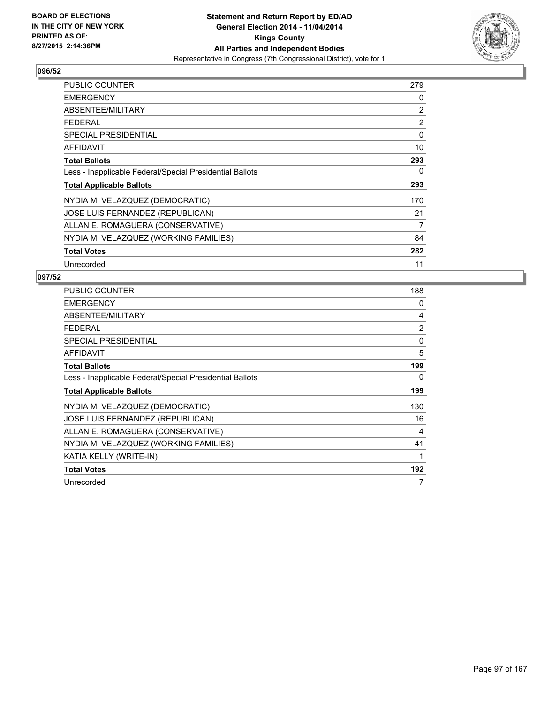

| PUBLIC COUNTER                                           | 279 |
|----------------------------------------------------------|-----|
| <b>EMERGENCY</b>                                         | 0   |
| ABSENTEE/MILITARY                                        | 2   |
| <b>FEDERAL</b>                                           | 2   |
| <b>SPECIAL PRESIDENTIAL</b>                              | 0   |
| <b>AFFIDAVIT</b>                                         | 10  |
| <b>Total Ballots</b>                                     | 293 |
| Less - Inapplicable Federal/Special Presidential Ballots | 0   |
| <b>Total Applicable Ballots</b>                          | 293 |
| NYDIA M. VELAZQUEZ (DEMOCRATIC)                          | 170 |
| JOSE LUIS FERNANDEZ (REPUBLICAN)                         | 21  |
| ALLAN E. ROMAGUERA (CONSERVATIVE)                        | 7   |
| NYDIA M. VELAZQUEZ (WORKING FAMILIES)                    | 84  |
| <b>Total Votes</b>                                       | 282 |
| Unrecorded                                               | 11  |

| <b>PUBLIC COUNTER</b>                                    | 188 |
|----------------------------------------------------------|-----|
| <b>EMERGENCY</b>                                         | 0   |
| ABSENTEE/MILITARY                                        | 4   |
| <b>FEDERAL</b>                                           | 2   |
| <b>SPECIAL PRESIDENTIAL</b>                              | 0   |
| <b>AFFIDAVIT</b>                                         | 5   |
| <b>Total Ballots</b>                                     | 199 |
| Less - Inapplicable Federal/Special Presidential Ballots | 0   |
| <b>Total Applicable Ballots</b>                          | 199 |
| NYDIA M. VELAZQUEZ (DEMOCRATIC)                          | 130 |
| JOSE LUIS FERNANDEZ (REPUBLICAN)                         | 16  |
| ALLAN E. ROMAGUERA (CONSERVATIVE)                        | 4   |
| NYDIA M. VELAZQUEZ (WORKING FAMILIES)                    | 41  |
| KATIA KELLY (WRITE-IN)                                   | 1   |
| <b>Total Votes</b>                                       | 192 |
| Unrecorded                                               | 7   |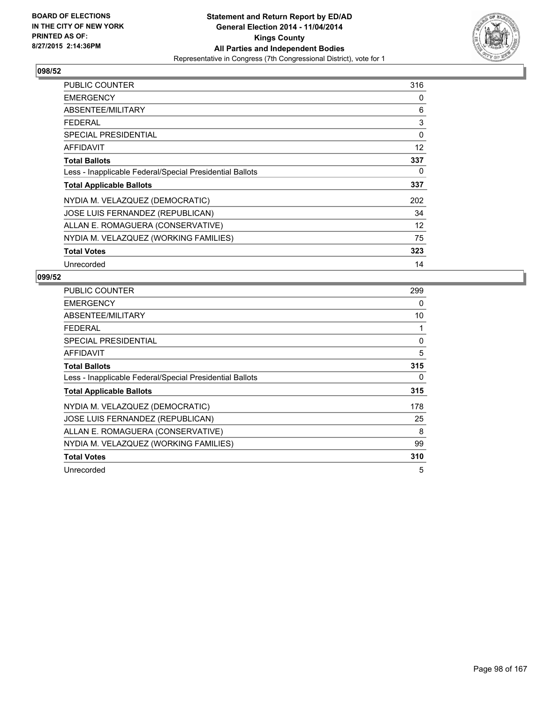

| <b>PUBLIC COUNTER</b>                                    | 316 |
|----------------------------------------------------------|-----|
| <b>EMERGENCY</b>                                         | 0   |
| ABSENTEE/MILITARY                                        | 6   |
| <b>FEDERAL</b>                                           | 3   |
| <b>SPECIAL PRESIDENTIAL</b>                              | 0   |
| AFFIDAVIT                                                | 12  |
| <b>Total Ballots</b>                                     | 337 |
| Less - Inapplicable Federal/Special Presidential Ballots | 0   |
| <b>Total Applicable Ballots</b>                          | 337 |
| NYDIA M. VELAZQUEZ (DEMOCRATIC)                          | 202 |
| JOSE LUIS FERNANDEZ (REPUBLICAN)                         | 34  |
| ALLAN E. ROMAGUERA (CONSERVATIVE)                        | 12  |
| NYDIA M. VELAZQUEZ (WORKING FAMILIES)                    | 75  |
| <b>Total Votes</b>                                       | 323 |
| Unrecorded                                               | 14  |

| <b>PUBLIC COUNTER</b>                                    | 299 |
|----------------------------------------------------------|-----|
| <b>EMERGENCY</b>                                         | 0   |
| ABSENTEE/MILITARY                                        | 10  |
| <b>FEDERAL</b>                                           | 1   |
| SPECIAL PRESIDENTIAL                                     | 0   |
| AFFIDAVIT                                                | 5   |
| <b>Total Ballots</b>                                     | 315 |
| Less - Inapplicable Federal/Special Presidential Ballots | 0   |
| <b>Total Applicable Ballots</b>                          | 315 |
| NYDIA M. VELAZQUEZ (DEMOCRATIC)                          | 178 |
| JOSE LUIS FERNANDEZ (REPUBLICAN)                         | 25  |
| ALLAN E. ROMAGUERA (CONSERVATIVE)                        | 8   |
| NYDIA M. VELAZQUEZ (WORKING FAMILIES)                    | 99  |
| <b>Total Votes</b>                                       | 310 |
| Unrecorded                                               | 5   |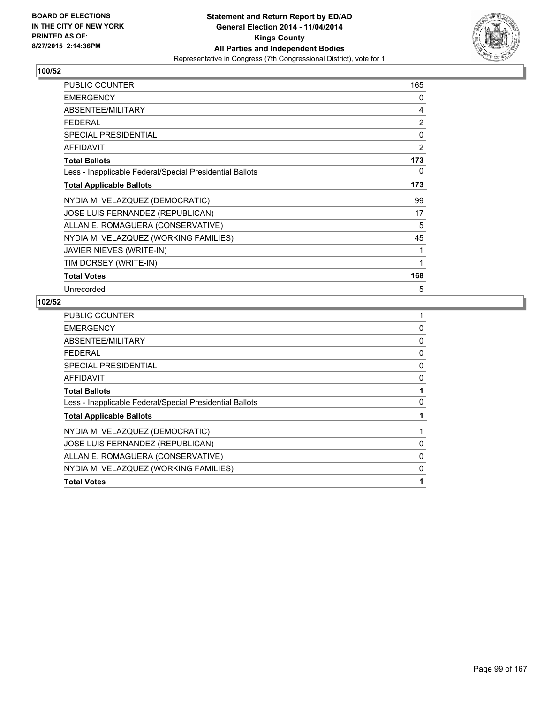

| <b>PUBLIC COUNTER</b>                                    | 165            |
|----------------------------------------------------------|----------------|
| <b>EMERGENCY</b>                                         | 0              |
| ABSENTEE/MILITARY                                        | 4              |
| <b>FEDERAL</b>                                           | $\overline{2}$ |
| <b>SPECIAL PRESIDENTIAL</b>                              | 0              |
| <b>AFFIDAVIT</b>                                         | $\overline{2}$ |
| <b>Total Ballots</b>                                     | 173            |
| Less - Inapplicable Federal/Special Presidential Ballots | 0              |
| <b>Total Applicable Ballots</b>                          | 173            |
| NYDIA M. VELAZQUEZ (DEMOCRATIC)                          | 99             |
| JOSE LUIS FERNANDEZ (REPUBLICAN)                         | 17             |
| ALLAN E. ROMAGUERA (CONSERVATIVE)                        | 5              |
| NYDIA M. VELAZQUEZ (WORKING FAMILIES)                    | 45             |
| JAVIER NIEVES (WRITE-IN)                                 | 1              |
| TIM DORSEY (WRITE-IN)                                    | 1              |
| <b>Total Votes</b>                                       | 168            |
| Unrecorded                                               | 5              |

| <b>PUBLIC COUNTER</b>                                    |   |
|----------------------------------------------------------|---|
| <b>EMERGENCY</b>                                         | 0 |
| ABSENTEE/MILITARY                                        | 0 |
| <b>FEDERAL</b>                                           | 0 |
| <b>SPECIAL PRESIDENTIAL</b>                              | 0 |
| AFFIDAVIT                                                | 0 |
| <b>Total Ballots</b>                                     |   |
| Less - Inapplicable Federal/Special Presidential Ballots | 0 |
| <b>Total Applicable Ballots</b>                          |   |
| NYDIA M. VELAZQUEZ (DEMOCRATIC)                          |   |
| JOSE LUIS FERNANDEZ (REPUBLICAN)                         | 0 |
| ALLAN E. ROMAGUERA (CONSERVATIVE)                        | 0 |
| NYDIA M. VELAZQUEZ (WORKING FAMILIES)                    | 0 |
| <b>Total Votes</b>                                       |   |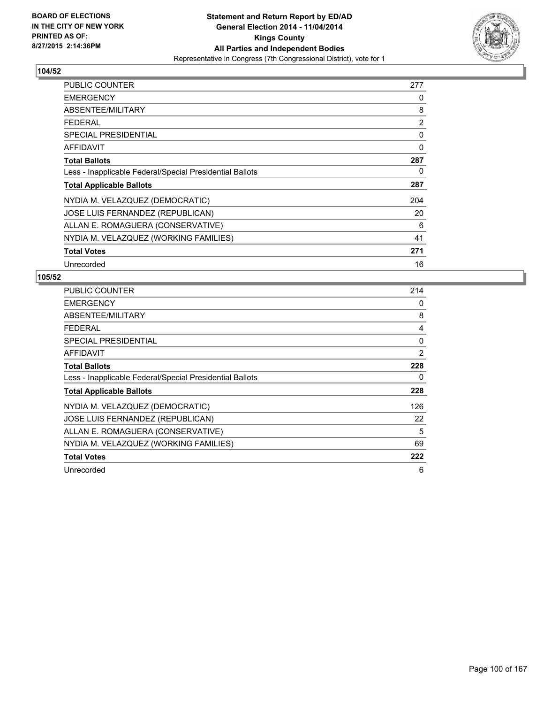

| <b>PUBLIC COUNTER</b>                                    | 277            |
|----------------------------------------------------------|----------------|
| <b>EMERGENCY</b>                                         | 0              |
| ABSENTEE/MILITARY                                        | 8              |
| <b>FEDERAL</b>                                           | $\overline{2}$ |
| <b>SPECIAL PRESIDENTIAL</b>                              | 0              |
| <b>AFFIDAVIT</b>                                         | 0              |
| <b>Total Ballots</b>                                     | 287            |
| Less - Inapplicable Federal/Special Presidential Ballots | 0              |
| <b>Total Applicable Ballots</b>                          | 287            |
| NYDIA M. VELAZQUEZ (DEMOCRATIC)                          | 204            |
| JOSE LUIS FERNANDEZ (REPUBLICAN)                         | 20             |
| ALLAN E. ROMAGUERA (CONSERVATIVE)                        | 6              |
| NYDIA M. VELAZQUEZ (WORKING FAMILIES)                    | 41             |
| <b>Total Votes</b>                                       | 271            |
| Unrecorded                                               | 16             |

| <b>PUBLIC COUNTER</b>                                    | 214 |
|----------------------------------------------------------|-----|
| <b>EMERGENCY</b>                                         | 0   |
| ABSENTEE/MILITARY                                        | 8   |
| <b>FEDERAL</b>                                           | 4   |
| SPECIAL PRESIDENTIAL                                     | 0   |
| AFFIDAVIT                                                | 2   |
| <b>Total Ballots</b>                                     | 228 |
| Less - Inapplicable Federal/Special Presidential Ballots | 0   |
| <b>Total Applicable Ballots</b>                          | 228 |
| NYDIA M. VELAZQUEZ (DEMOCRATIC)                          | 126 |
| JOSE LUIS FERNANDEZ (REPUBLICAN)                         | 22  |
| ALLAN E. ROMAGUERA (CONSERVATIVE)                        | 5   |
| NYDIA M. VELAZQUEZ (WORKING FAMILIES)                    | 69  |
| <b>Total Votes</b>                                       | 222 |
| Unrecorded                                               | 6   |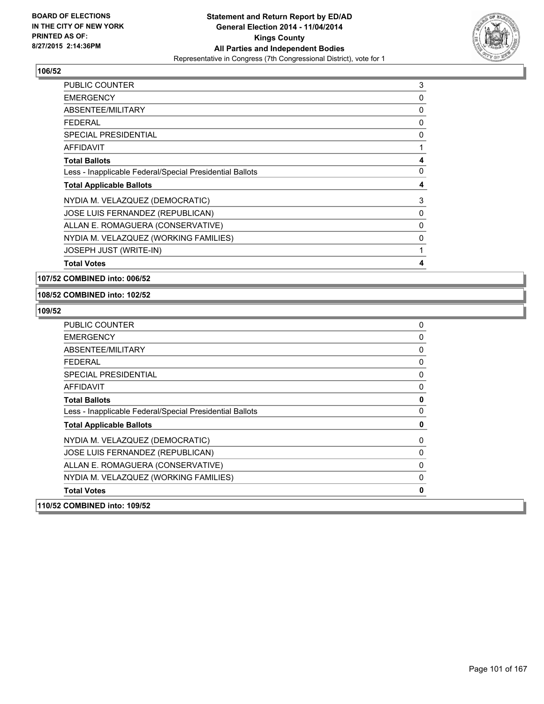

| <b>PUBLIC COUNTER</b>                                    | 3 |
|----------------------------------------------------------|---|
| <b>EMERGENCY</b>                                         | 0 |
| ABSENTEE/MILITARY                                        | 0 |
| <b>FEDERAL</b>                                           | 0 |
| <b>SPECIAL PRESIDENTIAL</b>                              | 0 |
| <b>AFFIDAVIT</b>                                         | 1 |
| <b>Total Ballots</b>                                     | 4 |
| Less - Inapplicable Federal/Special Presidential Ballots | 0 |
| <b>Total Applicable Ballots</b>                          | 4 |
| NYDIA M. VELAZQUEZ (DEMOCRATIC)                          | 3 |
| JOSE LUIS FERNANDEZ (REPUBLICAN)                         | 0 |
| ALLAN E. ROMAGUERA (CONSERVATIVE)                        | 0 |
| NYDIA M. VELAZQUEZ (WORKING FAMILIES)                    | 0 |
| <b>JOSEPH JUST (WRITE-IN)</b>                            | 1 |
| <b>Total Votes</b>                                       | 4 |

**107/52 COMBINED into: 006/52**

### **108/52 COMBINED into: 102/52**

| 110/52 COMBINED into: 109/52                             |              |
|----------------------------------------------------------|--------------|
| <b>Total Votes</b>                                       | 0            |
| NYDIA M. VELAZQUEZ (WORKING FAMILIES)                    | $\mathbf{0}$ |
| ALLAN E. ROMAGUERA (CONSERVATIVE)                        | 0            |
| JOSE LUIS FERNANDEZ (REPUBLICAN)                         | 0            |
| NYDIA M. VELAZQUEZ (DEMOCRATIC)                          | 0            |
| <b>Total Applicable Ballots</b>                          | 0            |
| Less - Inapplicable Federal/Special Presidential Ballots | 0            |
| <b>Total Ballots</b>                                     | $\mathbf 0$  |
| <b>AFFIDAVIT</b>                                         | 0            |
| SPECIAL PRESIDENTIAL                                     | 0            |
| FEDERAL                                                  | 0            |
| ABSENTEE/MILITARY                                        | 0            |
| <b>EMERGENCY</b>                                         | 0            |
| <b>PUBLIC COUNTER</b>                                    | 0            |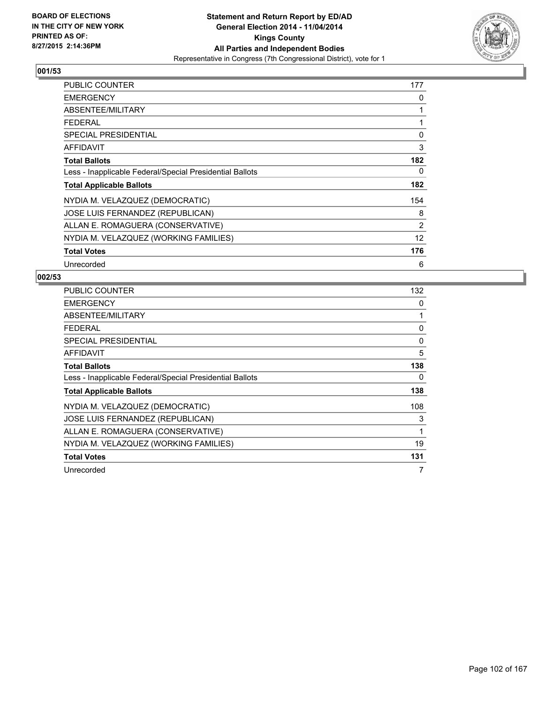

| PUBLIC COUNTER                                           | 177               |
|----------------------------------------------------------|-------------------|
| <b>EMERGENCY</b>                                         | 0                 |
| ABSENTEE/MILITARY                                        | 1                 |
| <b>FEDERAL</b>                                           | 1                 |
| <b>SPECIAL PRESIDENTIAL</b>                              | 0                 |
| <b>AFFIDAVIT</b>                                         | 3                 |
| <b>Total Ballots</b>                                     | 182               |
| Less - Inapplicable Federal/Special Presidential Ballots | 0                 |
| <b>Total Applicable Ballots</b>                          | 182               |
| NYDIA M. VELAZQUEZ (DEMOCRATIC)                          | 154               |
| JOSE LUIS FERNANDEZ (REPUBLICAN)                         | 8                 |
| ALLAN E. ROMAGUERA (CONSERVATIVE)                        | $\overline{2}$    |
| NYDIA M. VELAZQUEZ (WORKING FAMILIES)                    | $12 \overline{ }$ |
| <b>Total Votes</b>                                       | 176               |
| Unrecorded                                               | 6                 |

| <b>PUBLIC COUNTER</b>                                    | 132          |
|----------------------------------------------------------|--------------|
| <b>EMERGENCY</b>                                         | 0            |
| ABSENTEE/MILITARY                                        | 1            |
| <b>FEDERAL</b>                                           | 0            |
| SPECIAL PRESIDENTIAL                                     | 0            |
| <b>AFFIDAVIT</b>                                         | 5            |
| <b>Total Ballots</b>                                     | 138          |
| Less - Inapplicable Federal/Special Presidential Ballots | 0            |
| <b>Total Applicable Ballots</b>                          | 138          |
| NYDIA M. VELAZQUEZ (DEMOCRATIC)                          | 108          |
| JOSE LUIS FERNANDEZ (REPUBLICAN)                         | 3            |
| ALLAN E. ROMAGUERA (CONSERVATIVE)                        | $\mathbf{1}$ |
| NYDIA M. VELAZQUEZ (WORKING FAMILIES)                    | 19           |
| <b>Total Votes</b>                                       | 131          |
| Unrecorded                                               | 7            |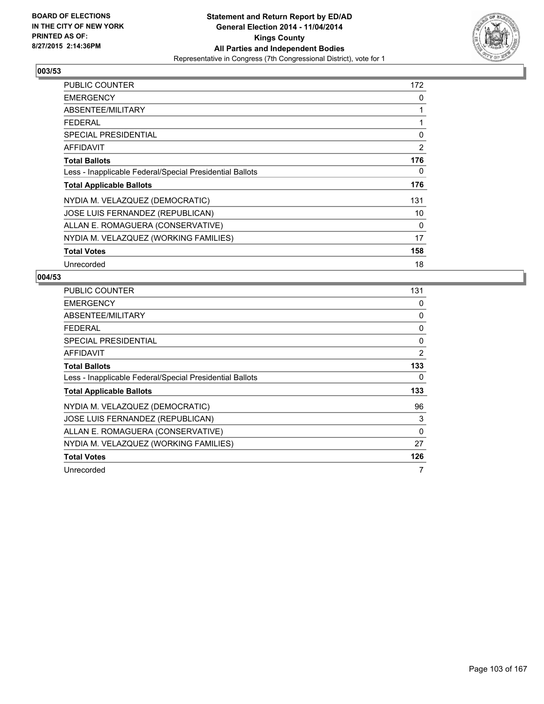

| PUBLIC COUNTER                                           | 172 |
|----------------------------------------------------------|-----|
| <b>EMERGENCY</b>                                         | 0   |
| ABSENTEE/MILITARY                                        | 1   |
| <b>FEDERAL</b>                                           | 1   |
| <b>SPECIAL PRESIDENTIAL</b>                              | 0   |
| AFFIDAVIT                                                | 2   |
| <b>Total Ballots</b>                                     | 176 |
| Less - Inapplicable Federal/Special Presidential Ballots | 0   |
| <b>Total Applicable Ballots</b>                          | 176 |
| NYDIA M. VELAZQUEZ (DEMOCRATIC)                          | 131 |
| JOSE LUIS FERNANDEZ (REPUBLICAN)                         | 10  |
| ALLAN E. ROMAGUERA (CONSERVATIVE)                        | 0   |
| NYDIA M. VELAZQUEZ (WORKING FAMILIES)                    | 17  |
| <b>Total Votes</b>                                       | 158 |
| Unrecorded                                               | 18  |

| <b>PUBLIC COUNTER</b>                                    | 131            |
|----------------------------------------------------------|----------------|
| <b>EMERGENCY</b>                                         | 0              |
| ABSENTEE/MILITARY                                        | 0              |
| <b>FEDERAL</b>                                           | 0              |
| SPECIAL PRESIDENTIAL                                     | 0              |
| <b>AFFIDAVIT</b>                                         | $\overline{2}$ |
| <b>Total Ballots</b>                                     | 133            |
| Less - Inapplicable Federal/Special Presidential Ballots | 0              |
| <b>Total Applicable Ballots</b>                          | 133            |
| NYDIA M. VELAZQUEZ (DEMOCRATIC)                          | 96             |
| JOSE LUIS FERNANDEZ (REPUBLICAN)                         | 3              |
| ALLAN E. ROMAGUERA (CONSERVATIVE)                        | 0              |
| NYDIA M. VELAZQUEZ (WORKING FAMILIES)                    | 27             |
| <b>Total Votes</b>                                       | 126            |
| Unrecorded                                               | 7              |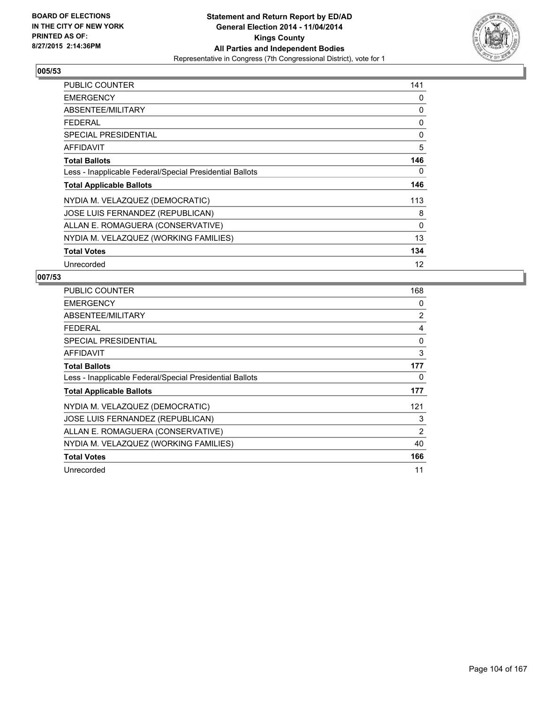

| PUBLIC COUNTER                                           | 141 |
|----------------------------------------------------------|-----|
| <b>EMERGENCY</b>                                         | 0   |
| ABSENTEE/MILITARY                                        | 0   |
| <b>FEDERAL</b>                                           | 0   |
| <b>SPECIAL PRESIDENTIAL</b>                              | 0   |
| <b>AFFIDAVIT</b>                                         | 5   |
| <b>Total Ballots</b>                                     | 146 |
| Less - Inapplicable Federal/Special Presidential Ballots | 0   |
| <b>Total Applicable Ballots</b>                          | 146 |
| NYDIA M. VELAZQUEZ (DEMOCRATIC)                          | 113 |
| JOSE LUIS FERNANDEZ (REPUBLICAN)                         | 8   |
| ALLAN E. ROMAGUERA (CONSERVATIVE)                        | 0   |
| NYDIA M. VELAZQUEZ (WORKING FAMILIES)                    | 13  |
| <b>Total Votes</b>                                       | 134 |
| Unrecorded                                               | 12  |

| <b>PUBLIC COUNTER</b>                                    | 168            |
|----------------------------------------------------------|----------------|
| <b>EMERGENCY</b>                                         | 0              |
| ABSENTEE/MILITARY                                        | $\overline{2}$ |
| <b>FEDERAL</b>                                           | 4              |
| SPECIAL PRESIDENTIAL                                     | 0              |
| AFFIDAVIT                                                | 3              |
| <b>Total Ballots</b>                                     | 177            |
| Less - Inapplicable Federal/Special Presidential Ballots | 0              |
| <b>Total Applicable Ballots</b>                          | 177            |
| NYDIA M. VELAZQUEZ (DEMOCRATIC)                          | 121            |
| JOSE LUIS FERNANDEZ (REPUBLICAN)                         | 3              |
| ALLAN E. ROMAGUERA (CONSERVATIVE)                        | 2              |
| NYDIA M. VELAZQUEZ (WORKING FAMILIES)                    | 40             |
| <b>Total Votes</b>                                       | 166            |
| Unrecorded                                               | 11             |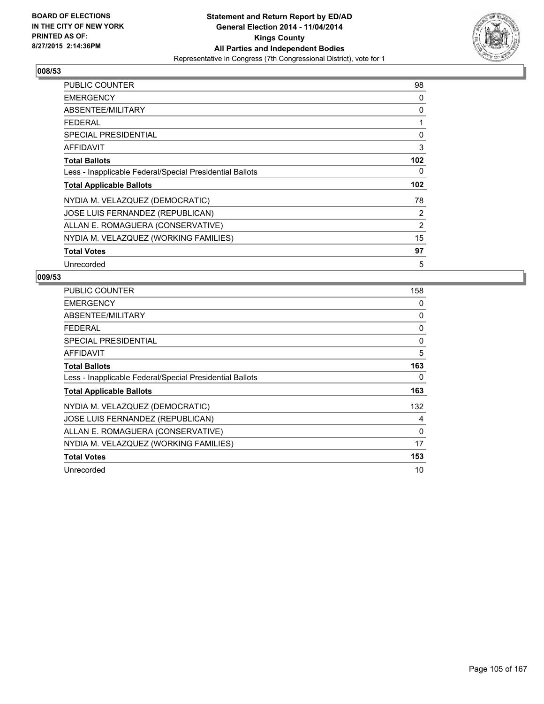

| <b>PUBLIC COUNTER</b>                                    | 98             |
|----------------------------------------------------------|----------------|
| <b>EMERGENCY</b>                                         | 0              |
| ABSENTEE/MILITARY                                        | 0              |
| <b>FEDERAL</b>                                           | 1              |
| <b>SPECIAL PRESIDENTIAL</b>                              | 0              |
| <b>AFFIDAVIT</b>                                         | 3              |
| <b>Total Ballots</b>                                     | 102            |
| Less - Inapplicable Federal/Special Presidential Ballots | 0              |
| <b>Total Applicable Ballots</b>                          | 102            |
| NYDIA M. VELAZQUEZ (DEMOCRATIC)                          | 78             |
| JOSE LUIS FERNANDEZ (REPUBLICAN)                         | 2              |
| ALLAN E. ROMAGUERA (CONSERVATIVE)                        | $\overline{2}$ |
| NYDIA M. VELAZQUEZ (WORKING FAMILIES)                    | 15             |
| <b>Total Votes</b>                                       | 97             |
| Unrecorded                                               | 5              |

| PUBLIC COUNTER                                           | 158 |
|----------------------------------------------------------|-----|
| <b>EMERGENCY</b>                                         | 0   |
| ABSENTEE/MILITARY                                        | 0   |
| <b>FEDERAL</b>                                           | 0   |
| <b>SPECIAL PRESIDENTIAL</b>                              | 0   |
| AFFIDAVIT                                                | 5   |
| <b>Total Ballots</b>                                     | 163 |
| Less - Inapplicable Federal/Special Presidential Ballots | 0   |
| <b>Total Applicable Ballots</b>                          | 163 |
| NYDIA M. VELAZQUEZ (DEMOCRATIC)                          | 132 |
| JOSE LUIS FERNANDEZ (REPUBLICAN)                         | 4   |
| ALLAN E. ROMAGUERA (CONSERVATIVE)                        | 0   |
| NYDIA M. VELAZQUEZ (WORKING FAMILIES)                    | 17  |
| <b>Total Votes</b>                                       | 153 |
| Unrecorded                                               | 10  |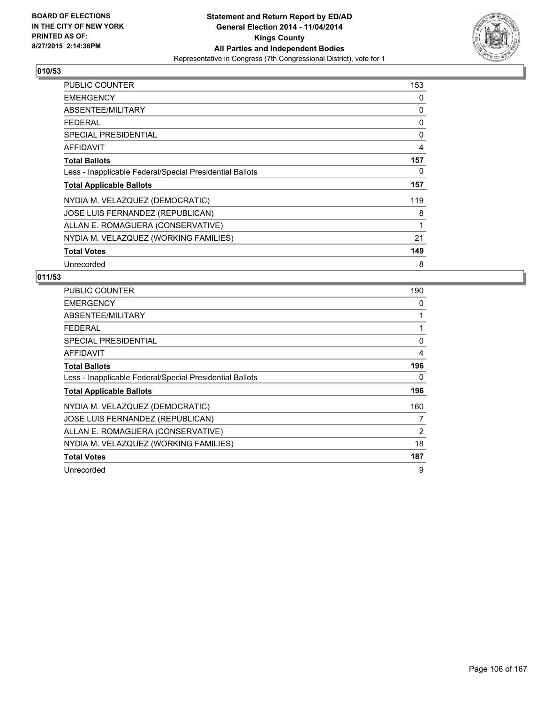

| PUBLIC COUNTER                                           | 153 |
|----------------------------------------------------------|-----|
| <b>EMERGENCY</b>                                         | 0   |
| ABSENTEE/MILITARY                                        | 0   |
| <b>FEDERAL</b>                                           | 0   |
| <b>SPECIAL PRESIDENTIAL</b>                              | 0   |
| AFFIDAVIT                                                | 4   |
| <b>Total Ballots</b>                                     | 157 |
| Less - Inapplicable Federal/Special Presidential Ballots | 0   |
| <b>Total Applicable Ballots</b>                          | 157 |
| NYDIA M. VELAZQUEZ (DEMOCRATIC)                          | 119 |
| JOSE LUIS FERNANDEZ (REPUBLICAN)                         | 8   |
| ALLAN E. ROMAGUERA (CONSERVATIVE)                        | 1   |
| NYDIA M. VELAZQUEZ (WORKING FAMILIES)                    | 21  |
| <b>Total Votes</b>                                       | 149 |
| Unrecorded                                               | 8   |

| <b>PUBLIC COUNTER</b>                                    | 190 |
|----------------------------------------------------------|-----|
| <b>EMERGENCY</b>                                         | 0   |
| ABSENTEE/MILITARY                                        | 1   |
| <b>FEDERAL</b>                                           | 1   |
| SPECIAL PRESIDENTIAL                                     | 0   |
| <b>AFFIDAVIT</b>                                         | 4   |
| <b>Total Ballots</b>                                     | 196 |
| Less - Inapplicable Federal/Special Presidential Ballots | 0   |
| <b>Total Applicable Ballots</b>                          | 196 |
| NYDIA M. VELAZQUEZ (DEMOCRATIC)                          | 160 |
| JOSE LUIS FERNANDEZ (REPUBLICAN)                         | 7   |
| ALLAN E. ROMAGUERA (CONSERVATIVE)                        | 2   |
| NYDIA M. VELAZQUEZ (WORKING FAMILIES)                    | 18  |
| <b>Total Votes</b>                                       | 187 |
| Unrecorded                                               | 9   |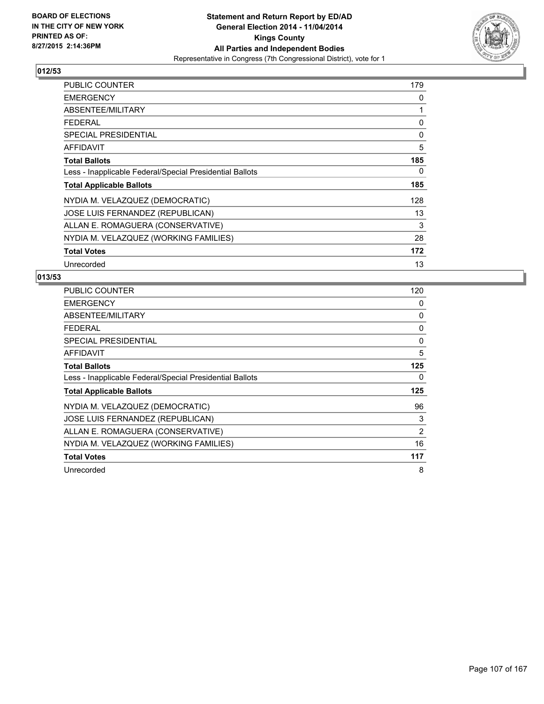

| <b>PUBLIC COUNTER</b>                                    | 179 |
|----------------------------------------------------------|-----|
| <b>EMERGENCY</b>                                         | 0   |
| ABSENTEE/MILITARY                                        | 1   |
| <b>FEDERAL</b>                                           | 0   |
| <b>SPECIAL PRESIDENTIAL</b>                              | 0   |
| <b>AFFIDAVIT</b>                                         | 5   |
| <b>Total Ballots</b>                                     | 185 |
| Less - Inapplicable Federal/Special Presidential Ballots | 0   |
| <b>Total Applicable Ballots</b>                          | 185 |
| NYDIA M. VELAZQUEZ (DEMOCRATIC)                          | 128 |
| <b>JOSE LUIS FERNANDEZ (REPUBLICAN)</b>                  | 13  |
| ALLAN E. ROMAGUERA (CONSERVATIVE)                        | 3   |
| NYDIA M. VELAZQUEZ (WORKING FAMILIES)                    | 28  |
| <b>Total Votes</b>                                       | 172 |
| Unrecorded                                               | 13  |

| <b>PUBLIC COUNTER</b>                                    | 120 |
|----------------------------------------------------------|-----|
| <b>EMERGENCY</b>                                         | 0   |
| ABSENTEE/MILITARY                                        | 0   |
| <b>FEDERAL</b>                                           | 0   |
| <b>SPECIAL PRESIDENTIAL</b>                              | 0   |
| <b>AFFIDAVIT</b>                                         | 5   |
| <b>Total Ballots</b>                                     | 125 |
| Less - Inapplicable Federal/Special Presidential Ballots | 0   |
| <b>Total Applicable Ballots</b>                          | 125 |
| NYDIA M. VELAZQUEZ (DEMOCRATIC)                          | 96  |
| JOSE LUIS FERNANDEZ (REPUBLICAN)                         | 3   |
| ALLAN E. ROMAGUERA (CONSERVATIVE)                        | 2   |
| NYDIA M. VELAZQUEZ (WORKING FAMILIES)                    | 16  |
| <b>Total Votes</b>                                       | 117 |
| Unrecorded                                               | 8   |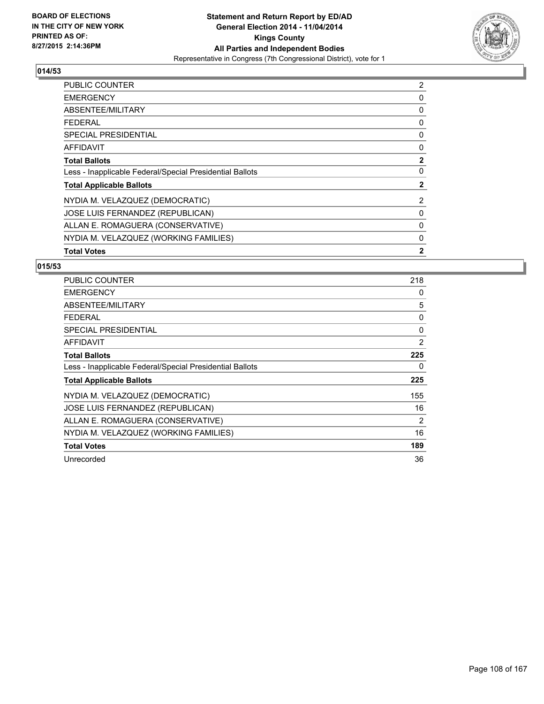

| <b>PUBLIC COUNTER</b>                                    | 2              |
|----------------------------------------------------------|----------------|
| <b>EMERGENCY</b>                                         | 0              |
| ABSENTEE/MILITARY                                        | 0              |
| <b>FEDERAL</b>                                           | 0              |
| SPECIAL PRESIDENTIAL                                     | 0              |
| AFFIDAVIT                                                | 0              |
| <b>Total Ballots</b>                                     | $\mathbf{2}$   |
| Less - Inapplicable Federal/Special Presidential Ballots | 0              |
| <b>Total Applicable Ballots</b>                          | 2              |
| NYDIA M. VELAZQUEZ (DEMOCRATIC)                          | $\overline{2}$ |
| JOSE LUIS FERNANDEZ (REPUBLICAN)                         | 0              |
| ALLAN E. ROMAGUERA (CONSERVATIVE)                        | 0              |
| NYDIA M. VELAZQUEZ (WORKING FAMILIES)                    | 0              |
| <b>Total Votes</b>                                       | $\mathbf{2}$   |

| PUBLIC COUNTER                                           | 218 |
|----------------------------------------------------------|-----|
| <b>EMERGENCY</b>                                         | 0   |
| ABSENTEE/MILITARY                                        | 5   |
| <b>FEDERAL</b>                                           | 0   |
| <b>SPECIAL PRESIDENTIAL</b>                              | 0   |
| AFFIDAVIT                                                | 2   |
| <b>Total Ballots</b>                                     | 225 |
| Less - Inapplicable Federal/Special Presidential Ballots | 0   |
| <b>Total Applicable Ballots</b>                          | 225 |
| NYDIA M. VELAZQUEZ (DEMOCRATIC)                          | 155 |
| JOSE LUIS FERNANDEZ (REPUBLICAN)                         | 16  |
| ALLAN E. ROMAGUERA (CONSERVATIVE)                        | 2   |
| NYDIA M. VELAZQUEZ (WORKING FAMILIES)                    | 16  |
| <b>Total Votes</b>                                       | 189 |
| Unrecorded                                               | 36  |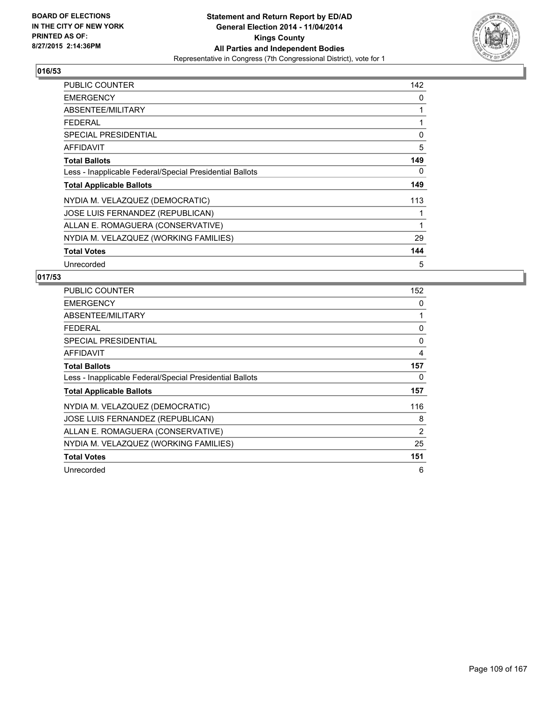

| <b>PUBLIC COUNTER</b>                                    | 142 |
|----------------------------------------------------------|-----|
| <b>EMERGENCY</b>                                         | 0   |
| ABSENTEE/MILITARY                                        | 1   |
| <b>FEDERAL</b>                                           | 1   |
| <b>SPECIAL PRESIDENTIAL</b>                              | 0   |
| <b>AFFIDAVIT</b>                                         | 5   |
| <b>Total Ballots</b>                                     | 149 |
| Less - Inapplicable Federal/Special Presidential Ballots | 0   |
| <b>Total Applicable Ballots</b>                          | 149 |
| NYDIA M. VELAZQUEZ (DEMOCRATIC)                          | 113 |
| JOSE LUIS FERNANDEZ (REPUBLICAN)                         | 1   |
| ALLAN E. ROMAGUERA (CONSERVATIVE)                        | 1   |
| NYDIA M. VELAZQUEZ (WORKING FAMILIES)                    | 29  |
| <b>Total Votes</b>                                       | 144 |
| Unrecorded                                               | 5   |

| <b>PUBLIC COUNTER</b>                                    | 152            |
|----------------------------------------------------------|----------------|
| <b>EMERGENCY</b>                                         | 0              |
| ABSENTEE/MILITARY                                        | 1              |
| <b>FEDERAL</b>                                           | 0              |
| <b>SPECIAL PRESIDENTIAL</b>                              | 0              |
| <b>AFFIDAVIT</b>                                         | 4              |
| <b>Total Ballots</b>                                     | 157            |
| Less - Inapplicable Federal/Special Presidential Ballots | 0              |
| <b>Total Applicable Ballots</b>                          | 157            |
| NYDIA M. VELAZQUEZ (DEMOCRATIC)                          | 116            |
| JOSE LUIS FERNANDEZ (REPUBLICAN)                         | 8              |
| ALLAN E. ROMAGUERA (CONSERVATIVE)                        | $\overline{2}$ |
| NYDIA M. VELAZQUEZ (WORKING FAMILIES)                    | 25             |
| <b>Total Votes</b>                                       | 151            |
| Unrecorded                                               | 6              |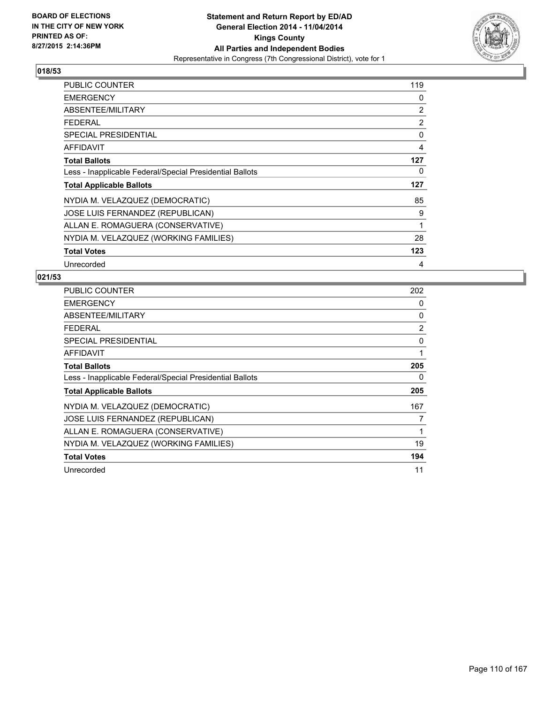

| PUBLIC COUNTER                                           | 119 |
|----------------------------------------------------------|-----|
| <b>EMERGENCY</b>                                         | 0   |
| ABSENTEE/MILITARY                                        | 2   |
| <b>FEDERAL</b>                                           | 2   |
| <b>SPECIAL PRESIDENTIAL</b>                              | 0   |
| AFFIDAVIT                                                | 4   |
| <b>Total Ballots</b>                                     | 127 |
| Less - Inapplicable Federal/Special Presidential Ballots | 0   |
| <b>Total Applicable Ballots</b>                          | 127 |
| NYDIA M. VELAZQUEZ (DEMOCRATIC)                          | 85  |
| JOSE LUIS FERNANDEZ (REPUBLICAN)                         | 9   |
| ALLAN E. ROMAGUERA (CONSERVATIVE)                        | 1   |
| NYDIA M. VELAZQUEZ (WORKING FAMILIES)                    | 28  |
| <b>Total Votes</b>                                       | 123 |
| Unrecorded                                               | 4   |

| PUBLIC COUNTER                                           | 202 |
|----------------------------------------------------------|-----|
| <b>EMERGENCY</b>                                         | 0   |
| ABSENTEE/MILITARY                                        | 0   |
| <b>FEDERAL</b>                                           | 2   |
| SPECIAL PRESIDENTIAL                                     | 0   |
| <b>AFFIDAVIT</b>                                         | 1   |
| <b>Total Ballots</b>                                     | 205 |
| Less - Inapplicable Federal/Special Presidential Ballots | 0   |
| <b>Total Applicable Ballots</b>                          | 205 |
| NYDIA M. VELAZQUEZ (DEMOCRATIC)                          | 167 |
| JOSE LUIS FERNANDEZ (REPUBLICAN)                         | 7   |
| ALLAN E. ROMAGUERA (CONSERVATIVE)                        | 1   |
| NYDIA M. VELAZQUEZ (WORKING FAMILIES)                    | 19  |
| <b>Total Votes</b>                                       | 194 |
| Unrecorded                                               | 11  |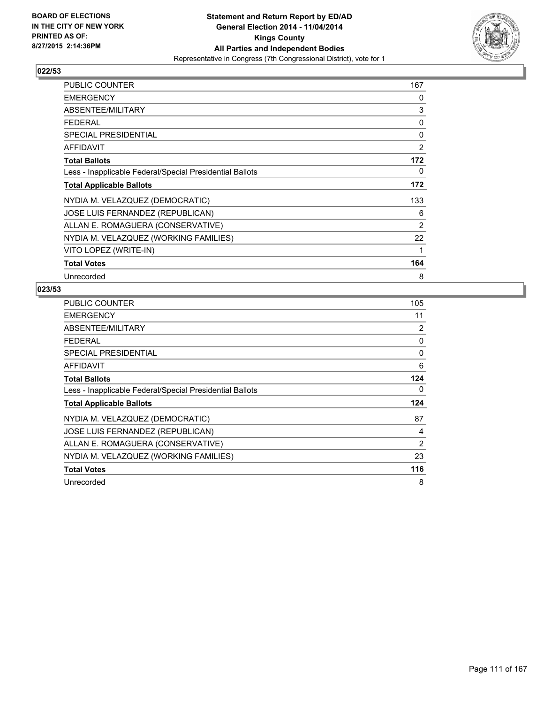

| PUBLIC COUNTER                                           | 167            |
|----------------------------------------------------------|----------------|
| <b>EMERGENCY</b>                                         | 0              |
| ABSENTEE/MILITARY                                        | 3              |
| <b>FEDERAL</b>                                           | 0              |
| <b>SPECIAL PRESIDENTIAL</b>                              | 0              |
| AFFIDAVIT                                                | $\overline{2}$ |
| <b>Total Ballots</b>                                     | 172            |
| Less - Inapplicable Federal/Special Presidential Ballots | 0              |
| <b>Total Applicable Ballots</b>                          | 172            |
| NYDIA M. VELAZQUEZ (DEMOCRATIC)                          | 133            |
| <b>JOSE LUIS FERNANDEZ (REPUBLICAN)</b>                  | 6              |
| ALLAN E. ROMAGUERA (CONSERVATIVE)                        | $\overline{2}$ |
| NYDIA M. VELAZQUEZ (WORKING FAMILIES)                    | 22             |
| VITO LOPEZ (WRITE-IN)                                    | 1              |
| <b>Total Votes</b>                                       | 164            |
| Unrecorded                                               | 8              |

| <b>PUBLIC COUNTER</b>                                    | 105 |
|----------------------------------------------------------|-----|
| <b>EMERGENCY</b>                                         | 11  |
| ABSENTEE/MILITARY                                        | 2   |
| <b>FEDERAL</b>                                           | 0   |
| <b>SPECIAL PRESIDENTIAL</b>                              | 0   |
| <b>AFFIDAVIT</b>                                         | 6   |
| <b>Total Ballots</b>                                     | 124 |
| Less - Inapplicable Federal/Special Presidential Ballots | 0   |
| <b>Total Applicable Ballots</b>                          | 124 |
| NYDIA M. VELAZQUEZ (DEMOCRATIC)                          | 87  |
| JOSE LUIS FERNANDEZ (REPUBLICAN)                         | 4   |
| ALLAN E. ROMAGUERA (CONSERVATIVE)                        | 2   |
| NYDIA M. VELAZQUEZ (WORKING FAMILIES)                    | 23  |
| <b>Total Votes</b>                                       | 116 |
| Unrecorded                                               | 8   |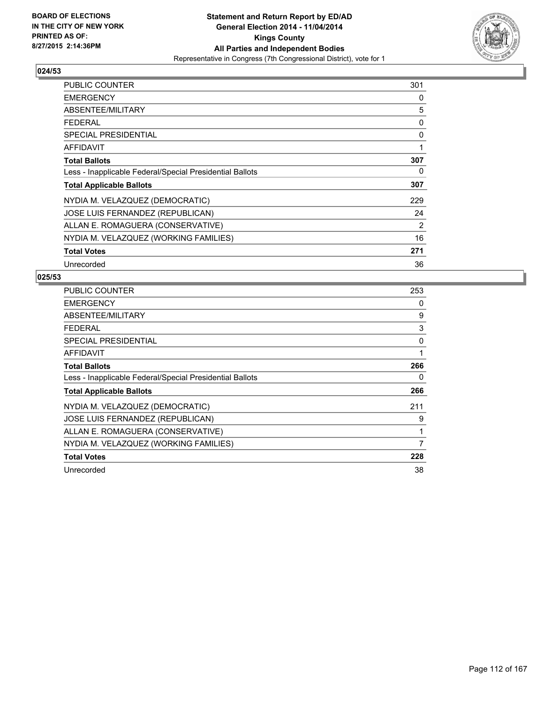

| <b>PUBLIC COUNTER</b>                                    | 301            |
|----------------------------------------------------------|----------------|
| <b>EMERGENCY</b>                                         | 0              |
| ABSENTEE/MILITARY                                        | 5              |
| <b>FEDERAL</b>                                           | 0              |
| <b>SPECIAL PRESIDENTIAL</b>                              | 0              |
| AFFIDAVIT                                                | 1              |
| <b>Total Ballots</b>                                     | 307            |
| Less - Inapplicable Federal/Special Presidential Ballots | 0              |
| <b>Total Applicable Ballots</b>                          | 307            |
| NYDIA M. VELAZQUEZ (DEMOCRATIC)                          | 229            |
| JOSE LUIS FERNANDEZ (REPUBLICAN)                         | 24             |
| ALLAN E. ROMAGUERA (CONSERVATIVE)                        | $\overline{2}$ |
| NYDIA M. VELAZQUEZ (WORKING FAMILIES)                    | 16             |
| <b>Total Votes</b>                                       | 271            |
| Unrecorded                                               | 36             |

| <b>PUBLIC COUNTER</b>                                    | 253 |
|----------------------------------------------------------|-----|
| <b>EMERGENCY</b>                                         | 0   |
| ABSENTEE/MILITARY                                        | 9   |
| <b>FEDERAL</b>                                           | 3   |
| SPECIAL PRESIDENTIAL                                     | 0   |
| AFFIDAVIT                                                | 1   |
| <b>Total Ballots</b>                                     | 266 |
| Less - Inapplicable Federal/Special Presidential Ballots | 0   |
| <b>Total Applicable Ballots</b>                          | 266 |
| NYDIA M. VELAZQUEZ (DEMOCRATIC)                          | 211 |
| JOSE LUIS FERNANDEZ (REPUBLICAN)                         | 9   |
| ALLAN E. ROMAGUERA (CONSERVATIVE)                        | 1   |
| NYDIA M. VELAZQUEZ (WORKING FAMILIES)                    | 7   |
| <b>Total Votes</b>                                       | 228 |
| Unrecorded                                               | 38  |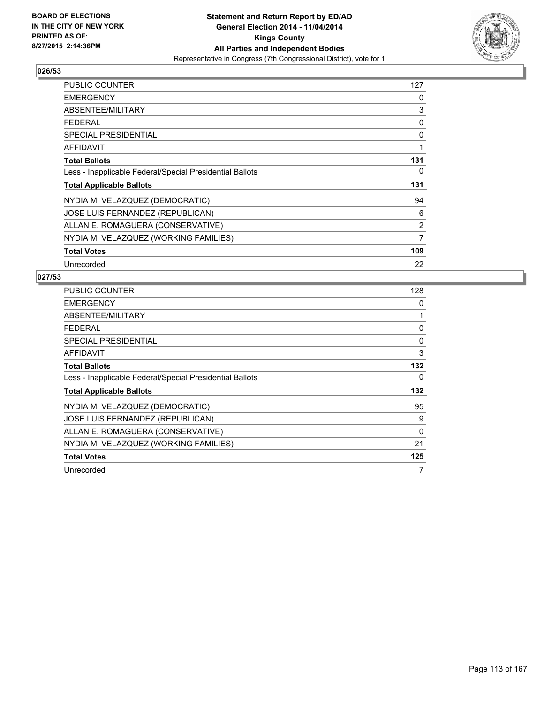

| PUBLIC COUNTER                                           | 127            |
|----------------------------------------------------------|----------------|
| <b>EMERGENCY</b>                                         | 0              |
| ABSENTEE/MILITARY                                        | 3              |
| <b>FEDERAL</b>                                           | 0              |
| <b>SPECIAL PRESIDENTIAL</b>                              | 0              |
| <b>AFFIDAVIT</b>                                         | 1              |
| <b>Total Ballots</b>                                     | 131            |
| Less - Inapplicable Federal/Special Presidential Ballots | 0              |
| <b>Total Applicable Ballots</b>                          | 131            |
| NYDIA M. VELAZQUEZ (DEMOCRATIC)                          | 94             |
| JOSE LUIS FERNANDEZ (REPUBLICAN)                         | 6              |
| ALLAN E. ROMAGUERA (CONSERVATIVE)                        | $\overline{2}$ |
| NYDIA M. VELAZQUEZ (WORKING FAMILIES)                    | $\overline{7}$ |
| <b>Total Votes</b>                                       | 109            |
| Unrecorded                                               | 22             |

| <b>PUBLIC COUNTER</b>                                    | 128 |
|----------------------------------------------------------|-----|
| <b>EMERGENCY</b>                                         | 0   |
| ABSENTEE/MILITARY                                        | 1   |
| <b>FEDERAL</b>                                           | 0   |
| <b>SPECIAL PRESIDENTIAL</b>                              | 0   |
| <b>AFFIDAVIT</b>                                         | 3   |
| <b>Total Ballots</b>                                     | 132 |
| Less - Inapplicable Federal/Special Presidential Ballots | 0   |
| <b>Total Applicable Ballots</b>                          | 132 |
| NYDIA M. VELAZQUEZ (DEMOCRATIC)                          | 95  |
| JOSE LUIS FERNANDEZ (REPUBLICAN)                         | 9   |
| ALLAN E. ROMAGUERA (CONSERVATIVE)                        | 0   |
| NYDIA M. VELAZQUEZ (WORKING FAMILIES)                    | 21  |
| <b>Total Votes</b>                                       | 125 |
| Unrecorded                                               | 7   |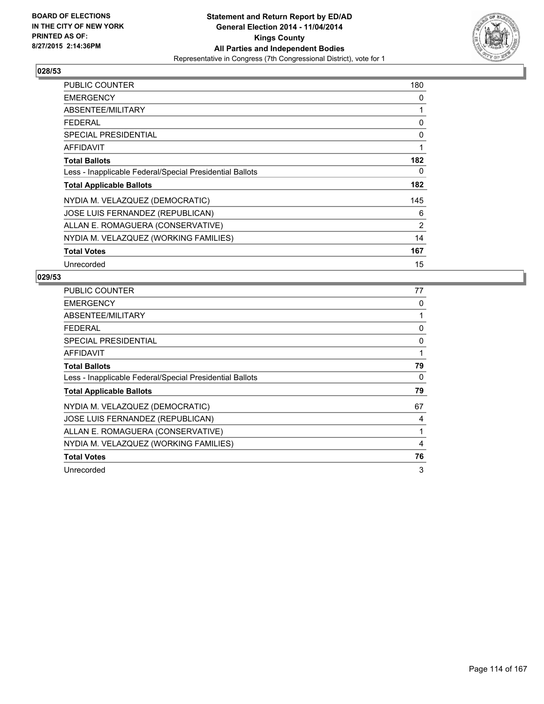

| PUBLIC COUNTER                                           | 180 |
|----------------------------------------------------------|-----|
| <b>EMERGENCY</b>                                         | 0   |
| ABSENTEE/MILITARY                                        | 1   |
| <b>FEDERAL</b>                                           | 0   |
| <b>SPECIAL PRESIDENTIAL</b>                              | 0   |
| AFFIDAVIT                                                | 1   |
| <b>Total Ballots</b>                                     | 182 |
| Less - Inapplicable Federal/Special Presidential Ballots | 0   |
| <b>Total Applicable Ballots</b>                          | 182 |
| NYDIA M. VELAZQUEZ (DEMOCRATIC)                          | 145 |
| JOSE LUIS FERNANDEZ (REPUBLICAN)                         | 6   |
| ALLAN E. ROMAGUERA (CONSERVATIVE)                        | 2   |
| NYDIA M. VELAZQUEZ (WORKING FAMILIES)                    | 14  |
| <b>Total Votes</b>                                       | 167 |
| Unrecorded                                               | 15  |

| <b>PUBLIC COUNTER</b>                                    | 77 |
|----------------------------------------------------------|----|
| <b>EMERGENCY</b>                                         | 0  |
| ABSENTEE/MILITARY                                        | 1  |
| <b>FEDERAL</b>                                           | 0  |
| SPECIAL PRESIDENTIAL                                     | 0  |
| AFFIDAVIT                                                | 1  |
| <b>Total Ballots</b>                                     | 79 |
| Less - Inapplicable Federal/Special Presidential Ballots | 0  |
| <b>Total Applicable Ballots</b>                          | 79 |
| NYDIA M. VELAZQUEZ (DEMOCRATIC)                          | 67 |
| JOSE LUIS FERNANDEZ (REPUBLICAN)                         | 4  |
| ALLAN E. ROMAGUERA (CONSERVATIVE)                        | 1  |
| NYDIA M. VELAZQUEZ (WORKING FAMILIES)                    | 4  |
| <b>Total Votes</b>                                       | 76 |
| Unrecorded                                               | 3  |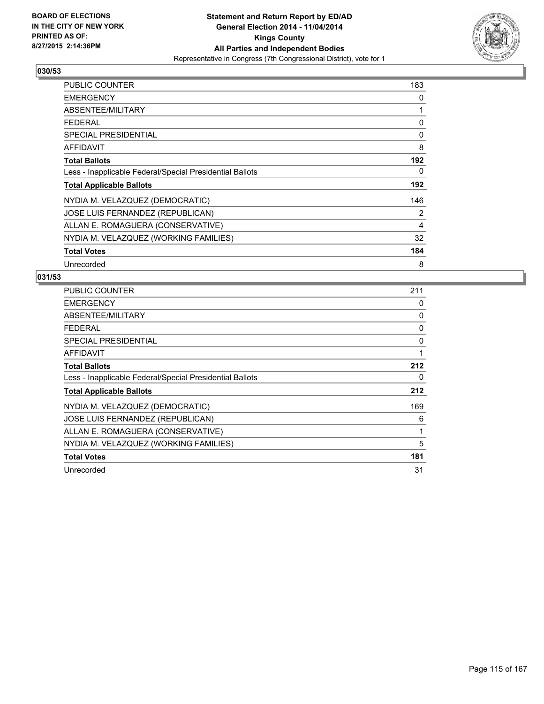

| PUBLIC COUNTER                                           | 183 |
|----------------------------------------------------------|-----|
| <b>EMERGENCY</b>                                         | 0   |
| ABSENTEE/MILITARY                                        | 1   |
| <b>FEDERAL</b>                                           | 0   |
| <b>SPECIAL PRESIDENTIAL</b>                              | 0   |
| <b>AFFIDAVIT</b>                                         | 8   |
| <b>Total Ballots</b>                                     | 192 |
| Less - Inapplicable Federal/Special Presidential Ballots | 0   |
| <b>Total Applicable Ballots</b>                          | 192 |
| NYDIA M. VELAZQUEZ (DEMOCRATIC)                          | 146 |
| JOSE LUIS FERNANDEZ (REPUBLICAN)                         | 2   |
| ALLAN E. ROMAGUERA (CONSERVATIVE)                        | 4   |
| NYDIA M. VELAZQUEZ (WORKING FAMILIES)                    | 32  |
| <b>Total Votes</b>                                       | 184 |
| Unrecorded                                               | 8   |

| PUBLIC COUNTER                                           | 211 |
|----------------------------------------------------------|-----|
| <b>EMERGENCY</b>                                         | 0   |
| ABSENTEE/MILITARY                                        | 0   |
| <b>FEDERAL</b>                                           | 0   |
| <b>SPECIAL PRESIDENTIAL</b>                              | 0   |
| AFFIDAVIT                                                | 1   |
| <b>Total Ballots</b>                                     | 212 |
| Less - Inapplicable Federal/Special Presidential Ballots | 0   |
| <b>Total Applicable Ballots</b>                          | 212 |
| NYDIA M. VELAZQUEZ (DEMOCRATIC)                          | 169 |
| JOSE LUIS FERNANDEZ (REPUBLICAN)                         | 6   |
| ALLAN E. ROMAGUERA (CONSERVATIVE)                        | 1   |
| NYDIA M. VELAZQUEZ (WORKING FAMILIES)                    | 5   |
| <b>Total Votes</b>                                       | 181 |
| Unrecorded                                               | 31  |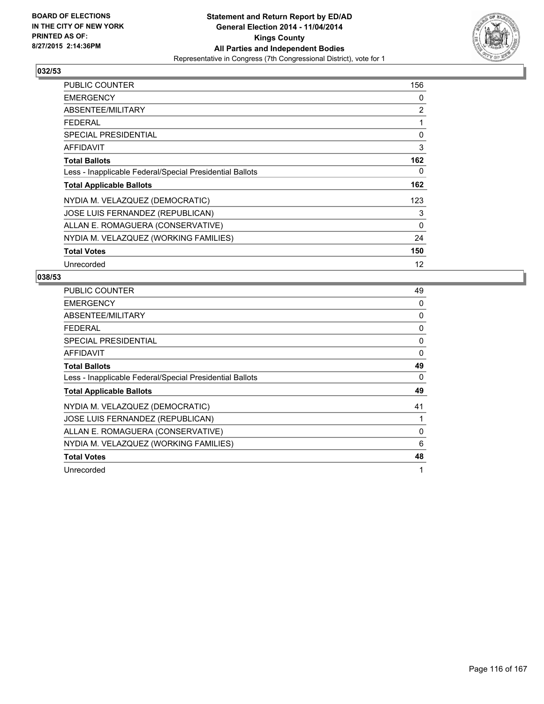

| <b>PUBLIC COUNTER</b>                                    | 156               |
|----------------------------------------------------------|-------------------|
| <b>EMERGENCY</b>                                         | 0                 |
| ABSENTEE/MILITARY                                        | 2                 |
| <b>FEDERAL</b>                                           | 1                 |
| <b>SPECIAL PRESIDENTIAL</b>                              | 0                 |
| <b>AFFIDAVIT</b>                                         | 3                 |
| <b>Total Ballots</b>                                     | 162               |
| Less - Inapplicable Federal/Special Presidential Ballots | 0                 |
| <b>Total Applicable Ballots</b>                          | 162               |
| NYDIA M. VELAZQUEZ (DEMOCRATIC)                          | 123               |
| JOSE LUIS FERNANDEZ (REPUBLICAN)                         | 3                 |
| ALLAN E. ROMAGUERA (CONSERVATIVE)                        | 0                 |
| NYDIA M. VELAZQUEZ (WORKING FAMILIES)                    | 24                |
| <b>Total Votes</b>                                       | 150               |
| Unrecorded                                               | $12 \overline{ }$ |

| <b>PUBLIC COUNTER</b>                                    | 49 |
|----------------------------------------------------------|----|
| <b>EMERGENCY</b>                                         | 0  |
| ABSENTEE/MILITARY                                        | 0  |
| <b>FEDERAL</b>                                           | 0  |
| SPECIAL PRESIDENTIAL                                     | 0  |
| AFFIDAVIT                                                | 0  |
| <b>Total Ballots</b>                                     | 49 |
| Less - Inapplicable Federal/Special Presidential Ballots | 0  |
| <b>Total Applicable Ballots</b>                          | 49 |
| NYDIA M. VELAZQUEZ (DEMOCRATIC)                          | 41 |
| JOSE LUIS FERNANDEZ (REPUBLICAN)                         | 1  |
| ALLAN E. ROMAGUERA (CONSERVATIVE)                        | 0  |
| NYDIA M. VELAZQUEZ (WORKING FAMILIES)                    | 6  |
| <b>Total Votes</b>                                       | 48 |
| Unrecorded                                               | 1  |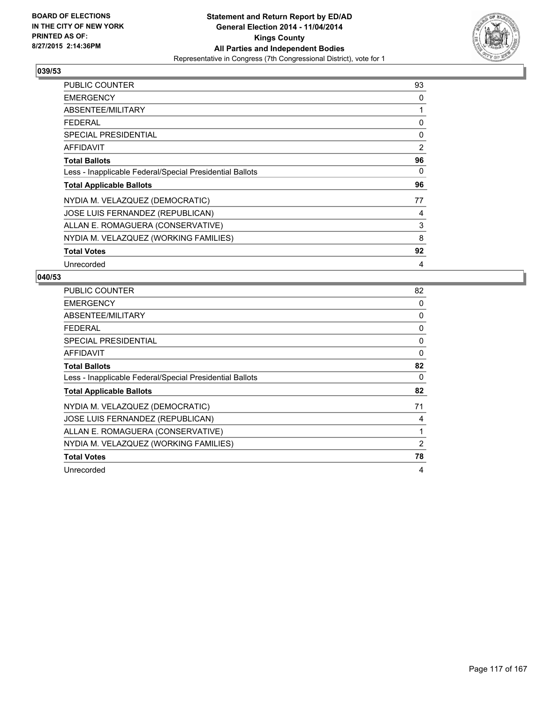

| <b>PUBLIC COUNTER</b>                                    | 93             |
|----------------------------------------------------------|----------------|
| <b>EMERGENCY</b>                                         | 0              |
| ABSENTEE/MILITARY                                        | 1              |
| <b>FEDERAL</b>                                           | 0              |
| <b>SPECIAL PRESIDENTIAL</b>                              | 0              |
| <b>AFFIDAVIT</b>                                         | $\overline{2}$ |
| <b>Total Ballots</b>                                     | 96             |
| Less - Inapplicable Federal/Special Presidential Ballots | 0              |
| <b>Total Applicable Ballots</b>                          | 96             |
| NYDIA M. VELAZQUEZ (DEMOCRATIC)                          | 77             |
| JOSE LUIS FERNANDEZ (REPUBLICAN)                         | 4              |
| ALLAN E. ROMAGUERA (CONSERVATIVE)                        | 3              |
| NYDIA M. VELAZQUEZ (WORKING FAMILIES)                    | 8              |
| <b>Total Votes</b>                                       | 92             |
| Unrecorded                                               | 4              |

| <b>PUBLIC COUNTER</b>                                    | 82 |
|----------------------------------------------------------|----|
| <b>EMERGENCY</b>                                         | 0  |
| ABSENTEE/MILITARY                                        | 0  |
| <b>FEDERAL</b>                                           | 0  |
| <b>SPECIAL PRESIDENTIAL</b>                              | 0  |
| <b>AFFIDAVIT</b>                                         | 0  |
| <b>Total Ballots</b>                                     | 82 |
| Less - Inapplicable Federal/Special Presidential Ballots | 0  |
| <b>Total Applicable Ballots</b>                          | 82 |
| NYDIA M. VELAZQUEZ (DEMOCRATIC)                          | 71 |
| JOSE LUIS FERNANDEZ (REPUBLICAN)                         | 4  |
| ALLAN E. ROMAGUERA (CONSERVATIVE)                        | 1  |
| NYDIA M. VELAZQUEZ (WORKING FAMILIES)                    | 2  |
| <b>Total Votes</b>                                       | 78 |
| Unrecorded                                               | 4  |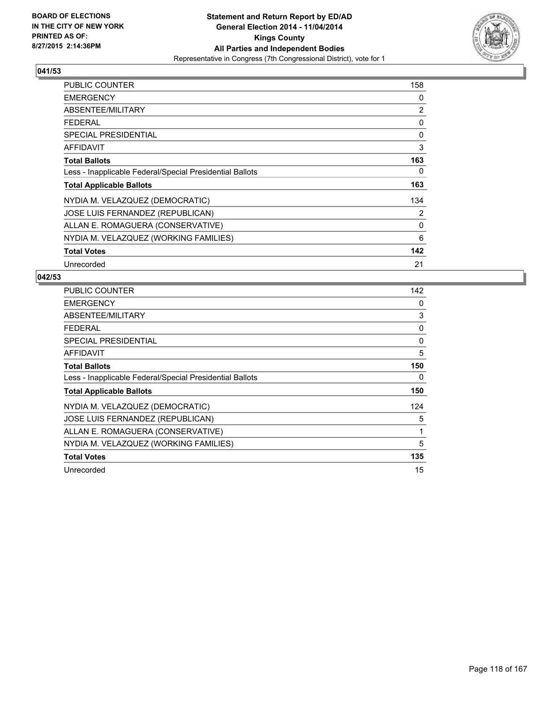

| PUBLIC COUNTER                                           | 158 |
|----------------------------------------------------------|-----|
| <b>EMERGENCY</b>                                         | 0   |
| ABSENTEE/MILITARY                                        | 2   |
| <b>FEDERAL</b>                                           | 0   |
| <b>SPECIAL PRESIDENTIAL</b>                              | 0   |
| <b>AFFIDAVIT</b>                                         | 3   |
| <b>Total Ballots</b>                                     | 163 |
| Less - Inapplicable Federal/Special Presidential Ballots | 0   |
| <b>Total Applicable Ballots</b>                          | 163 |
| NYDIA M. VELAZQUEZ (DEMOCRATIC)                          | 134 |
| JOSE LUIS FERNANDEZ (REPUBLICAN)                         | 2   |
| ALLAN E. ROMAGUERA (CONSERVATIVE)                        | 0   |
| NYDIA M. VELAZQUEZ (WORKING FAMILIES)                    | 6   |
| <b>Total Votes</b>                                       | 142 |
| Unrecorded                                               | 21  |

| <b>PUBLIC COUNTER</b>                                    | 142 |
|----------------------------------------------------------|-----|
| <b>EMERGENCY</b>                                         | 0   |
| ABSENTEE/MILITARY                                        | 3   |
| <b>FEDERAL</b>                                           | 0   |
| SPECIAL PRESIDENTIAL                                     | 0   |
| AFFIDAVIT                                                | 5   |
| <b>Total Ballots</b>                                     | 150 |
| Less - Inapplicable Federal/Special Presidential Ballots | 0   |
| <b>Total Applicable Ballots</b>                          | 150 |
| NYDIA M. VELAZQUEZ (DEMOCRATIC)                          | 124 |
| JOSE LUIS FERNANDEZ (REPUBLICAN)                         | 5   |
| ALLAN E. ROMAGUERA (CONSERVATIVE)                        | 1   |
| NYDIA M. VELAZQUEZ (WORKING FAMILIES)                    | 5   |
| <b>Total Votes</b>                                       | 135 |
| Unrecorded                                               | 15  |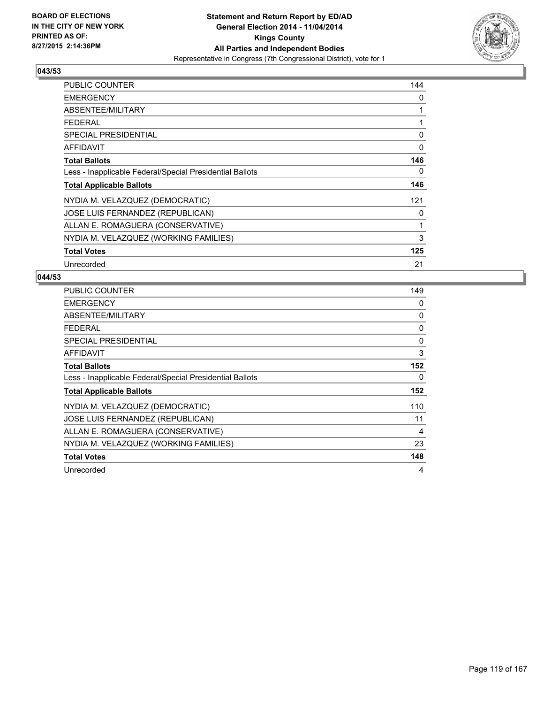

| <b>PUBLIC COUNTER</b>                                    | 144 |
|----------------------------------------------------------|-----|
| <b>EMERGENCY</b>                                         | 0   |
| ABSENTEE/MILITARY                                        | 1   |
| <b>FEDERAL</b>                                           | 1   |
| <b>SPECIAL PRESIDENTIAL</b>                              | 0   |
| <b>AFFIDAVIT</b>                                         | 0   |
| <b>Total Ballots</b>                                     | 146 |
| Less - Inapplicable Federal/Special Presidential Ballots | 0   |
| <b>Total Applicable Ballots</b>                          | 146 |
| NYDIA M. VELAZQUEZ (DEMOCRATIC)                          | 121 |
| JOSE LUIS FERNANDEZ (REPUBLICAN)                         | 0   |
| ALLAN E. ROMAGUERA (CONSERVATIVE)                        | 1   |
| NYDIA M. VELAZQUEZ (WORKING FAMILIES)                    | 3   |
| <b>Total Votes</b>                                       | 125 |
| Unrecorded                                               | 21  |

| <b>PUBLIC COUNTER</b>                                    | 149 |
|----------------------------------------------------------|-----|
| <b>EMERGENCY</b>                                         | 0   |
| ABSENTEE/MILITARY                                        | 0   |
| <b>FEDERAL</b>                                           | 0   |
| SPECIAL PRESIDENTIAL                                     | 0   |
| <b>AFFIDAVIT</b>                                         | 3   |
| <b>Total Ballots</b>                                     | 152 |
| Less - Inapplicable Federal/Special Presidential Ballots | 0   |
| <b>Total Applicable Ballots</b>                          | 152 |
| NYDIA M. VELAZQUEZ (DEMOCRATIC)                          | 110 |
| JOSE LUIS FERNANDEZ (REPUBLICAN)                         | 11  |
| ALLAN E. ROMAGUERA (CONSERVATIVE)                        | 4   |
| NYDIA M. VELAZQUEZ (WORKING FAMILIES)                    | 23  |
| <b>Total Votes</b>                                       | 148 |
| Unrecorded                                               | 4   |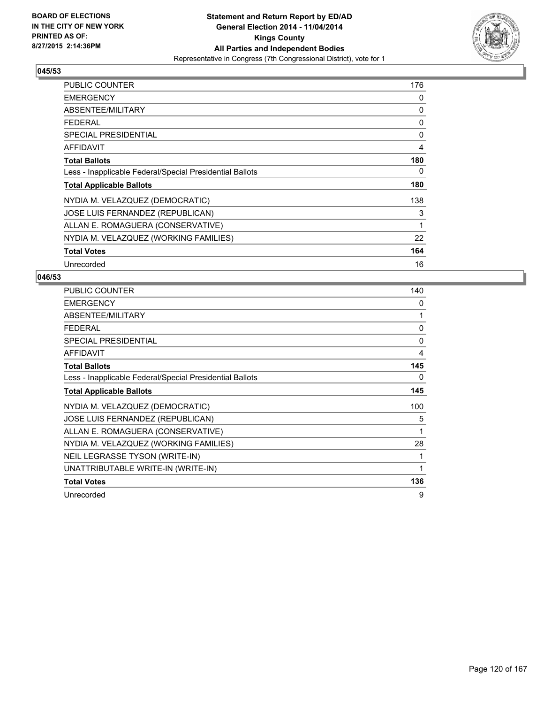

| <b>PUBLIC COUNTER</b>                                    | 176 |
|----------------------------------------------------------|-----|
| <b>EMERGENCY</b>                                         | 0   |
| ABSENTEE/MILITARY                                        | 0   |
| <b>FEDERAL</b>                                           | 0   |
| SPECIAL PRESIDENTIAL                                     | 0   |
| AFFIDAVIT                                                | 4   |
| <b>Total Ballots</b>                                     | 180 |
| Less - Inapplicable Federal/Special Presidential Ballots | 0   |
| <b>Total Applicable Ballots</b>                          | 180 |
| NYDIA M. VELAZQUEZ (DEMOCRATIC)                          | 138 |
| JOSE LUIS FERNANDEZ (REPUBLICAN)                         | 3   |
| ALLAN E. ROMAGUERA (CONSERVATIVE)                        | 1   |
| NYDIA M. VELAZQUEZ (WORKING FAMILIES)                    | 22  |
| <b>Total Votes</b>                                       | 164 |
| Unrecorded                                               | 16  |

| <b>PUBLIC COUNTER</b>                                    | 140 |
|----------------------------------------------------------|-----|
| <b>EMERGENCY</b>                                         | 0   |
| ABSENTEE/MILITARY                                        | 1   |
| <b>FEDERAL</b>                                           | 0   |
| <b>SPECIAL PRESIDENTIAL</b>                              | 0   |
| <b>AFFIDAVIT</b>                                         | 4   |
| <b>Total Ballots</b>                                     | 145 |
| Less - Inapplicable Federal/Special Presidential Ballots | 0   |
| <b>Total Applicable Ballots</b>                          | 145 |
| NYDIA M. VELAZQUEZ (DEMOCRATIC)                          | 100 |
| JOSE LUIS FERNANDEZ (REPUBLICAN)                         | 5   |
| ALLAN E. ROMAGUERA (CONSERVATIVE)                        | 1   |
| NYDIA M. VELAZQUEZ (WORKING FAMILIES)                    | 28  |
| NEIL LEGRASSE TYSON (WRITE-IN)                           |     |
| UNATTRIBUTABLE WRITE-IN (WRITE-IN)                       | 1   |
| <b>Total Votes</b>                                       | 136 |
| Unrecorded                                               | 9   |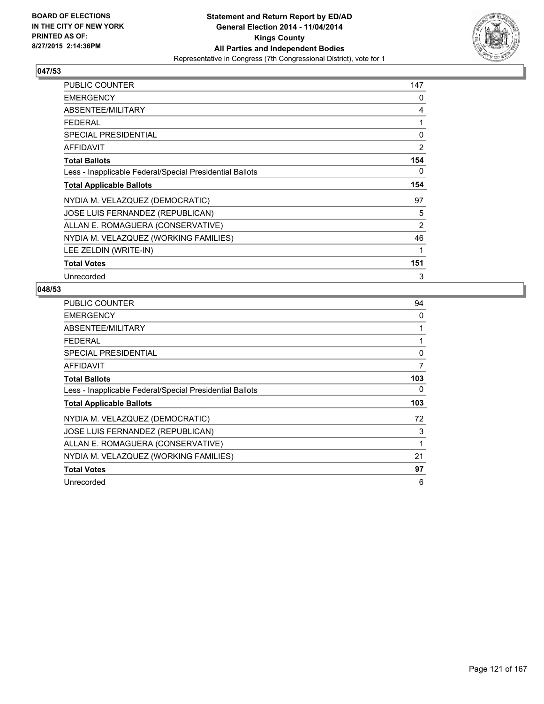

| <b>PUBLIC COUNTER</b>                                    | 147            |
|----------------------------------------------------------|----------------|
| <b>EMERGENCY</b>                                         | 0              |
| ABSENTEE/MILITARY                                        | 4              |
| <b>FEDERAL</b>                                           | 1              |
| <b>SPECIAL PRESIDENTIAL</b>                              | 0              |
| AFFIDAVIT                                                | 2              |
| <b>Total Ballots</b>                                     | 154            |
| Less - Inapplicable Federal/Special Presidential Ballots | 0              |
| <b>Total Applicable Ballots</b>                          | 154            |
| NYDIA M. VELAZQUEZ (DEMOCRATIC)                          | 97             |
| JOSE LUIS FERNANDEZ (REPUBLICAN)                         | 5              |
| ALLAN E. ROMAGUERA (CONSERVATIVE)                        | $\overline{2}$ |
| NYDIA M. VELAZQUEZ (WORKING FAMILIES)                    | 46             |
| LEE ZELDIN (WRITE-IN)                                    | 1              |
| <b>Total Votes</b>                                       | 151            |
| Unrecorded                                               | 3              |

| <b>PUBLIC COUNTER</b>                                    | 94          |
|----------------------------------------------------------|-------------|
| <b>EMERGENCY</b>                                         | 0           |
| <b>ABSENTEE/MILITARY</b>                                 | 1           |
| <b>FEDERAL</b>                                           |             |
| <b>SPECIAL PRESIDENTIAL</b>                              | $\mathbf 0$ |
| <b>AFFIDAVIT</b>                                         | 7           |
| <b>Total Ballots</b>                                     | 103         |
| Less - Inapplicable Federal/Special Presidential Ballots | 0           |
| <b>Total Applicable Ballots</b>                          | 103         |
| NYDIA M. VELAZQUEZ (DEMOCRATIC)                          | 72          |
| JOSE LUIS FERNANDEZ (REPUBLICAN)                         | 3           |
| ALLAN E. ROMAGUERA (CONSERVATIVE)                        | 1           |
| NYDIA M. VELAZQUEZ (WORKING FAMILIES)                    | 21          |
| <b>Total Votes</b>                                       | 97          |
| Unrecorded                                               | 6           |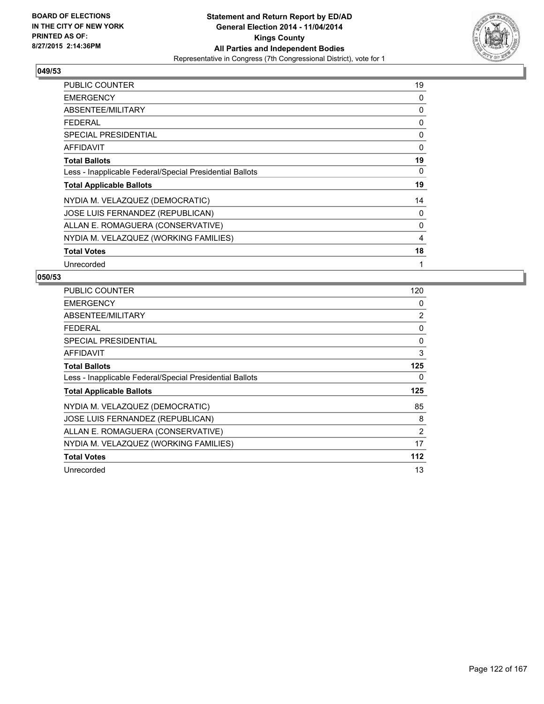

| <b>PUBLIC COUNTER</b>                                    | 19 |
|----------------------------------------------------------|----|
| <b>EMERGENCY</b>                                         | 0  |
| ABSENTEE/MILITARY                                        | 0  |
| <b>FEDERAL</b>                                           | 0  |
| <b>SPECIAL PRESIDENTIAL</b>                              | 0  |
| <b>AFFIDAVIT</b>                                         | 0  |
| <b>Total Ballots</b>                                     | 19 |
| Less - Inapplicable Federal/Special Presidential Ballots | 0  |
| <b>Total Applicable Ballots</b>                          | 19 |
| NYDIA M. VELAZQUEZ (DEMOCRATIC)                          | 14 |
| JOSE LUIS FERNANDEZ (REPUBLICAN)                         | 0  |
| ALLAN E. ROMAGUERA (CONSERVATIVE)                        | 0  |
| NYDIA M. VELAZQUEZ (WORKING FAMILIES)                    | 4  |
| <b>Total Votes</b>                                       | 18 |
| Unrecorded                                               | 1  |

| PUBLIC COUNTER                                           | 120 |
|----------------------------------------------------------|-----|
| <b>EMERGENCY</b>                                         | 0   |
| ABSENTEE/MILITARY                                        | 2   |
| <b>FEDERAL</b>                                           | 0   |
| SPECIAL PRESIDENTIAL                                     | 0   |
| <b>AFFIDAVIT</b>                                         | 3   |
| <b>Total Ballots</b>                                     | 125 |
| Less - Inapplicable Federal/Special Presidential Ballots | 0   |
| <b>Total Applicable Ballots</b>                          | 125 |
| NYDIA M. VELAZQUEZ (DEMOCRATIC)                          | 85  |
| JOSE LUIS FERNANDEZ (REPUBLICAN)                         | 8   |
| ALLAN E. ROMAGUERA (CONSERVATIVE)                        | 2   |
| NYDIA M. VELAZQUEZ (WORKING FAMILIES)                    | 17  |
| <b>Total Votes</b>                                       | 112 |
| Unrecorded                                               | 13  |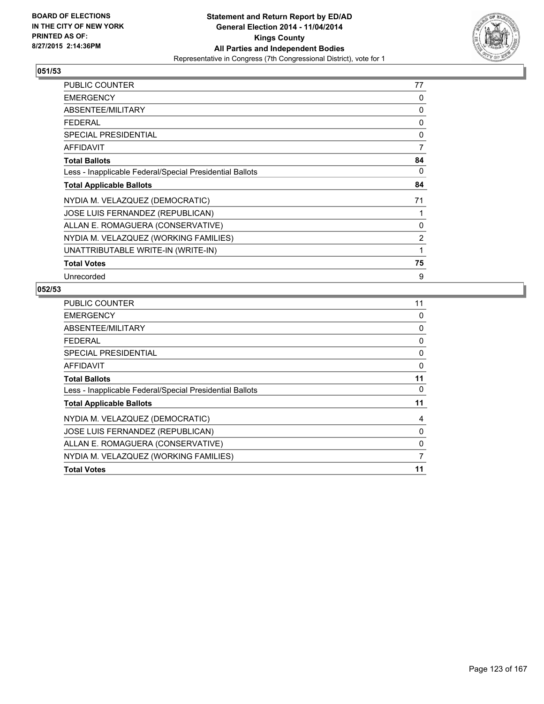

| PUBLIC COUNTER                                           | 77 |
|----------------------------------------------------------|----|
| <b>EMERGENCY</b>                                         | 0  |
| ABSENTEE/MILITARY                                        | 0  |
| <b>FEDERAL</b>                                           | 0  |
| <b>SPECIAL PRESIDENTIAL</b>                              | 0  |
| <b>AFFIDAVIT</b>                                         | 7  |
| <b>Total Ballots</b>                                     | 84 |
| Less - Inapplicable Federal/Special Presidential Ballots | 0  |
| <b>Total Applicable Ballots</b>                          | 84 |
| NYDIA M. VELAZQUEZ (DEMOCRATIC)                          | 71 |
| JOSE LUIS FERNANDEZ (REPUBLICAN)                         |    |
| ALLAN E. ROMAGUERA (CONSERVATIVE)                        | 0  |
| NYDIA M. VELAZQUEZ (WORKING FAMILIES)                    | 2  |
| UNATTRIBUTABLE WRITE-IN (WRITE-IN)                       | 1  |
| <b>Total Votes</b>                                       | 75 |
| Unrecorded                                               | 9  |

| <b>PUBLIC COUNTER</b>                                    | 11 |
|----------------------------------------------------------|----|
| <b>EMERGENCY</b>                                         | 0  |
| ABSENTEE/MILITARY                                        | 0  |
| <b>FEDERAL</b>                                           | 0  |
| <b>SPECIAL PRESIDENTIAL</b>                              | 0  |
| <b>AFFIDAVIT</b>                                         | 0  |
| <b>Total Ballots</b>                                     | 11 |
| Less - Inapplicable Federal/Special Presidential Ballots | 0  |
| <b>Total Applicable Ballots</b>                          | 11 |
| NYDIA M. VELAZQUEZ (DEMOCRATIC)                          | 4  |
| JOSE LUIS FERNANDEZ (REPUBLICAN)                         | 0  |
| ALLAN E. ROMAGUERA (CONSERVATIVE)                        | 0  |
| NYDIA M. VELAZQUEZ (WORKING FAMILIES)                    | 7  |
| <b>Total Votes</b>                                       | 11 |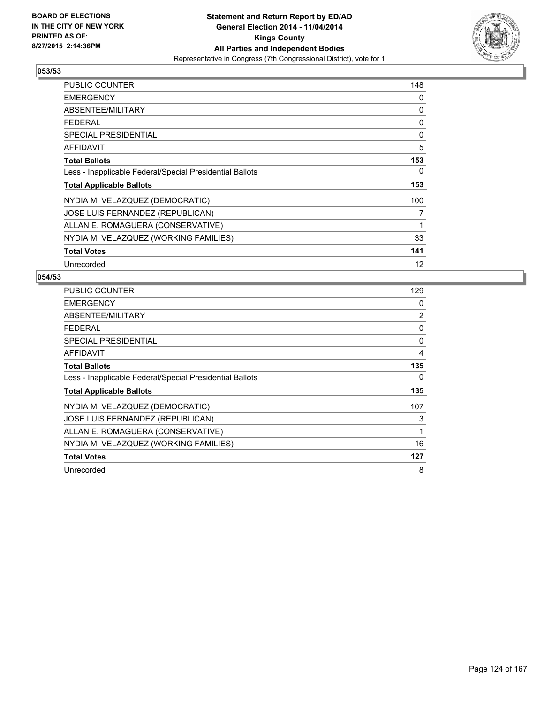

| PUBLIC COUNTER                                           | 148               |
|----------------------------------------------------------|-------------------|
| <b>EMERGENCY</b>                                         | 0                 |
| ABSENTEE/MILITARY                                        | 0                 |
| <b>FEDERAL</b>                                           | 0                 |
| <b>SPECIAL PRESIDENTIAL</b>                              | 0                 |
| <b>AFFIDAVIT</b>                                         | 5                 |
| <b>Total Ballots</b>                                     | 153               |
| Less - Inapplicable Federal/Special Presidential Ballots | 0                 |
| <b>Total Applicable Ballots</b>                          | 153               |
| NYDIA M. VELAZQUEZ (DEMOCRATIC)                          | 100               |
| JOSE LUIS FERNANDEZ (REPUBLICAN)                         | 7                 |
| ALLAN E. ROMAGUERA (CONSERVATIVE)                        | 1                 |
| NYDIA M. VELAZQUEZ (WORKING FAMILIES)                    | 33                |
| <b>Total Votes</b>                                       | 141               |
| Unrecorded                                               | $12 \overline{ }$ |

| <b>PUBLIC COUNTER</b>                                    | 129 |
|----------------------------------------------------------|-----|
| <b>EMERGENCY</b>                                         | 0   |
| ABSENTEE/MILITARY                                        | 2   |
| <b>FEDERAL</b>                                           | 0   |
| <b>SPECIAL PRESIDENTIAL</b>                              | 0   |
| <b>AFFIDAVIT</b>                                         | 4   |
| <b>Total Ballots</b>                                     | 135 |
| Less - Inapplicable Federal/Special Presidential Ballots | 0   |
| <b>Total Applicable Ballots</b>                          | 135 |
| NYDIA M. VELAZQUEZ (DEMOCRATIC)                          | 107 |
| JOSE LUIS FERNANDEZ (REPUBLICAN)                         | 3   |
| ALLAN E. ROMAGUERA (CONSERVATIVE)                        | 1   |
| NYDIA M. VELAZQUEZ (WORKING FAMILIES)                    | 16  |
| <b>Total Votes</b>                                       | 127 |
| Unrecorded                                               | 8   |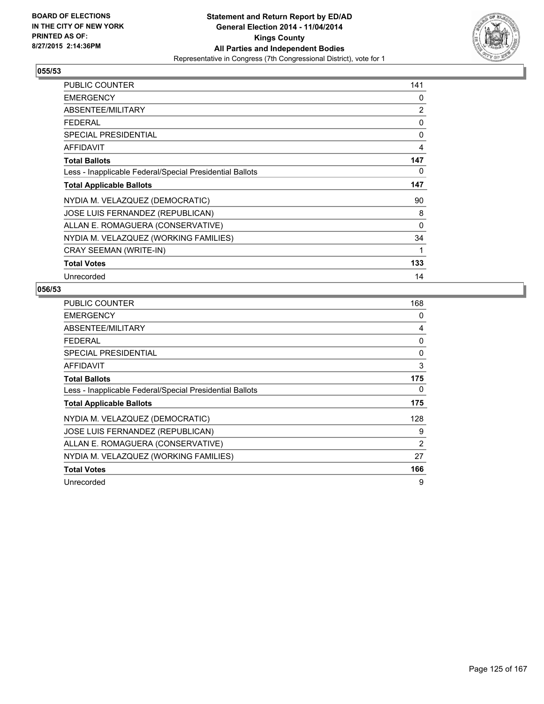

| <b>PUBLIC COUNTER</b>                                    | 141 |
|----------------------------------------------------------|-----|
| <b>EMERGENCY</b>                                         | 0   |
| ABSENTEE/MILITARY                                        | 2   |
| <b>FEDERAL</b>                                           | 0   |
| SPECIAL PRESIDENTIAL                                     | 0   |
| <b>AFFIDAVIT</b>                                         | 4   |
| <b>Total Ballots</b>                                     | 147 |
| Less - Inapplicable Federal/Special Presidential Ballots | 0   |
| <b>Total Applicable Ballots</b>                          | 147 |
| NYDIA M. VELAZQUEZ (DEMOCRATIC)                          | 90  |
| JOSE LUIS FERNANDEZ (REPUBLICAN)                         | 8   |
| ALLAN E. ROMAGUERA (CONSERVATIVE)                        | 0   |
| NYDIA M. VELAZQUEZ (WORKING FAMILIES)                    | 34  |
| CRAY SEEMAN (WRITE-IN)                                   | 1   |
| <b>Total Votes</b>                                       | 133 |
| Unrecorded                                               | 14  |

| <b>PUBLIC COUNTER</b>                                    | 168            |
|----------------------------------------------------------|----------------|
| <b>EMERGENCY</b>                                         | 0              |
| ABSENTEE/MILITARY                                        | 4              |
| <b>FEDERAL</b>                                           | 0              |
| <b>SPECIAL PRESIDENTIAL</b>                              | 0              |
| <b>AFFIDAVIT</b>                                         | 3              |
| <b>Total Ballots</b>                                     | 175            |
| Less - Inapplicable Federal/Special Presidential Ballots | 0              |
| <b>Total Applicable Ballots</b>                          | 175            |
| NYDIA M. VELAZQUEZ (DEMOCRATIC)                          | 128            |
| JOSE LUIS FERNANDEZ (REPUBLICAN)                         | 9              |
| ALLAN E. ROMAGUERA (CONSERVATIVE)                        | $\overline{2}$ |
| NYDIA M. VELAZQUEZ (WORKING FAMILIES)                    | 27             |
| <b>Total Votes</b>                                       | 166            |
| Unrecorded                                               | 9              |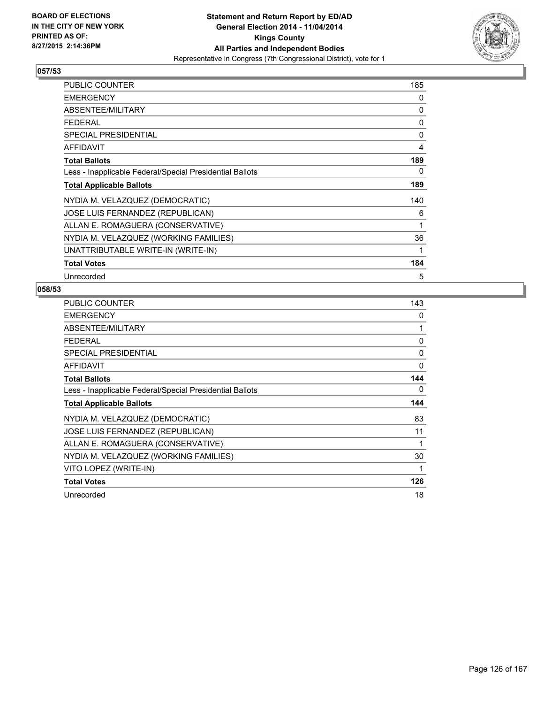

| <b>PUBLIC COUNTER</b>                                    | 185 |
|----------------------------------------------------------|-----|
| <b>EMERGENCY</b>                                         | 0   |
| ABSENTEE/MILITARY                                        | 0   |
| <b>FEDERAL</b>                                           | 0   |
| <b>SPECIAL PRESIDENTIAL</b>                              | 0   |
| AFFIDAVIT                                                | 4   |
| <b>Total Ballots</b>                                     | 189 |
| Less - Inapplicable Federal/Special Presidential Ballots | 0   |
| <b>Total Applicable Ballots</b>                          | 189 |
| NYDIA M. VELAZQUEZ (DEMOCRATIC)                          | 140 |
| <b>JOSE LUIS FERNANDEZ (REPUBLICAN)</b>                  | 6   |
| ALLAN E. ROMAGUERA (CONSERVATIVE)                        | 1   |
| NYDIA M. VELAZQUEZ (WORKING FAMILIES)                    | 36  |
| UNATTRIBUTABLE WRITE-IN (WRITE-IN)                       | 1   |
| <b>Total Votes</b>                                       | 184 |
| Unrecorded                                               | 5   |

| <b>PUBLIC COUNTER</b>                                    | 143 |
|----------------------------------------------------------|-----|
| <b>EMERGENCY</b>                                         | 0   |
| ABSENTEE/MILITARY                                        | 1   |
| <b>FEDERAL</b>                                           | 0   |
| <b>SPECIAL PRESIDENTIAL</b>                              | 0   |
| <b>AFFIDAVIT</b>                                         | 0   |
| <b>Total Ballots</b>                                     | 144 |
| Less - Inapplicable Federal/Special Presidential Ballots | 0   |
| <b>Total Applicable Ballots</b>                          | 144 |
| NYDIA M. VELAZQUEZ (DEMOCRATIC)                          | 83  |
| JOSE LUIS FERNANDEZ (REPUBLICAN)                         | 11  |
| ALLAN E. ROMAGUERA (CONSERVATIVE)                        | 1   |
| NYDIA M. VELAZQUEZ (WORKING FAMILIES)                    | 30  |
| VITO LOPEZ (WRITE-IN)                                    | 1   |
| <b>Total Votes</b>                                       | 126 |
| Unrecorded                                               | 18  |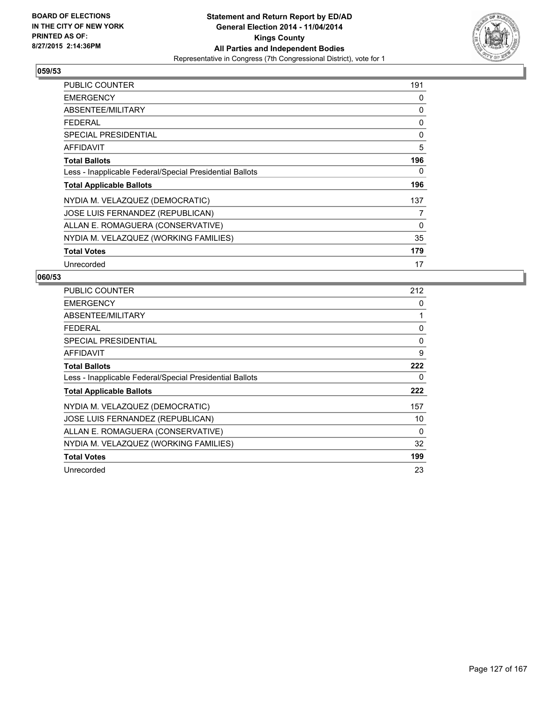

| <b>PUBLIC COUNTER</b>                                    | 191 |
|----------------------------------------------------------|-----|
| <b>EMERGENCY</b>                                         | 0   |
| ABSENTEE/MILITARY                                        | 0   |
| <b>FEDERAL</b>                                           | 0   |
| <b>SPECIAL PRESIDENTIAL</b>                              | 0   |
| <b>AFFIDAVIT</b>                                         | 5   |
| <b>Total Ballots</b>                                     | 196 |
| Less - Inapplicable Federal/Special Presidential Ballots | 0   |
| <b>Total Applicable Ballots</b>                          | 196 |
| NYDIA M. VELAZQUEZ (DEMOCRATIC)                          | 137 |
| JOSE LUIS FERNANDEZ (REPUBLICAN)                         | 7   |
| ALLAN E. ROMAGUERA (CONSERVATIVE)                        | 0   |
| NYDIA M. VELAZQUEZ (WORKING FAMILIES)                    | 35  |
| <b>Total Votes</b>                                       | 179 |
| Unrecorded                                               | 17  |

| <b>PUBLIC COUNTER</b>                                    | 212 |
|----------------------------------------------------------|-----|
| <b>EMERGENCY</b>                                         | 0   |
| ABSENTEE/MILITARY                                        | 1   |
| <b>FEDERAL</b>                                           | 0   |
| SPECIAL PRESIDENTIAL                                     | 0   |
| <b>AFFIDAVIT</b>                                         | 9   |
| <b>Total Ballots</b>                                     | 222 |
| Less - Inapplicable Federal/Special Presidential Ballots | 0   |
| <b>Total Applicable Ballots</b>                          | 222 |
| NYDIA M. VELAZQUEZ (DEMOCRATIC)                          | 157 |
| JOSE LUIS FERNANDEZ (REPUBLICAN)                         | 10  |
| ALLAN E. ROMAGUERA (CONSERVATIVE)                        | 0   |
| NYDIA M. VELAZQUEZ (WORKING FAMILIES)                    | 32  |
| <b>Total Votes</b>                                       | 199 |
| Unrecorded                                               | 23  |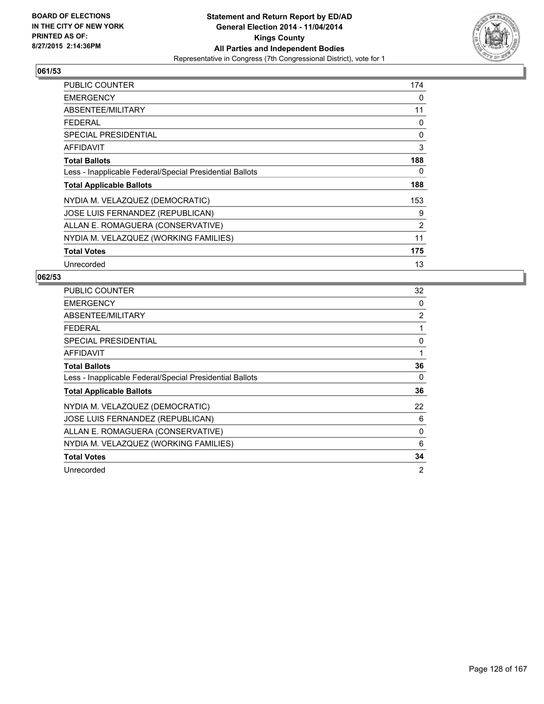

| <b>PUBLIC COUNTER</b>                                    | 174 |
|----------------------------------------------------------|-----|
| <b>EMERGENCY</b>                                         | 0   |
| ABSENTEE/MILITARY                                        | 11  |
| <b>FEDERAL</b>                                           | 0   |
| <b>SPECIAL PRESIDENTIAL</b>                              | 0   |
| <b>AFFIDAVIT</b>                                         | 3   |
| <b>Total Ballots</b>                                     | 188 |
| Less - Inapplicable Federal/Special Presidential Ballots | 0   |
| <b>Total Applicable Ballots</b>                          | 188 |
| NYDIA M. VELAZQUEZ (DEMOCRATIC)                          | 153 |
| JOSE LUIS FERNANDEZ (REPUBLICAN)                         | 9   |
| ALLAN E. ROMAGUERA (CONSERVATIVE)                        | 2   |
| NYDIA M. VELAZQUEZ (WORKING FAMILIES)                    | 11  |
| <b>Total Votes</b>                                       | 175 |
| Unrecorded                                               | 13  |

| <b>PUBLIC COUNTER</b>                                    | 32 |
|----------------------------------------------------------|----|
| <b>EMERGENCY</b>                                         | 0  |
| ABSENTEE/MILITARY                                        | 2  |
| <b>FEDERAL</b>                                           | 1  |
| SPECIAL PRESIDENTIAL                                     | 0  |
| <b>AFFIDAVIT</b>                                         | 1  |
| <b>Total Ballots</b>                                     | 36 |
| Less - Inapplicable Federal/Special Presidential Ballots | 0  |
| <b>Total Applicable Ballots</b>                          | 36 |
| NYDIA M. VELAZQUEZ (DEMOCRATIC)                          | 22 |
| JOSE LUIS FERNANDEZ (REPUBLICAN)                         | 6  |
| ALLAN E. ROMAGUERA (CONSERVATIVE)                        | 0  |
| NYDIA M. VELAZQUEZ (WORKING FAMILIES)                    | 6  |
| <b>Total Votes</b>                                       | 34 |
| Unrecorded                                               | 2  |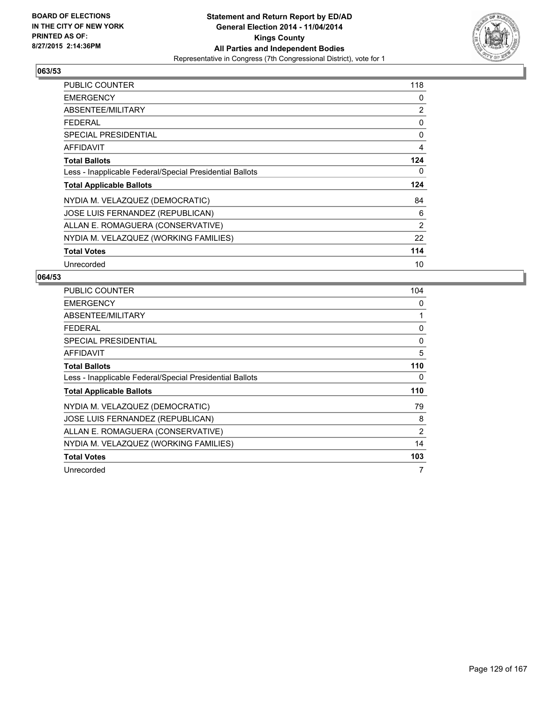

| PUBLIC COUNTER                                           | 118            |
|----------------------------------------------------------|----------------|
| <b>EMERGENCY</b>                                         | 0              |
| ABSENTEE/MILITARY                                        | 2              |
| <b>FEDERAL</b>                                           | 0              |
| <b>SPECIAL PRESIDENTIAL</b>                              | 0              |
| <b>AFFIDAVIT</b>                                         | 4              |
| <b>Total Ballots</b>                                     | 124            |
| Less - Inapplicable Federal/Special Presidential Ballots | 0              |
| <b>Total Applicable Ballots</b>                          | 124            |
| NYDIA M. VELAZQUEZ (DEMOCRATIC)                          | 84             |
| JOSE LUIS FERNANDEZ (REPUBLICAN)                         | 6              |
| ALLAN E. ROMAGUERA (CONSERVATIVE)                        | $\overline{2}$ |
| NYDIA M. VELAZQUEZ (WORKING FAMILIES)                    | 22             |
| <b>Total Votes</b>                                       | 114            |
| Unrecorded                                               | 10             |

| <b>PUBLIC COUNTER</b>                                    | 104 |
|----------------------------------------------------------|-----|
| <b>EMERGENCY</b>                                         | 0   |
| ABSENTEE/MILITARY                                        | 1   |
| <b>FEDERAL</b>                                           | 0   |
| <b>SPECIAL PRESIDENTIAL</b>                              | 0   |
| <b>AFFIDAVIT</b>                                         | 5   |
| <b>Total Ballots</b>                                     | 110 |
| Less - Inapplicable Federal/Special Presidential Ballots | 0   |
| <b>Total Applicable Ballots</b>                          | 110 |
| NYDIA M. VELAZQUEZ (DEMOCRATIC)                          | 79  |
| <b>JOSE LUIS FERNANDEZ (REPUBLICAN)</b>                  | 8   |
| ALLAN E. ROMAGUERA (CONSERVATIVE)                        | 2   |
| NYDIA M. VELAZQUEZ (WORKING FAMILIES)                    | 14  |
| <b>Total Votes</b>                                       | 103 |
| Unrecorded                                               | 7   |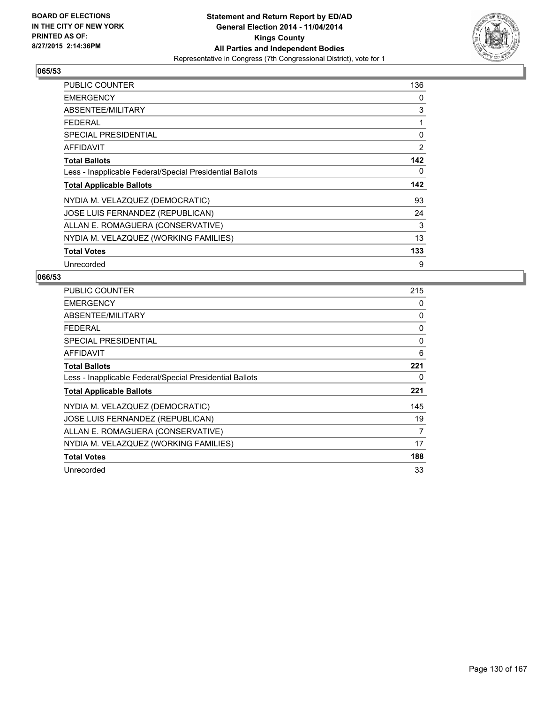

| <b>PUBLIC COUNTER</b>                                    | 136 |
|----------------------------------------------------------|-----|
| <b>EMERGENCY</b>                                         | 0   |
| ABSENTEE/MILITARY                                        | 3   |
| <b>FEDERAL</b>                                           | 1   |
| <b>SPECIAL PRESIDENTIAL</b>                              | 0   |
| AFFIDAVIT                                                | 2   |
| <b>Total Ballots</b>                                     | 142 |
| Less - Inapplicable Federal/Special Presidential Ballots | 0   |
| <b>Total Applicable Ballots</b>                          | 142 |
| NYDIA M. VELAZQUEZ (DEMOCRATIC)                          | 93  |
| <b>JOSE LUIS FERNANDEZ (REPUBLICAN)</b>                  | 24  |
| ALLAN E. ROMAGUERA (CONSERVATIVE)                        | 3   |
| NYDIA M. VELAZQUEZ (WORKING FAMILIES)                    | 13  |
| <b>Total Votes</b>                                       | 133 |
| Unrecorded                                               | 9   |

| <b>PUBLIC COUNTER</b>                                    | 215 |
|----------------------------------------------------------|-----|
| <b>EMERGENCY</b>                                         | 0   |
| ABSENTEE/MILITARY                                        | 0   |
| <b>FEDERAL</b>                                           | 0   |
| SPECIAL PRESIDENTIAL                                     | 0   |
| <b>AFFIDAVIT</b>                                         | 6   |
| <b>Total Ballots</b>                                     | 221 |
| Less - Inapplicable Federal/Special Presidential Ballots | 0   |
| <b>Total Applicable Ballots</b>                          | 221 |
| NYDIA M. VELAZQUEZ (DEMOCRATIC)                          | 145 |
| JOSE LUIS FERNANDEZ (REPUBLICAN)                         | 19  |
| ALLAN E. ROMAGUERA (CONSERVATIVE)                        | 7   |
| NYDIA M. VELAZQUEZ (WORKING FAMILIES)                    | 17  |
| <b>Total Votes</b>                                       | 188 |
| Unrecorded                                               | 33  |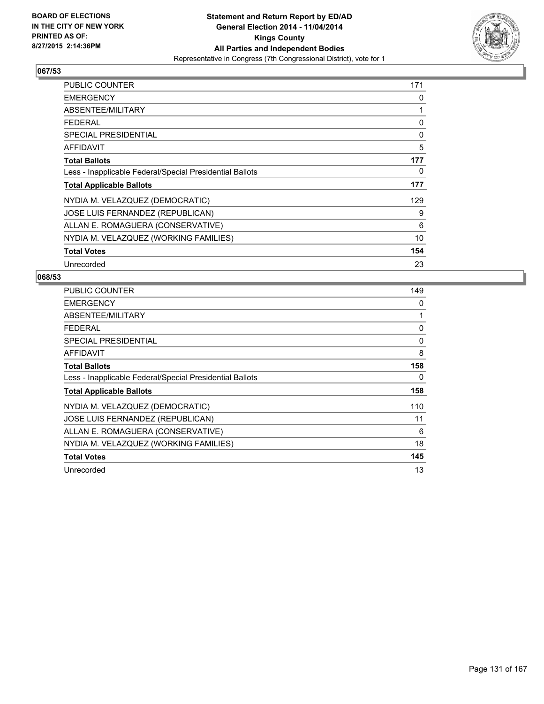

| PUBLIC COUNTER                                           | 171 |
|----------------------------------------------------------|-----|
| <b>EMERGENCY</b>                                         | 0   |
| ABSENTEE/MILITARY                                        | 1   |
| <b>FEDERAL</b>                                           | 0   |
| SPECIAL PRESIDENTIAL                                     | 0   |
| AFFIDAVIT                                                | 5   |
| <b>Total Ballots</b>                                     | 177 |
| Less - Inapplicable Federal/Special Presidential Ballots | 0   |
| <b>Total Applicable Ballots</b>                          | 177 |
| NYDIA M. VELAZQUEZ (DEMOCRATIC)                          | 129 |
| JOSE LUIS FERNANDEZ (REPUBLICAN)                         | 9   |
| ALLAN E. ROMAGUERA (CONSERVATIVE)                        | 6   |
| NYDIA M. VELAZQUEZ (WORKING FAMILIES)                    | 10  |
| <b>Total Votes</b>                                       | 154 |
| Unrecorded                                               | 23  |

| <b>PUBLIC COUNTER</b>                                    | 149 |
|----------------------------------------------------------|-----|
| <b>EMERGENCY</b>                                         | 0   |
| ABSENTEE/MILITARY                                        | 1   |
| <b>FEDERAL</b>                                           | 0   |
| SPECIAL PRESIDENTIAL                                     | 0   |
| AFFIDAVIT                                                | 8   |
| <b>Total Ballots</b>                                     | 158 |
| Less - Inapplicable Federal/Special Presidential Ballots | 0   |
| <b>Total Applicable Ballots</b>                          | 158 |
| NYDIA M. VELAZQUEZ (DEMOCRATIC)                          | 110 |
| JOSE LUIS FERNANDEZ (REPUBLICAN)                         | 11  |
| ALLAN E. ROMAGUERA (CONSERVATIVE)                        | 6   |
| NYDIA M. VELAZQUEZ (WORKING FAMILIES)                    | 18  |
| <b>Total Votes</b>                                       | 145 |
| Unrecorded                                               | 13  |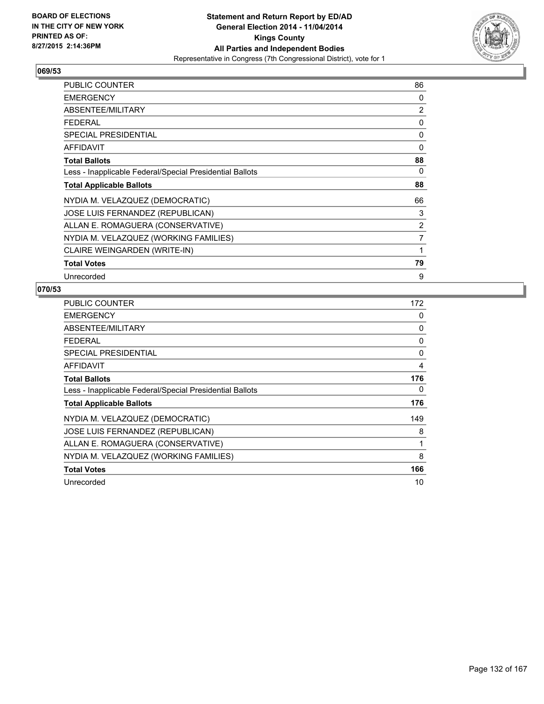

| <b>PUBLIC COUNTER</b>                                    | 86             |
|----------------------------------------------------------|----------------|
| <b>EMERGENCY</b>                                         | 0              |
| ABSENTEE/MILITARY                                        | 2              |
| <b>FEDERAL</b>                                           | 0              |
| <b>SPECIAL PRESIDENTIAL</b>                              | 0              |
| <b>AFFIDAVIT</b>                                         | 0              |
| <b>Total Ballots</b>                                     | 88             |
| Less - Inapplicable Federal/Special Presidential Ballots | 0              |
| <b>Total Applicable Ballots</b>                          | 88             |
| NYDIA M. VELAZQUEZ (DEMOCRATIC)                          | 66             |
| JOSE LUIS FERNANDEZ (REPUBLICAN)                         | 3              |
| ALLAN E. ROMAGUERA (CONSERVATIVE)                        | 2              |
| NYDIA M. VELAZQUEZ (WORKING FAMILIES)                    | $\overline{7}$ |
| CLAIRE WEINGARDEN (WRITE-IN)                             | 1              |
| <b>Total Votes</b>                                       | 79             |
| Unrecorded                                               | 9              |

| PUBLIC COUNTER                                           | 172      |
|----------------------------------------------------------|----------|
| <b>EMERGENCY</b>                                         | 0        |
| <b>ABSENTEE/MILITARY</b>                                 | 0        |
| <b>FEDERAL</b>                                           | 0        |
| SPECIAL PRESIDENTIAL                                     | $\Omega$ |
| <b>AFFIDAVIT</b>                                         | 4        |
| <b>Total Ballots</b>                                     | 176      |
| Less - Inapplicable Federal/Special Presidential Ballots | 0        |
| <b>Total Applicable Ballots</b>                          | 176      |
| NYDIA M. VELAZQUEZ (DEMOCRATIC)                          | 149      |
| JOSE LUIS FERNANDEZ (REPUBLICAN)                         | 8        |
| ALLAN E. ROMAGUERA (CONSERVATIVE)                        | 1        |
| NYDIA M. VELAZQUEZ (WORKING FAMILIES)                    | 8        |
| <b>Total Votes</b>                                       | 166      |
| Unrecorded                                               | 10       |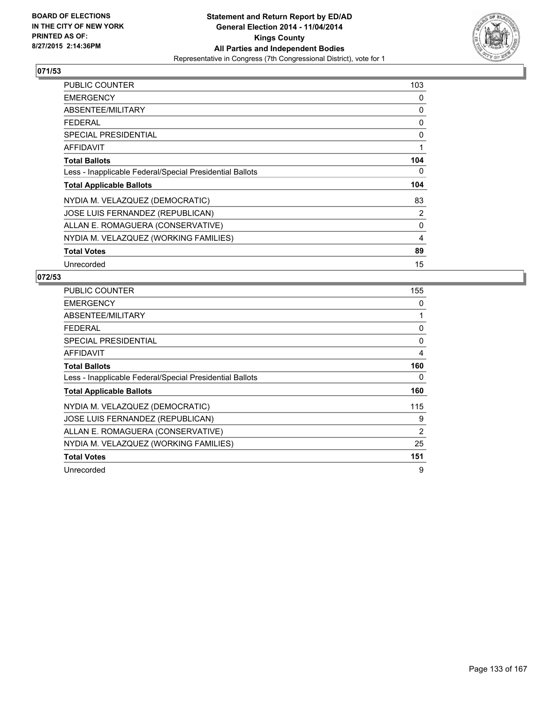

| <b>PUBLIC COUNTER</b>                                    | 103 |
|----------------------------------------------------------|-----|
| <b>EMERGENCY</b>                                         | 0   |
| ABSENTEE/MILITARY                                        | 0   |
| <b>FEDERAL</b>                                           | 0   |
| <b>SPECIAL PRESIDENTIAL</b>                              | 0   |
| <b>AFFIDAVIT</b>                                         | 1   |
| <b>Total Ballots</b>                                     | 104 |
| Less - Inapplicable Federal/Special Presidential Ballots | 0   |
| <b>Total Applicable Ballots</b>                          | 104 |
| NYDIA M. VELAZQUEZ (DEMOCRATIC)                          | 83  |
| JOSE LUIS FERNANDEZ (REPUBLICAN)                         | 2   |
| ALLAN E. ROMAGUERA (CONSERVATIVE)                        | 0   |
| NYDIA M. VELAZQUEZ (WORKING FAMILIES)                    | 4   |
| <b>Total Votes</b>                                       | 89  |
| Unrecorded                                               | 15  |

| <b>PUBLIC COUNTER</b>                                    | 155 |
|----------------------------------------------------------|-----|
| <b>EMERGENCY</b>                                         | 0   |
| ABSENTEE/MILITARY                                        | 1   |
| <b>FEDERAL</b>                                           | 0   |
| <b>SPECIAL PRESIDENTIAL</b>                              | 0   |
| <b>AFFIDAVIT</b>                                         | 4   |
| <b>Total Ballots</b>                                     | 160 |
| Less - Inapplicable Federal/Special Presidential Ballots | 0   |
| <b>Total Applicable Ballots</b>                          | 160 |
| NYDIA M. VELAZQUEZ (DEMOCRATIC)                          | 115 |
| JOSE LUIS FERNANDEZ (REPUBLICAN)                         | 9   |
| ALLAN E. ROMAGUERA (CONSERVATIVE)                        | 2   |
| NYDIA M. VELAZQUEZ (WORKING FAMILIES)                    | 25  |
| <b>Total Votes</b>                                       | 151 |
| Unrecorded                                               | 9   |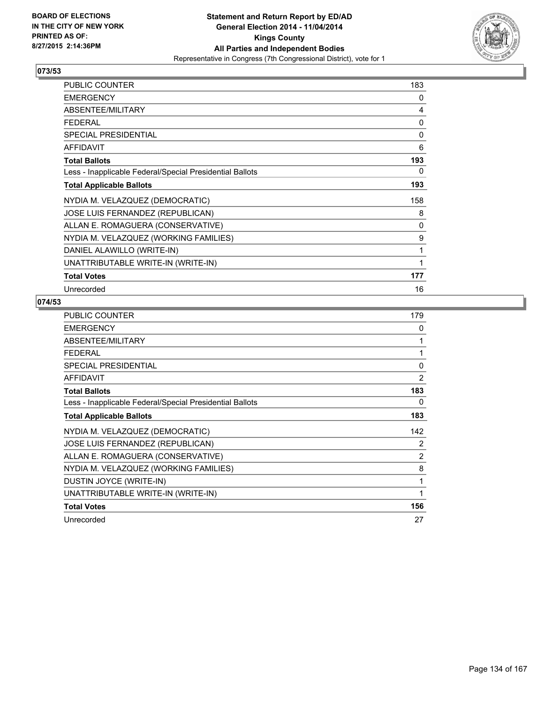

| PUBLIC COUNTER                                           | 183 |
|----------------------------------------------------------|-----|
| <b>EMERGENCY</b>                                         | 0   |
| ABSENTEE/MILITARY                                        | 4   |
| <b>FEDERAL</b>                                           | 0   |
| <b>SPECIAL PRESIDENTIAL</b>                              | 0   |
| <b>AFFIDAVIT</b>                                         | 6   |
| <b>Total Ballots</b>                                     | 193 |
| Less - Inapplicable Federal/Special Presidential Ballots | 0   |
| <b>Total Applicable Ballots</b>                          | 193 |
| NYDIA M. VELAZQUEZ (DEMOCRATIC)                          | 158 |
| JOSE LUIS FERNANDEZ (REPUBLICAN)                         | 8   |
| ALLAN E. ROMAGUERA (CONSERVATIVE)                        | 0   |
| NYDIA M. VELAZQUEZ (WORKING FAMILIES)                    | 9   |
| DANIEL ALAWILLO (WRITE-IN)                               | 1   |
| UNATTRIBUTABLE WRITE-IN (WRITE-IN)                       | 1   |
| <b>Total Votes</b>                                       | 177 |
| Unrecorded                                               | 16  |

| <b>PUBLIC COUNTER</b>                                    | 179      |
|----------------------------------------------------------|----------|
| <b>EMERGENCY</b>                                         | 0        |
| ABSENTEE/MILITARY                                        | 1        |
| <b>FEDERAL</b>                                           | 1        |
| <b>SPECIAL PRESIDENTIAL</b>                              | $\Omega$ |
| <b>AFFIDAVIT</b>                                         | 2        |
| <b>Total Ballots</b>                                     | 183      |
| Less - Inapplicable Federal/Special Presidential Ballots | 0        |
| <b>Total Applicable Ballots</b>                          | 183      |
| NYDIA M. VELAZQUEZ (DEMOCRATIC)                          | 142      |
| JOSE LUIS FERNANDEZ (REPUBLICAN)                         | 2        |
| ALLAN E. ROMAGUERA (CONSERVATIVE)                        | 2        |
| NYDIA M. VELAZQUEZ (WORKING FAMILIES)                    | 8        |
| DUSTIN JOYCE (WRITE-IN)                                  | 1        |
| UNATTRIBUTABLE WRITE-IN (WRITE-IN)                       | 1        |
| <b>Total Votes</b>                                       | 156      |
| Unrecorded                                               | 27       |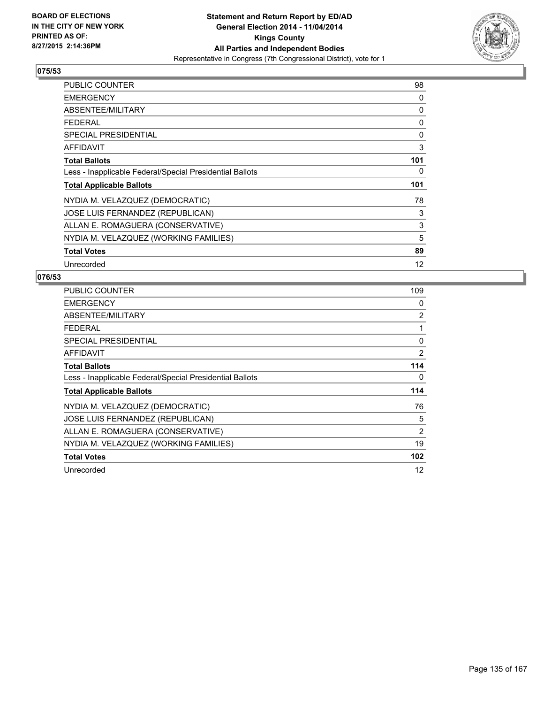

| <b>PUBLIC COUNTER</b>                                    | 98                |
|----------------------------------------------------------|-------------------|
| <b>EMERGENCY</b>                                         | 0                 |
| ABSENTEE/MILITARY                                        | 0                 |
| <b>FEDERAL</b>                                           | 0                 |
| <b>SPECIAL PRESIDENTIAL</b>                              | 0                 |
| <b>AFFIDAVIT</b>                                         | 3                 |
| <b>Total Ballots</b>                                     | 101               |
| Less - Inapplicable Federal/Special Presidential Ballots | 0                 |
| <b>Total Applicable Ballots</b>                          | 101               |
| NYDIA M. VELAZQUEZ (DEMOCRATIC)                          | 78                |
| JOSE LUIS FERNANDEZ (REPUBLICAN)                         | 3                 |
| ALLAN E. ROMAGUERA (CONSERVATIVE)                        | 3                 |
| NYDIA M. VELAZQUEZ (WORKING FAMILIES)                    | 5                 |
| <b>Total Votes</b>                                       | 89                |
| Unrecorded                                               | $12 \overline{ }$ |

| <b>PUBLIC COUNTER</b>                                    | 109 |
|----------------------------------------------------------|-----|
| <b>EMERGENCY</b>                                         | 0   |
| ABSENTEE/MILITARY                                        | 2   |
| <b>FEDERAL</b>                                           | 1   |
| <b>SPECIAL PRESIDENTIAL</b>                              | 0   |
| <b>AFFIDAVIT</b>                                         | 2   |
| <b>Total Ballots</b>                                     | 114 |
| Less - Inapplicable Federal/Special Presidential Ballots | 0   |
| <b>Total Applicable Ballots</b>                          | 114 |
| NYDIA M. VELAZQUEZ (DEMOCRATIC)                          | 76  |
| JOSE LUIS FERNANDEZ (REPUBLICAN)                         | 5   |
| ALLAN E. ROMAGUERA (CONSERVATIVE)                        | 2   |
| NYDIA M. VELAZQUEZ (WORKING FAMILIES)                    | 19  |
| <b>Total Votes</b>                                       | 102 |
| Unrecorded                                               | 12  |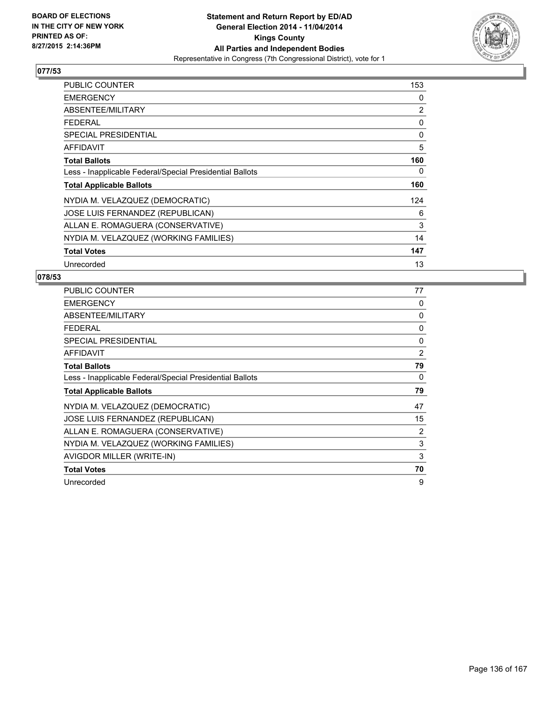

| <b>PUBLIC COUNTER</b>                                    | 153 |
|----------------------------------------------------------|-----|
| <b>EMERGENCY</b>                                         | 0   |
| ABSENTEE/MILITARY                                        | 2   |
| <b>FEDERAL</b>                                           | 0   |
| <b>SPECIAL PRESIDENTIAL</b>                              | 0   |
| <b>AFFIDAVIT</b>                                         | 5   |
| <b>Total Ballots</b>                                     | 160 |
| Less - Inapplicable Federal/Special Presidential Ballots | 0   |
| <b>Total Applicable Ballots</b>                          | 160 |
| NYDIA M. VELAZQUEZ (DEMOCRATIC)                          | 124 |
| JOSE LUIS FERNANDEZ (REPUBLICAN)                         | 6   |
| ALLAN E. ROMAGUERA (CONSERVATIVE)                        | 3   |
| NYDIA M. VELAZQUEZ (WORKING FAMILIES)                    | 14  |
| <b>Total Votes</b>                                       | 147 |
| Unrecorded                                               | 13  |

| <b>PUBLIC COUNTER</b>                                    | 77 |
|----------------------------------------------------------|----|
| <b>EMERGENCY</b>                                         | 0  |
| ABSENTEE/MILITARY                                        | 0  |
| <b>FEDERAL</b>                                           | 0  |
| <b>SPECIAL PRESIDENTIAL</b>                              | 0  |
| <b>AFFIDAVIT</b>                                         | 2  |
| <b>Total Ballots</b>                                     | 79 |
| Less - Inapplicable Federal/Special Presidential Ballots | 0  |
| <b>Total Applicable Ballots</b>                          | 79 |
| NYDIA M. VELAZQUEZ (DEMOCRATIC)                          | 47 |
| JOSE LUIS FERNANDEZ (REPUBLICAN)                         | 15 |
| ALLAN E. ROMAGUERA (CONSERVATIVE)                        | 2  |
| NYDIA M. VELAZQUEZ (WORKING FAMILIES)                    | 3  |
| AVIGDOR MILLER (WRITE-IN)                                | 3  |
|                                                          |    |
| <b>Total Votes</b>                                       | 70 |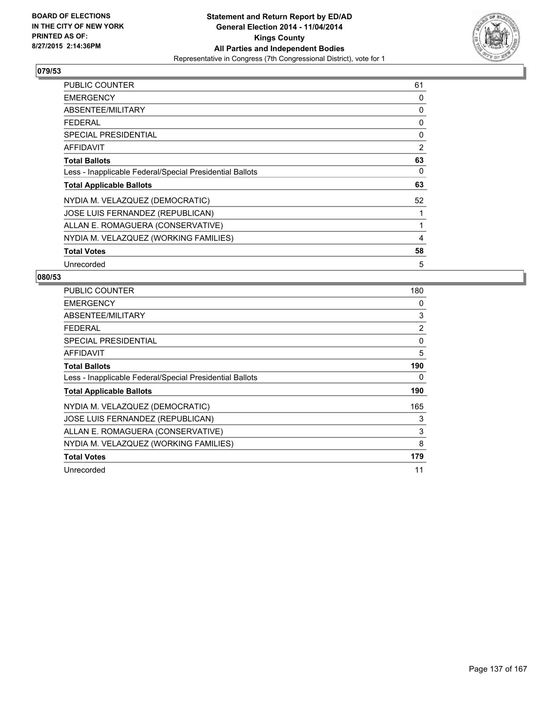

| <b>PUBLIC COUNTER</b>                                    | 61 |
|----------------------------------------------------------|----|
| <b>EMERGENCY</b>                                         | 0  |
| ABSENTEE/MILITARY                                        | 0  |
| <b>FEDERAL</b>                                           | 0  |
| <b>SPECIAL PRESIDENTIAL</b>                              | 0  |
| <b>AFFIDAVIT</b>                                         | 2  |
| <b>Total Ballots</b>                                     | 63 |
| Less - Inapplicable Federal/Special Presidential Ballots | 0  |
| <b>Total Applicable Ballots</b>                          | 63 |
| NYDIA M. VELAZQUEZ (DEMOCRATIC)                          | 52 |
| JOSE LUIS FERNANDEZ (REPUBLICAN)                         | 1  |
| ALLAN E. ROMAGUERA (CONSERVATIVE)                        | 1  |
| NYDIA M. VELAZQUEZ (WORKING FAMILIES)                    | 4  |
| <b>Total Votes</b>                                       | 58 |
| Unrecorded                                               | 5  |

| <b>PUBLIC COUNTER</b>                                    | 180 |
|----------------------------------------------------------|-----|
| <b>EMERGENCY</b>                                         | 0   |
| ABSENTEE/MILITARY                                        | 3   |
| <b>FEDERAL</b>                                           | 2   |
| SPECIAL PRESIDENTIAL                                     | 0   |
| AFFIDAVIT                                                | 5   |
| <b>Total Ballots</b>                                     | 190 |
| Less - Inapplicable Federal/Special Presidential Ballots | 0   |
| <b>Total Applicable Ballots</b>                          | 190 |
| NYDIA M. VELAZQUEZ (DEMOCRATIC)                          | 165 |
| JOSE LUIS FERNANDEZ (REPUBLICAN)                         | 3   |
| ALLAN E. ROMAGUERA (CONSERVATIVE)                        | 3   |
| NYDIA M. VELAZQUEZ (WORKING FAMILIES)                    | 8   |
| <b>Total Votes</b>                                       | 179 |
| Unrecorded                                               | 11  |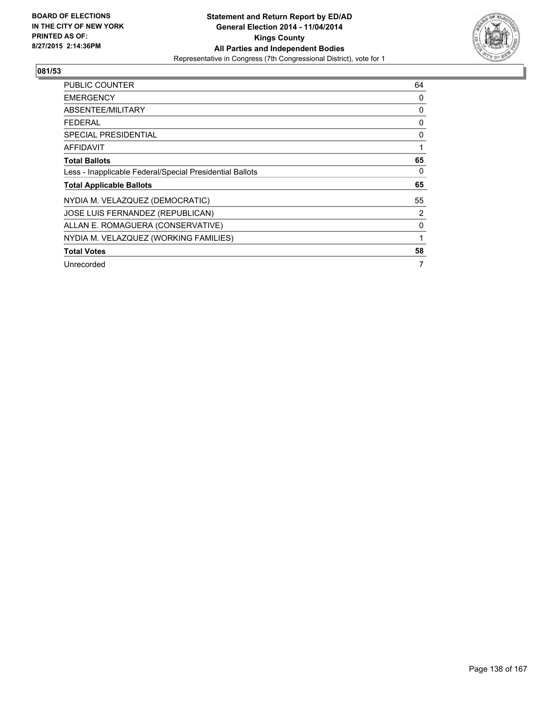

| <b>PUBLIC COUNTER</b>                                    | 64 |
|----------------------------------------------------------|----|
| <b>EMERGENCY</b>                                         | 0  |
| ABSENTEE/MILITARY                                        | 0  |
| <b>FEDERAL</b>                                           | 0  |
| <b>SPECIAL PRESIDENTIAL</b>                              | 0  |
| AFFIDAVIT                                                | 1  |
| <b>Total Ballots</b>                                     | 65 |
| Less - Inapplicable Federal/Special Presidential Ballots | 0  |
| <b>Total Applicable Ballots</b>                          | 65 |
| NYDIA M. VELAZQUEZ (DEMOCRATIC)                          | 55 |
| JOSE LUIS FERNANDEZ (REPUBLICAN)                         | 2  |
| ALLAN E. ROMAGUERA (CONSERVATIVE)                        | 0  |
| NYDIA M. VELAZQUEZ (WORKING FAMILIES)                    |    |
| <b>Total Votes</b>                                       | 58 |
| Unrecorded                                               | 7  |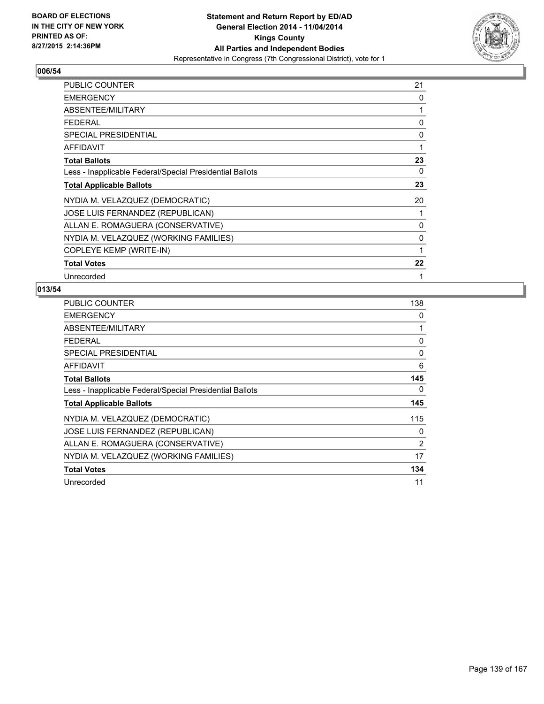

| <b>PUBLIC COUNTER</b>                                    | 21 |
|----------------------------------------------------------|----|
| <b>EMERGENCY</b>                                         | 0  |
| ABSENTEE/MILITARY                                        | 1  |
| <b>FEDERAL</b>                                           | 0  |
| <b>SPECIAL PRESIDENTIAL</b>                              | 0  |
| <b>AFFIDAVIT</b>                                         | 1  |
| <b>Total Ballots</b>                                     | 23 |
| Less - Inapplicable Federal/Special Presidential Ballots | 0  |
| <b>Total Applicable Ballots</b>                          | 23 |
| NYDIA M. VELAZQUEZ (DEMOCRATIC)                          | 20 |
| JOSE LUIS FERNANDEZ (REPUBLICAN)                         |    |
| ALLAN E. ROMAGUERA (CONSERVATIVE)                        | 0  |
| NYDIA M. VELAZQUEZ (WORKING FAMILIES)                    | 0  |
| COPLEYE KEMP (WRITE-IN)                                  | 1  |
| <b>Total Votes</b>                                       | 22 |
| Unrecorded                                               | 1  |

| <b>PUBLIC COUNTER</b>                                    | 138            |
|----------------------------------------------------------|----------------|
| <b>EMERGENCY</b>                                         | 0              |
| ABSENTEE/MILITARY                                        | 1              |
| <b>FEDERAL</b>                                           | 0              |
| <b>SPECIAL PRESIDENTIAL</b>                              | 0              |
| <b>AFFIDAVIT</b>                                         | 6              |
| <b>Total Ballots</b>                                     | 145            |
| Less - Inapplicable Federal/Special Presidential Ballots | 0              |
| <b>Total Applicable Ballots</b>                          | 145            |
| NYDIA M. VELAZQUEZ (DEMOCRATIC)                          | 115            |
| JOSE LUIS FERNANDEZ (REPUBLICAN)                         | 0              |
| ALLAN E. ROMAGUERA (CONSERVATIVE)                        | $\overline{2}$ |
| NYDIA M. VELAZQUEZ (WORKING FAMILIES)                    | 17             |
| <b>Total Votes</b>                                       | 134            |
| Unrecorded                                               | 11             |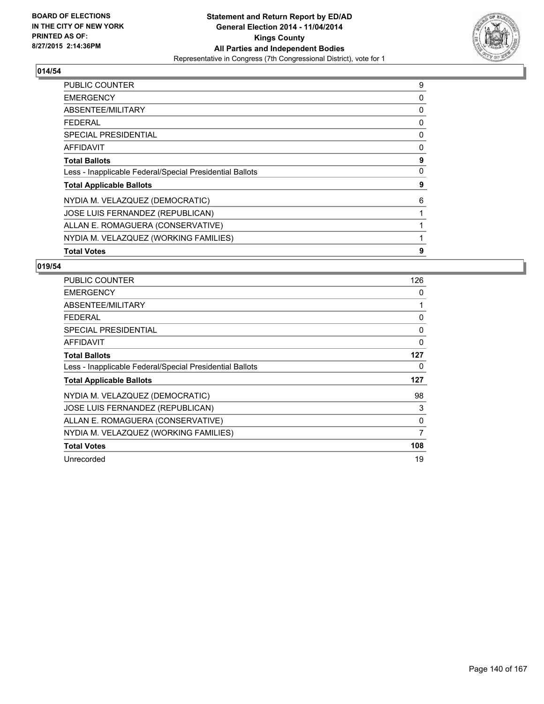

| <b>PUBLIC COUNTER</b>                                    | 9 |
|----------------------------------------------------------|---|
| <b>EMERGENCY</b>                                         | 0 |
| ABSENTEE/MILITARY                                        | 0 |
| <b>FEDERAL</b>                                           | 0 |
| SPECIAL PRESIDENTIAL                                     | 0 |
| AFFIDAVIT                                                | 0 |
| <b>Total Ballots</b>                                     | 9 |
| Less - Inapplicable Federal/Special Presidential Ballots | 0 |
| <b>Total Applicable Ballots</b>                          | 9 |
| NYDIA M. VELAZQUEZ (DEMOCRATIC)                          | 6 |
| JOSE LUIS FERNANDEZ (REPUBLICAN)                         | 1 |
| ALLAN E. ROMAGUERA (CONSERVATIVE)                        |   |
| NYDIA M. VELAZQUEZ (WORKING FAMILIES)                    | 1 |
| <b>Total Votes</b>                                       | 9 |

| <b>PUBLIC COUNTER</b>                                    | 126      |
|----------------------------------------------------------|----------|
| <b>EMERGENCY</b>                                         | 0        |
| ABSENTEE/MILITARY                                        | 1        |
| <b>FEDERAL</b>                                           | $\Omega$ |
| <b>SPECIAL PRESIDENTIAL</b>                              | 0        |
| <b>AFFIDAVIT</b>                                         | $\Omega$ |
| <b>Total Ballots</b>                                     | 127      |
| Less - Inapplicable Federal/Special Presidential Ballots | 0        |
| <b>Total Applicable Ballots</b>                          | 127      |
| NYDIA M. VELAZQUEZ (DEMOCRATIC)                          | 98       |
| JOSE LUIS FERNANDEZ (REPUBLICAN)                         | 3        |
| ALLAN E. ROMAGUERA (CONSERVATIVE)                        | 0        |
| NYDIA M. VELAZQUEZ (WORKING FAMILIES)                    | 7        |
| <b>Total Votes</b>                                       | 108      |
| Unrecorded                                               | 19       |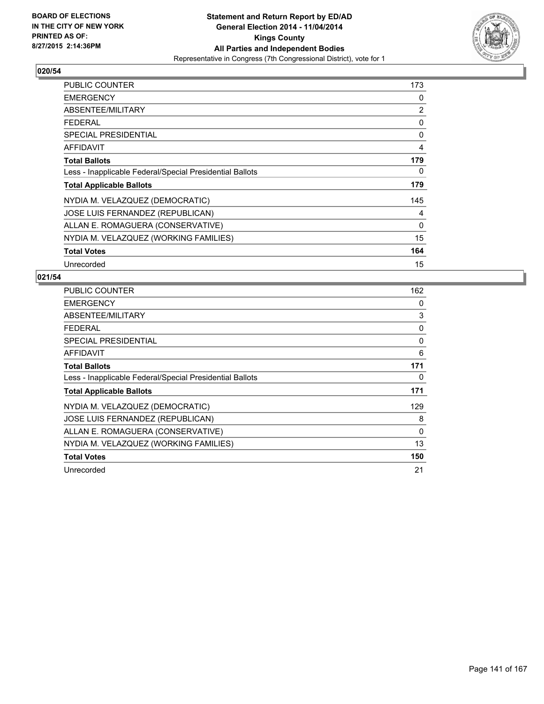

| PUBLIC COUNTER                                           | 173            |
|----------------------------------------------------------|----------------|
| <b>EMERGENCY</b>                                         | 0              |
| ABSENTEE/MILITARY                                        | $\overline{2}$ |
| <b>FEDERAL</b>                                           | 0              |
| <b>SPECIAL PRESIDENTIAL</b>                              | 0              |
| <b>AFFIDAVIT</b>                                         | 4              |
| <b>Total Ballots</b>                                     | 179            |
| Less - Inapplicable Federal/Special Presidential Ballots | 0              |
| <b>Total Applicable Ballots</b>                          | 179            |
| NYDIA M. VELAZQUEZ (DEMOCRATIC)                          | 145            |
| JOSE LUIS FERNANDEZ (REPUBLICAN)                         | 4              |
| ALLAN E. ROMAGUERA (CONSERVATIVE)                        | 0              |
| NYDIA M. VELAZQUEZ (WORKING FAMILIES)                    | 15             |
| <b>Total Votes</b>                                       | 164            |
| Unrecorded                                               | 15             |

| <b>PUBLIC COUNTER</b>                                    | 162 |
|----------------------------------------------------------|-----|
| <b>EMERGENCY</b>                                         | 0   |
| ABSENTEE/MILITARY                                        | 3   |
| <b>FEDERAL</b>                                           | 0   |
| SPECIAL PRESIDENTIAL                                     | 0   |
| <b>AFFIDAVIT</b>                                         | 6   |
| <b>Total Ballots</b>                                     | 171 |
| Less - Inapplicable Federal/Special Presidential Ballots | 0   |
| <b>Total Applicable Ballots</b>                          | 171 |
| NYDIA M. VELAZQUEZ (DEMOCRATIC)                          | 129 |
| JOSE LUIS FERNANDEZ (REPUBLICAN)                         | 8   |
| ALLAN E. ROMAGUERA (CONSERVATIVE)                        | 0   |
| NYDIA M. VELAZQUEZ (WORKING FAMILIES)                    | 13  |
| <b>Total Votes</b>                                       | 150 |
| Unrecorded                                               | 21  |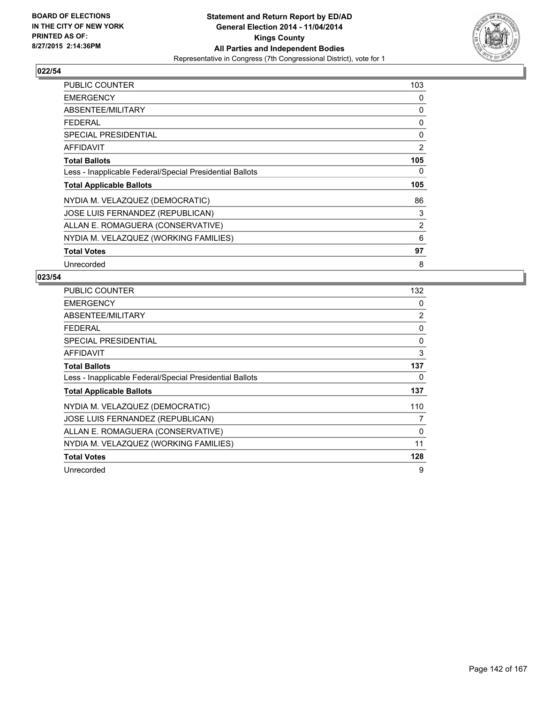

| <b>PUBLIC COUNTER</b>                                    | 103            |
|----------------------------------------------------------|----------------|
| <b>EMERGENCY</b>                                         | 0              |
| ABSENTEE/MILITARY                                        | 0              |
| <b>FEDERAL</b>                                           | 0              |
| <b>SPECIAL PRESIDENTIAL</b>                              | 0              |
| <b>AFFIDAVIT</b>                                         | 2              |
| <b>Total Ballots</b>                                     | 105            |
| Less - Inapplicable Federal/Special Presidential Ballots | 0              |
| <b>Total Applicable Ballots</b>                          | 105            |
| NYDIA M. VELAZQUEZ (DEMOCRATIC)                          | 86             |
| JOSE LUIS FERNANDEZ (REPUBLICAN)                         | 3              |
| ALLAN E. ROMAGUERA (CONSERVATIVE)                        | $\overline{2}$ |
| NYDIA M. VELAZQUEZ (WORKING FAMILIES)                    | 6              |
| <b>Total Votes</b>                                       | 97             |
| Unrecorded                                               | 8              |

| <b>PUBLIC COUNTER</b>                                    | 132 |
|----------------------------------------------------------|-----|
| <b>EMERGENCY</b>                                         | 0   |
| ABSENTEE/MILITARY                                        | 2   |
| <b>FEDERAL</b>                                           | 0   |
| SPECIAL PRESIDENTIAL                                     | 0   |
| AFFIDAVIT                                                | 3   |
| <b>Total Ballots</b>                                     | 137 |
| Less - Inapplicable Federal/Special Presidential Ballots | 0   |
| <b>Total Applicable Ballots</b>                          | 137 |
| NYDIA M. VELAZQUEZ (DEMOCRATIC)                          | 110 |
| JOSE LUIS FERNANDEZ (REPUBLICAN)                         | 7   |
| ALLAN E. ROMAGUERA (CONSERVATIVE)                        | 0   |
| NYDIA M. VELAZQUEZ (WORKING FAMILIES)                    | 11  |
| <b>Total Votes</b>                                       | 128 |
| Unrecorded                                               | 9   |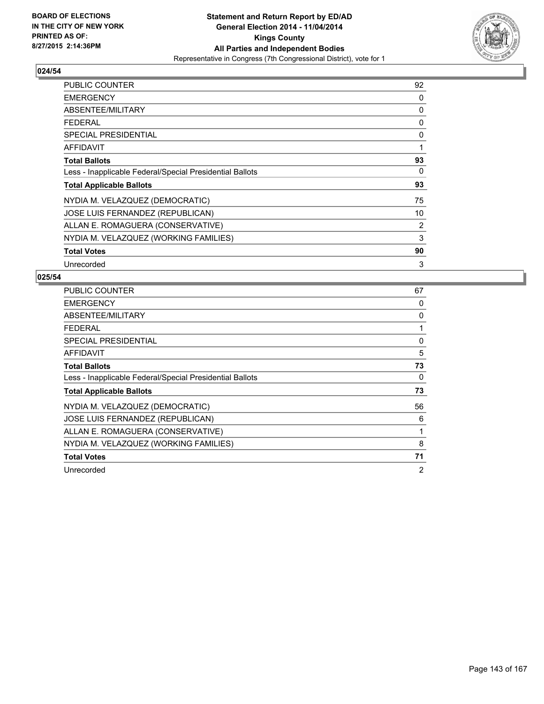

| <b>PUBLIC COUNTER</b>                                    | 92 |
|----------------------------------------------------------|----|
| <b>EMERGENCY</b>                                         | 0  |
| ABSENTEE/MILITARY                                        | 0  |
| <b>FEDERAL</b>                                           | 0  |
| <b>SPECIAL PRESIDENTIAL</b>                              | 0  |
| AFFIDAVIT                                                | 1  |
| <b>Total Ballots</b>                                     | 93 |
| Less - Inapplicable Federal/Special Presidential Ballots | 0  |
| <b>Total Applicable Ballots</b>                          | 93 |
| NYDIA M. VELAZQUEZ (DEMOCRATIC)                          | 75 |
| JOSE LUIS FERNANDEZ (REPUBLICAN)                         | 10 |
| ALLAN E. ROMAGUERA (CONSERVATIVE)                        | 2  |
| NYDIA M. VELAZQUEZ (WORKING FAMILIES)                    | 3  |
| <b>Total Votes</b>                                       | 90 |
| Unrecorded                                               | 3  |

| <b>PUBLIC COUNTER</b>                                    | 67             |
|----------------------------------------------------------|----------------|
| <b>EMERGENCY</b>                                         | 0              |
| ABSENTEE/MILITARY                                        | 0              |
| <b>FEDERAL</b>                                           | 1              |
| <b>SPECIAL PRESIDENTIAL</b>                              | 0              |
| <b>AFFIDAVIT</b>                                         | 5              |
| <b>Total Ballots</b>                                     | 73             |
| Less - Inapplicable Federal/Special Presidential Ballots | 0              |
| <b>Total Applicable Ballots</b>                          | 73             |
| NYDIA M. VELAZQUEZ (DEMOCRATIC)                          | 56             |
| JOSE LUIS FERNANDEZ (REPUBLICAN)                         | 6              |
| ALLAN E. ROMAGUERA (CONSERVATIVE)                        | 1              |
| NYDIA M. VELAZQUEZ (WORKING FAMILIES)                    | 8              |
| <b>Total Votes</b>                                       | 71             |
| Unrecorded                                               | $\overline{2}$ |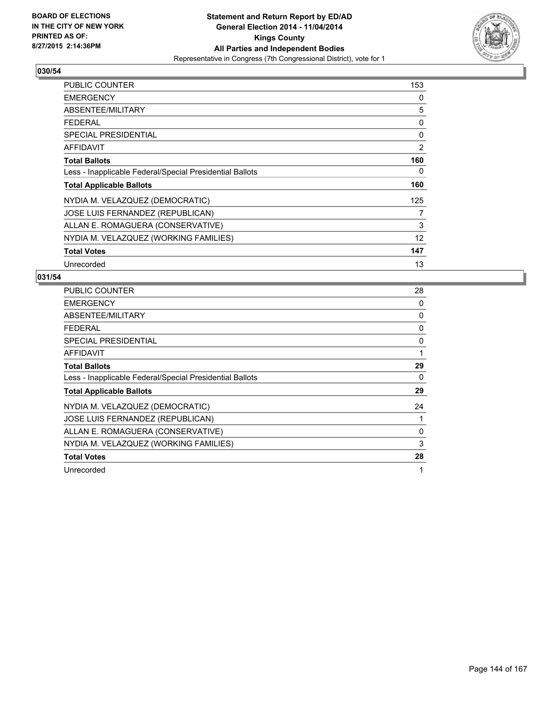

| <b>PUBLIC COUNTER</b>                                    | 153               |
|----------------------------------------------------------|-------------------|
| <b>EMERGENCY</b>                                         | 0                 |
| ABSENTEE/MILITARY                                        | 5                 |
| <b>FEDERAL</b>                                           | 0                 |
| <b>SPECIAL PRESIDENTIAL</b>                              | 0                 |
| <b>AFFIDAVIT</b>                                         | $\overline{2}$    |
| <b>Total Ballots</b>                                     | 160               |
| Less - Inapplicable Federal/Special Presidential Ballots | 0                 |
| <b>Total Applicable Ballots</b>                          | 160               |
| NYDIA M. VELAZQUEZ (DEMOCRATIC)                          | 125               |
| JOSE LUIS FERNANDEZ (REPUBLICAN)                         | 7                 |
| ALLAN E. ROMAGUERA (CONSERVATIVE)                        | 3                 |
| NYDIA M. VELAZQUEZ (WORKING FAMILIES)                    | $12 \overline{ }$ |
| <b>Total Votes</b>                                       | 147               |
| Unrecorded                                               | 13                |

| PUBLIC COUNTER                                           | 28 |
|----------------------------------------------------------|----|
| <b>EMERGENCY</b>                                         | 0  |
| ABSENTEE/MILITARY                                        | 0  |
| <b>FEDERAL</b>                                           | 0  |
| SPECIAL PRESIDENTIAL                                     | 0  |
| <b>AFFIDAVIT</b>                                         | 1  |
| <b>Total Ballots</b>                                     | 29 |
| Less - Inapplicable Federal/Special Presidential Ballots | 0  |
| <b>Total Applicable Ballots</b>                          | 29 |
| NYDIA M. VELAZQUEZ (DEMOCRATIC)                          | 24 |
| JOSE LUIS FERNANDEZ (REPUBLICAN)                         |    |
| ALLAN E. ROMAGUERA (CONSERVATIVE)                        | 0  |
| NYDIA M. VELAZQUEZ (WORKING FAMILIES)                    | 3  |
| <b>Total Votes</b>                                       | 28 |
| Unrecorded                                               | 1  |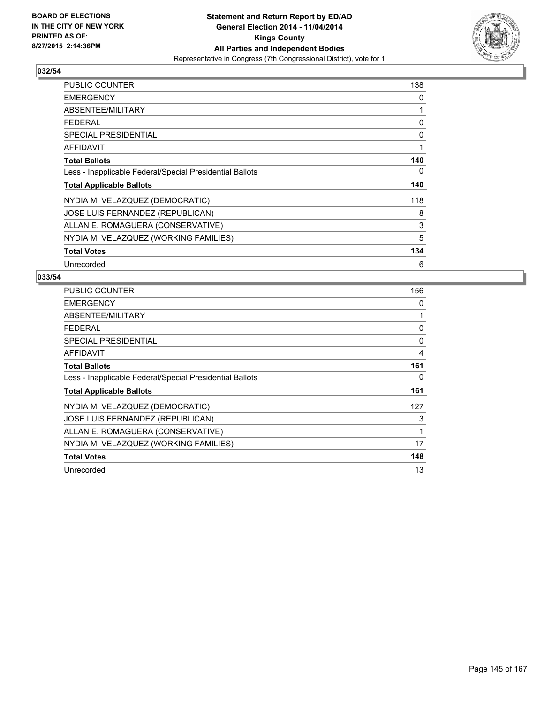

| <b>PUBLIC COUNTER</b>                                    | 138 |
|----------------------------------------------------------|-----|
| <b>EMERGENCY</b>                                         | 0   |
| ABSENTEE/MILITARY                                        | 1   |
| <b>FEDERAL</b>                                           | 0   |
| <b>SPECIAL PRESIDENTIAL</b>                              | 0   |
| <b>AFFIDAVIT</b>                                         | 1   |
| <b>Total Ballots</b>                                     | 140 |
| Less - Inapplicable Federal/Special Presidential Ballots | 0   |
| <b>Total Applicable Ballots</b>                          | 140 |
| NYDIA M. VELAZQUEZ (DEMOCRATIC)                          | 118 |
| JOSE LUIS FERNANDEZ (REPUBLICAN)                         | 8   |
| ALLAN E. ROMAGUERA (CONSERVATIVE)                        | 3   |
| NYDIA M. VELAZQUEZ (WORKING FAMILIES)                    | 5   |
| <b>Total Votes</b>                                       | 134 |
| Unrecorded                                               | 6   |

| PUBLIC COUNTER                                           | 156 |
|----------------------------------------------------------|-----|
| <b>EMERGENCY</b>                                         | 0   |
| ABSENTEE/MILITARY                                        | 1   |
| <b>FEDERAL</b>                                           | 0   |
| <b>SPECIAL PRESIDENTIAL</b>                              | 0   |
| AFFIDAVIT                                                | 4   |
| <b>Total Ballots</b>                                     | 161 |
| Less - Inapplicable Federal/Special Presidential Ballots | 0   |
| <b>Total Applicable Ballots</b>                          | 161 |
| NYDIA M. VELAZQUEZ (DEMOCRATIC)                          | 127 |
| JOSE LUIS FERNANDEZ (REPUBLICAN)                         | 3   |
| ALLAN E. ROMAGUERA (CONSERVATIVE)                        | 1   |
| NYDIA M. VELAZQUEZ (WORKING FAMILIES)                    | 17  |
| <b>Total Votes</b>                                       | 148 |
| Unrecorded                                               | 13  |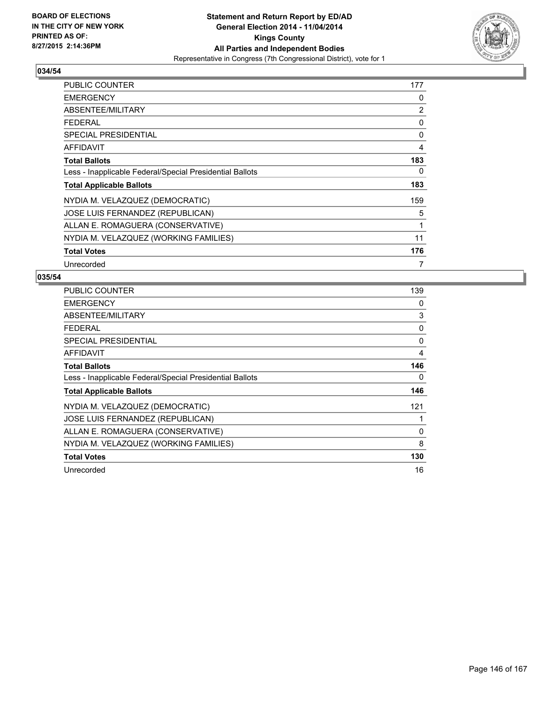

| PUBLIC COUNTER                                           | 177 |
|----------------------------------------------------------|-----|
| <b>EMERGENCY</b>                                         | 0   |
| ABSENTEE/MILITARY                                        | 2   |
| <b>FEDERAL</b>                                           | 0   |
| <b>SPECIAL PRESIDENTIAL</b>                              | 0   |
| AFFIDAVIT                                                | 4   |
| <b>Total Ballots</b>                                     | 183 |
| Less - Inapplicable Federal/Special Presidential Ballots | 0   |
| <b>Total Applicable Ballots</b>                          | 183 |
| NYDIA M. VELAZQUEZ (DEMOCRATIC)                          | 159 |
| JOSE LUIS FERNANDEZ (REPUBLICAN)                         | 5   |
| ALLAN E. ROMAGUERA (CONSERVATIVE)                        | 1   |
| NYDIA M. VELAZQUEZ (WORKING FAMILIES)                    | 11  |
| <b>Total Votes</b>                                       | 176 |
| Unrecorded                                               | 7   |

| <b>PUBLIC COUNTER</b>                                    | 139 |
|----------------------------------------------------------|-----|
| <b>EMERGENCY</b>                                         | 0   |
| ABSENTEE/MILITARY                                        | 3   |
| <b>FEDERAL</b>                                           | 0   |
| SPECIAL PRESIDENTIAL                                     | 0   |
| AFFIDAVIT                                                | 4   |
| <b>Total Ballots</b>                                     | 146 |
| Less - Inapplicable Federal/Special Presidential Ballots | 0   |
| <b>Total Applicable Ballots</b>                          | 146 |
| NYDIA M. VELAZQUEZ (DEMOCRATIC)                          | 121 |
| JOSE LUIS FERNANDEZ (REPUBLICAN)                         |     |
| ALLAN E. ROMAGUERA (CONSERVATIVE)                        | 0   |
| NYDIA M. VELAZQUEZ (WORKING FAMILIES)                    | 8   |
| <b>Total Votes</b>                                       | 130 |
| Unrecorded                                               | 16  |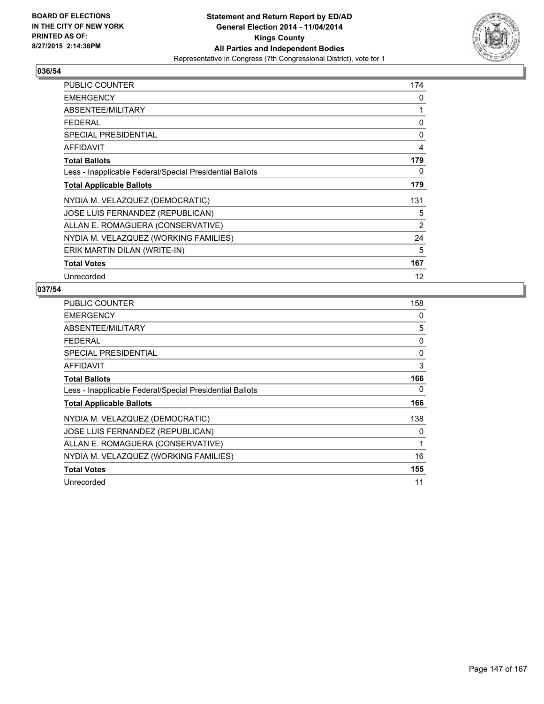

| PUBLIC COUNTER                                           | 174               |
|----------------------------------------------------------|-------------------|
| <b>EMERGENCY</b>                                         | 0                 |
| ABSENTEE/MILITARY                                        | 1                 |
| <b>FEDERAL</b>                                           | 0                 |
| <b>SPECIAL PRESIDENTIAL</b>                              | 0                 |
| <b>AFFIDAVIT</b>                                         | 4                 |
| <b>Total Ballots</b>                                     | 179               |
| Less - Inapplicable Federal/Special Presidential Ballots | 0                 |
| <b>Total Applicable Ballots</b>                          | 179               |
| NYDIA M. VELAZQUEZ (DEMOCRATIC)                          | 131               |
| <b>JOSE LUIS FERNANDEZ (REPUBLICAN)</b>                  | 5                 |
| ALLAN E. ROMAGUERA (CONSERVATIVE)                        | 2                 |
| NYDIA M. VELAZQUEZ (WORKING FAMILIES)                    | 24                |
| ERIK MARTIN DILAN (WRITE-IN)                             | 5                 |
| <b>Total Votes</b>                                       | 167               |
| Unrecorded                                               | $12 \overline{ }$ |

| <b>PUBLIC COUNTER</b>                                    | 158 |
|----------------------------------------------------------|-----|
| <b>EMERGENCY</b>                                         | 0   |
| ABSENTEE/MILITARY                                        | 5   |
| <b>FEDERAL</b>                                           | 0   |
| <b>SPECIAL PRESIDENTIAL</b>                              | 0   |
| <b>AFFIDAVIT</b>                                         | 3   |
| <b>Total Ballots</b>                                     | 166 |
| Less - Inapplicable Federal/Special Presidential Ballots | 0   |
| <b>Total Applicable Ballots</b>                          | 166 |
| NYDIA M. VELAZQUEZ (DEMOCRATIC)                          | 138 |
| JOSE LUIS FERNANDEZ (REPUBLICAN)                         | 0   |
| ALLAN E. ROMAGUERA (CONSERVATIVE)                        | 1   |
| NYDIA M. VELAZQUEZ (WORKING FAMILIES)                    | 16  |
| <b>Total Votes</b>                                       | 155 |
| Unrecorded                                               | 11  |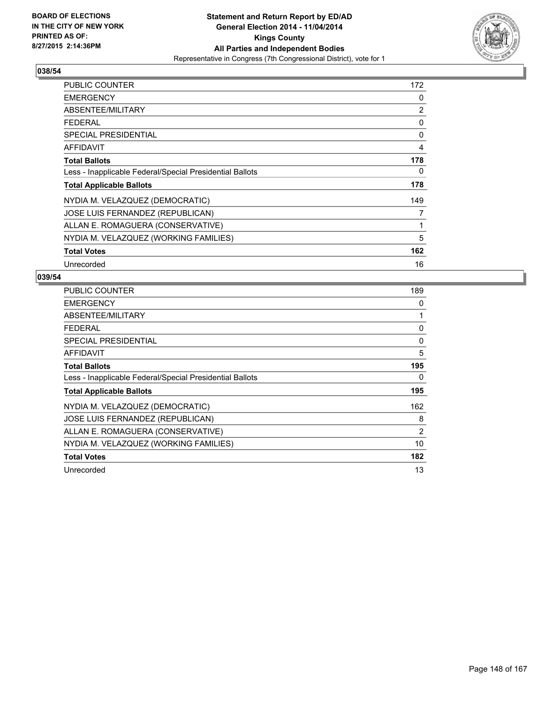

| <b>PUBLIC COUNTER</b>                                    | 172 |
|----------------------------------------------------------|-----|
| <b>EMERGENCY</b>                                         | 0   |
| ABSENTEE/MILITARY                                        | 2   |
| <b>FEDERAL</b>                                           | 0   |
| <b>SPECIAL PRESIDENTIAL</b>                              | 0   |
| AFFIDAVIT                                                | 4   |
| <b>Total Ballots</b>                                     | 178 |
| Less - Inapplicable Federal/Special Presidential Ballots | 0   |
| <b>Total Applicable Ballots</b>                          | 178 |
| NYDIA M. VELAZQUEZ (DEMOCRATIC)                          | 149 |
| JOSE LUIS FERNANDEZ (REPUBLICAN)                         | 7   |
| ALLAN E. ROMAGUERA (CONSERVATIVE)                        | 1   |
| NYDIA M. VELAZQUEZ (WORKING FAMILIES)                    | 5   |
| <b>Total Votes</b>                                       | 162 |
| Unrecorded                                               | 16  |

| <b>PUBLIC COUNTER</b>                                    | 189 |
|----------------------------------------------------------|-----|
| <b>EMERGENCY</b>                                         | 0   |
| ABSENTEE/MILITARY                                        | 1   |
| <b>FEDERAL</b>                                           | 0   |
| SPECIAL PRESIDENTIAL                                     | 0   |
| <b>AFFIDAVIT</b>                                         | 5   |
| <b>Total Ballots</b>                                     | 195 |
| Less - Inapplicable Federal/Special Presidential Ballots | 0   |
| <b>Total Applicable Ballots</b>                          | 195 |
| NYDIA M. VELAZQUEZ (DEMOCRATIC)                          | 162 |
| JOSE LUIS FERNANDEZ (REPUBLICAN)                         | 8   |
| ALLAN E. ROMAGUERA (CONSERVATIVE)                        | 2   |
| NYDIA M. VELAZQUEZ (WORKING FAMILIES)                    | 10  |
| <b>Total Votes</b>                                       | 182 |
| Unrecorded                                               | 13  |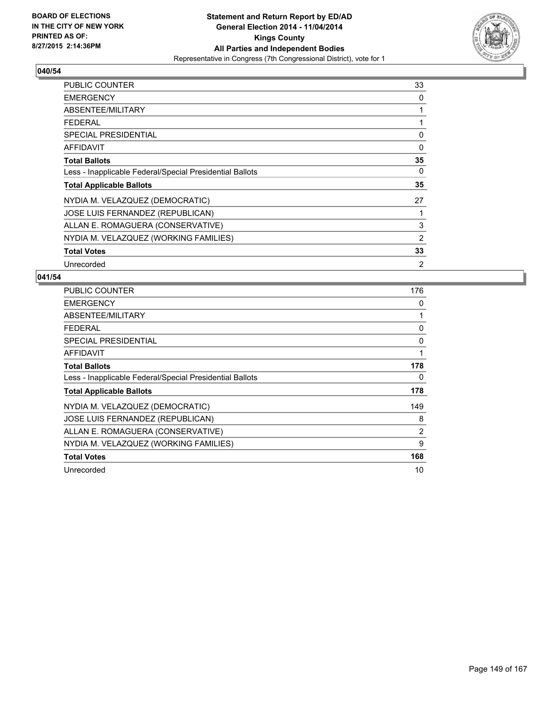

| <b>PUBLIC COUNTER</b>                                    | 33 |
|----------------------------------------------------------|----|
| <b>EMERGENCY</b>                                         | 0  |
| ABSENTEE/MILITARY                                        | 1  |
| <b>FEDERAL</b>                                           | 1  |
| <b>SPECIAL PRESIDENTIAL</b>                              | 0  |
| <b>AFFIDAVIT</b>                                         | 0  |
| <b>Total Ballots</b>                                     | 35 |
| Less - Inapplicable Federal/Special Presidential Ballots | 0  |
| <b>Total Applicable Ballots</b>                          | 35 |
| NYDIA M. VELAZQUEZ (DEMOCRATIC)                          | 27 |
| JOSE LUIS FERNANDEZ (REPUBLICAN)                         | 1  |
| ALLAN E. ROMAGUERA (CONSERVATIVE)                        | 3  |
| NYDIA M. VELAZQUEZ (WORKING FAMILIES)                    | 2  |
| <b>Total Votes</b>                                       | 33 |
| Unrecorded                                               | 2  |

| <b>PUBLIC COUNTER</b>                                    | 176 |
|----------------------------------------------------------|-----|
| <b>EMERGENCY</b>                                         | 0   |
| ABSENTEE/MILITARY                                        | 1   |
| <b>FEDERAL</b>                                           | 0   |
| SPECIAL PRESIDENTIAL                                     | 0   |
| AFFIDAVIT                                                | 1   |
| <b>Total Ballots</b>                                     | 178 |
| Less - Inapplicable Federal/Special Presidential Ballots | 0   |
| <b>Total Applicable Ballots</b>                          | 178 |
| NYDIA M. VELAZQUEZ (DEMOCRATIC)                          | 149 |
| <b>JOSE LUIS FERNANDEZ (REPUBLICAN)</b>                  | 8   |
| ALLAN E. ROMAGUERA (CONSERVATIVE)                        | 2   |
| NYDIA M. VELAZQUEZ (WORKING FAMILIES)                    | 9   |
| <b>Total Votes</b>                                       | 168 |
| Unrecorded                                               | 10  |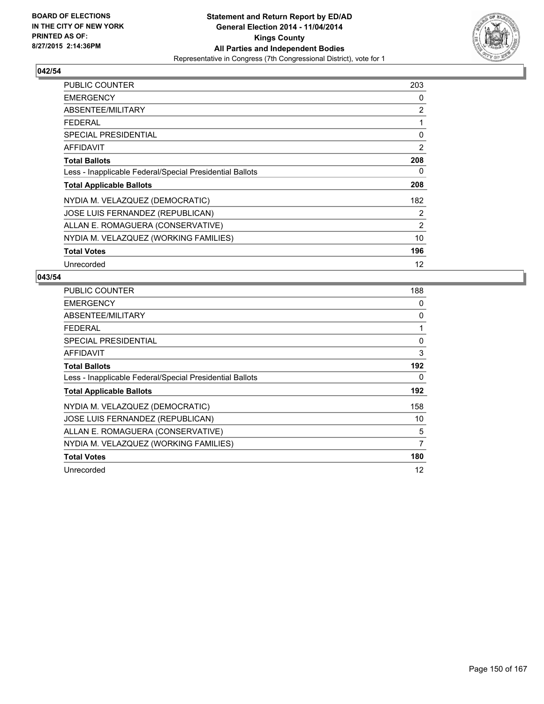

| PUBLIC COUNTER                                           | 203               |
|----------------------------------------------------------|-------------------|
| <b>EMERGENCY</b>                                         | 0                 |
| ABSENTEE/MILITARY                                        | $\overline{2}$    |
| <b>FEDERAL</b>                                           | 1                 |
| <b>SPECIAL PRESIDENTIAL</b>                              | 0                 |
| <b>AFFIDAVIT</b>                                         | 2                 |
| <b>Total Ballots</b>                                     | 208               |
| Less - Inapplicable Federal/Special Presidential Ballots | 0                 |
| <b>Total Applicable Ballots</b>                          | 208               |
| NYDIA M. VELAZQUEZ (DEMOCRATIC)                          | 182               |
| JOSE LUIS FERNANDEZ (REPUBLICAN)                         | 2                 |
| ALLAN E. ROMAGUERA (CONSERVATIVE)                        | $\overline{2}$    |
| NYDIA M. VELAZQUEZ (WORKING FAMILIES)                    | 10                |
| <b>Total Votes</b>                                       | 196               |
| Unrecorded                                               | $12 \overline{ }$ |

| <b>PUBLIC COUNTER</b>                                    | 188 |
|----------------------------------------------------------|-----|
| <b>EMERGENCY</b>                                         | 0   |
| ABSENTEE/MILITARY                                        | 0   |
| <b>FEDERAL</b>                                           | 1   |
| SPECIAL PRESIDENTIAL                                     | 0   |
| <b>AFFIDAVIT</b>                                         | 3   |
| <b>Total Ballots</b>                                     | 192 |
| Less - Inapplicable Federal/Special Presidential Ballots | 0   |
| <b>Total Applicable Ballots</b>                          | 192 |
| NYDIA M. VELAZQUEZ (DEMOCRATIC)                          | 158 |
| JOSE LUIS FERNANDEZ (REPUBLICAN)                         | 10  |
| ALLAN E. ROMAGUERA (CONSERVATIVE)                        | 5   |
| NYDIA M. VELAZQUEZ (WORKING FAMILIES)                    | 7   |
| <b>Total Votes</b>                                       | 180 |
| Unrecorded                                               | 12  |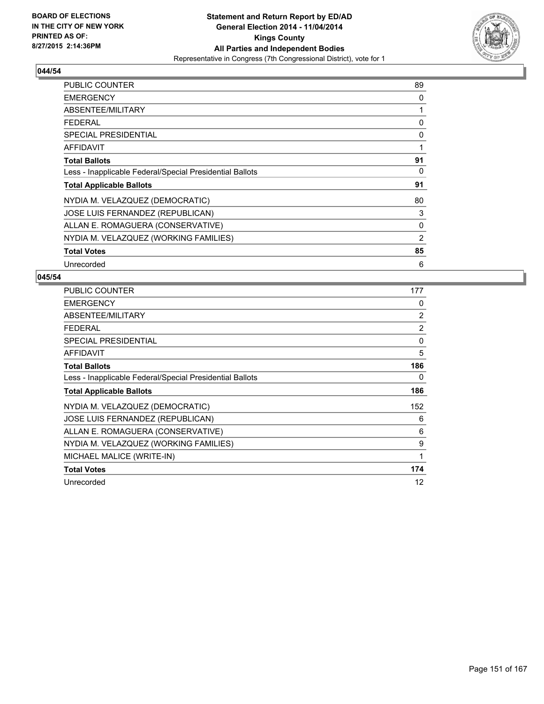

| <b>PUBLIC COUNTER</b>                                    | 89 |
|----------------------------------------------------------|----|
| <b>EMERGENCY</b>                                         | 0  |
| ABSENTEE/MILITARY                                        | 1  |
| <b>FEDERAL</b>                                           | 0  |
| <b>SPECIAL PRESIDENTIAL</b>                              | 0  |
| <b>AFFIDAVIT</b>                                         | 1  |
| <b>Total Ballots</b>                                     | 91 |
| Less - Inapplicable Federal/Special Presidential Ballots | 0  |
| <b>Total Applicable Ballots</b>                          | 91 |
| NYDIA M. VELAZQUEZ (DEMOCRATIC)                          | 80 |
| JOSE LUIS FERNANDEZ (REPUBLICAN)                         | 3  |
| ALLAN E. ROMAGUERA (CONSERVATIVE)                        | 0  |
| NYDIA M. VELAZQUEZ (WORKING FAMILIES)                    | 2  |
| <b>Total Votes</b>                                       | 85 |
| Unrecorded                                               | 6  |

| <b>PUBLIC COUNTER</b>                                    | 177 |
|----------------------------------------------------------|-----|
| <b>EMERGENCY</b>                                         | 0   |
| ABSENTEE/MILITARY                                        | 2   |
| <b>FEDERAL</b>                                           | 2   |
| <b>SPECIAL PRESIDENTIAL</b>                              | 0   |
| <b>AFFIDAVIT</b>                                         | 5   |
| <b>Total Ballots</b>                                     | 186 |
| Less - Inapplicable Federal/Special Presidential Ballots | 0   |
| <b>Total Applicable Ballots</b>                          | 186 |
| NYDIA M. VELAZQUEZ (DEMOCRATIC)                          | 152 |
| JOSE LUIS FERNANDEZ (REPUBLICAN)                         | 6   |
| ALLAN E. ROMAGUERA (CONSERVATIVE)                        | 6   |
| NYDIA M. VELAZQUEZ (WORKING FAMILIES)                    | 9   |
| MICHAEL MALICE (WRITE-IN)                                | 1   |
| <b>Total Votes</b>                                       | 174 |
| Unrecorded                                               | 12  |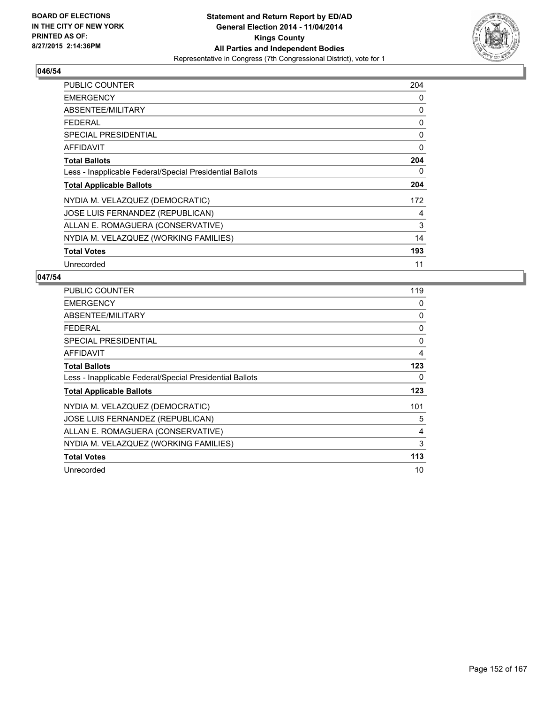

| PUBLIC COUNTER                                           | 204 |
|----------------------------------------------------------|-----|
| <b>EMERGENCY</b>                                         | 0   |
| ABSENTEE/MILITARY                                        | 0   |
| <b>FEDERAL</b>                                           | 0   |
| <b>SPECIAL PRESIDENTIAL</b>                              | 0   |
| <b>AFFIDAVIT</b>                                         | 0   |
| <b>Total Ballots</b>                                     | 204 |
| Less - Inapplicable Federal/Special Presidential Ballots | 0   |
| <b>Total Applicable Ballots</b>                          | 204 |
| NYDIA M. VELAZQUEZ (DEMOCRATIC)                          | 172 |
| JOSE LUIS FERNANDEZ (REPUBLICAN)                         | 4   |
| ALLAN E. ROMAGUERA (CONSERVATIVE)                        | 3   |
| NYDIA M. VELAZQUEZ (WORKING FAMILIES)                    | 14  |
| <b>Total Votes</b>                                       | 193 |
| Unrecorded                                               | 11  |

| <b>PUBLIC COUNTER</b>                                    | 119 |
|----------------------------------------------------------|-----|
| <b>EMERGENCY</b>                                         | 0   |
| ABSENTEE/MILITARY                                        | 0   |
| <b>FEDERAL</b>                                           | 0   |
| SPECIAL PRESIDENTIAL                                     | 0   |
| AFFIDAVIT                                                | 4   |
| <b>Total Ballots</b>                                     | 123 |
| Less - Inapplicable Federal/Special Presidential Ballots | 0   |
| <b>Total Applicable Ballots</b>                          | 123 |
| NYDIA M. VELAZQUEZ (DEMOCRATIC)                          | 101 |
| JOSE LUIS FERNANDEZ (REPUBLICAN)                         | 5   |
| ALLAN E. ROMAGUERA (CONSERVATIVE)                        | 4   |
| NYDIA M. VELAZQUEZ (WORKING FAMILIES)                    | 3   |
| <b>Total Votes</b>                                       | 113 |
| Unrecorded                                               | 10  |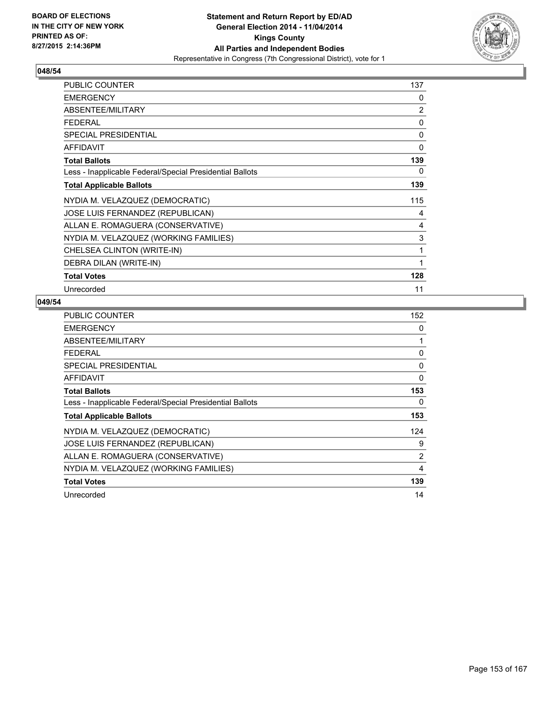

| PUBLIC COUNTER                                           | 137 |
|----------------------------------------------------------|-----|
| <b>EMERGENCY</b>                                         | 0   |
| ABSENTEE/MILITARY                                        | 2   |
| <b>FEDERAL</b>                                           | 0   |
| <b>SPECIAL PRESIDENTIAL</b>                              | 0   |
| <b>AFFIDAVIT</b>                                         | 0   |
| <b>Total Ballots</b>                                     | 139 |
| Less - Inapplicable Federal/Special Presidential Ballots | 0   |
| <b>Total Applicable Ballots</b>                          | 139 |
| NYDIA M. VELAZQUEZ (DEMOCRATIC)                          | 115 |
| JOSE LUIS FERNANDEZ (REPUBLICAN)                         | 4   |
| ALLAN E. ROMAGUERA (CONSERVATIVE)                        | 4   |
| NYDIA M. VELAZQUEZ (WORKING FAMILIES)                    | 3   |
| CHELSEA CLINTON (WRITE-IN)                               | 1   |
| DEBRA DILAN (WRITE-IN)                                   |     |
| <b>Total Votes</b>                                       | 128 |
| Unrecorded                                               | 11  |

| <b>PUBLIC COUNTER</b>                                    | 152      |
|----------------------------------------------------------|----------|
| <b>EMERGENCY</b>                                         | 0        |
| ABSENTEE/MILITARY                                        | 1        |
| <b>FEDERAL</b>                                           | 0        |
| <b>SPECIAL PRESIDENTIAL</b>                              | 0        |
| <b>AFFIDAVIT</b>                                         | $\Omega$ |
| <b>Total Ballots</b>                                     | 153      |
| Less - Inapplicable Federal/Special Presidential Ballots | 0        |
| <b>Total Applicable Ballots</b>                          | 153      |
| NYDIA M. VELAZQUEZ (DEMOCRATIC)                          | 124      |
| JOSE LUIS FERNANDEZ (REPUBLICAN)                         | 9        |
| ALLAN E. ROMAGUERA (CONSERVATIVE)                        | 2        |
| NYDIA M. VELAZQUEZ (WORKING FAMILIES)                    | 4        |
| <b>Total Votes</b>                                       | 139      |
| Unrecorded                                               | 14       |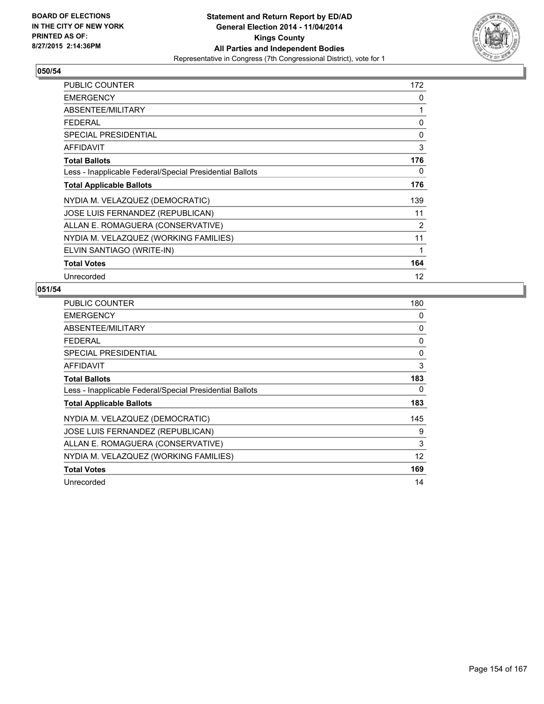

| PUBLIC COUNTER                                           | 172               |
|----------------------------------------------------------|-------------------|
| <b>EMERGENCY</b>                                         | 0                 |
| ABSENTEE/MILITARY                                        | 1                 |
| <b>FEDERAL</b>                                           | 0                 |
| <b>SPECIAL PRESIDENTIAL</b>                              | 0                 |
| <b>AFFIDAVIT</b>                                         | 3                 |
| <b>Total Ballots</b>                                     | 176               |
| Less - Inapplicable Federal/Special Presidential Ballots | 0                 |
| <b>Total Applicable Ballots</b>                          | 176               |
| NYDIA M. VELAZQUEZ (DEMOCRATIC)                          | 139               |
| JOSE LUIS FERNANDEZ (REPUBLICAN)                         | 11                |
| ALLAN E. ROMAGUERA (CONSERVATIVE)                        | 2                 |
| NYDIA M. VELAZQUEZ (WORKING FAMILIES)                    | 11                |
| ELVIN SANTIAGO (WRITE-IN)                                | 1                 |
| <b>Total Votes</b>                                       | 164               |
| Unrecorded                                               | $12 \overline{ }$ |

| <b>PUBLIC COUNTER</b>                                    | 180 |
|----------------------------------------------------------|-----|
| <b>EMERGENCY</b>                                         | 0   |
| ABSENTEE/MILITARY                                        | 0   |
| <b>FEDERAL</b>                                           | 0   |
| <b>SPECIAL PRESIDENTIAL</b>                              | 0   |
| <b>AFFIDAVIT</b>                                         | 3   |
| <b>Total Ballots</b>                                     | 183 |
| Less - Inapplicable Federal/Special Presidential Ballots | 0   |
| <b>Total Applicable Ballots</b>                          | 183 |
| NYDIA M. VELAZQUEZ (DEMOCRATIC)                          | 145 |
| JOSE LUIS FERNANDEZ (REPUBLICAN)                         | 9   |
| ALLAN E. ROMAGUERA (CONSERVATIVE)                        | 3   |
| NYDIA M. VELAZQUEZ (WORKING FAMILIES)                    | 12  |
| <b>Total Votes</b>                                       | 169 |
| Unrecorded                                               | 14  |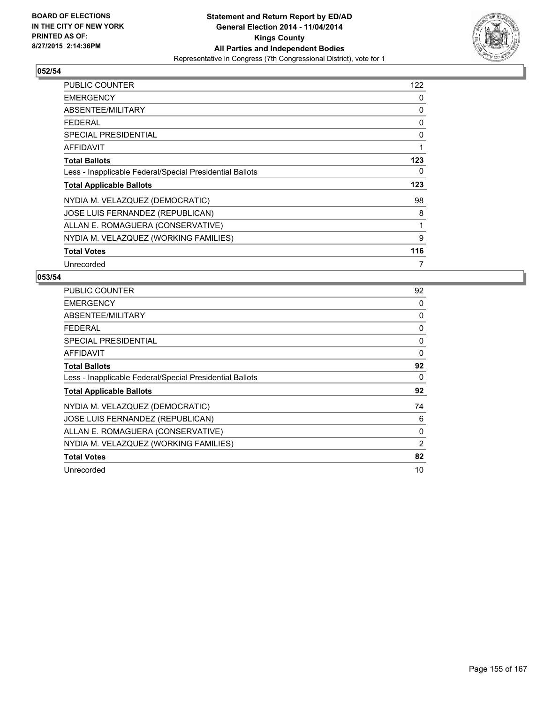

| <b>PUBLIC COUNTER</b>                                    | 122 |
|----------------------------------------------------------|-----|
| <b>EMERGENCY</b>                                         | 0   |
| ABSENTEE/MILITARY                                        | 0   |
| <b>FEDERAL</b>                                           | 0   |
| <b>SPECIAL PRESIDENTIAL</b>                              | 0   |
| <b>AFFIDAVIT</b>                                         | 1   |
| <b>Total Ballots</b>                                     | 123 |
| Less - Inapplicable Federal/Special Presidential Ballots | 0   |
| <b>Total Applicable Ballots</b>                          | 123 |
| NYDIA M. VELAZQUEZ (DEMOCRATIC)                          | 98  |
| JOSE LUIS FERNANDEZ (REPUBLICAN)                         | 8   |
| ALLAN E. ROMAGUERA (CONSERVATIVE)                        | 1   |
| NYDIA M. VELAZQUEZ (WORKING FAMILIES)                    | 9   |
| <b>Total Votes</b>                                       | 116 |
| Unrecorded                                               | 7   |

| PUBLIC COUNTER                                           | 92 |
|----------------------------------------------------------|----|
| <b>EMERGENCY</b>                                         | 0  |
| ABSENTEE/MILITARY                                        | 0  |
| <b>FEDERAL</b>                                           | 0  |
| <b>SPECIAL PRESIDENTIAL</b>                              | 0  |
| AFFIDAVIT                                                | 0  |
| <b>Total Ballots</b>                                     | 92 |
| Less - Inapplicable Federal/Special Presidential Ballots | 0  |
| <b>Total Applicable Ballots</b>                          | 92 |
| NYDIA M. VELAZQUEZ (DEMOCRATIC)                          | 74 |
| JOSE LUIS FERNANDEZ (REPUBLICAN)                         | 6  |
| ALLAN E. ROMAGUERA (CONSERVATIVE)                        | 0  |
| NYDIA M. VELAZQUEZ (WORKING FAMILIES)                    | 2  |
| <b>Total Votes</b>                                       | 82 |
| Unrecorded                                               | 10 |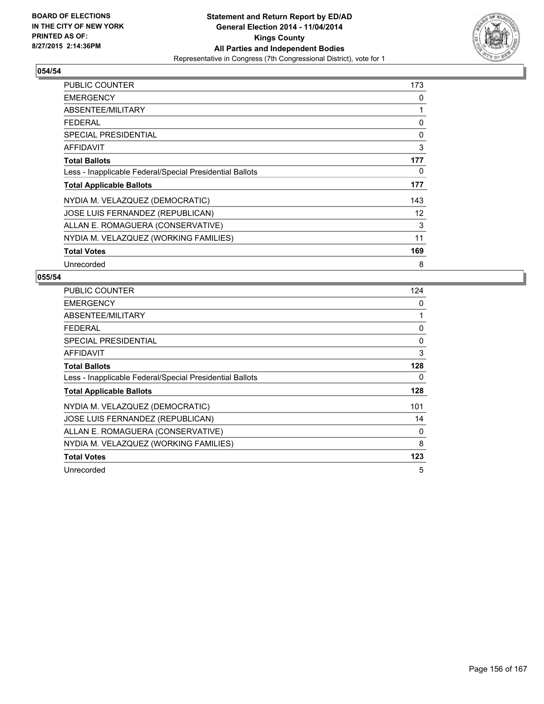

| <b>PUBLIC COUNTER</b>                                    | 173 |
|----------------------------------------------------------|-----|
| <b>EMERGENCY</b>                                         | 0   |
| ABSENTEE/MILITARY                                        | 1   |
| <b>FEDERAL</b>                                           | 0   |
| <b>SPECIAL PRESIDENTIAL</b>                              | 0   |
| AFFIDAVIT                                                | 3   |
| <b>Total Ballots</b>                                     | 177 |
| Less - Inapplicable Federal/Special Presidential Ballots | 0   |
| <b>Total Applicable Ballots</b>                          | 177 |
| NYDIA M. VELAZQUEZ (DEMOCRATIC)                          | 143 |
| JOSE LUIS FERNANDEZ (REPUBLICAN)                         | 12  |
| ALLAN E. ROMAGUERA (CONSERVATIVE)                        | 3   |
| NYDIA M. VELAZQUEZ (WORKING FAMILIES)                    | 11  |
| <b>Total Votes</b>                                       | 169 |
| Unrecorded                                               | 8   |

| <b>PUBLIC COUNTER</b>                                    | 124 |
|----------------------------------------------------------|-----|
| <b>EMERGENCY</b>                                         | 0   |
| ABSENTEE/MILITARY                                        | 1   |
| <b>FEDERAL</b>                                           | 0   |
| SPECIAL PRESIDENTIAL                                     | 0   |
| AFFIDAVIT                                                | 3   |
| <b>Total Ballots</b>                                     | 128 |
| Less - Inapplicable Federal/Special Presidential Ballots | 0   |
| <b>Total Applicable Ballots</b>                          | 128 |
| NYDIA M. VELAZQUEZ (DEMOCRATIC)                          | 101 |
| JOSE LUIS FERNANDEZ (REPUBLICAN)                         | 14  |
| ALLAN E. ROMAGUERA (CONSERVATIVE)                        | 0   |
| NYDIA M. VELAZQUEZ (WORKING FAMILIES)                    | 8   |
| <b>Total Votes</b>                                       | 123 |
| Unrecorded                                               | 5   |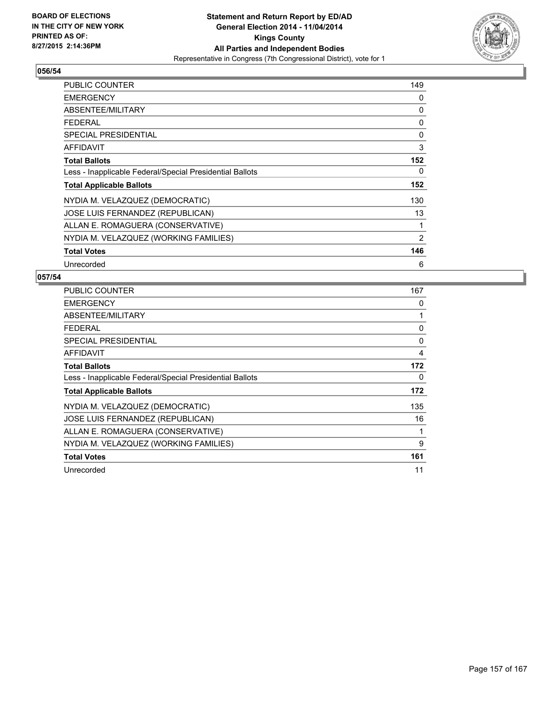

| <b>PUBLIC COUNTER</b>                                    | 149 |
|----------------------------------------------------------|-----|
| <b>EMERGENCY</b>                                         | 0   |
| ABSENTEE/MILITARY                                        | 0   |
| <b>FEDERAL</b>                                           | 0   |
| <b>SPECIAL PRESIDENTIAL</b>                              | 0   |
| AFFIDAVIT                                                | 3   |
| <b>Total Ballots</b>                                     | 152 |
| Less - Inapplicable Federal/Special Presidential Ballots | 0   |
| <b>Total Applicable Ballots</b>                          | 152 |
| NYDIA M. VELAZQUEZ (DEMOCRATIC)                          | 130 |
| JOSE LUIS FERNANDEZ (REPUBLICAN)                         | 13  |
| ALLAN E. ROMAGUERA (CONSERVATIVE)                        | 1   |
| NYDIA M. VELAZQUEZ (WORKING FAMILIES)                    | 2   |
| <b>Total Votes</b>                                       | 146 |
| Unrecorded                                               | 6   |

| PUBLIC COUNTER                                           | 167 |
|----------------------------------------------------------|-----|
| <b>EMERGENCY</b>                                         | 0   |
| ABSENTEE/MILITARY                                        | 1   |
| <b>FEDERAL</b>                                           | 0   |
| <b>SPECIAL PRESIDENTIAL</b>                              | 0   |
| AFFIDAVIT                                                | 4   |
| <b>Total Ballots</b>                                     | 172 |
| Less - Inapplicable Federal/Special Presidential Ballots | 0   |
| <b>Total Applicable Ballots</b>                          | 172 |
| NYDIA M. VELAZQUEZ (DEMOCRATIC)                          | 135 |
| JOSE LUIS FERNANDEZ (REPUBLICAN)                         | 16  |
| ALLAN E. ROMAGUERA (CONSERVATIVE)                        | 1   |
| NYDIA M. VELAZQUEZ (WORKING FAMILIES)                    | 9   |
| <b>Total Votes</b>                                       | 161 |
| Unrecorded                                               | 11  |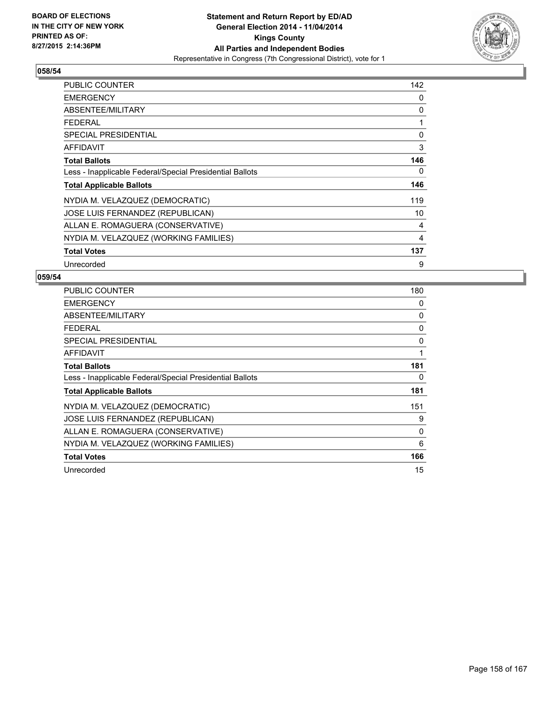

| <b>PUBLIC COUNTER</b>                                    | 142 |
|----------------------------------------------------------|-----|
| <b>EMERGENCY</b>                                         | 0   |
| ABSENTEE/MILITARY                                        | 0   |
| <b>FEDERAL</b>                                           | 1   |
| <b>SPECIAL PRESIDENTIAL</b>                              | 0   |
| <b>AFFIDAVIT</b>                                         | 3   |
| <b>Total Ballots</b>                                     | 146 |
| Less - Inapplicable Federal/Special Presidential Ballots | 0   |
| <b>Total Applicable Ballots</b>                          | 146 |
| NYDIA M. VELAZQUEZ (DEMOCRATIC)                          | 119 |
| JOSE LUIS FERNANDEZ (REPUBLICAN)                         | 10  |
| ALLAN E. ROMAGUERA (CONSERVATIVE)                        | 4   |
| NYDIA M. VELAZQUEZ (WORKING FAMILIES)                    | 4   |
| <b>Total Votes</b>                                       | 137 |
| Unrecorded                                               | 9   |

| PUBLIC COUNTER                                           | 180 |
|----------------------------------------------------------|-----|
| <b>EMERGENCY</b>                                         | 0   |
| ABSENTEE/MILITARY                                        | 0   |
| <b>FEDERAL</b>                                           | 0   |
| SPECIAL PRESIDENTIAL                                     | 0   |
| <b>AFFIDAVIT</b>                                         | 1   |
| <b>Total Ballots</b>                                     | 181 |
| Less - Inapplicable Federal/Special Presidential Ballots | 0   |
| <b>Total Applicable Ballots</b>                          | 181 |
| NYDIA M. VELAZQUEZ (DEMOCRATIC)                          | 151 |
| JOSE LUIS FERNANDEZ (REPUBLICAN)                         | 9   |
| ALLAN E. ROMAGUERA (CONSERVATIVE)                        | 0   |
| NYDIA M. VELAZQUEZ (WORKING FAMILIES)                    | 6   |
| <b>Total Votes</b>                                       | 166 |
| Unrecorded                                               | 15  |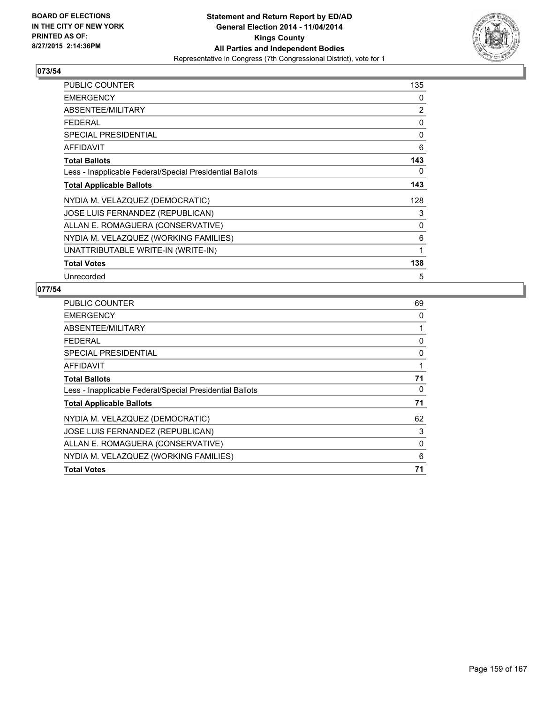

| <b>PUBLIC COUNTER</b>                                    | 135 |
|----------------------------------------------------------|-----|
| <b>EMERGENCY</b>                                         | 0   |
| ABSENTEE/MILITARY                                        | 2   |
| <b>FEDERAL</b>                                           | 0   |
| <b>SPECIAL PRESIDENTIAL</b>                              | 0   |
| AFFIDAVIT                                                | 6   |
| <b>Total Ballots</b>                                     | 143 |
| Less - Inapplicable Federal/Special Presidential Ballots | 0   |
| <b>Total Applicable Ballots</b>                          | 143 |
| NYDIA M. VELAZQUEZ (DEMOCRATIC)                          | 128 |
| JOSE LUIS FERNANDEZ (REPUBLICAN)                         | 3   |
| ALLAN E. ROMAGUERA (CONSERVATIVE)                        | 0   |
| NYDIA M. VELAZQUEZ (WORKING FAMILIES)                    | 6   |
| UNATTRIBUTABLE WRITE-IN (WRITE-IN)                       | 1   |
| <b>Total Votes</b>                                       | 138 |
| Unrecorded                                               | 5   |

| <b>PUBLIC COUNTER</b>                                    | 69 |
|----------------------------------------------------------|----|
| <b>EMERGENCY</b>                                         | 0  |
| ABSENTEE/MILITARY                                        |    |
| <b>FEDERAL</b>                                           | 0  |
| <b>SPECIAL PRESIDENTIAL</b>                              | 0  |
| AFFIDAVIT                                                |    |
| <b>Total Ballots</b>                                     | 71 |
| Less - Inapplicable Federal/Special Presidential Ballots | 0  |
| <b>Total Applicable Ballots</b>                          | 71 |
| NYDIA M. VELAZQUEZ (DEMOCRATIC)                          | 62 |
| JOSE LUIS FERNANDEZ (REPUBLICAN)                         | 3  |
| ALLAN E. ROMAGUERA (CONSERVATIVE)                        | 0  |
| NYDIA M. VELAZQUEZ (WORKING FAMILIES)                    | 6  |
| <b>Total Votes</b>                                       | 71 |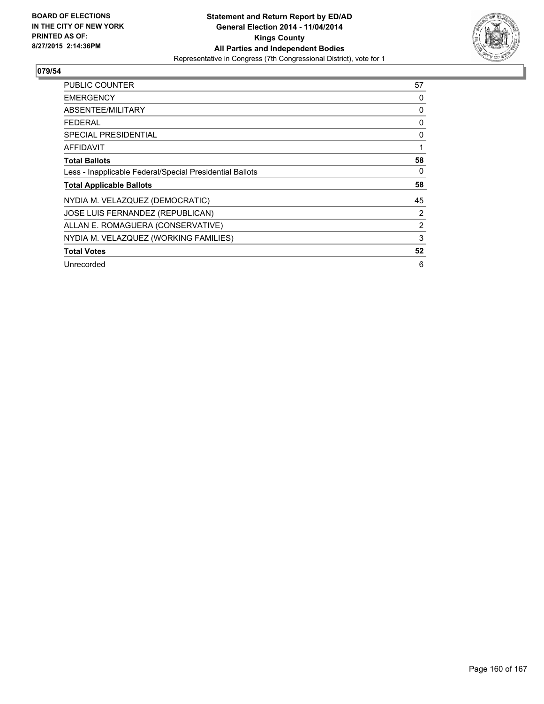

| <b>PUBLIC COUNTER</b>                                    | 57             |
|----------------------------------------------------------|----------------|
| <b>EMERGENCY</b>                                         | 0              |
| ABSENTEE/MILITARY                                        | 0              |
| <b>FEDERAL</b>                                           | 0              |
| <b>SPECIAL PRESIDENTIAL</b>                              | 0              |
| AFFIDAVIT                                                |                |
| <b>Total Ballots</b>                                     | 58             |
| Less - Inapplicable Federal/Special Presidential Ballots | 0              |
| <b>Total Applicable Ballots</b>                          | 58             |
| NYDIA M. VELAZQUEZ (DEMOCRATIC)                          | 45             |
| JOSE LUIS FERNANDEZ (REPUBLICAN)                         | 2              |
| ALLAN E. ROMAGUERA (CONSERVATIVE)                        | $\overline{2}$ |
| NYDIA M. VELAZQUEZ (WORKING FAMILIES)                    | 3              |
| <b>Total Votes</b>                                       | 52             |
| Unrecorded                                               | 6              |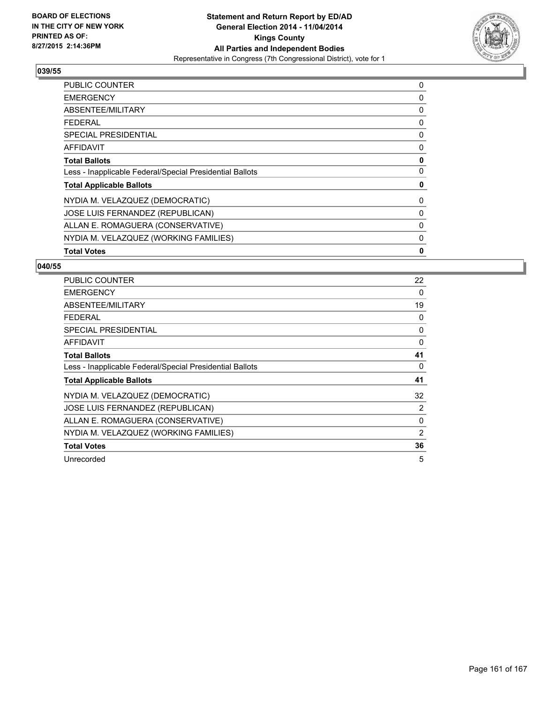

| <b>PUBLIC COUNTER</b>                                    | 0 |
|----------------------------------------------------------|---|
| <b>EMERGENCY</b>                                         | 0 |
| ABSENTEE/MILITARY                                        | 0 |
| <b>FEDERAL</b>                                           | 0 |
| SPECIAL PRESIDENTIAL                                     | 0 |
| AFFIDAVIT                                                | 0 |
| <b>Total Ballots</b>                                     | 0 |
| Less - Inapplicable Federal/Special Presidential Ballots | 0 |
| <b>Total Applicable Ballots</b>                          | 0 |
| NYDIA M. VELAZQUEZ (DEMOCRATIC)                          | 0 |
| JOSE LUIS FERNANDEZ (REPUBLICAN)                         | 0 |
| ALLAN E. ROMAGUERA (CONSERVATIVE)                        | 0 |
| NYDIA M. VELAZQUEZ (WORKING FAMILIES)                    | 0 |
| <b>Total Votes</b>                                       | 0 |

| <b>PUBLIC COUNTER</b>                                    | 22 |
|----------------------------------------------------------|----|
| <b>EMERGENCY</b>                                         | 0  |
| ABSENTEE/MILITARY                                        | 19 |
| <b>FEDERAL</b>                                           | 0  |
| <b>SPECIAL PRESIDENTIAL</b>                              | 0  |
| AFFIDAVIT                                                | 0  |
| <b>Total Ballots</b>                                     | 41 |
| Less - Inapplicable Federal/Special Presidential Ballots | 0  |
| <b>Total Applicable Ballots</b>                          | 41 |
| NYDIA M. VELAZQUEZ (DEMOCRATIC)                          | 32 |
| JOSE LUIS FERNANDEZ (REPUBLICAN)                         | 2  |
| ALLAN E. ROMAGUERA (CONSERVATIVE)                        | 0  |
| NYDIA M. VELAZQUEZ (WORKING FAMILIES)                    | 2  |
| <b>Total Votes</b>                                       | 36 |
| Unrecorded                                               | 5  |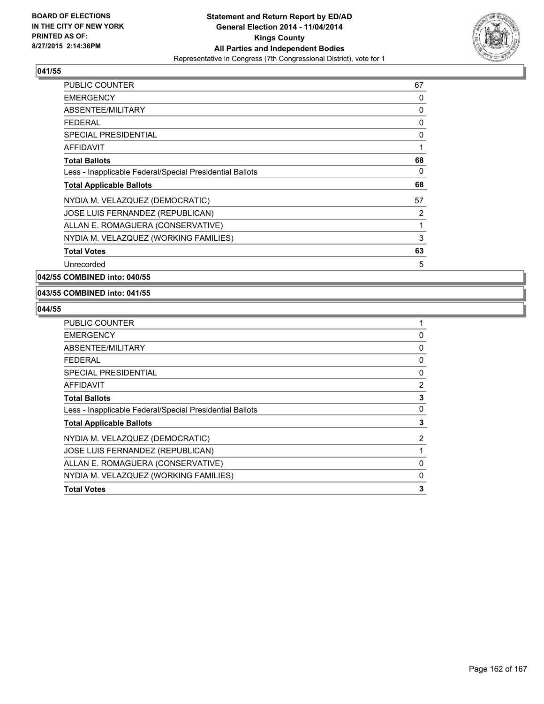

| <b>PUBLIC COUNTER</b>                                    | 67 |
|----------------------------------------------------------|----|
| <b>EMERGENCY</b>                                         | 0  |
| ABSENTEE/MILITARY                                        | 0  |
| <b>FEDERAL</b>                                           | 0  |
| SPECIAL PRESIDENTIAL                                     | 0  |
| AFFIDAVIT                                                | 1  |
| <b>Total Ballots</b>                                     | 68 |
| Less - Inapplicable Federal/Special Presidential Ballots | 0  |
| <b>Total Applicable Ballots</b>                          | 68 |
| NYDIA M. VELAZQUEZ (DEMOCRATIC)                          | 57 |
| JOSE LUIS FERNANDEZ (REPUBLICAN)                         | 2  |
| ALLAN E. ROMAGUERA (CONSERVATIVE)                        | 1  |
| NYDIA M. VELAZQUEZ (WORKING FAMILIES)                    | 3  |
| <b>Total Votes</b>                                       | 63 |
| Unrecorded                                               | 5  |

**042/55 COMBINED into: 040/55**

#### **043/55 COMBINED into: 041/55**

| 0              |
|----------------|
| 0              |
| 0              |
| 0              |
| $\overline{2}$ |
| 3              |
| 0              |
| 3              |
| $\overline{2}$ |
|                |
| 0              |
| 0              |
| 3              |
|                |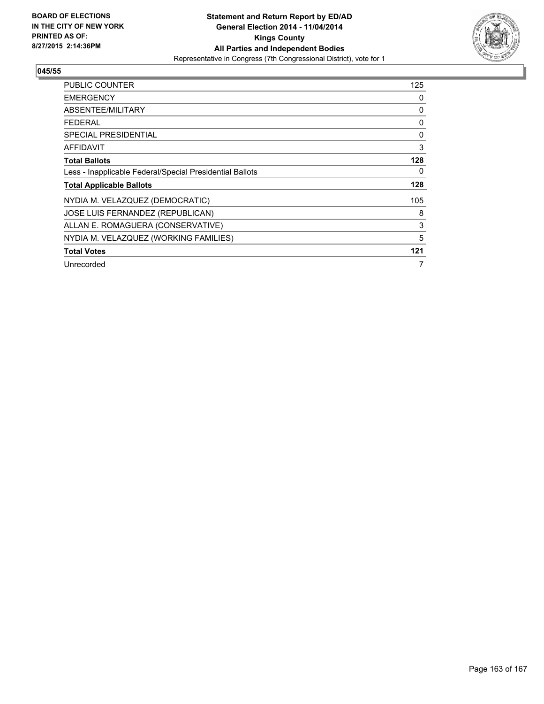

| <b>PUBLIC COUNTER</b>                                    | 125 |
|----------------------------------------------------------|-----|
| <b>EMERGENCY</b>                                         | 0   |
| ABSENTEE/MILITARY                                        | 0   |
| <b>FEDERAL</b>                                           | 0   |
| <b>SPECIAL PRESIDENTIAL</b>                              | 0   |
| <b>AFFIDAVIT</b>                                         | 3   |
| <b>Total Ballots</b>                                     | 128 |
| Less - Inapplicable Federal/Special Presidential Ballots | 0   |
| <b>Total Applicable Ballots</b>                          | 128 |
| NYDIA M. VELAZQUEZ (DEMOCRATIC)                          | 105 |
| <b>JOSE LUIS FERNANDEZ (REPUBLICAN)</b>                  | 8   |
| ALLAN E. ROMAGUERA (CONSERVATIVE)                        | 3   |
| NYDIA M. VELAZQUEZ (WORKING FAMILIES)                    | 5   |
| <b>Total Votes</b>                                       | 121 |
| Unrecorded                                               | 7   |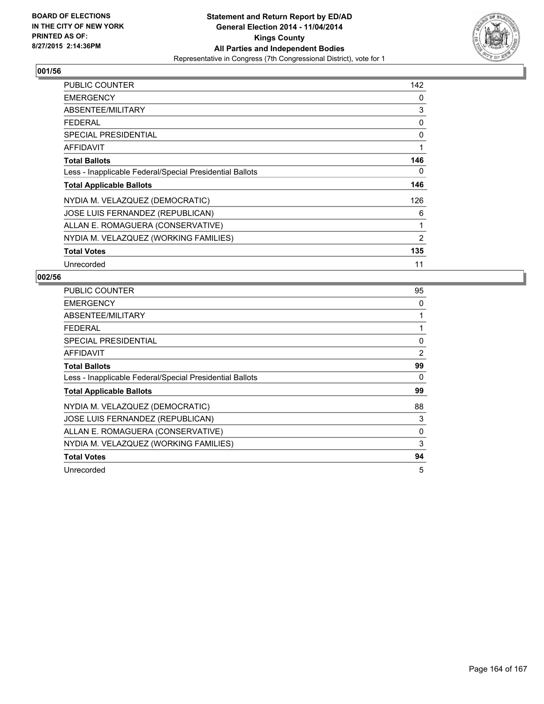

| <b>PUBLIC COUNTER</b>                                    | 142 |
|----------------------------------------------------------|-----|
| <b>EMERGENCY</b>                                         | 0   |
| ABSENTEE/MILITARY                                        | 3   |
| <b>FEDERAL</b>                                           | 0   |
| <b>SPECIAL PRESIDENTIAL</b>                              | 0   |
| AFFIDAVIT                                                | 1   |
| <b>Total Ballots</b>                                     | 146 |
| Less - Inapplicable Federal/Special Presidential Ballots | 0   |
| <b>Total Applicable Ballots</b>                          | 146 |
| NYDIA M. VELAZQUEZ (DEMOCRATIC)                          | 126 |
| JOSE LUIS FERNANDEZ (REPUBLICAN)                         | 6   |
| ALLAN E. ROMAGUERA (CONSERVATIVE)                        | 1   |
| NYDIA M. VELAZQUEZ (WORKING FAMILIES)                    | 2   |
| <b>Total Votes</b>                                       | 135 |
| Unrecorded                                               | 11  |

| <b>PUBLIC COUNTER</b>                                    | 95 |
|----------------------------------------------------------|----|
| <b>EMERGENCY</b>                                         | 0  |
| ABSENTEE/MILITARY                                        | 1  |
| <b>FEDERAL</b>                                           | 1  |
| SPECIAL PRESIDENTIAL                                     | 0  |
| <b>AFFIDAVIT</b>                                         | 2  |
| <b>Total Ballots</b>                                     | 99 |
| Less - Inapplicable Federal/Special Presidential Ballots | 0  |
| <b>Total Applicable Ballots</b>                          | 99 |
| NYDIA M. VELAZQUEZ (DEMOCRATIC)                          | 88 |
| JOSE LUIS FERNANDEZ (REPUBLICAN)                         | 3  |
| ALLAN E. ROMAGUERA (CONSERVATIVE)                        | 0  |
| NYDIA M. VELAZQUEZ (WORKING FAMILIES)                    | 3  |
| <b>Total Votes</b>                                       | 94 |
| Unrecorded                                               | 5  |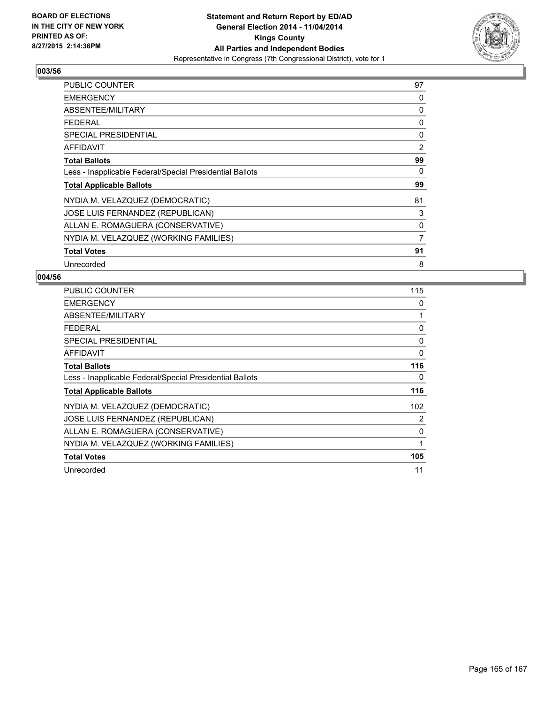

| <b>PUBLIC COUNTER</b>                                    | 97 |
|----------------------------------------------------------|----|
| <b>EMERGENCY</b>                                         | 0  |
| ABSENTEE/MILITARY                                        | 0  |
| <b>FEDERAL</b>                                           | 0  |
| <b>SPECIAL PRESIDENTIAL</b>                              | 0  |
| <b>AFFIDAVIT</b>                                         | 2  |
| <b>Total Ballots</b>                                     | 99 |
| Less - Inapplicable Federal/Special Presidential Ballots | 0  |
| <b>Total Applicable Ballots</b>                          | 99 |
| NYDIA M. VELAZQUEZ (DEMOCRATIC)                          | 81 |
| JOSE LUIS FERNANDEZ (REPUBLICAN)                         | 3  |
| ALLAN E. ROMAGUERA (CONSERVATIVE)                        | 0  |
| NYDIA M. VELAZQUEZ (WORKING FAMILIES)                    | 7  |
| <b>Total Votes</b>                                       | 91 |
| Unrecorded                                               | 8  |

| <b>PUBLIC COUNTER</b>                                    | 115 |
|----------------------------------------------------------|-----|
| <b>EMERGENCY</b>                                         | 0   |
| ABSENTEE/MILITARY                                        | 1   |
| <b>FEDERAL</b>                                           | 0   |
| SPECIAL PRESIDENTIAL                                     | 0   |
| AFFIDAVIT                                                | 0   |
| <b>Total Ballots</b>                                     | 116 |
| Less - Inapplicable Federal/Special Presidential Ballots | 0   |
| <b>Total Applicable Ballots</b>                          | 116 |
| NYDIA M. VELAZQUEZ (DEMOCRATIC)                          | 102 |
| <b>JOSE LUIS FERNANDEZ (REPUBLICAN)</b>                  | 2   |
| ALLAN E. ROMAGUERA (CONSERVATIVE)                        | 0   |
| NYDIA M. VELAZQUEZ (WORKING FAMILIES)                    | 1   |
| <b>Total Votes</b>                                       | 105 |
| Unrecorded                                               | 11  |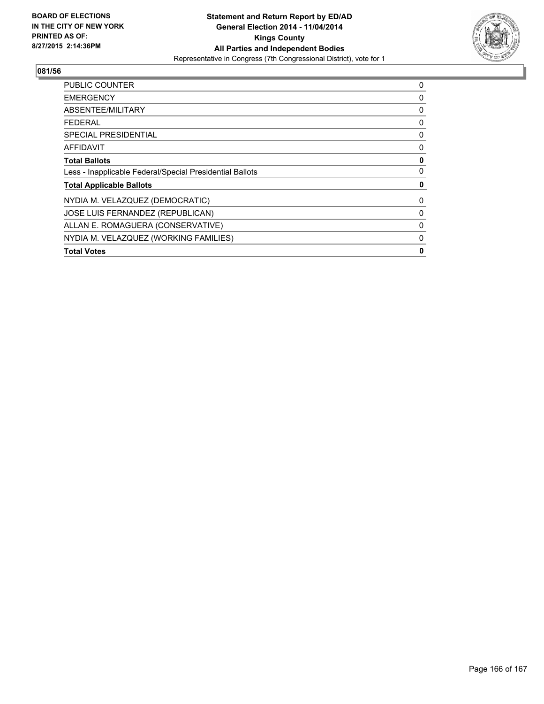

| <b>PUBLIC COUNTER</b>                                    | 0 |
|----------------------------------------------------------|---|
| <b>EMERGENCY</b>                                         | 0 |
| ABSENTEE/MILITARY                                        | 0 |
| <b>FEDERAL</b>                                           | 0 |
| <b>SPECIAL PRESIDENTIAL</b>                              | 0 |
| AFFIDAVIT                                                | 0 |
| <b>Total Ballots</b>                                     | 0 |
| Less - Inapplicable Federal/Special Presidential Ballots | 0 |
| <b>Total Applicable Ballots</b>                          | 0 |
| NYDIA M. VELAZQUEZ (DEMOCRATIC)                          | 0 |
| JOSE LUIS FERNANDEZ (REPUBLICAN)                         | 0 |
| ALLAN E. ROMAGUERA (CONSERVATIVE)                        | 0 |
| NYDIA M. VELAZQUEZ (WORKING FAMILIES)                    | 0 |
| <b>Total Votes</b>                                       | 0 |